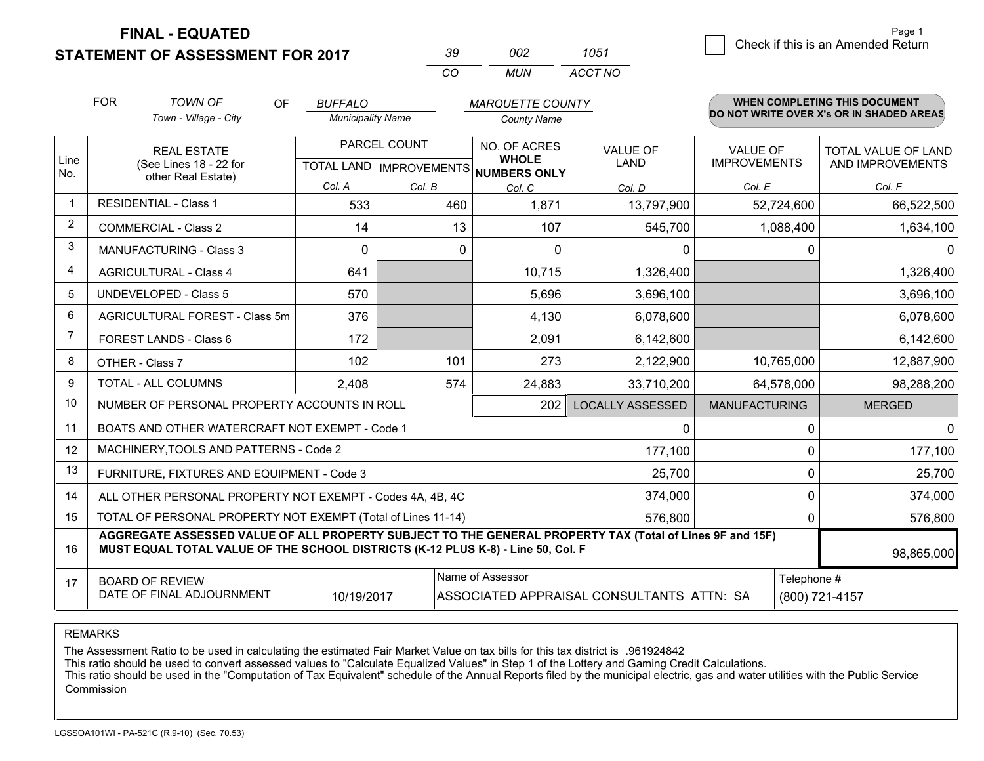**STATEMENT OF ASSESSMENT FOR 2017** 

| -30      | nnə   | 1051    |
|----------|-------|---------|
| $\alpha$ | MI IN | ACCT NO |

|                | <b>FOR</b>                                                                                                                                                                                   | <b>TOWN OF</b><br><b>OF</b>                               | <b>BUFFALO</b>           |                           | <b>MARQUETTE COUNTY</b>      |                                           |                                        | WHEN COMPLETING THIS DOCUMENT            |
|----------------|----------------------------------------------------------------------------------------------------------------------------------------------------------------------------------------------|-----------------------------------------------------------|--------------------------|---------------------------|------------------------------|-------------------------------------------|----------------------------------------|------------------------------------------|
|                |                                                                                                                                                                                              | Town - Village - City                                     | <b>Municipality Name</b> |                           | <b>County Name</b>           |                                           |                                        | DO NOT WRITE OVER X's OR IN SHADED AREAS |
| Line           |                                                                                                                                                                                              | <b>REAL ESTATE</b><br>(See Lines 18 - 22 for              |                          | PARCEL COUNT              | NO. OF ACRES<br><b>WHOLE</b> | <b>VALUE OF</b><br><b>LAND</b>            | <b>VALUE OF</b><br><b>IMPROVEMENTS</b> | TOTAL VALUE OF LAND                      |
| No.            |                                                                                                                                                                                              | other Real Estate)                                        |                          | TOTAL LAND   IMPROVEMENTS | NUMBERS ONLY                 |                                           |                                        | AND IMPROVEMENTS                         |
|                |                                                                                                                                                                                              |                                                           | Col. A                   | Col. B                    | Col. C                       | Col. D                                    | Col. E                                 | Col. F                                   |
| -1             |                                                                                                                                                                                              | <b>RESIDENTIAL - Class 1</b>                              | 533                      | 460                       | 1,871                        | 13,797,900                                | 52,724,600                             | 66,522,500                               |
| 2              |                                                                                                                                                                                              | <b>COMMERCIAL - Class 2</b>                               | 14                       | 13                        | 107                          | 545,700                                   | 1,088,400                              | 1,634,100                                |
| 3              |                                                                                                                                                                                              | <b>MANUFACTURING - Class 3</b>                            | 0                        | 0                         | 0                            | 0                                         | 0                                      | $\mathbf{0}$                             |
| 4              | <b>AGRICULTURAL - Class 4</b>                                                                                                                                                                |                                                           | 641                      |                           | 10,715                       | 1,326,400                                 |                                        | 1,326,400                                |
| 5              | <b>UNDEVELOPED - Class 5</b>                                                                                                                                                                 |                                                           | 570                      |                           | 5,696                        | 3,696,100                                 |                                        | 3,696,100                                |
| 6              |                                                                                                                                                                                              | AGRICULTURAL FOREST - Class 5m                            | 376                      |                           | 4,130                        | 6,078,600                                 |                                        | 6,078,600                                |
| $\overline{7}$ |                                                                                                                                                                                              | FOREST LANDS - Class 6                                    | 172                      |                           | 2,091                        | 6,142,600                                 |                                        | 6,142,600                                |
| 8              |                                                                                                                                                                                              | OTHER - Class 7                                           | 102                      | 101                       | 273                          | 2,122,900                                 | 10,765,000                             | 12,887,900                               |
| 9              |                                                                                                                                                                                              | TOTAL - ALL COLUMNS                                       | 2,408                    | 574                       | 24,883                       | 33,710,200                                | 64,578,000                             | 98,288,200                               |
| 10             |                                                                                                                                                                                              | NUMBER OF PERSONAL PROPERTY ACCOUNTS IN ROLL              |                          |                           | 202                          | <b>LOCALLY ASSESSED</b>                   | <b>MANUFACTURING</b>                   | <b>MERGED</b>                            |
| 11             |                                                                                                                                                                                              | BOATS AND OTHER WATERCRAFT NOT EXEMPT - Code 1            |                          |                           |                              | 0                                         | $\Omega$                               | $\mathbf{0}$                             |
| 12             |                                                                                                                                                                                              | MACHINERY, TOOLS AND PATTERNS - Code 2                    |                          |                           |                              | 177,100                                   | $\Omega$                               | 177,100                                  |
| 13             |                                                                                                                                                                                              | FURNITURE, FIXTURES AND EQUIPMENT - Code 3                |                          |                           |                              | 25,700                                    | $\Omega$                               | 25,700                                   |
| 14             |                                                                                                                                                                                              | ALL OTHER PERSONAL PROPERTY NOT EXEMPT - Codes 4A, 4B, 4C |                          |                           |                              | 374,000                                   | 0                                      | 374,000                                  |
| 15             | TOTAL OF PERSONAL PROPERTY NOT EXEMPT (Total of Lines 11-14)<br>576,800                                                                                                                      |                                                           |                          |                           |                              |                                           |                                        | 576,800<br>0                             |
| 16             | AGGREGATE ASSESSED VALUE OF ALL PROPERTY SUBJECT TO THE GENERAL PROPERTY TAX (Total of Lines 9F and 15F)<br>MUST EQUAL TOTAL VALUE OF THE SCHOOL DISTRICTS (K-12 PLUS K-8) - Line 50, Col. F |                                                           |                          |                           |                              |                                           |                                        | 98,865,000                               |
| 17             |                                                                                                                                                                                              | <b>BOARD OF REVIEW</b>                                    |                          |                           | Name of Assessor             |                                           | Telephone #                            |                                          |
|                |                                                                                                                                                                                              | DATE OF FINAL ADJOURNMENT                                 | 10/19/2017               |                           |                              | ASSOCIATED APPRAISAL CONSULTANTS ATTN: SA |                                        | (800) 721-4157                           |

REMARKS

The Assessment Ratio to be used in calculating the estimated Fair Market Value on tax bills for this tax district is .961924842<br>This ratio should be used to convert assessed values to "Calculate Equalized Values" in Step 1 Commission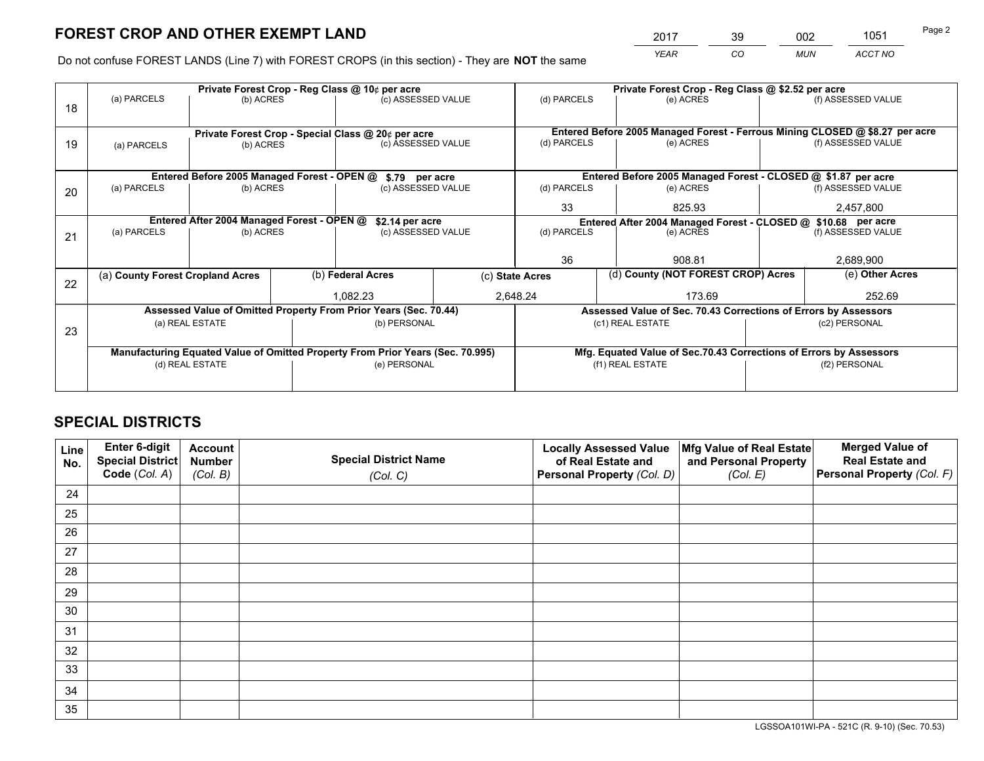*YEAR CO MUN ACCT NO* <sup>2017</sup> <sup>39</sup> <sup>002</sup> <sup>1051</sup>

Do not confuse FOREST LANDS (Line 7) with FOREST CROPS (in this section) - They are **NOT** the same

|    |                                                                                |                                             |  | Private Forest Crop - Reg Class @ 10¢ per acre                           |          | Private Forest Crop - Reg Class @ \$2.52 per acre             |                                                                              |               |                    |  |
|----|--------------------------------------------------------------------------------|---------------------------------------------|--|--------------------------------------------------------------------------|----------|---------------------------------------------------------------|------------------------------------------------------------------------------|---------------|--------------------|--|
| 18 | (a) PARCELS                                                                    | (b) ACRES                                   |  | (c) ASSESSED VALUE                                                       |          | (d) PARCELS                                                   | (e) ACRES                                                                    |               | (f) ASSESSED VALUE |  |
|    |                                                                                |                                             |  |                                                                          |          |                                                               | Entered Before 2005 Managed Forest - Ferrous Mining CLOSED @ \$8.27 per acre |               |                    |  |
| 19 | (a) PARCELS                                                                    | (b) ACRES                                   |  | Private Forest Crop - Special Class @ 20¢ per acre<br>(c) ASSESSED VALUE |          | (d) PARCELS                                                   | (e) ACRES                                                                    |               | (f) ASSESSED VALUE |  |
|    |                                                                                |                                             |  |                                                                          |          |                                                               |                                                                              |               |                    |  |
|    |                                                                                | Entered Before 2005 Managed Forest - OPEN @ |  | \$.79 per acre                                                           |          |                                                               | Entered Before 2005 Managed Forest - CLOSED @ \$1.87 per acre                |               |                    |  |
| 20 | (a) PARCELS                                                                    | (b) ACRES                                   |  | (c) ASSESSED VALUE                                                       |          | (d) PARCELS                                                   | (e) ACRES                                                                    |               | (f) ASSESSED VALUE |  |
|    |                                                                                |                                             |  |                                                                          |          | 825.93                                                        |                                                                              | 2,457,800     |                    |  |
|    | Entered After 2004 Managed Forest - OPEN @<br>\$2.14 per acre                  |                                             |  |                                                                          |          | Entered After 2004 Managed Forest - CLOSED @ \$10.68 per acre |                                                                              |               |                    |  |
| 21 | (a) PARCELS                                                                    | (b) ACRES                                   |  | (c) ASSESSED VALUE                                                       |          | (d) PARCELS                                                   | (e) ACRES                                                                    |               |                    |  |
|    |                                                                                |                                             |  |                                                                          |          |                                                               |                                                                              |               |                    |  |
|    |                                                                                |                                             |  |                                                                          |          | 36                                                            | 908.81                                                                       |               | 2,689,900          |  |
| 22 | (a) County Forest Cropland Acres                                               |                                             |  | (b) Federal Acres                                                        |          |                                                               | (d) County (NOT FOREST CROP) Acres<br>(c) State Acres                        |               | (e) Other Acres    |  |
|    |                                                                                |                                             |  |                                                                          | 1,082.23 |                                                               | 2,648.24<br>173.69                                                           |               | 252.69             |  |
|    |                                                                                |                                             |  | Assessed Value of Omitted Property From Prior Years (Sec. 70.44)         |          |                                                               | Assessed Value of Sec. 70.43 Corrections of Errors by Assessors              |               |                    |  |
| 23 |                                                                                | (a) REAL ESTATE                             |  | (b) PERSONAL                                                             |          |                                                               | (c1) REAL ESTATE                                                             |               | (c2) PERSONAL      |  |
|    |                                                                                |                                             |  |                                                                          |          |                                                               |                                                                              |               |                    |  |
|    | Manufacturing Equated Value of Omitted Property From Prior Years (Sec. 70.995) |                                             |  |                                                                          |          |                                                               | Mfg. Equated Value of Sec.70.43 Corrections of Errors by Assessors           |               |                    |  |
|    |                                                                                | (d) REAL ESTATE                             |  | (e) PERSONAL                                                             |          |                                                               | (f1) REAL ESTATE                                                             | (f2) PERSONAL |                    |  |
|    |                                                                                |                                             |  |                                                                          |          |                                                               |                                                                              |               |                    |  |

## **SPECIAL DISTRICTS**

| Line<br>No. | Enter 6-digit<br>Special District<br>Code (Col. A) | <b>Account</b><br><b>Number</b> | <b>Special District Name</b> | <b>Locally Assessed Value</b><br>of Real Estate and | Mfg Value of Real Estate<br>and Personal Property | <b>Merged Value of</b><br><b>Real Estate and</b><br>Personal Property (Col. F) |
|-------------|----------------------------------------------------|---------------------------------|------------------------------|-----------------------------------------------------|---------------------------------------------------|--------------------------------------------------------------------------------|
|             |                                                    | (Col. B)                        | (Col. C)                     | Personal Property (Col. D)                          | (Col. E)                                          |                                                                                |
| 24          |                                                    |                                 |                              |                                                     |                                                   |                                                                                |
| 25          |                                                    |                                 |                              |                                                     |                                                   |                                                                                |
| 26          |                                                    |                                 |                              |                                                     |                                                   |                                                                                |
| 27          |                                                    |                                 |                              |                                                     |                                                   |                                                                                |
| 28          |                                                    |                                 |                              |                                                     |                                                   |                                                                                |
| 29          |                                                    |                                 |                              |                                                     |                                                   |                                                                                |
| 30          |                                                    |                                 |                              |                                                     |                                                   |                                                                                |
| 31          |                                                    |                                 |                              |                                                     |                                                   |                                                                                |
| 32          |                                                    |                                 |                              |                                                     |                                                   |                                                                                |
| 33          |                                                    |                                 |                              |                                                     |                                                   |                                                                                |
| 34          |                                                    |                                 |                              |                                                     |                                                   |                                                                                |
| 35          |                                                    |                                 |                              |                                                     |                                                   |                                                                                |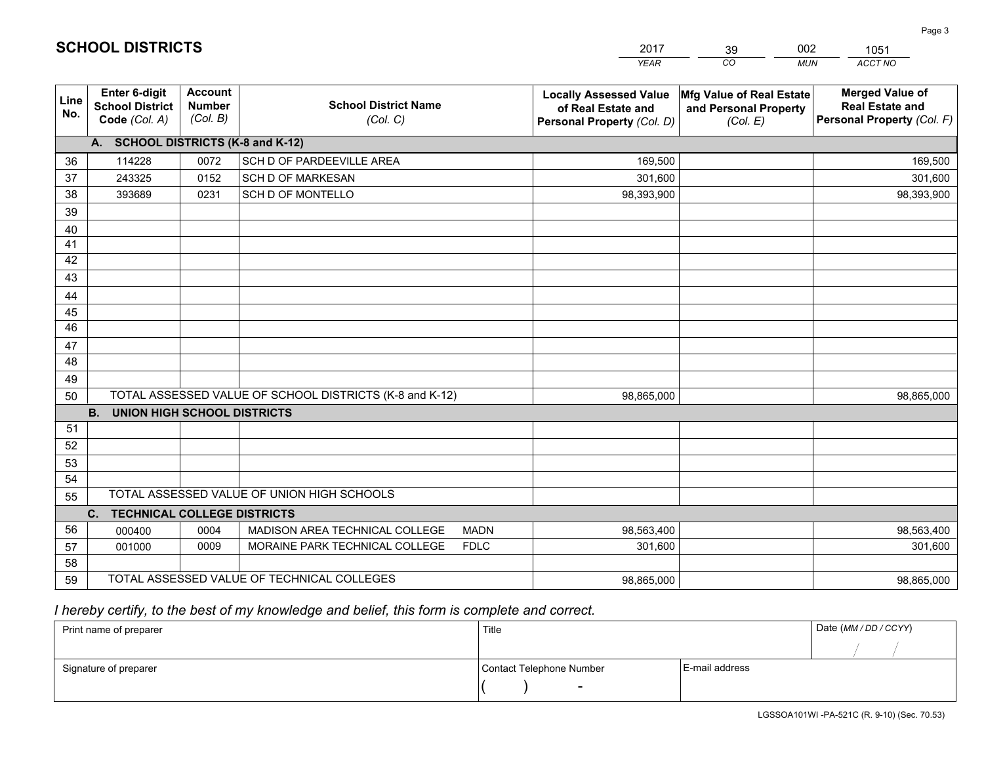|             |                                                          |                                             |                                                         | YEAR                                                                              | CO.<br><b>MUN</b>                                             | ACCT NO                                                                        |
|-------------|----------------------------------------------------------|---------------------------------------------|---------------------------------------------------------|-----------------------------------------------------------------------------------|---------------------------------------------------------------|--------------------------------------------------------------------------------|
| Line<br>No. | Enter 6-digit<br><b>School District</b><br>Code (Col. A) | <b>Account</b><br><b>Number</b><br>(Col. B) | <b>School District Name</b><br>(Col. C)                 | <b>Locally Assessed Value</b><br>of Real Estate and<br>Personal Property (Col. D) | Mfg Value of Real Estate<br>and Personal Property<br>(Col. E) | <b>Merged Value of</b><br><b>Real Estate and</b><br>Personal Property (Col. F) |
|             | A. SCHOOL DISTRICTS (K-8 and K-12)                       |                                             |                                                         |                                                                                   |                                                               |                                                                                |
| 36          | 114228                                                   | 0072                                        | SCH D OF PARDEEVILLE AREA                               | 169,500                                                                           |                                                               | 169,500                                                                        |
| 37          | 243325                                                   | 0152                                        | <b>SCH D OF MARKESAN</b>                                | 301,600                                                                           |                                                               | 301,600                                                                        |
| 38          | 393689                                                   | 0231                                        | SCH D OF MONTELLO                                       | 98,393,900                                                                        |                                                               | 98,393,900                                                                     |
| 39          |                                                          |                                             |                                                         |                                                                                   |                                                               |                                                                                |
| 40          |                                                          |                                             |                                                         |                                                                                   |                                                               |                                                                                |
| 41          |                                                          |                                             |                                                         |                                                                                   |                                                               |                                                                                |
| 42          |                                                          |                                             |                                                         |                                                                                   |                                                               |                                                                                |
| 43          |                                                          |                                             |                                                         |                                                                                   |                                                               |                                                                                |
| 44          |                                                          |                                             |                                                         |                                                                                   |                                                               |                                                                                |
| 45          |                                                          |                                             |                                                         |                                                                                   |                                                               |                                                                                |
| 46          |                                                          |                                             |                                                         |                                                                                   |                                                               |                                                                                |
| 47          |                                                          |                                             |                                                         |                                                                                   |                                                               |                                                                                |
| 48          |                                                          |                                             |                                                         |                                                                                   |                                                               |                                                                                |
| 49          |                                                          |                                             |                                                         |                                                                                   |                                                               |                                                                                |
| 50          |                                                          |                                             | TOTAL ASSESSED VALUE OF SCHOOL DISTRICTS (K-8 and K-12) | 98,865,000                                                                        |                                                               | 98,865,000                                                                     |
|             | <b>B.</b><br><b>UNION HIGH SCHOOL DISTRICTS</b>          |                                             |                                                         |                                                                                   |                                                               |                                                                                |
| 51          |                                                          |                                             |                                                         |                                                                                   |                                                               |                                                                                |
| 52          |                                                          |                                             |                                                         |                                                                                   |                                                               |                                                                                |
| 53          |                                                          |                                             |                                                         |                                                                                   |                                                               |                                                                                |
| 54          |                                                          |                                             |                                                         |                                                                                   |                                                               |                                                                                |
| 55          |                                                          |                                             | TOTAL ASSESSED VALUE OF UNION HIGH SCHOOLS              |                                                                                   |                                                               |                                                                                |
|             | C.<br><b>TECHNICAL COLLEGE DISTRICTS</b>                 |                                             |                                                         |                                                                                   |                                                               |                                                                                |
| 56          | 000400                                                   | 0004                                        | MADISON AREA TECHNICAL COLLEGE<br><b>MADN</b>           | 98,563,400                                                                        |                                                               | 98,563,400                                                                     |
| 57          | 001000                                                   | 0009                                        | MORAINE PARK TECHNICAL COLLEGE<br><b>FDLC</b>           | 301,600                                                                           |                                                               | 301,600                                                                        |
| 58          |                                                          |                                             |                                                         |                                                                                   |                                                               |                                                                                |
| 59          |                                                          |                                             | TOTAL ASSESSED VALUE OF TECHNICAL COLLEGES              | 98,865,000                                                                        |                                                               | 98,865,000                                                                     |

39

002

 *I hereby certify, to the best of my knowledge and belief, this form is complete and correct.*

**SCHOOL DISTRICTS**

| Print name of preparer | Title                    |                | Date (MM / DD / CCYY) |
|------------------------|--------------------------|----------------|-----------------------|
|                        |                          |                |                       |
| Signature of preparer  | Contact Telephone Number | E-mail address |                       |
|                        | $\overline{\phantom{0}}$ |                |                       |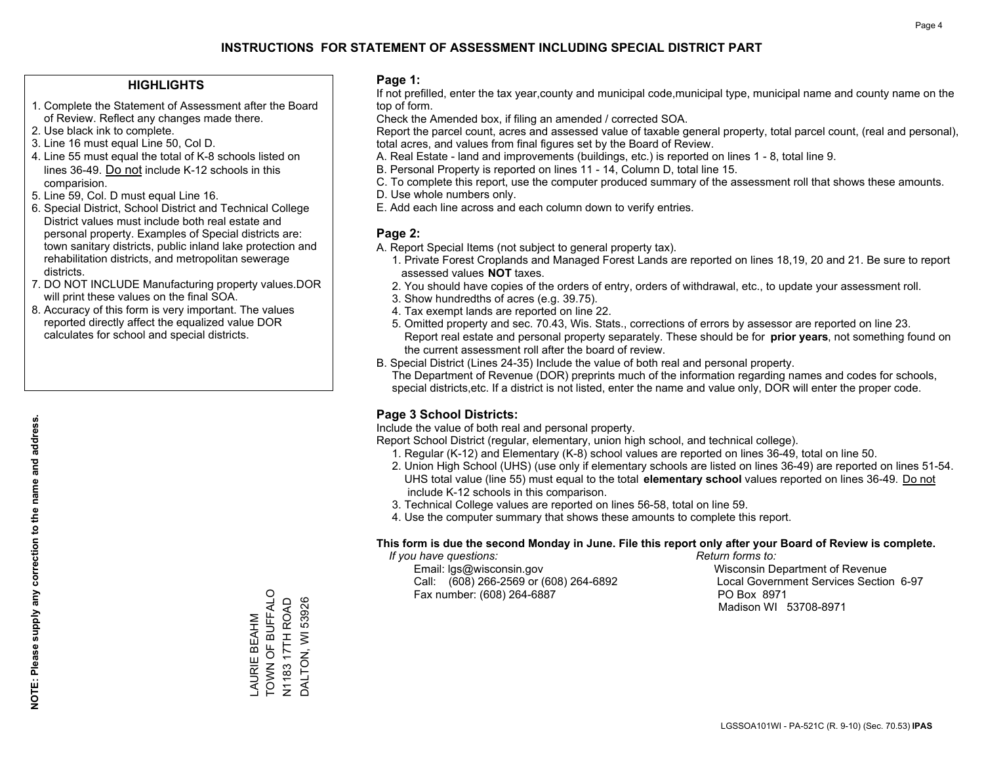### **HIGHLIGHTS**

- 1. Complete the Statement of Assessment after the Board of Review. Reflect any changes made there.
- 2. Use black ink to complete.
- 3. Line 16 must equal Line 50, Col D.
- 4. Line 55 must equal the total of K-8 schools listed on lines 36-49. Do not include K-12 schools in this comparision.
- 5. Line 59, Col. D must equal Line 16.
- 6. Special District, School District and Technical College District values must include both real estate and personal property. Examples of Special districts are: town sanitary districts, public inland lake protection and rehabilitation districts, and metropolitan sewerage districts.
- 7. DO NOT INCLUDE Manufacturing property values.DOR will print these values on the final SOA.

LAURIE BEAHM TOWN OF BUFFALO N1183 17TH ROAD DALTON, WI 53926

AURIE BEAHM

TOWN OF BUFFALO N1183 17TH ROAD DALTON, WI 53926

 8. Accuracy of this form is very important. The values reported directly affect the equalized value DOR calculates for school and special districts.

### **Page 1:**

 If not prefilled, enter the tax year,county and municipal code,municipal type, municipal name and county name on the top of form.

Check the Amended box, if filing an amended / corrected SOA.

 Report the parcel count, acres and assessed value of taxable general property, total parcel count, (real and personal), total acres, and values from final figures set by the Board of Review.

- A. Real Estate land and improvements (buildings, etc.) is reported on lines 1 8, total line 9.
- B. Personal Property is reported on lines 11 14, Column D, total line 15.
- C. To complete this report, use the computer produced summary of the assessment roll that shows these amounts.
- D. Use whole numbers only.
- E. Add each line across and each column down to verify entries.

### **Page 2:**

- A. Report Special Items (not subject to general property tax).
- 1. Private Forest Croplands and Managed Forest Lands are reported on lines 18,19, 20 and 21. Be sure to report assessed values **NOT** taxes.
- 2. You should have copies of the orders of entry, orders of withdrawal, etc., to update your assessment roll.
	- 3. Show hundredths of acres (e.g. 39.75).
- 4. Tax exempt lands are reported on line 22.
- 5. Omitted property and sec. 70.43, Wis. Stats., corrections of errors by assessor are reported on line 23. Report real estate and personal property separately. These should be for **prior years**, not something found on the current assessment roll after the board of review.
- B. Special District (Lines 24-35) Include the value of both real and personal property.
- The Department of Revenue (DOR) preprints much of the information regarding names and codes for schools, special districts,etc. If a district is not listed, enter the name and value only, DOR will enter the proper code.

## **Page 3 School Districts:**

Include the value of both real and personal property.

Report School District (regular, elementary, union high school, and technical college).

- 1. Regular (K-12) and Elementary (K-8) school values are reported on lines 36-49, total on line 50.
- 2. Union High School (UHS) (use only if elementary schools are listed on lines 36-49) are reported on lines 51-54. UHS total value (line 55) must equal to the total **elementary school** values reported on lines 36-49. Do notinclude K-12 schools in this comparison.
- 3. Technical College values are reported on lines 56-58, total on line 59.
- 4. Use the computer summary that shows these amounts to complete this report.

#### **This form is due the second Monday in June. File this report only after your Board of Review is complete.**

 *If you have questions: Return forms to:*

 Email: lgs@wisconsin.gov Wisconsin Department of RevenueCall:  $(608)$  266-2569 or  $(608)$  264-6892 Fax number: (608) 264-6887 PO Box 8971

Local Government Services Section 6-97

Madison WI 53708-8971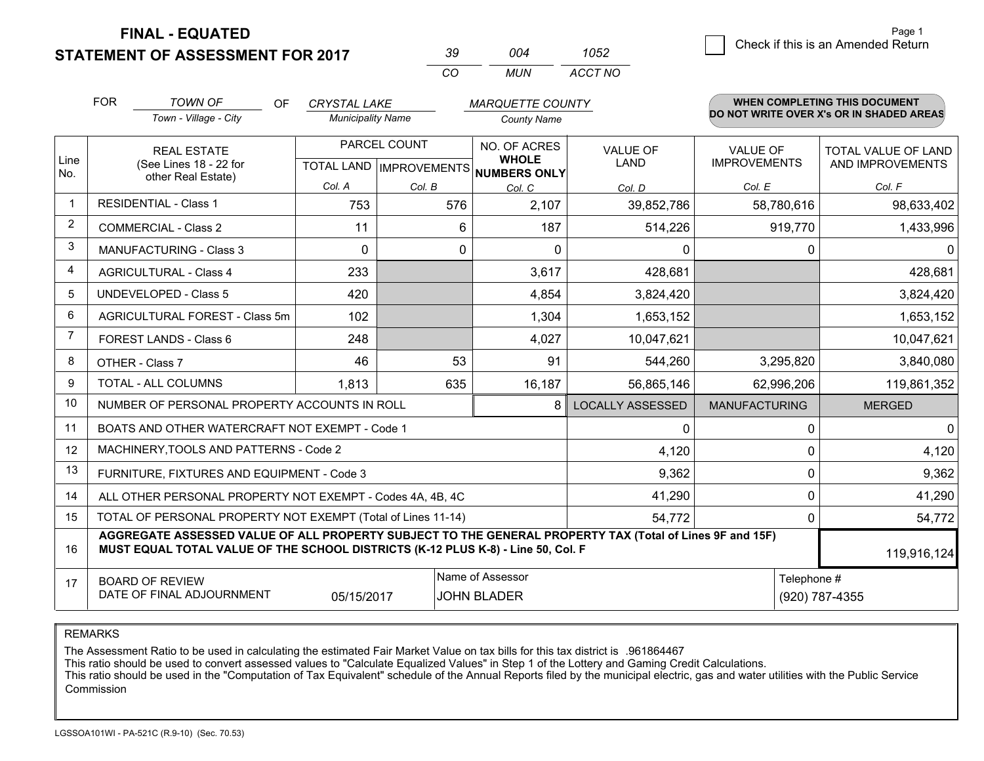**STATEMENT OF ASSESSMENT FOR 2017** 

| 39  | በበ4 | 1052    |
|-----|-----|---------|
| CO. | MUN | ACCT NO |

|                | <b>FOR</b>                                                                                                                                                                                   | <b>TOWN OF</b><br><b>OF</b>                                                                          | <b>CRYSTAL LAKE</b>      |          | <b>MARQUETTE COUNTY</b>                |                         |                                        | WHEN COMPLETING THIS DOCUMENT                  |
|----------------|----------------------------------------------------------------------------------------------------------------------------------------------------------------------------------------------|------------------------------------------------------------------------------------------------------|--------------------------|----------|----------------------------------------|-------------------------|----------------------------------------|------------------------------------------------|
|                |                                                                                                                                                                                              | Town - Village - City                                                                                | <b>Municipality Name</b> |          | <b>County Name</b>                     |                         |                                        | DO NOT WRITE OVER X's OR IN SHADED AREAS       |
| Line           |                                                                                                                                                                                              | PARCEL COUNT<br><b>REAL ESTATE</b><br>(See Lines 18 - 22 for<br>TOTAL LAND IMPROVEMENTS NUMBERS ONLY |                          |          | NO. OF ACRES<br><b>WHOLE</b>           | <b>VALUE OF</b><br>LAND | <b>VALUE OF</b><br><b>IMPROVEMENTS</b> | <b>TOTAL VALUE OF LAND</b><br>AND IMPROVEMENTS |
| No.            |                                                                                                                                                                                              | other Real Estate)                                                                                   | Col. A                   | Col. B   | Col. C                                 | Col. D                  | Col. E                                 | Col. F                                         |
| $\overline{1}$ |                                                                                                                                                                                              | <b>RESIDENTIAL - Class 1</b>                                                                         | 753                      | 576      | 2,107                                  | 39,852,786              | 58,780,616                             | 98,633,402                                     |
| 2              |                                                                                                                                                                                              | <b>COMMERCIAL - Class 2</b>                                                                          | 11                       | 6        | 187                                    | 514,226                 | 919,770                                | 1,433,996                                      |
| 3              | <b>MANUFACTURING - Class 3</b>                                                                                                                                                               |                                                                                                      | $\Omega$                 | $\Omega$ | $\Omega$                               | 0                       | 0                                      | $\mathbf 0$                                    |
| $\overline{4}$ | <b>AGRICULTURAL - Class 4</b>                                                                                                                                                                |                                                                                                      | 233                      |          | 3,617                                  | 428,681                 |                                        | 428,681                                        |
| 5              | <b>UNDEVELOPED - Class 5</b>                                                                                                                                                                 |                                                                                                      | 420                      |          | 4,854                                  | 3,824,420               |                                        | 3,824,420                                      |
| 6              |                                                                                                                                                                                              | AGRICULTURAL FOREST - Class 5m                                                                       | 102                      |          | 1,304                                  | 1,653,152               |                                        | 1,653,152                                      |
| 7              |                                                                                                                                                                                              | FOREST LANDS - Class 6                                                                               | 248                      |          | 4,027                                  | 10,047,621              |                                        | 10,047,621                                     |
| 8              |                                                                                                                                                                                              | OTHER - Class 7                                                                                      | 46                       | 53       | 91                                     | 544,260                 | 3,295,820                              | 3,840,080                                      |
| 9              |                                                                                                                                                                                              | TOTAL - ALL COLUMNS                                                                                  | 1,813                    | 635      | 16,187                                 | 56,865,146              | 62,996,206                             | 119,861,352                                    |
| 10             |                                                                                                                                                                                              | NUMBER OF PERSONAL PROPERTY ACCOUNTS IN ROLL                                                         |                          |          | 8                                      | <b>LOCALLY ASSESSED</b> | <b>MANUFACTURING</b>                   | <b>MERGED</b>                                  |
| 11             |                                                                                                                                                                                              | BOATS AND OTHER WATERCRAFT NOT EXEMPT - Code 1                                                       |                          |          |                                        | 0                       | $\mathbf 0$                            | $\mathbf 0$                                    |
| 12             |                                                                                                                                                                                              | MACHINERY, TOOLS AND PATTERNS - Code 2                                                               |                          |          |                                        | 4,120                   | $\Omega$                               | 4,120                                          |
| 13             |                                                                                                                                                                                              | FURNITURE, FIXTURES AND EQUIPMENT - Code 3                                                           |                          |          |                                        | 9,362                   | 0                                      | 9,362                                          |
| 14             |                                                                                                                                                                                              | ALL OTHER PERSONAL PROPERTY NOT EXEMPT - Codes 4A, 4B, 4C                                            |                          |          |                                        | 41,290                  | $\mathbf 0$                            | 41,290                                         |
| 15             | TOTAL OF PERSONAL PROPERTY NOT EXEMPT (Total of Lines 11-14)<br>54,772                                                                                                                       |                                                                                                      |                          |          |                                        |                         | 0                                      | 54,772                                         |
| 16             | AGGREGATE ASSESSED VALUE OF ALL PROPERTY SUBJECT TO THE GENERAL PROPERTY TAX (Total of Lines 9F and 15F)<br>MUST EQUAL TOTAL VALUE OF THE SCHOOL DISTRICTS (K-12 PLUS K-8) - Line 50, Col. F |                                                                                                      |                          |          |                                        |                         |                                        | 119,916,124                                    |
| 17             |                                                                                                                                                                                              | <b>BOARD OF REVIEW</b><br>DATE OF FINAL ADJOURNMENT                                                  | 05/15/2017               |          | Name of Assessor<br><b>JOHN BLADER</b> |                         | Telephone #                            | (920) 787-4355                                 |

REMARKS

The Assessment Ratio to be used in calculating the estimated Fair Market Value on tax bills for this tax district is .961864467

This ratio should be used to convert assessed values to "Calculate Equalized Values" in Step 1 of the Lottery and Gaming Credit Calculations.<br>This ratio should be used in the "Computation of Tax Equivalent" schedule of the Commission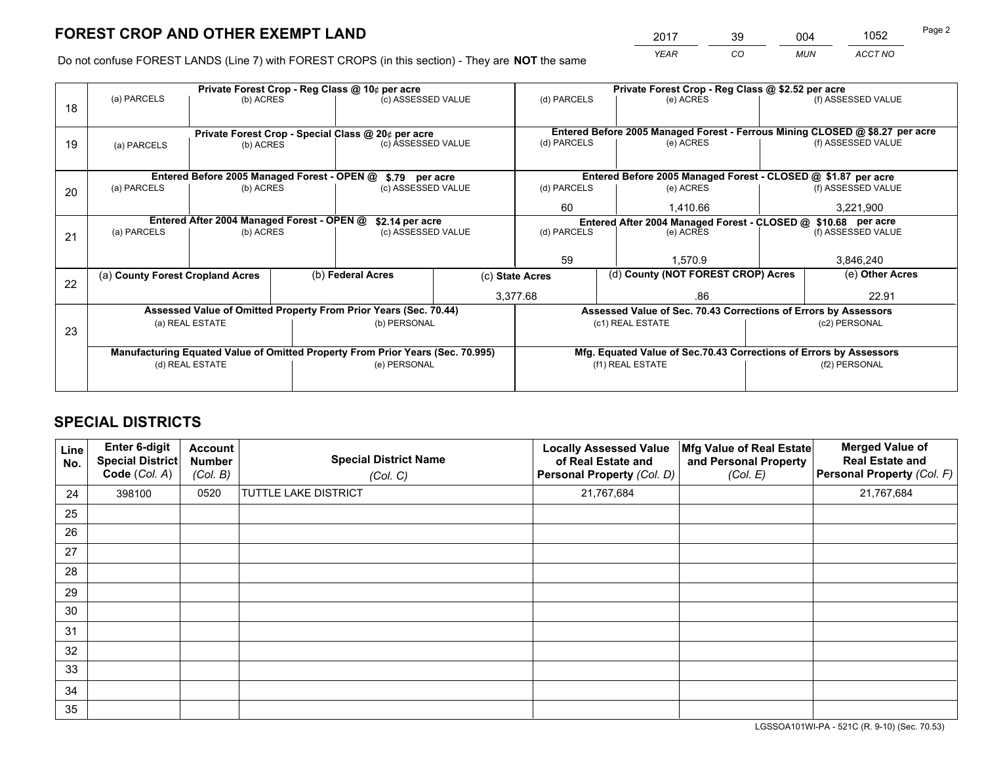*YEAR CO MUN ACCT NO* <sup>2017</sup> <sup>39</sup> <sup>004</sup> <sup>1052</sup> Page 2

Do not confuse FOREST LANDS (Line 7) with FOREST CROPS (in this section) - They are **NOT** the same

| (f) ASSESSED VALUE<br>Entered Before 2005 Managed Forest - Ferrous Mining CLOSED @ \$8.27 per acre<br>(f) ASSESSED VALUE<br>Entered Before 2005 Managed Forest - CLOSED @ \$1.87 per acre<br>(f) ASSESSED VALUE |  |
|-----------------------------------------------------------------------------------------------------------------------------------------------------------------------------------------------------------------|--|
|                                                                                                                                                                                                                 |  |
|                                                                                                                                                                                                                 |  |
|                                                                                                                                                                                                                 |  |
|                                                                                                                                                                                                                 |  |
|                                                                                                                                                                                                                 |  |
|                                                                                                                                                                                                                 |  |
|                                                                                                                                                                                                                 |  |
| 3,221,900                                                                                                                                                                                                       |  |
| Entered After 2004 Managed Forest - CLOSED @ \$10.68 per acre                                                                                                                                                   |  |
| (f) ASSESSED VALUE                                                                                                                                                                                              |  |
|                                                                                                                                                                                                                 |  |
| 3,846,240                                                                                                                                                                                                       |  |
| (e) Other Acres                                                                                                                                                                                                 |  |
| 22.91                                                                                                                                                                                                           |  |
| Assessed Value of Sec. 70.43 Corrections of Errors by Assessors                                                                                                                                                 |  |
| (c2) PERSONAL                                                                                                                                                                                                   |  |
|                                                                                                                                                                                                                 |  |
| Mfg. Equated Value of Sec.70.43 Corrections of Errors by Assessors                                                                                                                                              |  |
| (f2) PERSONAL                                                                                                                                                                                                   |  |
|                                                                                                                                                                                                                 |  |
|                                                                                                                                                                                                                 |  |

## **SPECIAL DISTRICTS**

| <b>Line</b><br>No. | Enter 6-digit<br><b>Special District</b><br>Code (Col. A) | <b>Account</b><br><b>Number</b><br>(Col. B) | <b>Special District Name</b><br>(Col. C) | <b>Locally Assessed Value</b><br>of Real Estate and<br>Personal Property (Col. D) | Mfg Value of Real Estate<br>and Personal Property<br>(Col. E) | <b>Merged Value of</b><br><b>Real Estate and</b><br>Personal Property (Col. F) |
|--------------------|-----------------------------------------------------------|---------------------------------------------|------------------------------------------|-----------------------------------------------------------------------------------|---------------------------------------------------------------|--------------------------------------------------------------------------------|
| 24                 | 398100                                                    | 0520                                        | <b>TUTTLE LAKE DISTRICT</b>              | 21,767,684                                                                        |                                                               | 21,767,684                                                                     |
| 25                 |                                                           |                                             |                                          |                                                                                   |                                                               |                                                                                |
| 26                 |                                                           |                                             |                                          |                                                                                   |                                                               |                                                                                |
| 27                 |                                                           |                                             |                                          |                                                                                   |                                                               |                                                                                |
| 28                 |                                                           |                                             |                                          |                                                                                   |                                                               |                                                                                |
| 29                 |                                                           |                                             |                                          |                                                                                   |                                                               |                                                                                |
| 30                 |                                                           |                                             |                                          |                                                                                   |                                                               |                                                                                |
| 31                 |                                                           |                                             |                                          |                                                                                   |                                                               |                                                                                |
| 32                 |                                                           |                                             |                                          |                                                                                   |                                                               |                                                                                |
| 33                 |                                                           |                                             |                                          |                                                                                   |                                                               |                                                                                |
| 34                 |                                                           |                                             |                                          |                                                                                   |                                                               |                                                                                |
| 35                 |                                                           |                                             |                                          |                                                                                   |                                                               |                                                                                |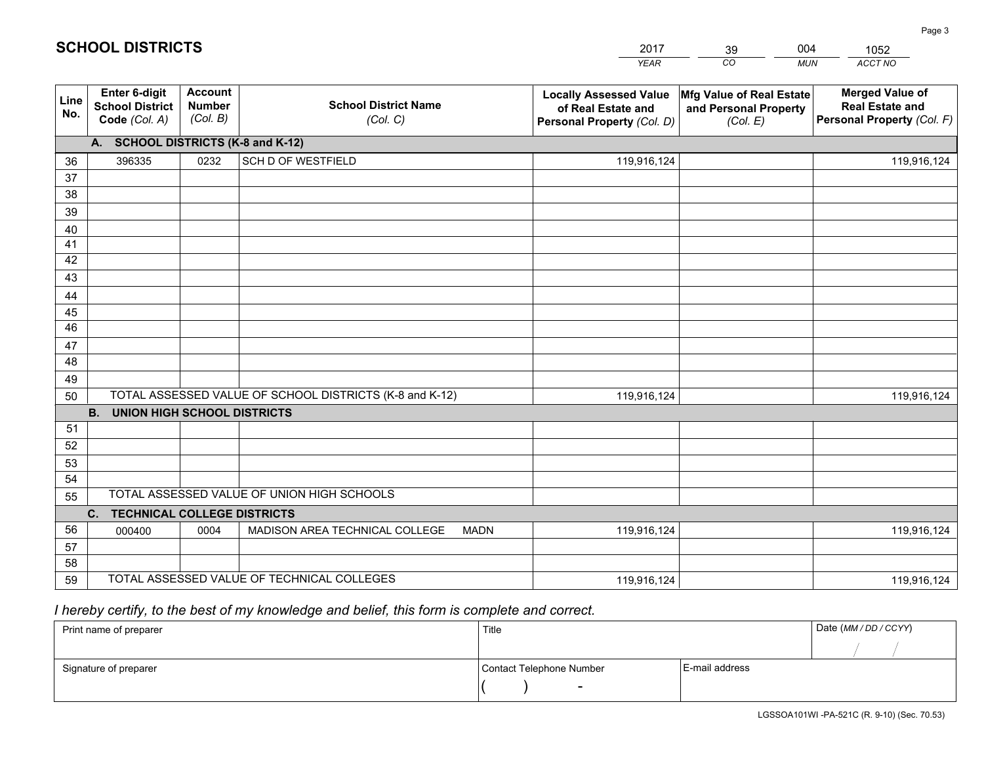|             |                                                          |                                             |                                                         | <b>YEAR</b>                                                                       | CO<br><b>MUN</b>                                              | ACCT NO                                                                        |
|-------------|----------------------------------------------------------|---------------------------------------------|---------------------------------------------------------|-----------------------------------------------------------------------------------|---------------------------------------------------------------|--------------------------------------------------------------------------------|
| Line<br>No. | Enter 6-digit<br><b>School District</b><br>Code (Col. A) | <b>Account</b><br><b>Number</b><br>(Col. B) | <b>School District Name</b><br>(Col. C)                 | <b>Locally Assessed Value</b><br>of Real Estate and<br>Personal Property (Col. D) | Mfg Value of Real Estate<br>and Personal Property<br>(Col. E) | <b>Merged Value of</b><br><b>Real Estate and</b><br>Personal Property (Col. F) |
|             | A. SCHOOL DISTRICTS (K-8 and K-12)                       |                                             |                                                         |                                                                                   |                                                               |                                                                                |
| 36          | 396335                                                   | 0232                                        | <b>SCH D OF WESTFIELD</b>                               | 119,916,124                                                                       |                                                               | 119,916,124                                                                    |
| 37          |                                                          |                                             |                                                         |                                                                                   |                                                               |                                                                                |
| 38          |                                                          |                                             |                                                         |                                                                                   |                                                               |                                                                                |
| 39          |                                                          |                                             |                                                         |                                                                                   |                                                               |                                                                                |
| 40          |                                                          |                                             |                                                         |                                                                                   |                                                               |                                                                                |
| 41          |                                                          |                                             |                                                         |                                                                                   |                                                               |                                                                                |
| 42          |                                                          |                                             |                                                         |                                                                                   |                                                               |                                                                                |
| 43          |                                                          |                                             |                                                         |                                                                                   |                                                               |                                                                                |
| 44<br>45    |                                                          |                                             |                                                         |                                                                                   |                                                               |                                                                                |
| 46          |                                                          |                                             |                                                         |                                                                                   |                                                               |                                                                                |
| 47          |                                                          |                                             |                                                         |                                                                                   |                                                               |                                                                                |
| 48          |                                                          |                                             |                                                         |                                                                                   |                                                               |                                                                                |
| 49          |                                                          |                                             |                                                         |                                                                                   |                                                               |                                                                                |
| 50          |                                                          |                                             | TOTAL ASSESSED VALUE OF SCHOOL DISTRICTS (K-8 and K-12) | 119,916,124                                                                       |                                                               | 119,916,124                                                                    |
|             | <b>B.</b><br><b>UNION HIGH SCHOOL DISTRICTS</b>          |                                             |                                                         |                                                                                   |                                                               |                                                                                |
| 51          |                                                          |                                             |                                                         |                                                                                   |                                                               |                                                                                |
| 52          |                                                          |                                             |                                                         |                                                                                   |                                                               |                                                                                |
| 53          |                                                          |                                             |                                                         |                                                                                   |                                                               |                                                                                |
| 54          |                                                          |                                             |                                                         |                                                                                   |                                                               |                                                                                |
| 55          |                                                          |                                             | TOTAL ASSESSED VALUE OF UNION HIGH SCHOOLS              |                                                                                   |                                                               |                                                                                |
|             | C.<br><b>TECHNICAL COLLEGE DISTRICTS</b>                 |                                             |                                                         |                                                                                   |                                                               |                                                                                |
| 56          | 000400                                                   | 0004                                        | MADISON AREA TECHNICAL COLLEGE<br><b>MADN</b>           | 119,916,124                                                                       |                                                               | 119,916,124                                                                    |
| 57          |                                                          |                                             |                                                         |                                                                                   |                                                               |                                                                                |
| 58          |                                                          |                                             |                                                         |                                                                                   |                                                               |                                                                                |
| 59          |                                                          |                                             | TOTAL ASSESSED VALUE OF TECHNICAL COLLEGES              | 119,916,124                                                                       |                                                               | 119,916,124                                                                    |

39

004

 *I hereby certify, to the best of my knowledge and belief, this form is complete and correct.*

**SCHOOL DISTRICTS**

| Print name of preparer | Title                    |                | Date (MM / DD / CCYY) |
|------------------------|--------------------------|----------------|-----------------------|
|                        |                          |                |                       |
| Signature of preparer  | Contact Telephone Number | E-mail address |                       |
|                        | $\sim$                   |                |                       |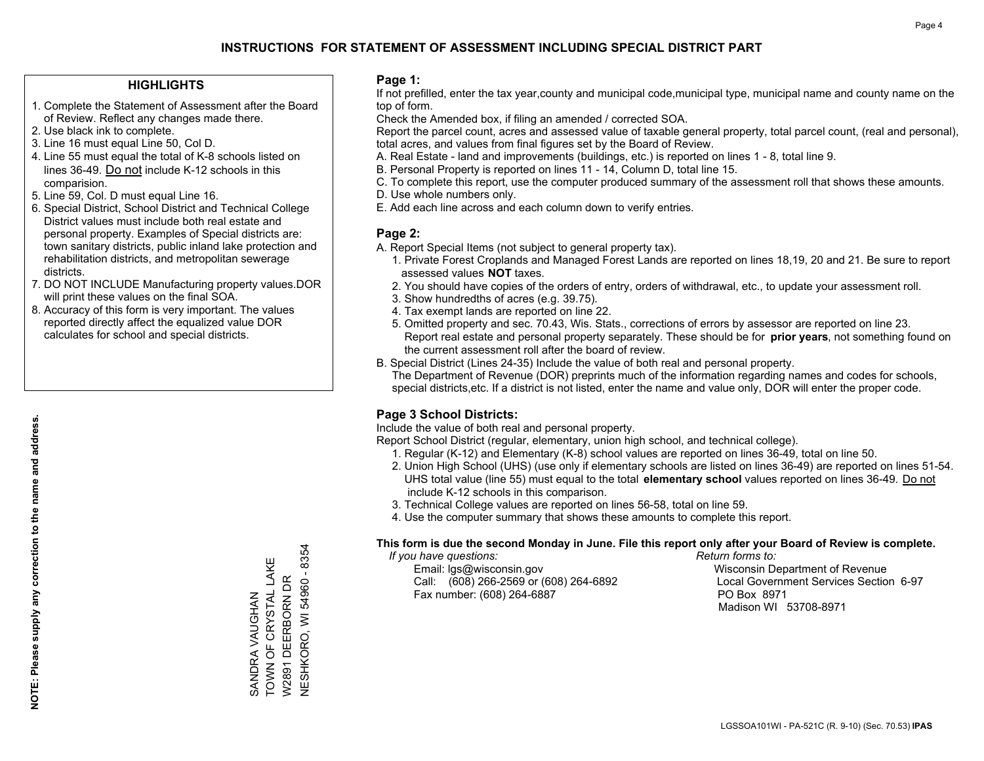### **HIGHLIGHTS**

- 1. Complete the Statement of Assessment after the Board of Review. Reflect any changes made there.
- 2. Use black ink to complete.
- 3. Line 16 must equal Line 50, Col D.
- 4. Line 55 must equal the total of K-8 schools listed on lines 36-49. Do not include K-12 schools in this comparision.
- 5. Line 59, Col. D must equal Line 16.
- 6. Special District, School District and Technical College District values must include both real estate and personal property. Examples of Special districts are: town sanitary districts, public inland lake protection and rehabilitation districts, and metropolitan sewerage districts.
- 7. DO NOT INCLUDE Manufacturing property values.DOR will print these values on the final SOA.
- 8. Accuracy of this form is very important. The values reported directly affect the equalized value DOR calculates for school and special districts.

### **Page 1:**

 If not prefilled, enter the tax year,county and municipal code,municipal type, municipal name and county name on the top of form.

Check the Amended box, if filing an amended / corrected SOA.

 Report the parcel count, acres and assessed value of taxable general property, total parcel count, (real and personal), total acres, and values from final figures set by the Board of Review.

- A. Real Estate land and improvements (buildings, etc.) is reported on lines 1 8, total line 9.
- B. Personal Property is reported on lines 11 14, Column D, total line 15.
- C. To complete this report, use the computer produced summary of the assessment roll that shows these amounts.
- D. Use whole numbers only.
- E. Add each line across and each column down to verify entries.

### **Page 2:**

- A. Report Special Items (not subject to general property tax).
- 1. Private Forest Croplands and Managed Forest Lands are reported on lines 18,19, 20 and 21. Be sure to report assessed values **NOT** taxes.
- 2. You should have copies of the orders of entry, orders of withdrawal, etc., to update your assessment roll.
	- 3. Show hundredths of acres (e.g. 39.75).
- 4. Tax exempt lands are reported on line 22.
- 5. Omitted property and sec. 70.43, Wis. Stats., corrections of errors by assessor are reported on line 23. Report real estate and personal property separately. These should be for **prior years**, not something found on the current assessment roll after the board of review.
- B. Special District (Lines 24-35) Include the value of both real and personal property.
- The Department of Revenue (DOR) preprints much of the information regarding names and codes for schools, special districts,etc. If a district is not listed, enter the name and value only, DOR will enter the proper code.

## **Page 3 School Districts:**

Include the value of both real and personal property.

Report School District (regular, elementary, union high school, and technical college).

- 1. Regular (K-12) and Elementary (K-8) school values are reported on lines 36-49, total on line 50.
- 2. Union High School (UHS) (use only if elementary schools are listed on lines 36-49) are reported on lines 51-54. UHS total value (line 55) must equal to the total **elementary school** values reported on lines 36-49. Do notinclude K-12 schools in this comparison.
- 3. Technical College values are reported on lines 56-58, total on line 59.
- 4. Use the computer summary that shows these amounts to complete this report.

#### **This form is due the second Monday in June. File this report only after your Board of Review is complete.**

 *If you have questions: Return forms to:*

 Email: lgs@wisconsin.gov Wisconsin Department of RevenueCall:  $(608)$  266-2569 or  $(608)$  264-6892 Fax number: (608) 264-6887 PO Box 8971

Local Government Services Section 6-97 Madison WI 53708-8971

**NESHKORO, WI 54960 - 8354** NESHKORO, WI 54960 - 8354 TOWN OF CRYSTAL LAKE SANDRA VAUGHAN<br>TOWN OF CRYSTAL LAKE W2891 DEERBORN DR W2891 DEERBORN DR SANDRA VAUGHAN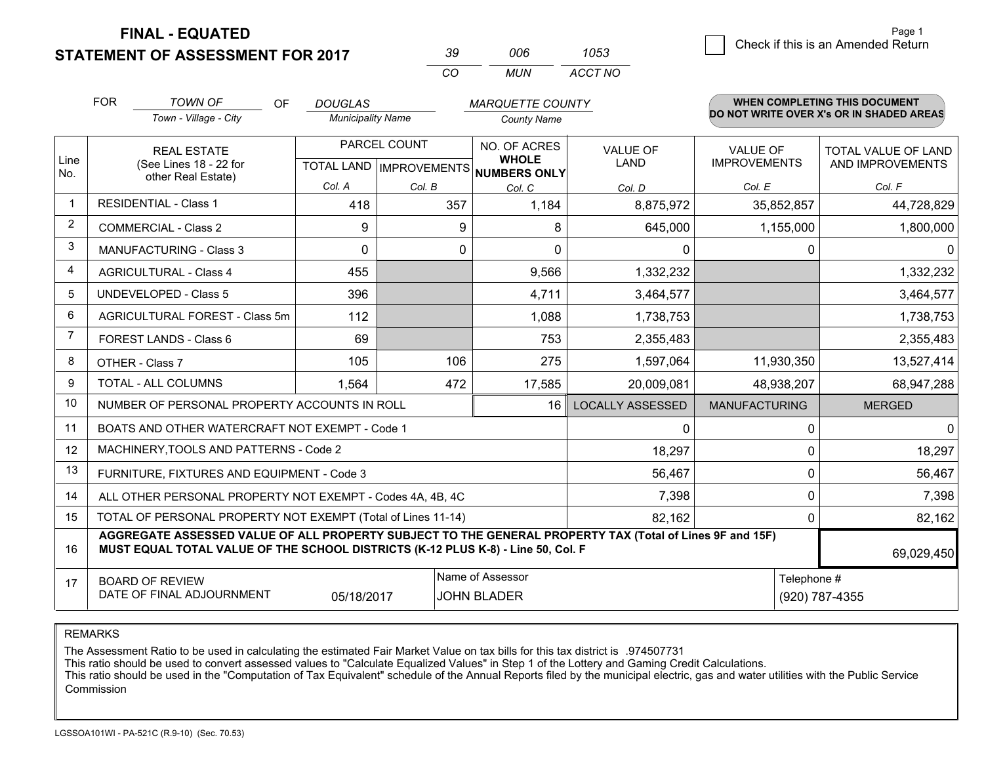**STATEMENT OF ASSESSMENT FOR 2017** 

| 39. | ററഞ   | 1053    |
|-----|-------|---------|
| CO. | MI IN | ACCT NO |

|                | <b>FOR</b>                                                                                                                 | <b>TOWN OF</b><br>OF.                                                                                                                                                                        | <b>DOUGLAS</b>           |              | <b>MARQUETTE COUNTY</b>                                              |                                |                                        | WHEN COMPLETING THIS DOCUMENT                  |
|----------------|----------------------------------------------------------------------------------------------------------------------------|----------------------------------------------------------------------------------------------------------------------------------------------------------------------------------------------|--------------------------|--------------|----------------------------------------------------------------------|--------------------------------|----------------------------------------|------------------------------------------------|
|                |                                                                                                                            | Town - Village - City                                                                                                                                                                        | <b>Municipality Name</b> |              | <b>County Name</b>                                                   |                                |                                        | DO NOT WRITE OVER X's OR IN SHADED AREAS       |
| Line<br>No.    |                                                                                                                            | <b>REAL ESTATE</b><br>(See Lines 18 - 22 for                                                                                                                                                 |                          | PARCEL COUNT | NO. OF ACRES<br><b>WHOLE</b><br>TOTAL LAND IMPROVEMENTS NUMBERS ONLY | <b>VALUE OF</b><br><b>LAND</b> | <b>VALUE OF</b><br><b>IMPROVEMENTS</b> | <b>TOTAL VALUE OF LAND</b><br>AND IMPROVEMENTS |
|                |                                                                                                                            | other Real Estate)                                                                                                                                                                           | Col. A                   | Col. B       | Col. C                                                               | Col. D                         | Col. E                                 | Col. F                                         |
| $\mathbf 1$    |                                                                                                                            | <b>RESIDENTIAL - Class 1</b>                                                                                                                                                                 | 418                      | 357          | 1,184                                                                | 8,875,972                      | 35,852,857                             | 44,728,829                                     |
| $\overline{2}$ |                                                                                                                            | <b>COMMERCIAL - Class 2</b>                                                                                                                                                                  | 9                        | 9            | 8                                                                    | 645,000                        | 1,155,000                              | 1,800,000                                      |
| 3              |                                                                                                                            | <b>MANUFACTURING - Class 3</b>                                                                                                                                                               | $\mathbf 0$              | $\mathbf{0}$ | $\Omega$                                                             | 0                              | 0                                      | 0                                              |
| 4              |                                                                                                                            | <b>AGRICULTURAL - Class 4</b>                                                                                                                                                                | 455                      |              | 9,566                                                                | 1,332,232                      |                                        | 1,332,232                                      |
| 5              |                                                                                                                            | <b>UNDEVELOPED - Class 5</b>                                                                                                                                                                 | 396                      |              | 4,711                                                                | 3,464,577                      |                                        | 3,464,577                                      |
| 6              | AGRICULTURAL FOREST - Class 5m                                                                                             |                                                                                                                                                                                              | 112                      |              | 1,088                                                                | 1,738,753                      |                                        | 1,738,753                                      |
| $\overline{7}$ | <b>FOREST LANDS - Class 6</b>                                                                                              |                                                                                                                                                                                              | 69                       |              | 753                                                                  | 2,355,483                      |                                        | 2,355,483                                      |
| 8              |                                                                                                                            | OTHER - Class 7                                                                                                                                                                              | 105                      | 106          | 275                                                                  | 1,597,064                      | 11,930,350                             | 13,527,414                                     |
| 9              |                                                                                                                            | TOTAL - ALL COLUMNS                                                                                                                                                                          | 1,564                    | 472          | 17,585                                                               | 20,009,081                     | 48,938,207                             | 68,947,288                                     |
| 10             |                                                                                                                            | NUMBER OF PERSONAL PROPERTY ACCOUNTS IN ROLL                                                                                                                                                 |                          |              | 16                                                                   | <b>LOCALLY ASSESSED</b>        | <b>MANUFACTURING</b>                   | <b>MERGED</b>                                  |
| 11             |                                                                                                                            | BOATS AND OTHER WATERCRAFT NOT EXEMPT - Code 1                                                                                                                                               |                          |              |                                                                      | $\mathbf{0}$                   | 0                                      | $\mathbf 0$                                    |
| 12             |                                                                                                                            | MACHINERY, TOOLS AND PATTERNS - Code 2                                                                                                                                                       |                          |              |                                                                      | 18,297                         | $\mathbf 0$                            | 18,297                                         |
| 13             |                                                                                                                            | FURNITURE, FIXTURES AND EQUIPMENT - Code 3                                                                                                                                                   |                          |              |                                                                      | 56,467                         | $\mathbf 0$                            | 56,467                                         |
| 14             |                                                                                                                            | ALL OTHER PERSONAL PROPERTY NOT EXEMPT - Codes 4A, 4B, 4C                                                                                                                                    |                          |              |                                                                      | 7,398                          | $\mathbf 0$                            | 7,398                                          |
| 15             |                                                                                                                            | TOTAL OF PERSONAL PROPERTY NOT EXEMPT (Total of Lines 11-14)                                                                                                                                 |                          |              |                                                                      | 82,162                         | 0                                      | 82,162                                         |
| 16             |                                                                                                                            | AGGREGATE ASSESSED VALUE OF ALL PROPERTY SUBJECT TO THE GENERAL PROPERTY TAX (Total of Lines 9F and 15F)<br>MUST EQUAL TOTAL VALUE OF THE SCHOOL DISTRICTS (K-12 PLUS K-8) - Line 50, Col. F |                          |              |                                                                      |                                |                                        | 69,029,450                                     |
| 17             | Name of Assessor<br>Telephone #<br><b>BOARD OF REVIEW</b><br>DATE OF FINAL ADJOURNMENT<br>05/18/2017<br><b>JOHN BLADER</b> |                                                                                                                                                                                              |                          |              |                                                                      | (920) 787-4355                 |                                        |                                                |

REMARKS

The Assessment Ratio to be used in calculating the estimated Fair Market Value on tax bills for this tax district is .974507731

This ratio should be used to convert assessed values to "Calculate Equalized Values" in Step 1 of the Lottery and Gaming Credit Calculations.<br>This ratio should be used in the "Computation of Tax Equivalent" schedule of the Commission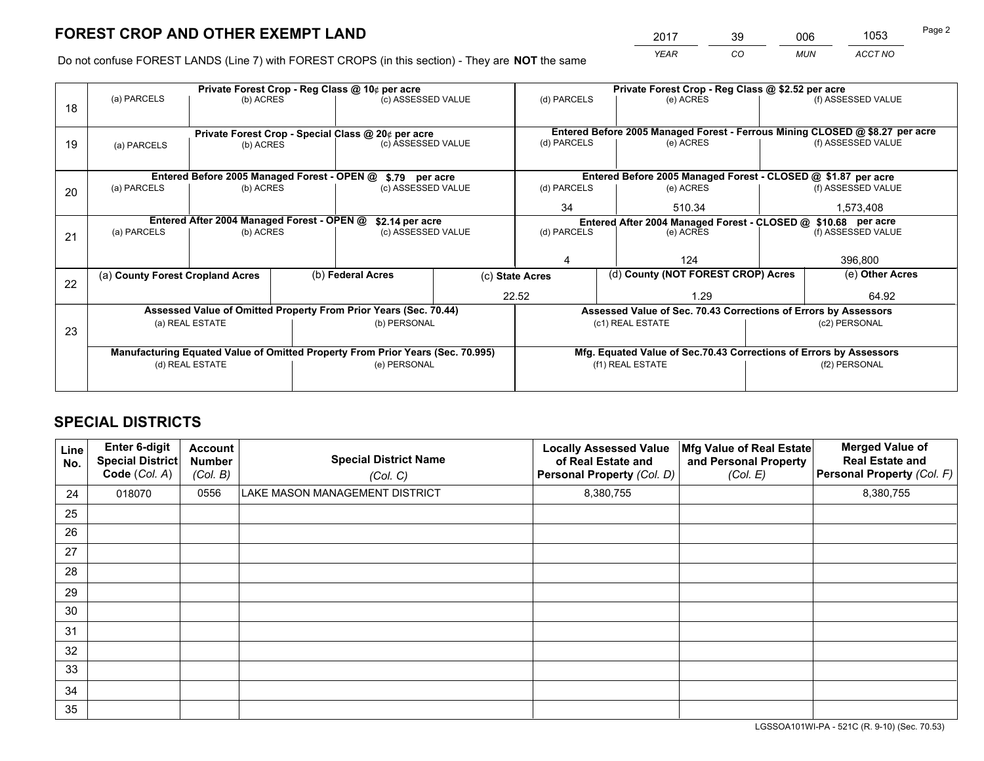*YEAR CO MUN ACCT NO* <sup>2017</sup> <sup>39</sup> <sup>006</sup> <sup>1053</sup>

Do not confuse FOREST LANDS (Line 7) with FOREST CROPS (in this section) - They are **NOT** the same

|    |                                                               |                                             |  | Private Forest Crop - Reg Class @ 10¢ per acre                                 |        | Private Forest Crop - Reg Class @ \$2.52 per acre                  |                                                                              |                    |                    |  |
|----|---------------------------------------------------------------|---------------------------------------------|--|--------------------------------------------------------------------------------|--------|--------------------------------------------------------------------|------------------------------------------------------------------------------|--------------------|--------------------|--|
| 18 | (a) PARCELS                                                   | (b) ACRES                                   |  | (c) ASSESSED VALUE                                                             |        | (d) PARCELS                                                        | (e) ACRES                                                                    |                    | (f) ASSESSED VALUE |  |
|    | Private Forest Crop - Special Class @ 20¢ per acre            |                                             |  |                                                                                |        |                                                                    | Entered Before 2005 Managed Forest - Ferrous Mining CLOSED @ \$8.27 per acre |                    |                    |  |
| 19 | (b) ACRES<br>(a) PARCELS                                      |                                             |  | (c) ASSESSED VALUE                                                             |        | (d) PARCELS                                                        | (e) ACRES                                                                    |                    | (f) ASSESSED VALUE |  |
|    |                                                               | Entered Before 2005 Managed Forest - OPEN @ |  | \$.79 per acre                                                                 |        |                                                                    | Entered Before 2005 Managed Forest - CLOSED @ \$1.87 per acre                |                    |                    |  |
| 20 | (a) PARCELS                                                   | (b) ACRES                                   |  | (c) ASSESSED VALUE                                                             |        | (d) PARCELS                                                        | (e) ACRES                                                                    |                    | (f) ASSESSED VALUE |  |
|    |                                                               |                                             |  | 34                                                                             | 510.34 |                                                                    | 1,573,408                                                                    |                    |                    |  |
|    | Entered After 2004 Managed Forest - OPEN @<br>\$2.14 per acre |                                             |  |                                                                                |        | Entered After 2004 Managed Forest - CLOSED @ \$10.68 per acre      |                                                                              |                    |                    |  |
| 21 | (a) PARCELS                                                   | (b) ACRES                                   |  | (c) ASSESSED VALUE                                                             |        | (d) PARCELS                                                        | (e) ACRES                                                                    | (f) ASSESSED VALUE |                    |  |
|    |                                                               |                                             |  |                                                                                |        |                                                                    |                                                                              |                    |                    |  |
|    |                                                               |                                             |  |                                                                                |        |                                                                    | 124                                                                          |                    | 396,800            |  |
|    | (a) County Forest Cropland Acres                              |                                             |  | (b) Federal Acres                                                              |        | (d) County (NOT FOREST CROP) Acres<br>(c) State Acres              |                                                                              |                    | (e) Other Acres    |  |
| 22 |                                                               |                                             |  |                                                                                | 22.52  |                                                                    | 1.29                                                                         |                    | 64.92              |  |
|    |                                                               |                                             |  | Assessed Value of Omitted Property From Prior Years (Sec. 70.44)               |        |                                                                    | Assessed Value of Sec. 70.43 Corrections of Errors by Assessors              |                    |                    |  |
| 23 |                                                               | (a) REAL ESTATE                             |  | (b) PERSONAL                                                                   |        |                                                                    | (c1) REAL ESTATE                                                             |                    | (c2) PERSONAL      |  |
|    |                                                               |                                             |  |                                                                                |        |                                                                    |                                                                              |                    |                    |  |
|    |                                                               |                                             |  | Manufacturing Equated Value of Omitted Property From Prior Years (Sec. 70.995) |        | Mfg. Equated Value of Sec.70.43 Corrections of Errors by Assessors |                                                                              |                    |                    |  |
|    |                                                               | (d) REAL ESTATE                             |  | (e) PERSONAL                                                                   |        | (f1) REAL ESTATE                                                   |                                                                              |                    | (f2) PERSONAL      |  |
|    |                                                               |                                             |  |                                                                                |        |                                                                    |                                                                              |                    |                    |  |

## **SPECIAL DISTRICTS**

| <b>Line</b><br>No. | Enter 6-digit<br><b>Special District</b><br>Code (Col. A) | <b>Account</b><br><b>Number</b><br>(Col. B) | <b>Special District Name</b><br>(Col. C) | <b>Locally Assessed Value</b><br>of Real Estate and<br>Personal Property (Col. D) | Mfg Value of Real Estate<br>and Personal Property<br>(Col. E) | <b>Merged Value of</b><br><b>Real Estate and</b><br>Personal Property (Col. F) |
|--------------------|-----------------------------------------------------------|---------------------------------------------|------------------------------------------|-----------------------------------------------------------------------------------|---------------------------------------------------------------|--------------------------------------------------------------------------------|
| 24                 | 018070                                                    | 0556                                        | LAKE MASON MANAGEMENT DISTRICT           | 8,380,755                                                                         |                                                               | 8,380,755                                                                      |
| 25                 |                                                           |                                             |                                          |                                                                                   |                                                               |                                                                                |
| 26                 |                                                           |                                             |                                          |                                                                                   |                                                               |                                                                                |
| 27                 |                                                           |                                             |                                          |                                                                                   |                                                               |                                                                                |
| 28                 |                                                           |                                             |                                          |                                                                                   |                                                               |                                                                                |
| 29                 |                                                           |                                             |                                          |                                                                                   |                                                               |                                                                                |
| 30                 |                                                           |                                             |                                          |                                                                                   |                                                               |                                                                                |
| 31                 |                                                           |                                             |                                          |                                                                                   |                                                               |                                                                                |
| 32                 |                                                           |                                             |                                          |                                                                                   |                                                               |                                                                                |
| 33                 |                                                           |                                             |                                          |                                                                                   |                                                               |                                                                                |
| 34                 |                                                           |                                             |                                          |                                                                                   |                                                               |                                                                                |
| 35                 |                                                           |                                             |                                          |                                                                                   |                                                               |                                                                                |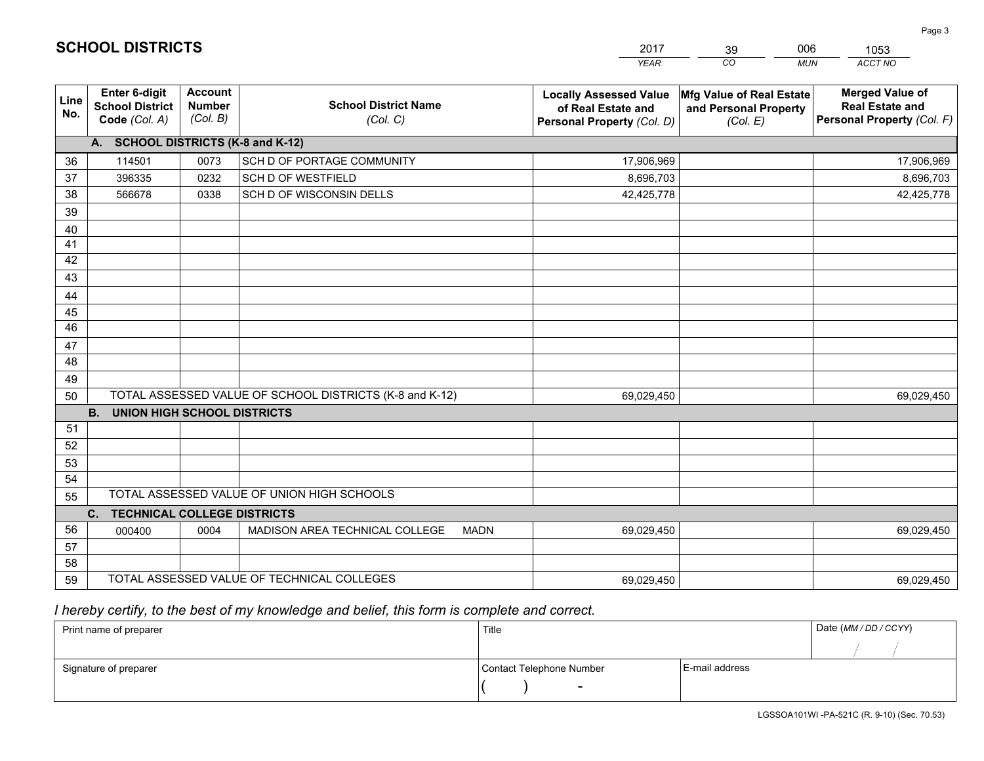|             |                                                          |                                             |                                                         | <b>YEAR</b>                                                                       | CO<br><b>MUN</b>                                              | ACCT NO                                                                        |
|-------------|----------------------------------------------------------|---------------------------------------------|---------------------------------------------------------|-----------------------------------------------------------------------------------|---------------------------------------------------------------|--------------------------------------------------------------------------------|
| Line<br>No. | Enter 6-digit<br><b>School District</b><br>Code (Col. A) | <b>Account</b><br><b>Number</b><br>(Col. B) | <b>School District Name</b><br>(Col. C)                 | <b>Locally Assessed Value</b><br>of Real Estate and<br>Personal Property (Col. D) | Mfg Value of Real Estate<br>and Personal Property<br>(Col. E) | <b>Merged Value of</b><br><b>Real Estate and</b><br>Personal Property (Col. F) |
|             | A. SCHOOL DISTRICTS (K-8 and K-12)                       |                                             |                                                         |                                                                                   |                                                               |                                                                                |
| 36          | 114501                                                   | 0073                                        | SCH D OF PORTAGE COMMUNITY                              | 17,906,969                                                                        |                                                               | 17,906,969                                                                     |
| 37          | 396335                                                   | 0232                                        | <b>SCH D OF WESTFIELD</b>                               | 8,696,703                                                                         |                                                               | 8,696,703                                                                      |
| 38          | 566678                                                   | 0338                                        | SCH D OF WISCONSIN DELLS                                | 42,425,778                                                                        |                                                               | 42,425,778                                                                     |
| 39          |                                                          |                                             |                                                         |                                                                                   |                                                               |                                                                                |
| 40          |                                                          |                                             |                                                         |                                                                                   |                                                               |                                                                                |
| 41          |                                                          |                                             |                                                         |                                                                                   |                                                               |                                                                                |
| 42          |                                                          |                                             |                                                         |                                                                                   |                                                               |                                                                                |
| 43          |                                                          |                                             |                                                         |                                                                                   |                                                               |                                                                                |
| 44          |                                                          |                                             |                                                         |                                                                                   |                                                               |                                                                                |
| 45          |                                                          |                                             |                                                         |                                                                                   |                                                               |                                                                                |
| 46          |                                                          |                                             |                                                         |                                                                                   |                                                               |                                                                                |
| 47          |                                                          |                                             |                                                         |                                                                                   |                                                               |                                                                                |
| 48          |                                                          |                                             |                                                         |                                                                                   |                                                               |                                                                                |
| 49          |                                                          |                                             |                                                         |                                                                                   |                                                               |                                                                                |
| 50          |                                                          |                                             | TOTAL ASSESSED VALUE OF SCHOOL DISTRICTS (K-8 and K-12) | 69,029,450                                                                        |                                                               | 69,029,450                                                                     |
|             | <b>B.</b><br><b>UNION HIGH SCHOOL DISTRICTS</b>          |                                             |                                                         |                                                                                   |                                                               |                                                                                |
| 51          |                                                          |                                             |                                                         |                                                                                   |                                                               |                                                                                |
| 52          |                                                          |                                             |                                                         |                                                                                   |                                                               |                                                                                |
| 53          |                                                          |                                             |                                                         |                                                                                   |                                                               |                                                                                |
| 54          |                                                          |                                             | TOTAL ASSESSED VALUE OF UNION HIGH SCHOOLS              |                                                                                   |                                                               |                                                                                |
| 55          |                                                          |                                             |                                                         |                                                                                   |                                                               |                                                                                |
| 56          | <b>TECHNICAL COLLEGE DISTRICTS</b><br>C.                 |                                             |                                                         |                                                                                   |                                                               |                                                                                |
|             | 000400                                                   | 0004                                        | MADISON AREA TECHNICAL COLLEGE<br><b>MADN</b>           | 69,029,450                                                                        |                                                               | 69,029,450                                                                     |
| 57<br>58    |                                                          |                                             |                                                         |                                                                                   |                                                               |                                                                                |
| 59          |                                                          |                                             | TOTAL ASSESSED VALUE OF TECHNICAL COLLEGES              | 69,029,450                                                                        |                                                               | 69,029,450                                                                     |
|             |                                                          |                                             |                                                         |                                                                                   |                                                               |                                                                                |

39

006

 *I hereby certify, to the best of my knowledge and belief, this form is complete and correct.*

**SCHOOL DISTRICTS**

| Print name of preparer | Title                    |                | Date (MM/DD/CCYY) |
|------------------------|--------------------------|----------------|-------------------|
|                        |                          |                |                   |
| Signature of preparer  | Contact Telephone Number | E-mail address |                   |
|                        | $\overline{\phantom{a}}$ |                |                   |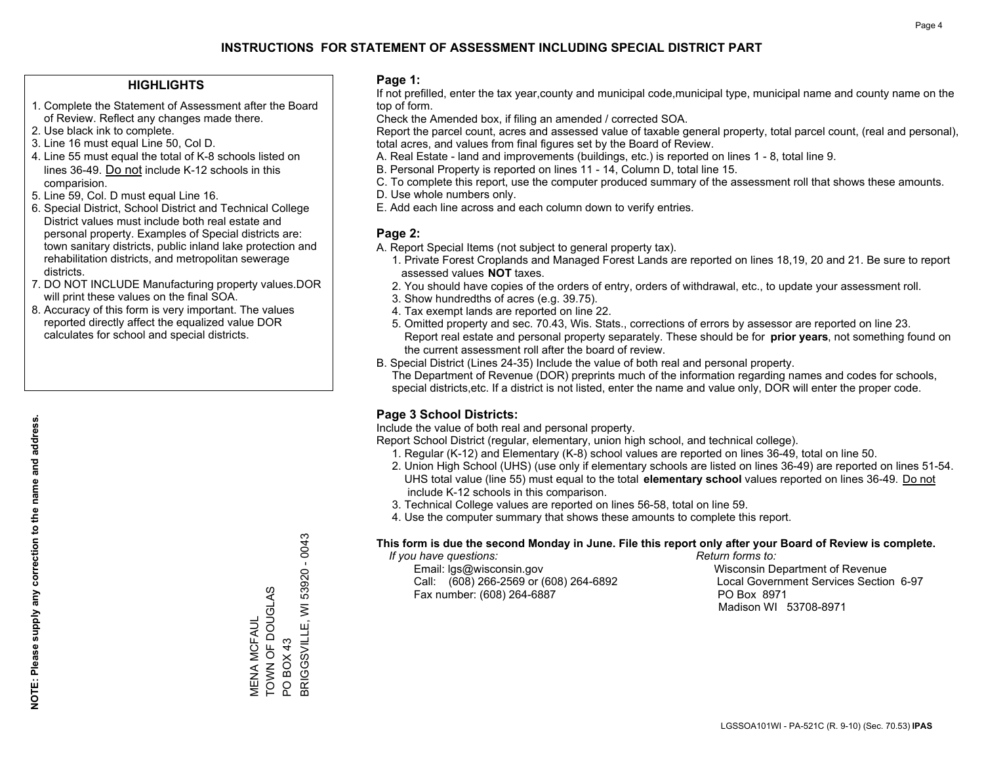### **HIGHLIGHTS**

- 1. Complete the Statement of Assessment after the Board of Review. Reflect any changes made there.
- 2. Use black ink to complete.
- 3. Line 16 must equal Line 50, Col D.
- 4. Line 55 must equal the total of K-8 schools listed on lines 36-49. Do not include K-12 schools in this comparision.
- 5. Line 59, Col. D must equal Line 16.
- 6. Special District, School District and Technical College District values must include both real estate and personal property. Examples of Special districts are: town sanitary districts, public inland lake protection and rehabilitation districts, and metropolitan sewerage districts.
- 7. DO NOT INCLUDE Manufacturing property values.DOR will print these values on the final SOA.

MENA MCFAUL TOWN OF DOUGLAS

MENA MCFAUL<br>TOWN OF DOUGLAS

PO BOX 43

PO BOX 43

BRIGGSVILLE, WI 53920 - 0043

BRIGGSVILLE, WI

53920 - 0043

 8. Accuracy of this form is very important. The values reported directly affect the equalized value DOR calculates for school and special districts.

### **Page 1:**

 If not prefilled, enter the tax year,county and municipal code,municipal type, municipal name and county name on the top of form.

Check the Amended box, if filing an amended / corrected SOA.

 Report the parcel count, acres and assessed value of taxable general property, total parcel count, (real and personal), total acres, and values from final figures set by the Board of Review.

- A. Real Estate land and improvements (buildings, etc.) is reported on lines 1 8, total line 9.
- B. Personal Property is reported on lines 11 14, Column D, total line 15.
- C. To complete this report, use the computer produced summary of the assessment roll that shows these amounts.
- D. Use whole numbers only.
- E. Add each line across and each column down to verify entries.

### **Page 2:**

- A. Report Special Items (not subject to general property tax).
- 1. Private Forest Croplands and Managed Forest Lands are reported on lines 18,19, 20 and 21. Be sure to report assessed values **NOT** taxes.
- 2. You should have copies of the orders of entry, orders of withdrawal, etc., to update your assessment roll.
	- 3. Show hundredths of acres (e.g. 39.75).
- 4. Tax exempt lands are reported on line 22.
- 5. Omitted property and sec. 70.43, Wis. Stats., corrections of errors by assessor are reported on line 23. Report real estate and personal property separately. These should be for **prior years**, not something found on the current assessment roll after the board of review.
- B. Special District (Lines 24-35) Include the value of both real and personal property.
- The Department of Revenue (DOR) preprints much of the information regarding names and codes for schools, special districts,etc. If a district is not listed, enter the name and value only, DOR will enter the proper code.

## **Page 3 School Districts:**

Include the value of both real and personal property.

Report School District (regular, elementary, union high school, and technical college).

- 1. Regular (K-12) and Elementary (K-8) school values are reported on lines 36-49, total on line 50.
- 2. Union High School (UHS) (use only if elementary schools are listed on lines 36-49) are reported on lines 51-54. UHS total value (line 55) must equal to the total **elementary school** values reported on lines 36-49. Do notinclude K-12 schools in this comparison.
- 3. Technical College values are reported on lines 56-58, total on line 59.
- 4. Use the computer summary that shows these amounts to complete this report.

#### **This form is due the second Monday in June. File this report only after your Board of Review is complete.**

 *If you have questions: Return forms to:*

 Email: lgs@wisconsin.gov Wisconsin Department of RevenueCall:  $(608)$  266-2569 or  $(608)$  264-6892 Fax number: (608) 264-6887 PO Box 8971

Local Government Services Section 6-97 Madison WI 53708-8971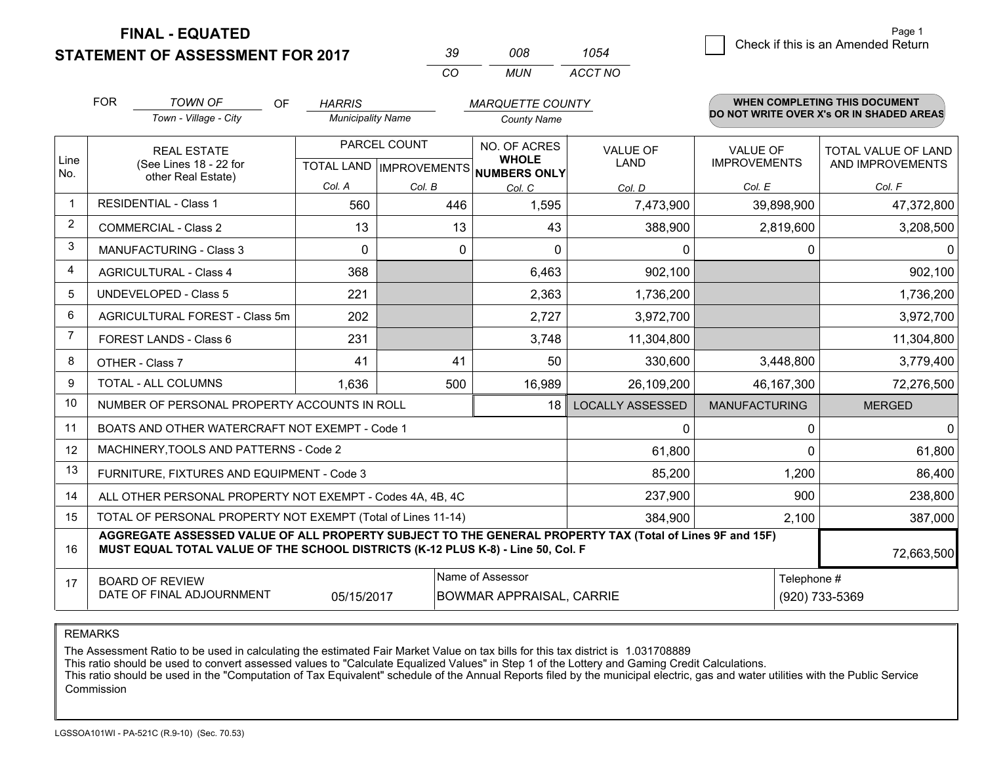**STATEMENT OF ASSESSMENT FOR 2017** 

| ₹u       | nnr   | 1054    |
|----------|-------|---------|
| $\cdots$ | MI IN | ACCT NO |

|                | <b>FOR</b>                                                                                                                                                | <b>TOWN OF</b><br>OF                                                                                                                                                                         | <b>HARRIS</b>            |              | <b>MARQUETTE COUNTY</b>                                              |                                |                                        | <b>WHEN COMPLETING THIS DOCUMENT</b>     |
|----------------|-----------------------------------------------------------------------------------------------------------------------------------------------------------|----------------------------------------------------------------------------------------------------------------------------------------------------------------------------------------------|--------------------------|--------------|----------------------------------------------------------------------|--------------------------------|----------------------------------------|------------------------------------------|
|                |                                                                                                                                                           | Town - Village - City                                                                                                                                                                        | <b>Municipality Name</b> |              | <b>County Name</b>                                                   |                                |                                        | DO NOT WRITE OVER X's OR IN SHADED AREAS |
| Line<br>No.    |                                                                                                                                                           | <b>REAL ESTATE</b><br>(See Lines 18 - 22 for                                                                                                                                                 |                          | PARCEL COUNT | NO. OF ACRES<br><b>WHOLE</b><br>TOTAL LAND IMPROVEMENTS NUMBERS ONLY | <b>VALUE OF</b><br><b>LAND</b> | <b>VALUE OF</b><br><b>IMPROVEMENTS</b> | TOTAL VALUE OF LAND<br>AND IMPROVEMENTS  |
|                | other Real Estate)                                                                                                                                        |                                                                                                                                                                                              | Col. A                   | Col. B       | Col. C                                                               | Col. D                         | Col. E                                 | Col. F                                   |
| $\mathbf 1$    |                                                                                                                                                           | <b>RESIDENTIAL - Class 1</b>                                                                                                                                                                 | 560                      | 446          | 1,595                                                                | 7,473,900                      | 39,898,900                             | 47,372,800                               |
| $\overline{2}$ |                                                                                                                                                           | <b>COMMERCIAL - Class 2</b>                                                                                                                                                                  | 13                       | 13           | 43                                                                   | 388,900                        | 2,819,600                              | 3,208,500                                |
| 3              |                                                                                                                                                           | MANUFACTURING - Class 3                                                                                                                                                                      | $\Omega$                 | 0            | $\Omega$                                                             | 0                              | 0                                      | $\Omega$                                 |
| $\overline{4}$ |                                                                                                                                                           | <b>AGRICULTURAL - Class 4</b>                                                                                                                                                                | 368                      |              | 6,463                                                                | 902,100                        |                                        | 902,100                                  |
| 5              |                                                                                                                                                           | <b>UNDEVELOPED - Class 5</b>                                                                                                                                                                 | 221                      |              | 2,363                                                                | 1,736,200                      |                                        | 1,736,200                                |
| 6              | AGRICULTURAL FOREST - Class 5m                                                                                                                            |                                                                                                                                                                                              | 202                      |              | 2,727                                                                | 3,972,700                      |                                        | 3,972,700                                |
| $\overline{7}$ | <b>FOREST LANDS - Class 6</b>                                                                                                                             |                                                                                                                                                                                              | 231                      |              | 3,748                                                                | 11,304,800                     |                                        | 11,304,800                               |
| 8              |                                                                                                                                                           | OTHER - Class 7                                                                                                                                                                              | 41                       | 41           | 50                                                                   | 330,600                        | 3,448,800                              | 3,779,400                                |
| 9              |                                                                                                                                                           | TOTAL - ALL COLUMNS                                                                                                                                                                          | 1,636                    | 500          | 16,989                                                               | 26,109,200                     | 46,167,300                             | 72,276,500                               |
| 10             |                                                                                                                                                           | NUMBER OF PERSONAL PROPERTY ACCOUNTS IN ROLL                                                                                                                                                 |                          |              | 18                                                                   | <b>LOCALLY ASSESSED</b>        | <b>MANUFACTURING</b>                   | <b>MERGED</b>                            |
| 11             |                                                                                                                                                           | BOATS AND OTHER WATERCRAFT NOT EXEMPT - Code 1                                                                                                                                               |                          |              |                                                                      | 0                              | 0                                      | $\overline{0}$                           |
| 12             |                                                                                                                                                           | MACHINERY, TOOLS AND PATTERNS - Code 2                                                                                                                                                       |                          |              |                                                                      | 61,800                         | $\Omega$                               | 61,800                                   |
| 13             |                                                                                                                                                           | FURNITURE, FIXTURES AND EQUIPMENT - Code 3                                                                                                                                                   |                          |              |                                                                      | 85,200                         | 1,200                                  | 86,400                                   |
| 14             |                                                                                                                                                           | ALL OTHER PERSONAL PROPERTY NOT EXEMPT - Codes 4A, 4B, 4C                                                                                                                                    |                          |              |                                                                      | 237,900                        | 900                                    | 238,800                                  |
| 15             |                                                                                                                                                           | TOTAL OF PERSONAL PROPERTY NOT EXEMPT (Total of Lines 11-14)                                                                                                                                 |                          |              |                                                                      | 384,900                        | 2,100                                  | 387,000                                  |
| 16             |                                                                                                                                                           | AGGREGATE ASSESSED VALUE OF ALL PROPERTY SUBJECT TO THE GENERAL PROPERTY TAX (Total of Lines 9F and 15F)<br>MUST EQUAL TOTAL VALUE OF THE SCHOOL DISTRICTS (K-12 PLUS K-8) - Line 50, Col. F |                          |              |                                                                      |                                |                                        | 72,663,500                               |
| 17             | Name of Assessor<br>Telephone #<br><b>BOARD OF REVIEW</b><br>DATE OF FINAL ADJOURNMENT<br><b>BOWMAR APPRAISAL, CARRIE</b><br>(920) 733-5369<br>05/15/2017 |                                                                                                                                                                                              |                          |              |                                                                      |                                |                                        |                                          |

REMARKS

The Assessment Ratio to be used in calculating the estimated Fair Market Value on tax bills for this tax district is 1.031708889

This ratio should be used to convert assessed values to "Calculate Equalized Values" in Step 1 of the Lottery and Gaming Credit Calculations.<br>This ratio should be used in the "Computation of Tax Equivalent" schedule of the Commission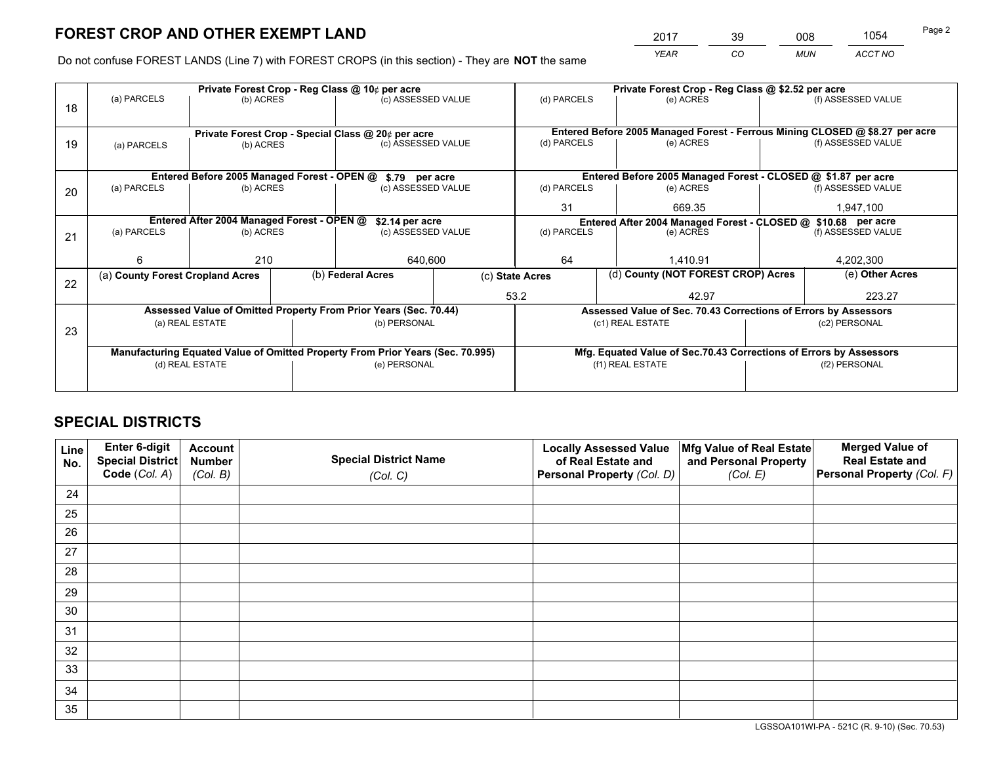*YEAR CO MUN ACCT NO* <sup>2017</sup> <sup>39</sup> <sup>008</sup> <sup>1054</sup>

Do not confuse FOREST LANDS (Line 7) with FOREST CROPS (in this section) - They are **NOT** the same

|    |                                                                                |                                                       |  | Private Forest Crop - Reg Class @ 10¢ per acre                   |                 | Private Forest Crop - Reg Class @ \$2.52 per acre |                                                               |                                                                    |                    |                                                                              |
|----|--------------------------------------------------------------------------------|-------------------------------------------------------|--|------------------------------------------------------------------|-----------------|---------------------------------------------------|---------------------------------------------------------------|--------------------------------------------------------------------|--------------------|------------------------------------------------------------------------------|
| 18 | (a) PARCELS                                                                    | (b) ACRES                                             |  | (c) ASSESSED VALUE                                               |                 | (d) PARCELS                                       |                                                               | (e) ACRES                                                          |                    | (f) ASSESSED VALUE                                                           |
|    |                                                                                |                                                       |  |                                                                  |                 |                                                   |                                                               |                                                                    |                    |                                                                              |
|    |                                                                                | Private Forest Crop - Special Class @ 20¢ per acre    |  |                                                                  |                 |                                                   |                                                               |                                                                    |                    | Entered Before 2005 Managed Forest - Ferrous Mining CLOSED @ \$8.27 per acre |
| 19 | (c) ASSESSED VALUE<br>(b) ACRES<br>(a) PARCELS                                 |                                                       |  | (d) PARCELS                                                      |                 | (e) ACRES                                         |                                                               | (f) ASSESSED VALUE                                                 |                    |                                                                              |
|    |                                                                                |                                                       |  |                                                                  |                 |                                                   |                                                               |                                                                    |                    |                                                                              |
|    |                                                                                |                                                       |  | Entered Before 2005 Managed Forest - OPEN @ \$.79 per acre       |                 |                                                   |                                                               | Entered Before 2005 Managed Forest - CLOSED @ \$1.87 per acre      |                    |                                                                              |
| 20 | (a) PARCELS                                                                    | (b) ACRES                                             |  | (c) ASSESSED VALUE                                               |                 | (d) PARCELS                                       |                                                               | (e) ACRES                                                          |                    | (f) ASSESSED VALUE                                                           |
|    |                                                                                |                                                       |  | 31                                                               |                 | 669.35                                            |                                                               | 1,947,100                                                          |                    |                                                                              |
|    | Entered After 2004 Managed Forest - OPEN @<br>\$2.14 per acre                  |                                                       |  |                                                                  |                 |                                                   | Entered After 2004 Managed Forest - CLOSED @ \$10.68 per acre |                                                                    |                    |                                                                              |
| 21 | (a) PARCELS                                                                    | (b) ACRES                                             |  | (c) ASSESSED VALUE                                               |                 | (d) PARCELS<br>(e) ACRES                          |                                                               |                                                                    | (f) ASSESSED VALUE |                                                                              |
|    |                                                                                |                                                       |  |                                                                  |                 |                                                   |                                                               |                                                                    |                    |                                                                              |
|    | 6                                                                              | 210                                                   |  | 640,600                                                          |                 | 64                                                |                                                               | 1,410.91                                                           |                    | 4,202,300                                                                    |
| 22 |                                                                                | (b) Federal Acres<br>(a) County Forest Cropland Acres |  |                                                                  | (c) State Acres |                                                   |                                                               | (d) County (NOT FOREST CROP) Acres                                 |                    | (e) Other Acres                                                              |
|    |                                                                                |                                                       |  |                                                                  |                 | 53.2                                              |                                                               | 42.97                                                              |                    | 223.27                                                                       |
|    |                                                                                |                                                       |  | Assessed Value of Omitted Property From Prior Years (Sec. 70.44) |                 |                                                   |                                                               | Assessed Value of Sec. 70.43 Corrections of Errors by Assessors    |                    |                                                                              |
|    |                                                                                | (a) REAL ESTATE                                       |  | (b) PERSONAL                                                     |                 |                                                   |                                                               | (c1) REAL ESTATE                                                   |                    | (c2) PERSONAL                                                                |
| 23 |                                                                                |                                                       |  |                                                                  |                 |                                                   |                                                               |                                                                    |                    |                                                                              |
|    | Manufacturing Equated Value of Omitted Property From Prior Years (Sec. 70.995) |                                                       |  |                                                                  |                 |                                                   |                                                               | Mfg. Equated Value of Sec.70.43 Corrections of Errors by Assessors |                    |                                                                              |
|    |                                                                                | (d) REAL ESTATE                                       |  | (e) PERSONAL                                                     |                 | (f1) REAL ESTATE                                  |                                                               |                                                                    | (f2) PERSONAL      |                                                                              |
|    |                                                                                |                                                       |  |                                                                  |                 |                                                   |                                                               |                                                                    |                    |                                                                              |

## **SPECIAL DISTRICTS**

| Line<br>No. | Enter 6-digit<br>Special District<br>Code (Col. A) | <b>Account</b><br><b>Number</b> | <b>Special District Name</b> | <b>Locally Assessed Value</b><br>of Real Estate and | Mfg Value of Real Estate<br>and Personal Property | <b>Merged Value of</b><br><b>Real Estate and</b><br>Personal Property (Col. F) |
|-------------|----------------------------------------------------|---------------------------------|------------------------------|-----------------------------------------------------|---------------------------------------------------|--------------------------------------------------------------------------------|
|             |                                                    | (Col. B)                        | (Col. C)                     | Personal Property (Col. D)                          | (Col. E)                                          |                                                                                |
| 24          |                                                    |                                 |                              |                                                     |                                                   |                                                                                |
| 25          |                                                    |                                 |                              |                                                     |                                                   |                                                                                |
| 26          |                                                    |                                 |                              |                                                     |                                                   |                                                                                |
| 27          |                                                    |                                 |                              |                                                     |                                                   |                                                                                |
| 28          |                                                    |                                 |                              |                                                     |                                                   |                                                                                |
| 29          |                                                    |                                 |                              |                                                     |                                                   |                                                                                |
| 30          |                                                    |                                 |                              |                                                     |                                                   |                                                                                |
| 31          |                                                    |                                 |                              |                                                     |                                                   |                                                                                |
| 32          |                                                    |                                 |                              |                                                     |                                                   |                                                                                |
| 33          |                                                    |                                 |                              |                                                     |                                                   |                                                                                |
| 34          |                                                    |                                 |                              |                                                     |                                                   |                                                                                |
| 35          |                                                    |                                 |                              |                                                     |                                                   |                                                                                |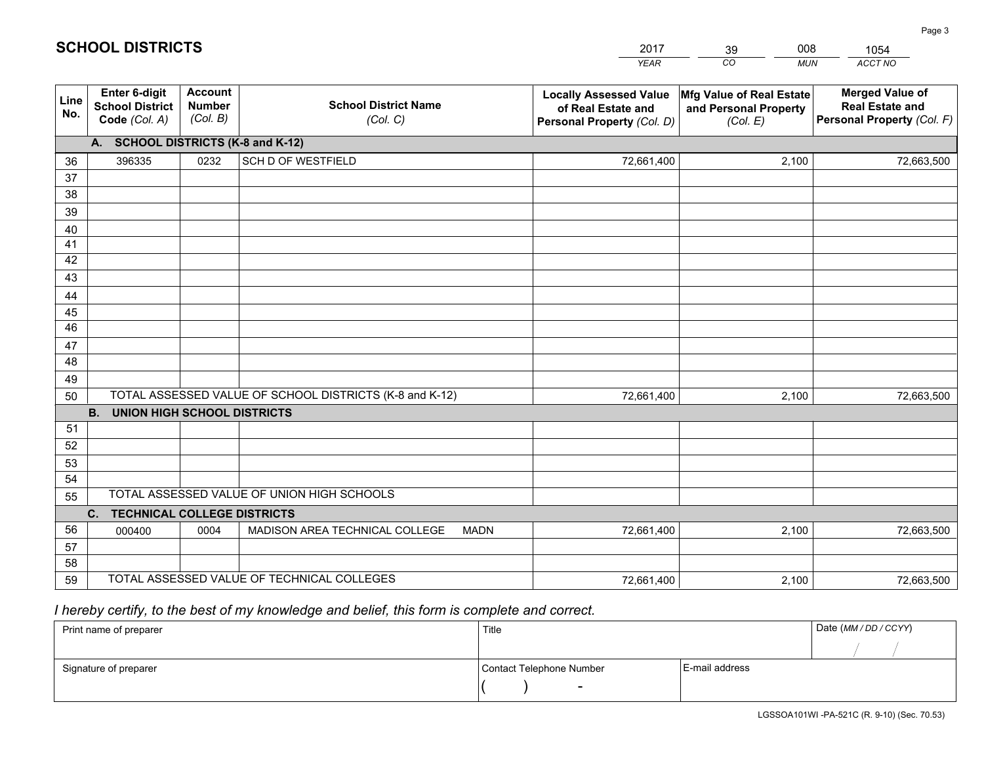|             |                                                                 |                                             |                                                         | <b>YEAR</b>                                                                       | CO<br><b>MUN</b>                                              | ACCT NO                                                                        |
|-------------|-----------------------------------------------------------------|---------------------------------------------|---------------------------------------------------------|-----------------------------------------------------------------------------------|---------------------------------------------------------------|--------------------------------------------------------------------------------|
| Line<br>No. | <b>Enter 6-digit</b><br><b>School District</b><br>Code (Col. A) | <b>Account</b><br><b>Number</b><br>(Col. B) | <b>School District Name</b><br>(Col. C)                 | <b>Locally Assessed Value</b><br>of Real Estate and<br>Personal Property (Col. D) | Mfg Value of Real Estate<br>and Personal Property<br>(Col. E) | <b>Merged Value of</b><br><b>Real Estate and</b><br>Personal Property (Col. F) |
|             | A. SCHOOL DISTRICTS (K-8 and K-12)                              |                                             |                                                         |                                                                                   |                                                               |                                                                                |
| 36          | 396335                                                          | 0232                                        | SCH D OF WESTFIELD                                      | 72,661,400                                                                        | 2,100                                                         | 72,663,500                                                                     |
| 37          |                                                                 |                                             |                                                         |                                                                                   |                                                               |                                                                                |
| 38          |                                                                 |                                             |                                                         |                                                                                   |                                                               |                                                                                |
| 39          |                                                                 |                                             |                                                         |                                                                                   |                                                               |                                                                                |
| 40          |                                                                 |                                             |                                                         |                                                                                   |                                                               |                                                                                |
| 41<br>42    |                                                                 |                                             |                                                         |                                                                                   |                                                               |                                                                                |
| 43          |                                                                 |                                             |                                                         |                                                                                   |                                                               |                                                                                |
| 44          |                                                                 |                                             |                                                         |                                                                                   |                                                               |                                                                                |
| 45          |                                                                 |                                             |                                                         |                                                                                   |                                                               |                                                                                |
| 46          |                                                                 |                                             |                                                         |                                                                                   |                                                               |                                                                                |
| 47          |                                                                 |                                             |                                                         |                                                                                   |                                                               |                                                                                |
| 48          |                                                                 |                                             |                                                         |                                                                                   |                                                               |                                                                                |
| 49          |                                                                 |                                             |                                                         |                                                                                   |                                                               |                                                                                |
| 50          |                                                                 |                                             | TOTAL ASSESSED VALUE OF SCHOOL DISTRICTS (K-8 and K-12) | 72,661,400                                                                        | 2,100                                                         | 72,663,500                                                                     |
|             | <b>B. UNION HIGH SCHOOL DISTRICTS</b>                           |                                             |                                                         |                                                                                   |                                                               |                                                                                |
| 51          |                                                                 |                                             |                                                         |                                                                                   |                                                               |                                                                                |
| 52          |                                                                 |                                             |                                                         |                                                                                   |                                                               |                                                                                |
| 53<br>54    |                                                                 |                                             |                                                         |                                                                                   |                                                               |                                                                                |
| 55          |                                                                 |                                             | TOTAL ASSESSED VALUE OF UNION HIGH SCHOOLS              |                                                                                   |                                                               |                                                                                |
|             | C.<br><b>TECHNICAL COLLEGE DISTRICTS</b>                        |                                             |                                                         |                                                                                   |                                                               |                                                                                |
| 56          | 000400                                                          | 0004                                        | MADISON AREA TECHNICAL COLLEGE<br><b>MADN</b>           | 72,661,400                                                                        | 2,100                                                         | 72,663,500                                                                     |
| 57          |                                                                 |                                             |                                                         |                                                                                   |                                                               |                                                                                |
| 58          |                                                                 |                                             |                                                         |                                                                                   |                                                               |                                                                                |
| 59          |                                                                 |                                             | TOTAL ASSESSED VALUE OF TECHNICAL COLLEGES              | 72,661,400                                                                        | 2,100                                                         | 72,663,500                                                                     |

39

008

 *I hereby certify, to the best of my knowledge and belief, this form is complete and correct.*

**SCHOOL DISTRICTS**

| Print name of preparer | Title                    |                | Date (MM / DD / CCYY) |
|------------------------|--------------------------|----------------|-----------------------|
|                        |                          |                |                       |
| Signature of preparer  | Contact Telephone Number | E-mail address |                       |
|                        | $\sim$                   |                |                       |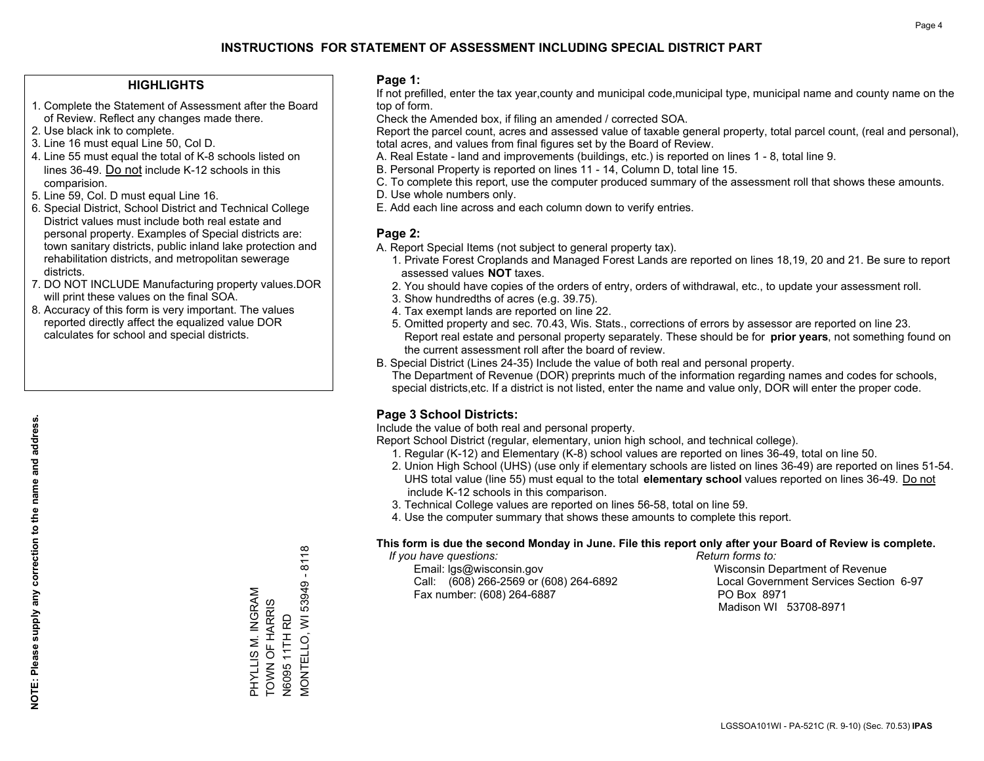### **HIGHLIGHTS**

- 1. Complete the Statement of Assessment after the Board of Review. Reflect any changes made there.
- 2. Use black ink to complete.
- 3. Line 16 must equal Line 50, Col D.
- 4. Line 55 must equal the total of K-8 schools listed on lines 36-49. Do not include K-12 schools in this comparision.
- 5. Line 59, Col. D must equal Line 16.
- 6. Special District, School District and Technical College District values must include both real estate and personal property. Examples of Special districts are: town sanitary districts, public inland lake protection and rehabilitation districts, and metropolitan sewerage districts.
- 7. DO NOT INCLUDE Manufacturing property values.DOR will print these values on the final SOA.
- 8. Accuracy of this form is very important. The values reported directly affect the equalized value DOR calculates for school and special districts.

### **Page 1:**

 If not prefilled, enter the tax year,county and municipal code,municipal type, municipal name and county name on the top of form.

Check the Amended box, if filing an amended / corrected SOA.

 Report the parcel count, acres and assessed value of taxable general property, total parcel count, (real and personal), total acres, and values from final figures set by the Board of Review.

- A. Real Estate land and improvements (buildings, etc.) is reported on lines 1 8, total line 9.
- B. Personal Property is reported on lines 11 14, Column D, total line 15.
- C. To complete this report, use the computer produced summary of the assessment roll that shows these amounts.
- D. Use whole numbers only.
- E. Add each line across and each column down to verify entries.

### **Page 2:**

- A. Report Special Items (not subject to general property tax).
- 1. Private Forest Croplands and Managed Forest Lands are reported on lines 18,19, 20 and 21. Be sure to report assessed values **NOT** taxes.
- 2. You should have copies of the orders of entry, orders of withdrawal, etc., to update your assessment roll.
	- 3. Show hundredths of acres (e.g. 39.75).
- 4. Tax exempt lands are reported on line 22.
- 5. Omitted property and sec. 70.43, Wis. Stats., corrections of errors by assessor are reported on line 23. Report real estate and personal property separately. These should be for **prior years**, not something found on the current assessment roll after the board of review.
- B. Special District (Lines 24-35) Include the value of both real and personal property.

 The Department of Revenue (DOR) preprints much of the information regarding names and codes for schools, special districts,etc. If a district is not listed, enter the name and value only, DOR will enter the proper code.

## **Page 3 School Districts:**

Include the value of both real and personal property.

Report School District (regular, elementary, union high school, and technical college).

- 1. Regular (K-12) and Elementary (K-8) school values are reported on lines 36-49, total on line 50.
- 2. Union High School (UHS) (use only if elementary schools are listed on lines 36-49) are reported on lines 51-54. UHS total value (line 55) must equal to the total **elementary school** values reported on lines 36-49. Do notinclude K-12 schools in this comparison.
- 3. Technical College values are reported on lines 56-58, total on line 59.
- 4. Use the computer summary that shows these amounts to complete this report.

#### **This form is due the second Monday in June. File this report only after your Board of Review is complete.**

 *If you have questions: Return forms to:*

 Email: lgs@wisconsin.gov Wisconsin Department of RevenueCall:  $(608)$  266-2569 or  $(608)$  264-6892 Fax number: (608) 264-6887 PO Box 8971

Local Government Services Section 6-97 Madison WI 53708-8971

 $-8118$ MONTELLO, WI 53949 - 8118 N6095 11TH RD<br>MONTELLO, WI 53949 PHYLLIS M. INGRAM<br>TOWN OF HARRIS PHYLLIS M. INGRAM TOWN OF HARRIS N6095 11TH RD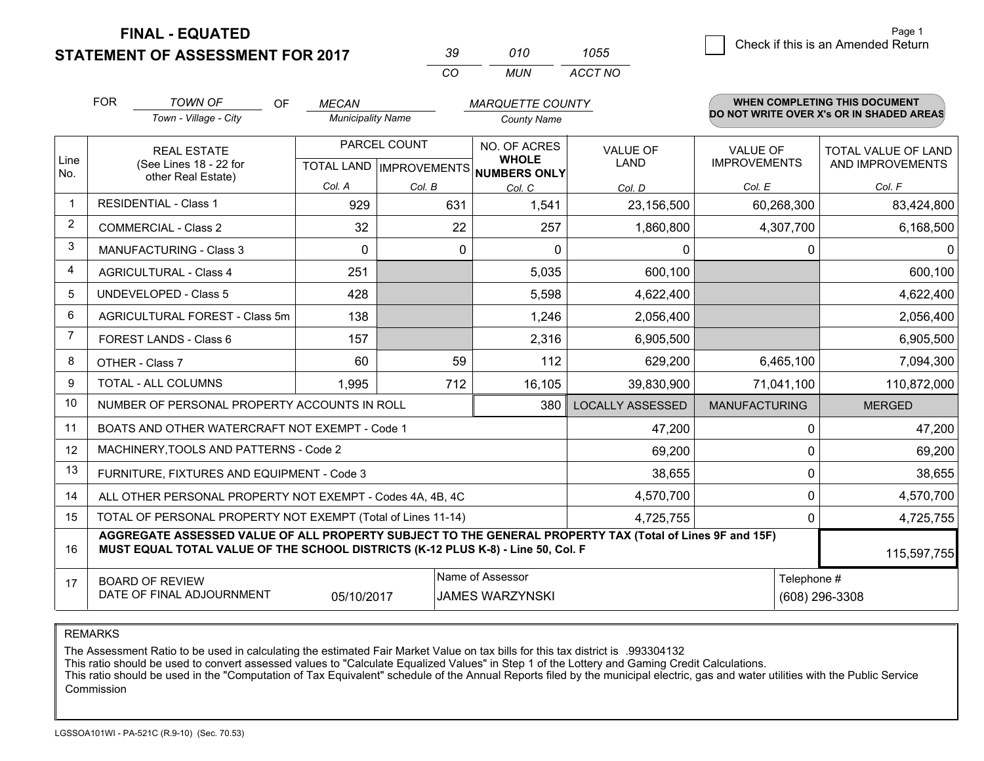**STATEMENT OF ASSESSMENT FOR 2017** 

| -30 | 010   | 1055    |
|-----|-------|---------|
| CO. | MI IN | ACCT NO |

|                | <b>FOR</b>                                                                                                                                                                                   | <b>TOWN OF</b><br>OF                                      | <b>MECAN</b>             |              | <b>MARQUETTE COUNTY</b>                                              |                                |                                        | <b>WHEN COMPLETING THIS DOCUMENT</b>     |
|----------------|----------------------------------------------------------------------------------------------------------------------------------------------------------------------------------------------|-----------------------------------------------------------|--------------------------|--------------|----------------------------------------------------------------------|--------------------------------|----------------------------------------|------------------------------------------|
|                |                                                                                                                                                                                              | Town - Village - City                                     | <b>Municipality Name</b> |              | <b>County Name</b>                                                   |                                |                                        | DO NOT WRITE OVER X's OR IN SHADED AREAS |
| Line<br>No.    | <b>REAL ESTATE</b><br>(See Lines 18 - 22 for<br>other Real Estate)                                                                                                                           |                                                           |                          | PARCEL COUNT | NO. OF ACRES<br><b>WHOLE</b><br>TOTAL LAND IMPROVEMENTS NUMBERS ONLY | <b>VALUE OF</b><br><b>LAND</b> | <b>VALUE OF</b><br><b>IMPROVEMENTS</b> | TOTAL VALUE OF LAND<br>AND IMPROVEMENTS  |
|                |                                                                                                                                                                                              |                                                           | Col. A                   | Col. B       | Col. C                                                               | Col. D                         | Col. E                                 | Col. F                                   |
| 1              |                                                                                                                                                                                              | <b>RESIDENTIAL - Class 1</b>                              | 929                      | 631          | 1,541                                                                | 23,156,500                     | 60,268,300                             | 83,424,800                               |
| $\overline{2}$ |                                                                                                                                                                                              | <b>COMMERCIAL - Class 2</b>                               | 32                       | 22           | 257                                                                  | 1,860,800                      | 4,307,700                              | 6,168,500                                |
| 3              |                                                                                                                                                                                              | <b>MANUFACTURING - Class 3</b>                            | $\Omega$                 | $\mathbf 0$  | $\Omega$                                                             | 0                              | 0                                      | $\overline{0}$                           |
| $\overline{4}$ |                                                                                                                                                                                              | <b>AGRICULTURAL - Class 4</b>                             | 251                      |              | 5,035                                                                | 600,100                        |                                        | 600,100                                  |
| 5              |                                                                                                                                                                                              | <b>UNDEVELOPED - Class 5</b>                              | 428                      |              | 5,598                                                                | 4,622,400                      |                                        | 4,622,400                                |
| 6              |                                                                                                                                                                                              | AGRICULTURAL FOREST - Class 5m                            | 138                      |              | 1,246                                                                | 2,056,400                      |                                        | 2,056,400                                |
| 7              |                                                                                                                                                                                              | FOREST LANDS - Class 6                                    | 157                      |              | 2,316                                                                | 6,905,500                      |                                        | 6,905,500                                |
| 8              |                                                                                                                                                                                              | OTHER - Class 7                                           | 60                       | 59           | 112                                                                  | 629,200                        | 6,465,100                              | 7,094,300                                |
| 9              |                                                                                                                                                                                              | TOTAL - ALL COLUMNS                                       | 1,995                    | 712          | 16,105                                                               | 39,830,900                     | 71,041,100                             | 110,872,000                              |
| 10             |                                                                                                                                                                                              | NUMBER OF PERSONAL PROPERTY ACCOUNTS IN ROLL              |                          |              | 380                                                                  | <b>LOCALLY ASSESSED</b>        | <b>MANUFACTURING</b>                   | <b>MERGED</b>                            |
| 11             |                                                                                                                                                                                              | BOATS AND OTHER WATERCRAFT NOT EXEMPT - Code 1            |                          |              |                                                                      | 47,200                         | 0                                      | 47,200                                   |
| 12             |                                                                                                                                                                                              | MACHINERY, TOOLS AND PATTERNS - Code 2                    |                          |              |                                                                      | 69,200                         | $\Omega$                               | 69,200                                   |
| 13             |                                                                                                                                                                                              | FURNITURE, FIXTURES AND EQUIPMENT - Code 3                |                          |              |                                                                      | 38,655                         | 0                                      | 38,655                                   |
| 14             |                                                                                                                                                                                              | ALL OTHER PERSONAL PROPERTY NOT EXEMPT - Codes 4A, 4B, 4C |                          |              |                                                                      | 4,570,700                      | 0                                      | 4,570,700                                |
| 15             | TOTAL OF PERSONAL PROPERTY NOT EXEMPT (Total of Lines 11-14)<br>4,725,755<br>0                                                                                                               |                                                           |                          |              |                                                                      |                                |                                        | 4,725,755                                |
| 16             | AGGREGATE ASSESSED VALUE OF ALL PROPERTY SUBJECT TO THE GENERAL PROPERTY TAX (Total of Lines 9F and 15F)<br>MUST EQUAL TOTAL VALUE OF THE SCHOOL DISTRICTS (K-12 PLUS K-8) - Line 50, Col. F |                                                           |                          |              |                                                                      |                                | 115,597,755                            |                                          |
| 17             | Name of Assessor<br>Telephone #<br><b>BOARD OF REVIEW</b><br>DATE OF FINAL ADJOURNMENT<br>05/10/2017<br><b>JAMES WARZYNSKI</b>                                                               |                                                           |                          |              |                                                                      | (608) 296-3308                 |                                        |                                          |

REMARKS

The Assessment Ratio to be used in calculating the estimated Fair Market Value on tax bills for this tax district is .993304132

This ratio should be used to convert assessed values to "Calculate Equalized Values" in Step 1 of the Lottery and Gaming Credit Calculations.<br>This ratio should be used in the "Computation of Tax Equivalent" schedule of the Commission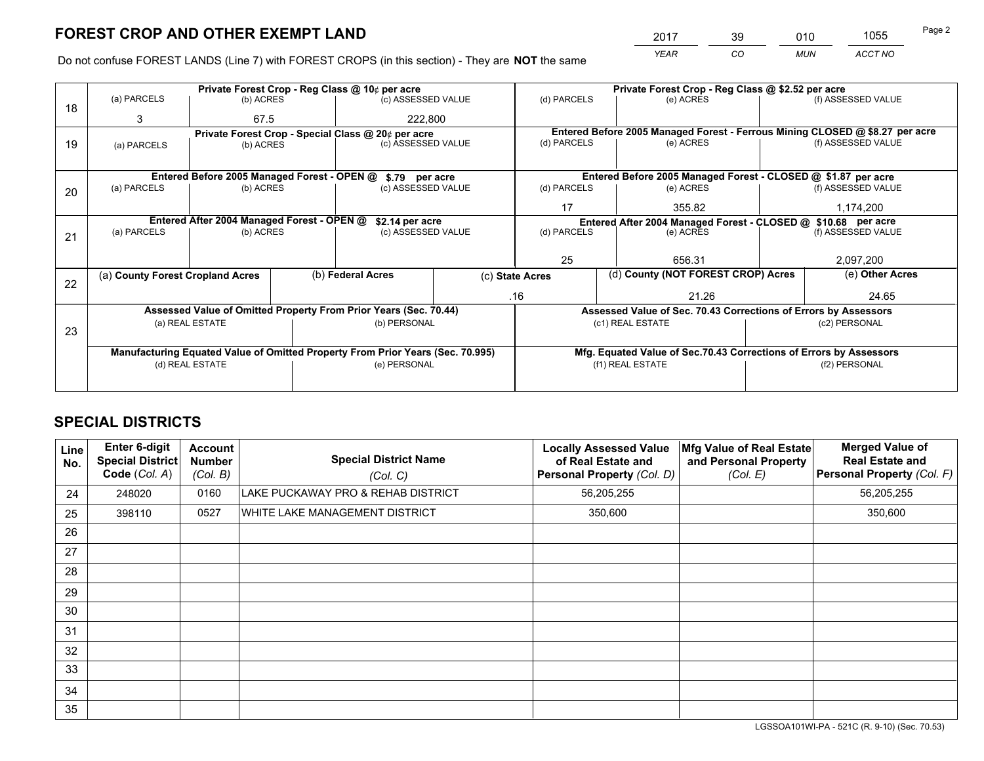*YEAR CO MUN ACCT NO* <sup>2017</sup> <sup>39</sup> <sup>010</sup> <sup>1055</sup>

Do not confuse FOREST LANDS (Line 7) with FOREST CROPS (in this section) - They are **NOT** the same

|    | Private Forest Crop - Reg Class @ 10¢ per acre                                 |                                             |  |                                                                  |  |                                                       | Private Forest Crop - Reg Class @ \$2.52 per acre                            |  |                    |  |
|----|--------------------------------------------------------------------------------|---------------------------------------------|--|------------------------------------------------------------------|--|-------------------------------------------------------|------------------------------------------------------------------------------|--|--------------------|--|
| 18 | (a) PARCELS                                                                    | (b) ACRES                                   |  | (c) ASSESSED VALUE                                               |  | (d) PARCELS                                           | (e) ACRES                                                                    |  | (f) ASSESSED VALUE |  |
|    | 3                                                                              | 67.5                                        |  | 222,800                                                          |  |                                                       |                                                                              |  |                    |  |
|    |                                                                                |                                             |  | Private Forest Crop - Special Class @ 20¢ per acre               |  |                                                       | Entered Before 2005 Managed Forest - Ferrous Mining CLOSED @ \$8.27 per acre |  |                    |  |
| 19 | (a) PARCELS                                                                    | (b) ACRES                                   |  | (c) ASSESSED VALUE                                               |  | (d) PARCELS                                           | (e) ACRES                                                                    |  | (f) ASSESSED VALUE |  |
|    |                                                                                |                                             |  |                                                                  |  |                                                       |                                                                              |  |                    |  |
|    |                                                                                | Entered Before 2005 Managed Forest - OPEN @ |  | \$.79 per acre                                                   |  |                                                       | Entered Before 2005 Managed Forest - CLOSED @ \$1.87 per acre                |  |                    |  |
| 20 | (a) PARCELS                                                                    | (b) ACRES                                   |  | (c) ASSESSED VALUE                                               |  | (d) PARCELS                                           | (e) ACRES                                                                    |  | (f) ASSESSED VALUE |  |
|    |                                                                                |                                             |  |                                                                  |  | 17                                                    | 355.82                                                                       |  |                    |  |
|    | Entered After 2004 Managed Forest - OPEN @<br>\$2.14 per acre                  |                                             |  |                                                                  |  |                                                       | Entered After 2004 Managed Forest - CLOSED @ \$10.68 per acre                |  |                    |  |
| 21 | (a) PARCELS                                                                    | (b) ACRES                                   |  | (c) ASSESSED VALUE                                               |  | (d) PARCELS<br>(e) ACRES                              |                                                                              |  | (f) ASSESSED VALUE |  |
|    |                                                                                |                                             |  |                                                                  |  |                                                       |                                                                              |  |                    |  |
|    |                                                                                |                                             |  |                                                                  |  | 25                                                    | 656.31                                                                       |  | 2,097,200          |  |
|    | (a) County Forest Cropland Acres                                               |                                             |  | (b) Federal Acres                                                |  | (d) County (NOT FOREST CROP) Acres<br>(c) State Acres |                                                                              |  | (e) Other Acres    |  |
| 22 |                                                                                |                                             |  |                                                                  |  | .16                                                   | 21.26                                                                        |  | 24.65              |  |
|    |                                                                                |                                             |  |                                                                  |  |                                                       |                                                                              |  |                    |  |
|    |                                                                                |                                             |  | Assessed Value of Omitted Property From Prior Years (Sec. 70.44) |  |                                                       | Assessed Value of Sec. 70.43 Corrections of Errors by Assessors              |  |                    |  |
| 23 |                                                                                | (a) REAL ESTATE                             |  | (b) PERSONAL                                                     |  |                                                       | (c1) REAL ESTATE                                                             |  | (c2) PERSONAL      |  |
|    |                                                                                |                                             |  |                                                                  |  |                                                       |                                                                              |  |                    |  |
|    | Manufacturing Equated Value of Omitted Property From Prior Years (Sec. 70.995) |                                             |  |                                                                  |  |                                                       | Mfg. Equated Value of Sec.70.43 Corrections of Errors by Assessors           |  |                    |  |
|    |                                                                                | (d) REAL ESTATE                             |  | (e) PERSONAL                                                     |  | (f1) REAL ESTATE                                      |                                                                              |  | (f2) PERSONAL      |  |
|    |                                                                                |                                             |  |                                                                  |  |                                                       |                                                                              |  |                    |  |

## **SPECIAL DISTRICTS**

| Line<br>No. | <b>Enter 6-digit</b><br><b>Special District</b><br>Code (Col. A) | <b>Account</b><br><b>Number</b><br>(Col. B) | <b>Special District Name</b><br>(Col. C) | <b>Locally Assessed Value</b><br>of Real Estate and<br>Personal Property (Col. D) | Mfg Value of Real Estate<br>and Personal Property<br>(Col. E) | <b>Merged Value of</b><br><b>Real Estate and</b><br>Personal Property (Col. F) |
|-------------|------------------------------------------------------------------|---------------------------------------------|------------------------------------------|-----------------------------------------------------------------------------------|---------------------------------------------------------------|--------------------------------------------------------------------------------|
| 24          | 248020                                                           | 0160                                        | LAKE PUCKAWAY PRO & REHAB DISTRICT       | 56,205,255                                                                        |                                                               | 56,205,255                                                                     |
| 25          | 398110                                                           | 0527                                        | WHITE LAKE MANAGEMENT DISTRICT           | 350,600                                                                           |                                                               | 350,600                                                                        |
| 26          |                                                                  |                                             |                                          |                                                                                   |                                                               |                                                                                |
| 27          |                                                                  |                                             |                                          |                                                                                   |                                                               |                                                                                |
| 28          |                                                                  |                                             |                                          |                                                                                   |                                                               |                                                                                |
| 29          |                                                                  |                                             |                                          |                                                                                   |                                                               |                                                                                |
| 30          |                                                                  |                                             |                                          |                                                                                   |                                                               |                                                                                |
| 31          |                                                                  |                                             |                                          |                                                                                   |                                                               |                                                                                |
| 32          |                                                                  |                                             |                                          |                                                                                   |                                                               |                                                                                |
| 33          |                                                                  |                                             |                                          |                                                                                   |                                                               |                                                                                |
| 34          |                                                                  |                                             |                                          |                                                                                   |                                                               |                                                                                |
| 35          |                                                                  |                                             |                                          |                                                                                   |                                                               |                                                                                |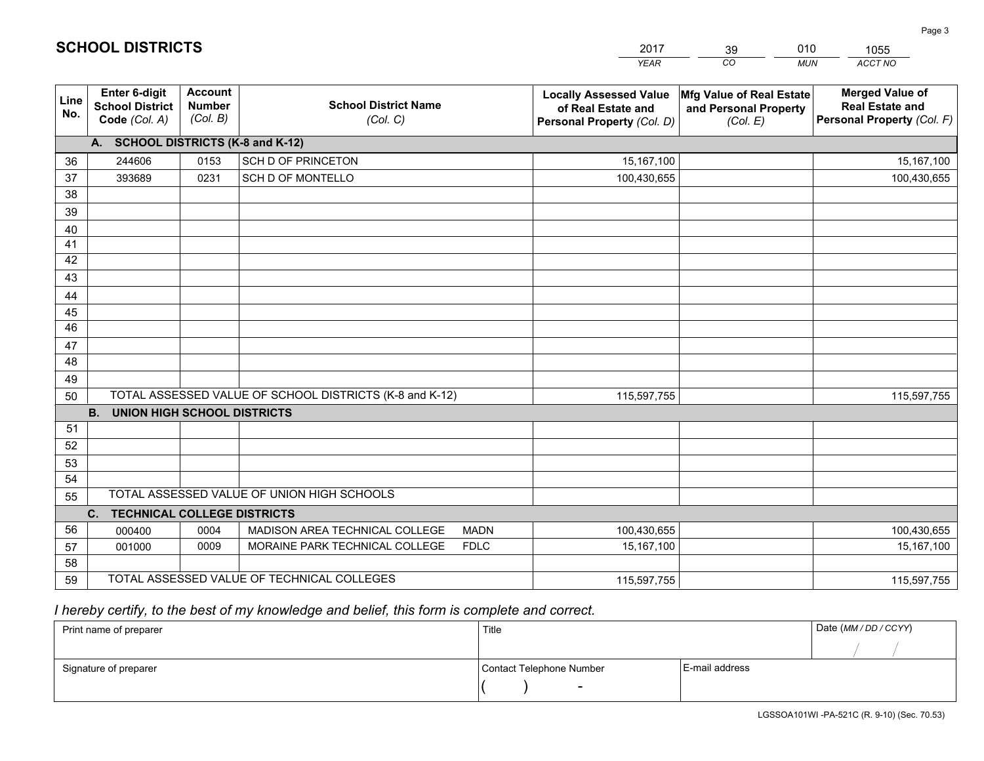|             |                                                          |                                             |                                                         | <b>YEAR</b>                                                                       | CO<br><b>MUN</b>                                              | ACCT NO                                                                        |
|-------------|----------------------------------------------------------|---------------------------------------------|---------------------------------------------------------|-----------------------------------------------------------------------------------|---------------------------------------------------------------|--------------------------------------------------------------------------------|
| Line<br>No. | Enter 6-digit<br><b>School District</b><br>Code (Col. A) | <b>Account</b><br><b>Number</b><br>(Col. B) | <b>School District Name</b><br>(Col. C)                 | <b>Locally Assessed Value</b><br>of Real Estate and<br>Personal Property (Col. D) | Mfg Value of Real Estate<br>and Personal Property<br>(Col. E) | <b>Merged Value of</b><br><b>Real Estate and</b><br>Personal Property (Col. F) |
|             | A. SCHOOL DISTRICTS (K-8 and K-12)                       |                                             |                                                         |                                                                                   |                                                               |                                                                                |
| 36          | 244606                                                   | 0153                                        | SCH D OF PRINCETON                                      | 15,167,100                                                                        |                                                               | 15,167,100                                                                     |
| 37          | 393689                                                   | 0231                                        | SCH D OF MONTELLO                                       | 100,430,655                                                                       |                                                               | 100,430,655                                                                    |
| 38          |                                                          |                                             |                                                         |                                                                                   |                                                               |                                                                                |
| 39          |                                                          |                                             |                                                         |                                                                                   |                                                               |                                                                                |
| 40          |                                                          |                                             |                                                         |                                                                                   |                                                               |                                                                                |
| 41          |                                                          |                                             |                                                         |                                                                                   |                                                               |                                                                                |
| 42          |                                                          |                                             |                                                         |                                                                                   |                                                               |                                                                                |
| 43          |                                                          |                                             |                                                         |                                                                                   |                                                               |                                                                                |
| 44          |                                                          |                                             |                                                         |                                                                                   |                                                               |                                                                                |
| 45          |                                                          |                                             |                                                         |                                                                                   |                                                               |                                                                                |
| 46          |                                                          |                                             |                                                         |                                                                                   |                                                               |                                                                                |
| 47          |                                                          |                                             |                                                         |                                                                                   |                                                               |                                                                                |
| 48          |                                                          |                                             |                                                         |                                                                                   |                                                               |                                                                                |
| 49          |                                                          |                                             |                                                         |                                                                                   |                                                               |                                                                                |
| 50          |                                                          |                                             | TOTAL ASSESSED VALUE OF SCHOOL DISTRICTS (K-8 and K-12) | 115,597,755                                                                       |                                                               | 115,597,755                                                                    |
|             | <b>B.</b><br><b>UNION HIGH SCHOOL DISTRICTS</b>          |                                             |                                                         |                                                                                   |                                                               |                                                                                |
| 51          |                                                          |                                             |                                                         |                                                                                   |                                                               |                                                                                |
| 52          |                                                          |                                             |                                                         |                                                                                   |                                                               |                                                                                |
| 53          |                                                          |                                             |                                                         |                                                                                   |                                                               |                                                                                |
| 54          |                                                          |                                             |                                                         |                                                                                   |                                                               |                                                                                |
| 55          |                                                          |                                             | TOTAL ASSESSED VALUE OF UNION HIGH SCHOOLS              |                                                                                   |                                                               |                                                                                |
|             | C.<br><b>TECHNICAL COLLEGE DISTRICTS</b>                 |                                             |                                                         |                                                                                   |                                                               |                                                                                |
| 56          | 000400                                                   | 0004                                        | MADISON AREA TECHNICAL COLLEGE<br><b>MADN</b>           | 100,430,655                                                                       |                                                               | 100,430,655                                                                    |
| 57          | 001000                                                   | 0009                                        | MORAINE PARK TECHNICAL COLLEGE<br><b>FDLC</b>           | 15, 167, 100                                                                      |                                                               | 15,167,100                                                                     |
| 58          |                                                          |                                             |                                                         |                                                                                   |                                                               |                                                                                |
| 59          |                                                          |                                             | TOTAL ASSESSED VALUE OF TECHNICAL COLLEGES              | 115,597,755                                                                       |                                                               | 115,597,755                                                                    |

39

010

 *I hereby certify, to the best of my knowledge and belief, this form is complete and correct.*

**SCHOOL DISTRICTS**

| Print name of preparer | Title                    |                | Date (MM/DD/CCYY) |
|------------------------|--------------------------|----------------|-------------------|
|                        |                          |                |                   |
| Signature of preparer  | Contact Telephone Number | E-mail address |                   |
|                        | $\overline{\phantom{a}}$ |                |                   |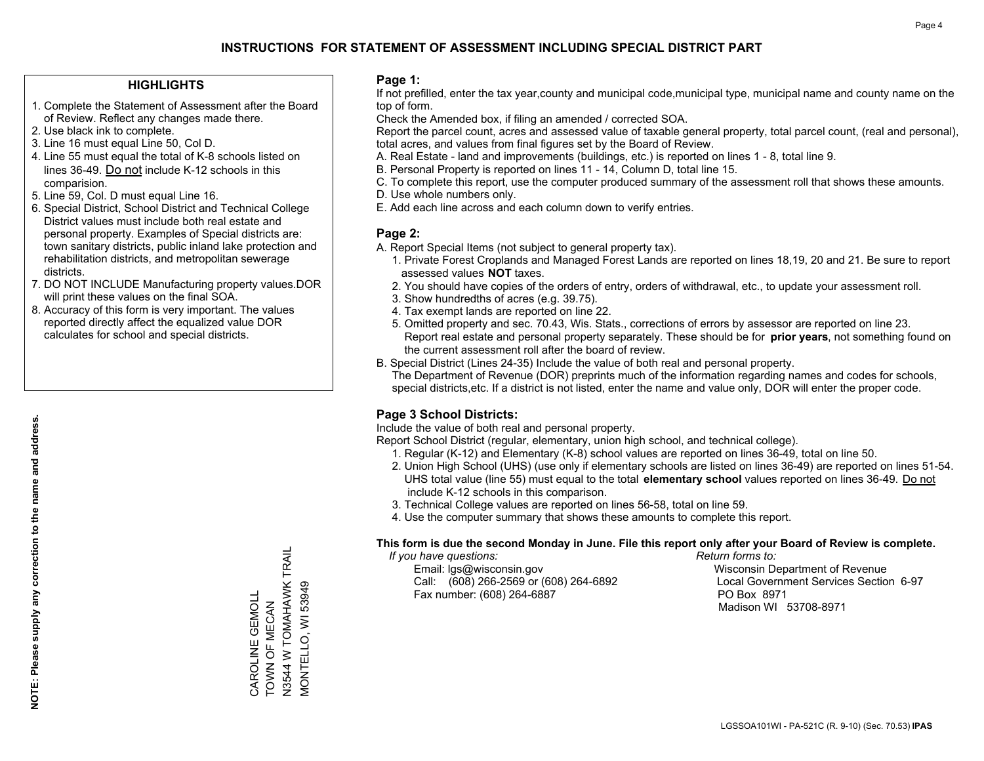### **HIGHLIGHTS**

- 1. Complete the Statement of Assessment after the Board of Review. Reflect any changes made there.
- 2. Use black ink to complete.
- 3. Line 16 must equal Line 50, Col D.
- 4. Line 55 must equal the total of K-8 schools listed on lines 36-49. Do not include K-12 schools in this comparision.
- 5. Line 59, Col. D must equal Line 16.
- 6. Special District, School District and Technical College District values must include both real estate and personal property. Examples of Special districts are: town sanitary districts, public inland lake protection and rehabilitation districts, and metropolitan sewerage districts.
- 7. DO NOT INCLUDE Manufacturing property values.DOR will print these values on the final SOA.
- 8. Accuracy of this form is very important. The values reported directly affect the equalized value DOR calculates for school and special districts.

### **Page 1:**

 If not prefilled, enter the tax year,county and municipal code,municipal type, municipal name and county name on the top of form.

Check the Amended box, if filing an amended / corrected SOA.

 Report the parcel count, acres and assessed value of taxable general property, total parcel count, (real and personal), total acres, and values from final figures set by the Board of Review.

- A. Real Estate land and improvements (buildings, etc.) is reported on lines 1 8, total line 9.
- B. Personal Property is reported on lines 11 14, Column D, total line 15.
- C. To complete this report, use the computer produced summary of the assessment roll that shows these amounts.
- D. Use whole numbers only.
- E. Add each line across and each column down to verify entries.

### **Page 2:**

- A. Report Special Items (not subject to general property tax).
- 1. Private Forest Croplands and Managed Forest Lands are reported on lines 18,19, 20 and 21. Be sure to report assessed values **NOT** taxes.
- 2. You should have copies of the orders of entry, orders of withdrawal, etc., to update your assessment roll.
	- 3. Show hundredths of acres (e.g. 39.75).
- 4. Tax exempt lands are reported on line 22.
- 5. Omitted property and sec. 70.43, Wis. Stats., corrections of errors by assessor are reported on line 23. Report real estate and personal property separately. These should be for **prior years**, not something found on the current assessment roll after the board of review.
- B. Special District (Lines 24-35) Include the value of both real and personal property.

 The Department of Revenue (DOR) preprints much of the information regarding names and codes for schools, special districts,etc. If a district is not listed, enter the name and value only, DOR will enter the proper code.

## **Page 3 School Districts:**

Include the value of both real and personal property.

Report School District (regular, elementary, union high school, and technical college).

- 1. Regular (K-12) and Elementary (K-8) school values are reported on lines 36-49, total on line 50.
- 2. Union High School (UHS) (use only if elementary schools are listed on lines 36-49) are reported on lines 51-54. UHS total value (line 55) must equal to the total **elementary school** values reported on lines 36-49. Do notinclude K-12 schools in this comparison.
- 3. Technical College values are reported on lines 56-58, total on line 59.
- 4. Use the computer summary that shows these amounts to complete this report.

#### **This form is due the second Monday in June. File this report only after your Board of Review is complete.**

 *If you have questions: Return forms to:*

 Email: lgs@wisconsin.gov Wisconsin Department of RevenueCall:  $(608)$  266-2569 or  $(608)$  264-6892 Fax number: (608) 264-6887 PO Box 8971

Local Government Services Section 6-97 Madison WI 53708-8971

N3544 W TOMAHAWK TRAIL<br>MONTELLO, WI 53949 N3544 W TOMAHAWK TRAIL MONTELLO, WI 53949 CAROLINE GEMOLL CAROLINE GEMOLL TOWN OF MECAN TOWN OF MECAN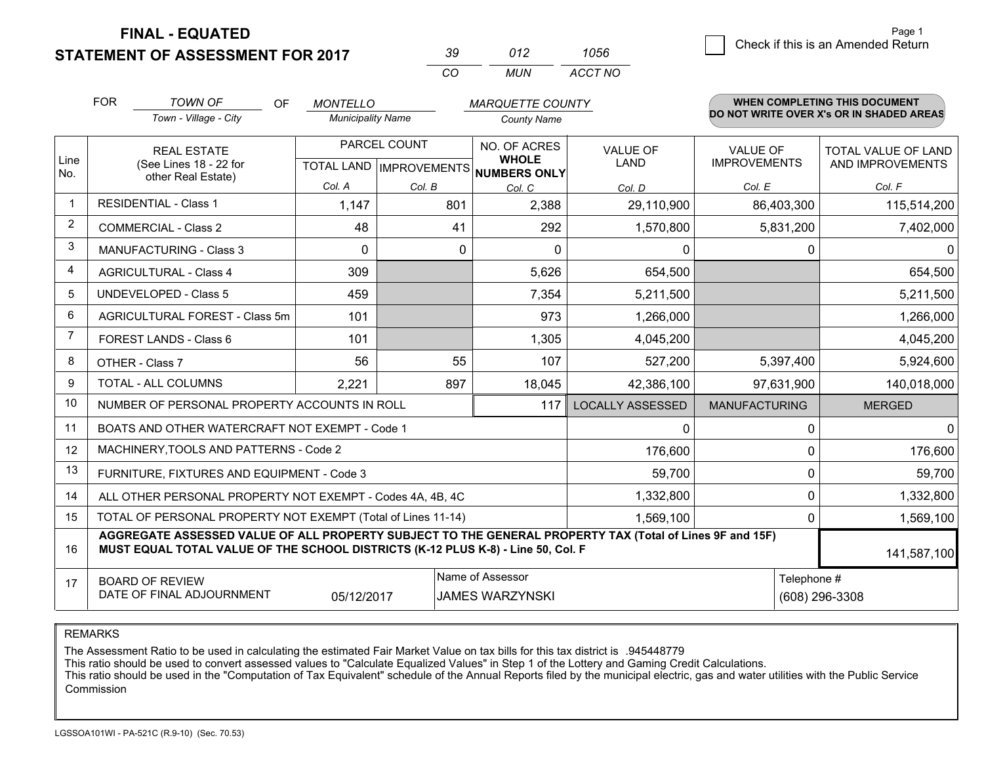**STATEMENT OF ASSESSMENT FOR 2017** 

| -39      | 012 | 1056    |
|----------|-----|---------|
| $\alpha$ | MUN | ACCT NO |

|                | <b>FOR</b>                                                                                                                                                                                   | <b>TOWN OF</b><br><b>OF</b>                               | <b>MONTELLO</b>          |              | <b>MARQUETTE COUNTY</b>                                              |                                |                                        | <b>WHEN COMPLETING THIS DOCUMENT</b>     |
|----------------|----------------------------------------------------------------------------------------------------------------------------------------------------------------------------------------------|-----------------------------------------------------------|--------------------------|--------------|----------------------------------------------------------------------|--------------------------------|----------------------------------------|------------------------------------------|
|                |                                                                                                                                                                                              | Town - Village - City                                     | <b>Municipality Name</b> |              | <b>County Name</b>                                                   |                                |                                        | DO NOT WRITE OVER X's OR IN SHADED AREAS |
| Line<br>No.    | <b>REAL ESTATE</b><br>(See Lines 18 - 22 for<br>other Real Estate)                                                                                                                           |                                                           |                          | PARCEL COUNT | NO. OF ACRES<br><b>WHOLE</b><br>TOTAL LAND IMPROVEMENTS NUMBERS ONLY | <b>VALUE OF</b><br><b>LAND</b> | <b>VALUE OF</b><br><b>IMPROVEMENTS</b> | TOTAL VALUE OF LAND<br>AND IMPROVEMENTS  |
|                |                                                                                                                                                                                              |                                                           | Col. A                   | Col. B       | Col. C                                                               | Col. D                         | Col. E                                 | Col. F                                   |
| 1              |                                                                                                                                                                                              | <b>RESIDENTIAL - Class 1</b>                              | 1,147                    | 801          | 2,388                                                                | 29,110,900                     | 86,403,300                             | 115,514,200                              |
| $\overline{2}$ |                                                                                                                                                                                              | <b>COMMERCIAL - Class 2</b>                               | 48                       | 41           | 292                                                                  | 1,570,800                      | 5,831,200                              | 7,402,000                                |
| 3              |                                                                                                                                                                                              | <b>MANUFACTURING - Class 3</b>                            | $\Omega$                 | $\mathbf 0$  | $\Omega$                                                             | 0                              | $\Omega$                               | $\overline{0}$                           |
| $\overline{4}$ |                                                                                                                                                                                              | <b>AGRICULTURAL - Class 4</b>                             | 309                      |              | 5,626                                                                | 654,500                        |                                        | 654,500                                  |
| 5              |                                                                                                                                                                                              | <b>UNDEVELOPED - Class 5</b>                              | 459                      |              | 7,354                                                                | 5,211,500                      |                                        | 5,211,500                                |
| 6              |                                                                                                                                                                                              | AGRICULTURAL FOREST - Class 5m                            | 101                      |              | 973                                                                  | 1,266,000                      |                                        | 1,266,000                                |
| 7              |                                                                                                                                                                                              | FOREST LANDS - Class 6                                    | 101                      |              | 1,305                                                                | 4,045,200                      |                                        | 4,045,200                                |
| 8              |                                                                                                                                                                                              | OTHER - Class 7                                           | 56                       | 55           | 107                                                                  | 527,200                        | 5,397,400                              | 5,924,600                                |
| 9              |                                                                                                                                                                                              | TOTAL - ALL COLUMNS                                       | 2,221                    | 897          | 18,045                                                               | 42,386,100                     | 97,631,900                             | 140,018,000                              |
| 10             |                                                                                                                                                                                              | NUMBER OF PERSONAL PROPERTY ACCOUNTS IN ROLL              |                          |              | 117                                                                  | <b>LOCALLY ASSESSED</b>        | <b>MANUFACTURING</b>                   | <b>MERGED</b>                            |
| 11             |                                                                                                                                                                                              | BOATS AND OTHER WATERCRAFT NOT EXEMPT - Code 1            |                          |              |                                                                      | 0                              | 0                                      | $\overline{0}$                           |
| 12             |                                                                                                                                                                                              | MACHINERY, TOOLS AND PATTERNS - Code 2                    |                          |              |                                                                      | 176,600                        | 0                                      | 176,600                                  |
| 13             |                                                                                                                                                                                              | FURNITURE, FIXTURES AND EQUIPMENT - Code 3                |                          |              |                                                                      | 59,700                         | 0                                      | 59,700                                   |
| 14             |                                                                                                                                                                                              | ALL OTHER PERSONAL PROPERTY NOT EXEMPT - Codes 4A, 4B, 4C |                          |              |                                                                      | 1,332,800                      | 0                                      | 1,332,800                                |
| 15             | TOTAL OF PERSONAL PROPERTY NOT EXEMPT (Total of Lines 11-14)<br>1,569,100                                                                                                                    |                                                           |                          |              |                                                                      |                                |                                        | 1,569,100<br>0                           |
| 16             | AGGREGATE ASSESSED VALUE OF ALL PROPERTY SUBJECT TO THE GENERAL PROPERTY TAX (Total of Lines 9F and 15F)<br>MUST EQUAL TOTAL VALUE OF THE SCHOOL DISTRICTS (K-12 PLUS K-8) - Line 50, Col. F |                                                           |                          |              |                                                                      |                                | 141,587,100                            |                                          |
| 17             | Name of Assessor<br>Telephone #<br><b>BOARD OF REVIEW</b><br>DATE OF FINAL ADJOURNMENT<br>05/12/2017<br><b>JAMES WARZYNSKI</b>                                                               |                                                           |                          |              |                                                                      | (608) 296-3308                 |                                        |                                          |

REMARKS

The Assessment Ratio to be used in calculating the estimated Fair Market Value on tax bills for this tax district is .945448779

This ratio should be used to convert assessed values to "Calculate Equalized Values" in Step 1 of the Lottery and Gaming Credit Calculations.<br>This ratio should be used in the "Computation of Tax Equivalent" schedule of the Commission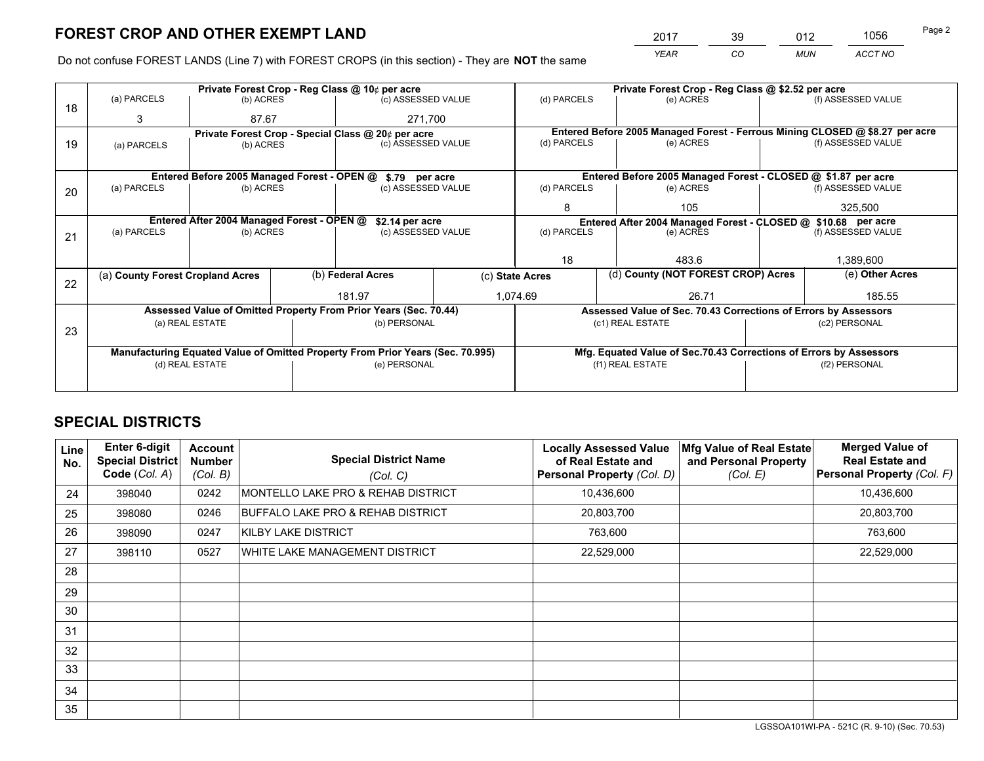*YEAR CO MUN ACCT NO* <sup>2017</sup> <sup>39</sup> <sup>012</sup> <sup>1056</sup>

Do not confuse FOREST LANDS (Line 7) with FOREST CROPS (in this section) - They are **NOT** the same

|    |                                                                                |                 |  | Private Forest Crop - Reg Class @ 10¢ per acre                   |  | Private Forest Crop - Reg Class @ \$2.52 per acre                                   |                                                                              |                 |                    |  |
|----|--------------------------------------------------------------------------------|-----------------|--|------------------------------------------------------------------|--|-------------------------------------------------------------------------------------|------------------------------------------------------------------------------|-----------------|--------------------|--|
| 18 | (a) PARCELS                                                                    | (b) ACRES       |  | (c) ASSESSED VALUE                                               |  | (d) PARCELS                                                                         | (e) ACRES                                                                    |                 | (f) ASSESSED VALUE |  |
|    | 3                                                                              | 87.67           |  | 271,700                                                          |  |                                                                                     |                                                                              |                 |                    |  |
|    |                                                                                |                 |  | Private Forest Crop - Special Class @ 20¢ per acre               |  |                                                                                     | Entered Before 2005 Managed Forest - Ferrous Mining CLOSED @ \$8.27 per acre |                 |                    |  |
| 19 | (a) PARCELS                                                                    | (b) ACRES       |  | (c) ASSESSED VALUE                                               |  | (d) PARCELS                                                                         | (e) ACRES                                                                    |                 | (f) ASSESSED VALUE |  |
|    |                                                                                |                 |  |                                                                  |  |                                                                                     |                                                                              |                 |                    |  |
|    |                                                                                |                 |  | Entered Before 2005 Managed Forest - OPEN @ \$.79 per acre       |  |                                                                                     | Entered Before 2005 Managed Forest - CLOSED @ \$1.87 per acre                |                 |                    |  |
| 20 | (a) PARCELS                                                                    | (b) ACRES       |  | (c) ASSESSED VALUE                                               |  | (d) PARCELS                                                                         | (e) ACRES                                                                    |                 | (f) ASSESSED VALUE |  |
|    |                                                                                |                 |  |                                                                  |  | 8                                                                                   | 105                                                                          |                 | 325,500            |  |
|    | Entered After 2004 Managed Forest - OPEN @<br>\$2.14 per acre                  |                 |  |                                                                  |  | Entered After 2004 Managed Forest - CLOSED @ \$10.68 per acre<br>(f) ASSESSED VALUE |                                                                              |                 |                    |  |
| 21 | (a) PARCELS                                                                    | (b) ACRES       |  | (c) ASSESSED VALUE                                               |  | (d) PARCELS                                                                         | (e) ACRES                                                                    |                 |                    |  |
|    |                                                                                |                 |  |                                                                  |  |                                                                                     |                                                                              |                 |                    |  |
|    |                                                                                |                 |  |                                                                  |  | 18                                                                                  | 483.6                                                                        |                 | 1,389,600          |  |
|    | (a) County Forest Cropland Acres                                               |                 |  | (b) Federal Acres                                                |  | (d) County (NOT FOREST CROP) Acres<br>(c) State Acres                               |                                                                              | (e) Other Acres |                    |  |
| 22 |                                                                                |                 |  | 181.97                                                           |  | 1.074.69<br>26.71                                                                   |                                                                              |                 | 185.55             |  |
|    |                                                                                |                 |  |                                                                  |  |                                                                                     |                                                                              |                 |                    |  |
|    |                                                                                |                 |  | Assessed Value of Omitted Property From Prior Years (Sec. 70.44) |  |                                                                                     | Assessed Value of Sec. 70.43 Corrections of Errors by Assessors              |                 |                    |  |
| 23 |                                                                                | (a) REAL ESTATE |  | (b) PERSONAL                                                     |  |                                                                                     | (c1) REAL ESTATE                                                             |                 | (c2) PERSONAL      |  |
|    |                                                                                |                 |  |                                                                  |  |                                                                                     |                                                                              |                 |                    |  |
|    | Manufacturing Equated Value of Omitted Property From Prior Years (Sec. 70.995) |                 |  |                                                                  |  |                                                                                     | Mfg. Equated Value of Sec.70.43 Corrections of Errors by Assessors           |                 |                    |  |
|    |                                                                                | (d) REAL ESTATE |  | (e) PERSONAL                                                     |  | (f1) REAL ESTATE                                                                    |                                                                              | (f2) PERSONAL   |                    |  |
|    |                                                                                |                 |  |                                                                  |  |                                                                                     |                                                                              |                 |                    |  |

## **SPECIAL DISTRICTS**

| Line<br>No. | <b>Enter 6-digit</b><br>Special District<br>Code (Col. A) | <b>Account</b><br><b>Number</b><br>(Col. B) | <b>Special District Name</b><br>(Col. C) | <b>Locally Assessed Value</b><br>of Real Estate and<br>Personal Property (Col. D) | Mfg Value of Real Estate<br>and Personal Property<br>(Col. E) | <b>Merged Value of</b><br><b>Real Estate and</b><br>Personal Property (Col. F) |
|-------------|-----------------------------------------------------------|---------------------------------------------|------------------------------------------|-----------------------------------------------------------------------------------|---------------------------------------------------------------|--------------------------------------------------------------------------------|
| 24          | 398040                                                    | 0242                                        | MONTELLO LAKE PRO & REHAB DISTRICT       | 10,436,600                                                                        |                                                               | 10,436,600                                                                     |
| 25          | 398080                                                    | 0246                                        | BUFFALO LAKE PRO & REHAB DISTRICT        | 20,803,700                                                                        |                                                               | 20,803,700                                                                     |
| 26          | 398090                                                    | 0247                                        | KILBY LAKE DISTRICT                      | 763,600                                                                           |                                                               | 763,600                                                                        |
| 27          | 398110                                                    | 0527                                        | WHITE LAKE MANAGEMENT DISTRICT           | 22,529,000                                                                        |                                                               | 22,529,000                                                                     |
| 28          |                                                           |                                             |                                          |                                                                                   |                                                               |                                                                                |
| 29          |                                                           |                                             |                                          |                                                                                   |                                                               |                                                                                |
| 30          |                                                           |                                             |                                          |                                                                                   |                                                               |                                                                                |
| 31          |                                                           |                                             |                                          |                                                                                   |                                                               |                                                                                |
| 32          |                                                           |                                             |                                          |                                                                                   |                                                               |                                                                                |
| 33          |                                                           |                                             |                                          |                                                                                   |                                                               |                                                                                |
| 34          |                                                           |                                             |                                          |                                                                                   |                                                               |                                                                                |
| 35          |                                                           |                                             |                                          |                                                                                   |                                                               |                                                                                |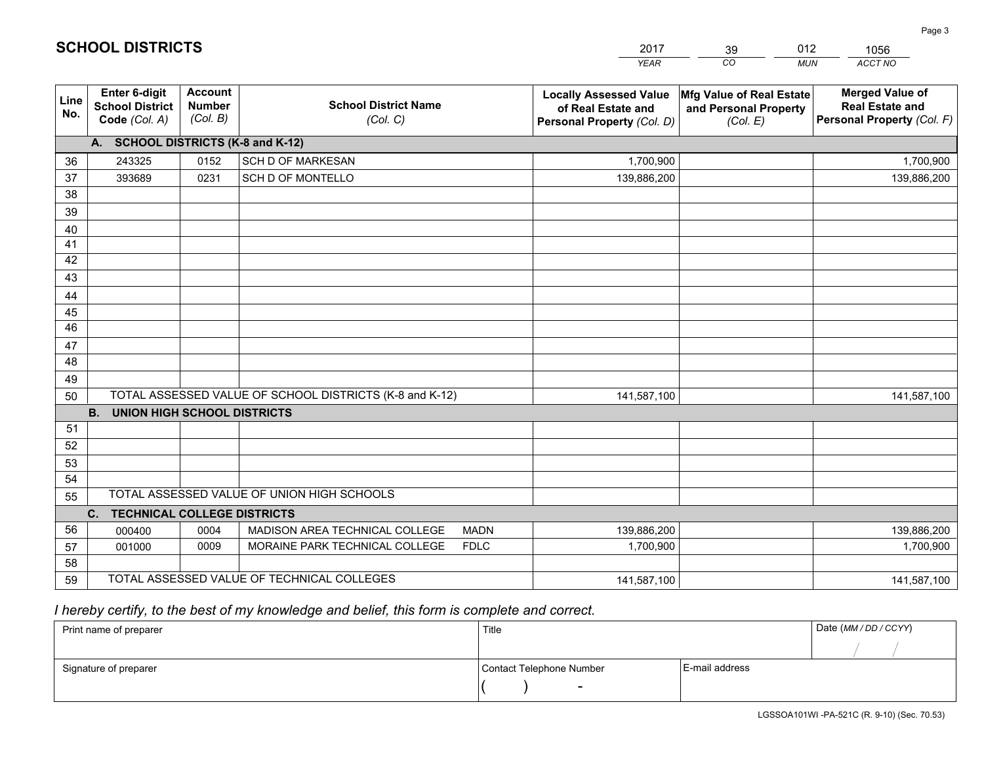|             |                                                          |                                             |                                                         | <b>YEAR</b>                                                                       | CO<br><b>MUN</b>                                              | ACCT NO                                                                        |
|-------------|----------------------------------------------------------|---------------------------------------------|---------------------------------------------------------|-----------------------------------------------------------------------------------|---------------------------------------------------------------|--------------------------------------------------------------------------------|
| Line<br>No. | Enter 6-digit<br><b>School District</b><br>Code (Col. A) | <b>Account</b><br><b>Number</b><br>(Col. B) | <b>School District Name</b><br>(Col. C)                 | <b>Locally Assessed Value</b><br>of Real Estate and<br>Personal Property (Col. D) | Mfg Value of Real Estate<br>and Personal Property<br>(Col. E) | <b>Merged Value of</b><br><b>Real Estate and</b><br>Personal Property (Col. F) |
|             | A. SCHOOL DISTRICTS (K-8 and K-12)                       |                                             |                                                         |                                                                                   |                                                               |                                                                                |
| 36          | 243325                                                   | 0152                                        | <b>SCH D OF MARKESAN</b>                                | 1,700,900                                                                         |                                                               | 1,700,900                                                                      |
| 37          | 393689                                                   | 0231                                        | SCH D OF MONTELLO                                       | 139,886,200                                                                       |                                                               | 139,886,200                                                                    |
| 38          |                                                          |                                             |                                                         |                                                                                   |                                                               |                                                                                |
| 39          |                                                          |                                             |                                                         |                                                                                   |                                                               |                                                                                |
| 40          |                                                          |                                             |                                                         |                                                                                   |                                                               |                                                                                |
| 41          |                                                          |                                             |                                                         |                                                                                   |                                                               |                                                                                |
| 42          |                                                          |                                             |                                                         |                                                                                   |                                                               |                                                                                |
| 43          |                                                          |                                             |                                                         |                                                                                   |                                                               |                                                                                |
| 44          |                                                          |                                             |                                                         |                                                                                   |                                                               |                                                                                |
| 45          |                                                          |                                             |                                                         |                                                                                   |                                                               |                                                                                |
| 46          |                                                          |                                             |                                                         |                                                                                   |                                                               |                                                                                |
| 47          |                                                          |                                             |                                                         |                                                                                   |                                                               |                                                                                |
| 48          |                                                          |                                             |                                                         |                                                                                   |                                                               |                                                                                |
| 49          |                                                          |                                             |                                                         |                                                                                   |                                                               |                                                                                |
| 50          |                                                          |                                             | TOTAL ASSESSED VALUE OF SCHOOL DISTRICTS (K-8 and K-12) | 141,587,100                                                                       |                                                               | 141,587,100                                                                    |
|             | <b>B.</b><br><b>UNION HIGH SCHOOL DISTRICTS</b>          |                                             |                                                         |                                                                                   |                                                               |                                                                                |
| 51          |                                                          |                                             |                                                         |                                                                                   |                                                               |                                                                                |
| 52          |                                                          |                                             |                                                         |                                                                                   |                                                               |                                                                                |
| 53          |                                                          |                                             |                                                         |                                                                                   |                                                               |                                                                                |
| 54          |                                                          |                                             |                                                         |                                                                                   |                                                               |                                                                                |
| 55          |                                                          |                                             | TOTAL ASSESSED VALUE OF UNION HIGH SCHOOLS              |                                                                                   |                                                               |                                                                                |
|             | C.<br><b>TECHNICAL COLLEGE DISTRICTS</b>                 |                                             |                                                         |                                                                                   |                                                               |                                                                                |
| 56          | 000400                                                   | 0004                                        | MADISON AREA TECHNICAL COLLEGE<br><b>MADN</b>           | 139,886,200                                                                       |                                                               | 139,886,200                                                                    |
| 57          | 001000                                                   | 0009                                        | MORAINE PARK TECHNICAL COLLEGE<br><b>FDLC</b>           | 1,700,900                                                                         |                                                               | 1,700,900                                                                      |
| 58          |                                                          |                                             |                                                         |                                                                                   |                                                               |                                                                                |
| 59          |                                                          |                                             | TOTAL ASSESSED VALUE OF TECHNICAL COLLEGES              | 141,587,100                                                                       |                                                               | 141,587,100                                                                    |

39

012

 *I hereby certify, to the best of my knowledge and belief, this form is complete and correct.*

**SCHOOL DISTRICTS**

| Print name of preparer | Title                    |                | Date (MM / DD / CCYY) |
|------------------------|--------------------------|----------------|-----------------------|
|                        |                          |                |                       |
| Signature of preparer  | Contact Telephone Number | E-mail address |                       |
|                        | $\sim$                   |                |                       |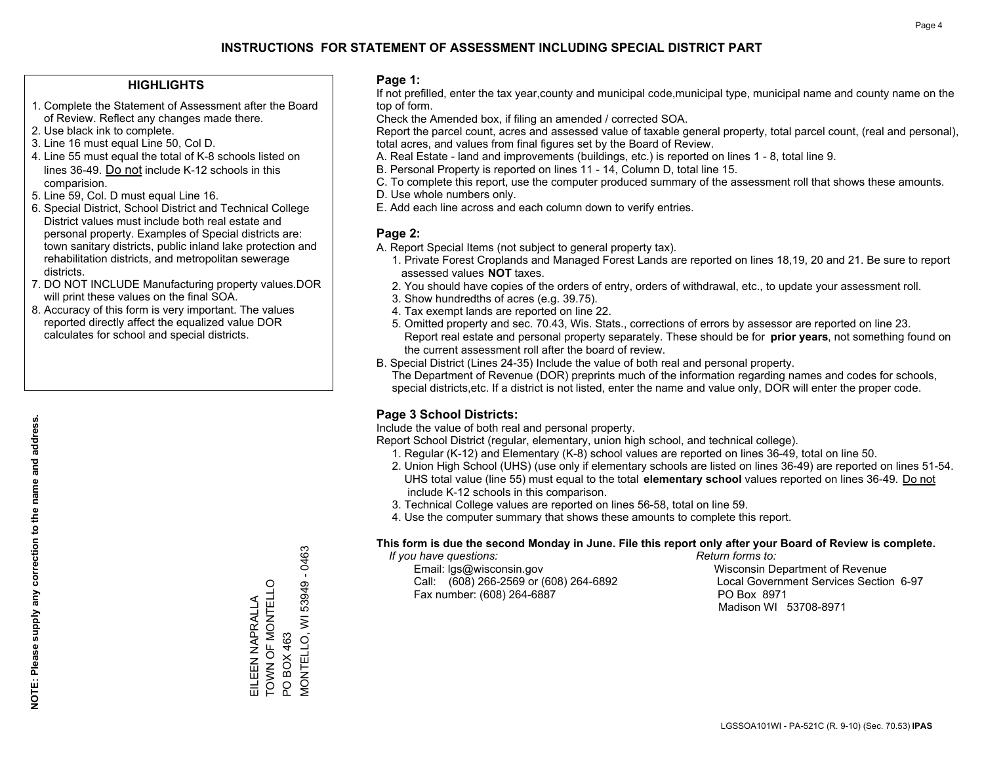### **HIGHLIGHTS**

- 1. Complete the Statement of Assessment after the Board of Review. Reflect any changes made there.
- 2. Use black ink to complete.
- 3. Line 16 must equal Line 50, Col D.
- 4. Line 55 must equal the total of K-8 schools listed on lines 36-49. Do not include K-12 schools in this comparision.
- 5. Line 59, Col. D must equal Line 16.
- 6. Special District, School District and Technical College District values must include both real estate and personal property. Examples of Special districts are: town sanitary districts, public inland lake protection and rehabilitation districts, and metropolitan sewerage districts.
- 7. DO NOT INCLUDE Manufacturing property values.DOR will print these values on the final SOA.

EILEEN NAPRALLA TOWN OF MONTELLO

EILEEN NAPRALLA<br>TOWN OF MONTELLO

PO BOX 463

PO BOX 463

MONTELLO, WI 53949 - 0463

VIONTELLO, WI 53949

 $-0463$ 

 8. Accuracy of this form is very important. The values reported directly affect the equalized value DOR calculates for school and special districts.

### **Page 1:**

 If not prefilled, enter the tax year,county and municipal code,municipal type, municipal name and county name on the top of form.

Check the Amended box, if filing an amended / corrected SOA.

 Report the parcel count, acres and assessed value of taxable general property, total parcel count, (real and personal), total acres, and values from final figures set by the Board of Review.

- A. Real Estate land and improvements (buildings, etc.) is reported on lines 1 8, total line 9.
- B. Personal Property is reported on lines 11 14, Column D, total line 15.
- C. To complete this report, use the computer produced summary of the assessment roll that shows these amounts.
- D. Use whole numbers only.
- E. Add each line across and each column down to verify entries.

### **Page 2:**

- A. Report Special Items (not subject to general property tax).
- 1. Private Forest Croplands and Managed Forest Lands are reported on lines 18,19, 20 and 21. Be sure to report assessed values **NOT** taxes.
- 2. You should have copies of the orders of entry, orders of withdrawal, etc., to update your assessment roll.
	- 3. Show hundredths of acres (e.g. 39.75).
- 4. Tax exempt lands are reported on line 22.
- 5. Omitted property and sec. 70.43, Wis. Stats., corrections of errors by assessor are reported on line 23. Report real estate and personal property separately. These should be for **prior years**, not something found on the current assessment roll after the board of review.
- B. Special District (Lines 24-35) Include the value of both real and personal property.

 The Department of Revenue (DOR) preprints much of the information regarding names and codes for schools, special districts,etc. If a district is not listed, enter the name and value only, DOR will enter the proper code.

## **Page 3 School Districts:**

Include the value of both real and personal property.

Report School District (regular, elementary, union high school, and technical college).

- 1. Regular (K-12) and Elementary (K-8) school values are reported on lines 36-49, total on line 50.
- 2. Union High School (UHS) (use only if elementary schools are listed on lines 36-49) are reported on lines 51-54. UHS total value (line 55) must equal to the total **elementary school** values reported on lines 36-49. Do notinclude K-12 schools in this comparison.
- 3. Technical College values are reported on lines 56-58, total on line 59.
- 4. Use the computer summary that shows these amounts to complete this report.

#### **This form is due the second Monday in June. File this report only after your Board of Review is complete.**

 *If you have questions: Return forms to:*

 Email: lgs@wisconsin.gov Wisconsin Department of RevenueCall:  $(608)$  266-2569 or  $(608)$  264-6892 Fax number: (608) 264-6887 PO Box 8971

Local Government Services Section 6-97 Madison WI 53708-8971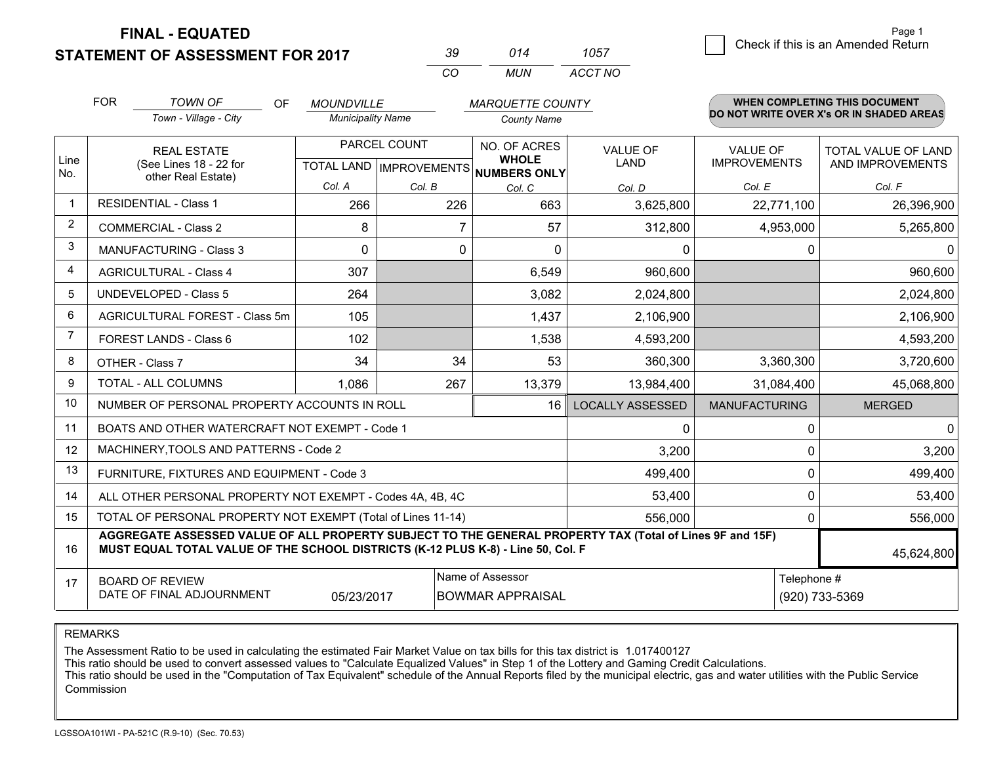**STATEMENT OF ASSESSMENT FOR 2017** 

| 30 | 014 | 1057    |
|----|-----|---------|
| cо | MUN | ACCT NO |

|              | <b>FOR</b>                                                                                                                                                                                   | <b>TOWN OF</b><br>OF                                         | <b>MOUNDVILLE</b>                         |        | <b>MARQUETTE COUNTY</b>                             |                                |                                        | <b>WHEN COMPLETING THIS DOCUMENT</b>           |        |
|--------------|----------------------------------------------------------------------------------------------------------------------------------------------------------------------------------------------|--------------------------------------------------------------|-------------------------------------------|--------|-----------------------------------------------------|--------------------------------|----------------------------------------|------------------------------------------------|--------|
|              |                                                                                                                                                                                              | Town - Village - City                                        | <b>Municipality Name</b>                  |        | <b>County Name</b>                                  |                                |                                        | DO NOT WRITE OVER X's OR IN SHADED AREAS       |        |
| Line<br>No.  | <b>REAL ESTATE</b><br>(See Lines 18 - 22 for                                                                                                                                                 |                                                              | PARCEL COUNT<br>TOTAL LAND   IMPROVEMENTS |        | NO. OF ACRES<br><b>WHOLE</b><br><b>NUMBERS ONLY</b> | <b>VALUE OF</b><br><b>LAND</b> | <b>VALUE OF</b><br><b>IMPROVEMENTS</b> | <b>TOTAL VALUE OF LAND</b><br>AND IMPROVEMENTS |        |
|              |                                                                                                                                                                                              |                                                              | other Real Estate)                        | Col. A | Col. B                                              | Col. C                         | Col. D                                 | Col. E                                         | Col. F |
| $\mathbf{1}$ |                                                                                                                                                                                              | <b>RESIDENTIAL - Class 1</b>                                 | 266                                       | 226    | 663                                                 | 3,625,800                      | 22,771,100                             | 26,396,900                                     |        |
| 2            |                                                                                                                                                                                              | <b>COMMERCIAL - Class 2</b>                                  | 8                                         | 7      | 57                                                  | 312,800                        | 4,953,000                              | 5,265,800                                      |        |
| 3            |                                                                                                                                                                                              | <b>MANUFACTURING - Class 3</b>                               | 0                                         | 0      | 0                                                   | 0                              | $\mathbf 0$                            | $\mathbf{0}$                                   |        |
| 4            |                                                                                                                                                                                              | <b>AGRICULTURAL - Class 4</b>                                | 307                                       |        | 6,549                                               | 960,600                        |                                        | 960,600                                        |        |
| 5            |                                                                                                                                                                                              | <b>UNDEVELOPED - Class 5</b>                                 | 264                                       |        | 3,082                                               | 2,024,800                      |                                        | 2,024,800                                      |        |
| 6            |                                                                                                                                                                                              | AGRICULTURAL FOREST - Class 5m                               | 105                                       |        | 1,437                                               | 2,106,900                      |                                        | 2,106,900                                      |        |
| 7            |                                                                                                                                                                                              | FOREST LANDS - Class 6                                       | 102                                       |        | 1,538                                               | 4,593,200                      |                                        | 4,593,200                                      |        |
| 8            |                                                                                                                                                                                              | OTHER - Class 7                                              | 34                                        | 34     | 53                                                  | 360,300                        | 3,360,300                              | 3,720,600                                      |        |
| 9            |                                                                                                                                                                                              | TOTAL - ALL COLUMNS                                          | 1,086                                     | 267    | 13,379                                              | 13,984,400                     | 31,084,400                             | 45,068,800                                     |        |
| 10           |                                                                                                                                                                                              | NUMBER OF PERSONAL PROPERTY ACCOUNTS IN ROLL                 |                                           |        | 16                                                  | <b>LOCALLY ASSESSED</b>        | <b>MANUFACTURING</b>                   | <b>MERGED</b>                                  |        |
| 11           |                                                                                                                                                                                              | BOATS AND OTHER WATERCRAFT NOT EXEMPT - Code 1               |                                           |        |                                                     | 0                              | $\Omega$                               | $\mathbf{0}$                                   |        |
| 12           |                                                                                                                                                                                              | MACHINERY, TOOLS AND PATTERNS - Code 2                       |                                           |        |                                                     | 3,200                          | $\Omega$                               | 3,200                                          |        |
| 13           |                                                                                                                                                                                              | FURNITURE, FIXTURES AND EQUIPMENT - Code 3                   |                                           |        |                                                     | 499,400                        | $\Omega$                               | 499,400                                        |        |
| 14           |                                                                                                                                                                                              | ALL OTHER PERSONAL PROPERTY NOT EXEMPT - Codes 4A, 4B, 4C    |                                           |        |                                                     | 53,400                         | $\mathbf 0$                            | 53,400                                         |        |
| 15           |                                                                                                                                                                                              | TOTAL OF PERSONAL PROPERTY NOT EXEMPT (Total of Lines 11-14) |                                           |        |                                                     | 556,000                        | $\mathbf 0$                            | 556,000                                        |        |
| 16           | AGGREGATE ASSESSED VALUE OF ALL PROPERTY SUBJECT TO THE GENERAL PROPERTY TAX (Total of Lines 9F and 15F)<br>MUST EQUAL TOTAL VALUE OF THE SCHOOL DISTRICTS (K-12 PLUS K-8) - Line 50, Col. F |                                                              |                                           |        |                                                     |                                | 45,624,800                             |                                                |        |
| 17           | Name of Assessor<br>Telephone #<br><b>BOARD OF REVIEW</b><br>DATE OF FINAL ADJOURNMENT<br>05/23/2017<br><b>BOWMAR APPRAISAL</b><br>(920) 733-5369                                            |                                                              |                                           |        |                                                     |                                |                                        |                                                |        |

REMARKS

The Assessment Ratio to be used in calculating the estimated Fair Market Value on tax bills for this tax district is 1.017400127<br>This ratio should be used to convert assessed values to "Calculate Equalized Values" in Step Commission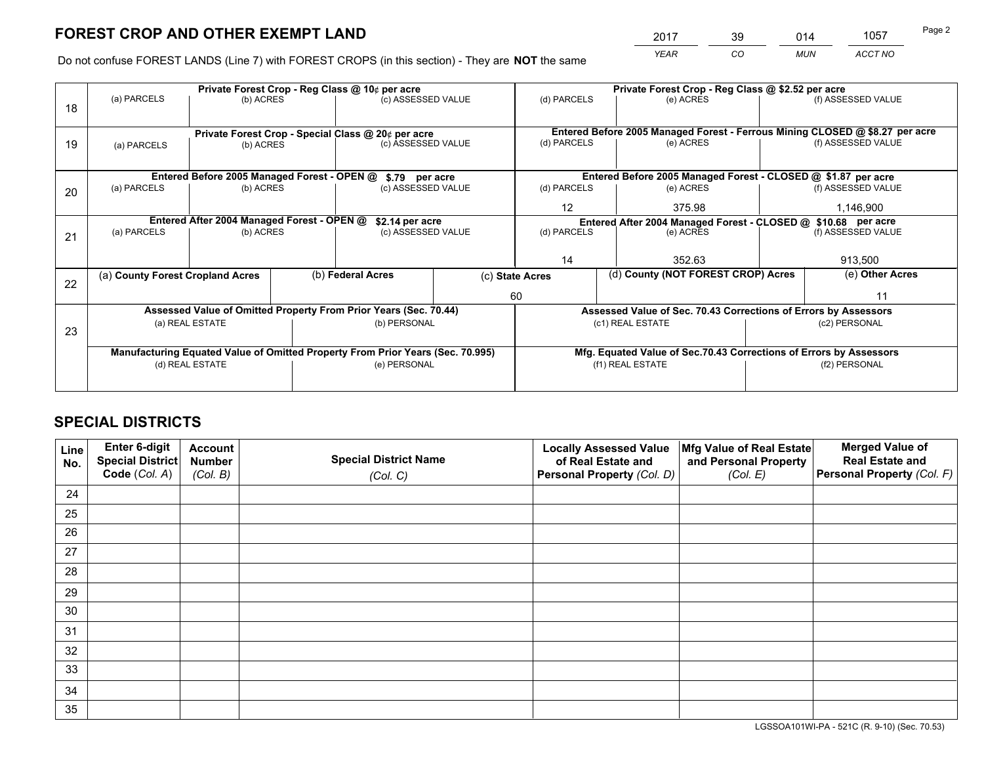*YEAR CO MUN ACCT NO* <sup>2017</sup> <sup>39</sup> <sup>014</sup> <sup>1057</sup>

Do not confuse FOREST LANDS (Line 7) with FOREST CROPS (in this section) - They are **NOT** the same

|    |                                                                                |                                             |  | Private Forest Crop - Reg Class @ 10¢ per acre                           |  | Private Forest Crop - Reg Class @ \$2.52 per acre                  |                                                                              |  |                    |  |
|----|--------------------------------------------------------------------------------|---------------------------------------------|--|--------------------------------------------------------------------------|--|--------------------------------------------------------------------|------------------------------------------------------------------------------|--|--------------------|--|
| 18 | (a) PARCELS                                                                    | (b) ACRES                                   |  | (c) ASSESSED VALUE                                                       |  | (d) PARCELS                                                        | (e) ACRES                                                                    |  | (f) ASSESSED VALUE |  |
|    |                                                                                |                                             |  |                                                                          |  |                                                                    | Entered Before 2005 Managed Forest - Ferrous Mining CLOSED @ \$8.27 per acre |  |                    |  |
| 19 | (a) PARCELS                                                                    | (b) ACRES                                   |  | Private Forest Crop - Special Class @ 20¢ per acre<br>(c) ASSESSED VALUE |  | (d) PARCELS                                                        | (e) ACRES                                                                    |  | (f) ASSESSED VALUE |  |
|    |                                                                                | Entered Before 2005 Managed Forest - OPEN @ |  | \$.79 per acre                                                           |  |                                                                    | Entered Before 2005 Managed Forest - CLOSED @ \$1.87 per acre                |  |                    |  |
| 20 | (a) PARCELS                                                                    | (b) ACRES                                   |  | (c) ASSESSED VALUE                                                       |  | (d) PARCELS                                                        | (e) ACRES                                                                    |  | (f) ASSESSED VALUE |  |
|    |                                                                                |                                             |  |                                                                          |  | 12                                                                 | 375.98                                                                       |  | 1,146,900          |  |
|    | Entered After 2004 Managed Forest - OPEN @<br>\$2.14 per acre                  |                                             |  |                                                                          |  | Entered After 2004 Managed Forest - CLOSED @ \$10.68 per acre      |                                                                              |  |                    |  |
| 21 | (a) PARCELS                                                                    | (b) ACRES                                   |  | (c) ASSESSED VALUE                                                       |  | (d) PARCELS<br>(e) ACRES                                           |                                                                              |  | (f) ASSESSED VALUE |  |
|    |                                                                                |                                             |  |                                                                          |  |                                                                    |                                                                              |  |                    |  |
|    |                                                                                |                                             |  |                                                                          |  | 14                                                                 | 352.63                                                                       |  |                    |  |
|    | (a) County Forest Cropland Acres                                               |                                             |  | (b) Federal Acres                                                        |  | (d) County (NOT FOREST CROP) Acres<br>(c) State Acres              |                                                                              |  | (e) Other Acres    |  |
| 22 |                                                                                |                                             |  |                                                                          |  | 60                                                                 |                                                                              |  | 11                 |  |
|    |                                                                                |                                             |  | Assessed Value of Omitted Property From Prior Years (Sec. 70.44)         |  |                                                                    | Assessed Value of Sec. 70.43 Corrections of Errors by Assessors              |  |                    |  |
| 23 |                                                                                | (a) REAL ESTATE                             |  | (b) PERSONAL                                                             |  |                                                                    | (c1) REAL ESTATE                                                             |  | (c2) PERSONAL      |  |
|    |                                                                                |                                             |  |                                                                          |  |                                                                    |                                                                              |  |                    |  |
|    | Manufacturing Equated Value of Omitted Property From Prior Years (Sec. 70.995) |                                             |  |                                                                          |  | Mfg. Equated Value of Sec.70.43 Corrections of Errors by Assessors |                                                                              |  |                    |  |
|    |                                                                                | (d) REAL ESTATE                             |  | (e) PERSONAL                                                             |  |                                                                    | (f1) REAL ESTATE                                                             |  | (f2) PERSONAL      |  |
|    |                                                                                |                                             |  |                                                                          |  |                                                                    |                                                                              |  |                    |  |

## **SPECIAL DISTRICTS**

| Line<br>No. | Enter 6-digit<br>Special District<br>Code (Col. A) | <b>Account</b><br><b>Number</b> | <b>Special District Name</b> | <b>Locally Assessed Value</b><br>of Real Estate and | Mfg Value of Real Estate<br>and Personal Property | <b>Merged Value of</b><br><b>Real Estate and</b><br>Personal Property (Col. F) |
|-------------|----------------------------------------------------|---------------------------------|------------------------------|-----------------------------------------------------|---------------------------------------------------|--------------------------------------------------------------------------------|
|             |                                                    | (Col. B)                        | (Col. C)                     | Personal Property (Col. D)                          | (Col. E)                                          |                                                                                |
| 24          |                                                    |                                 |                              |                                                     |                                                   |                                                                                |
| 25          |                                                    |                                 |                              |                                                     |                                                   |                                                                                |
| 26          |                                                    |                                 |                              |                                                     |                                                   |                                                                                |
| 27          |                                                    |                                 |                              |                                                     |                                                   |                                                                                |
| 28          |                                                    |                                 |                              |                                                     |                                                   |                                                                                |
| 29          |                                                    |                                 |                              |                                                     |                                                   |                                                                                |
| 30          |                                                    |                                 |                              |                                                     |                                                   |                                                                                |
| 31          |                                                    |                                 |                              |                                                     |                                                   |                                                                                |
| 32          |                                                    |                                 |                              |                                                     |                                                   |                                                                                |
| 33          |                                                    |                                 |                              |                                                     |                                                   |                                                                                |
| 34          |                                                    |                                 |                              |                                                     |                                                   |                                                                                |
| 35          |                                                    |                                 |                              |                                                     |                                                   |                                                                                |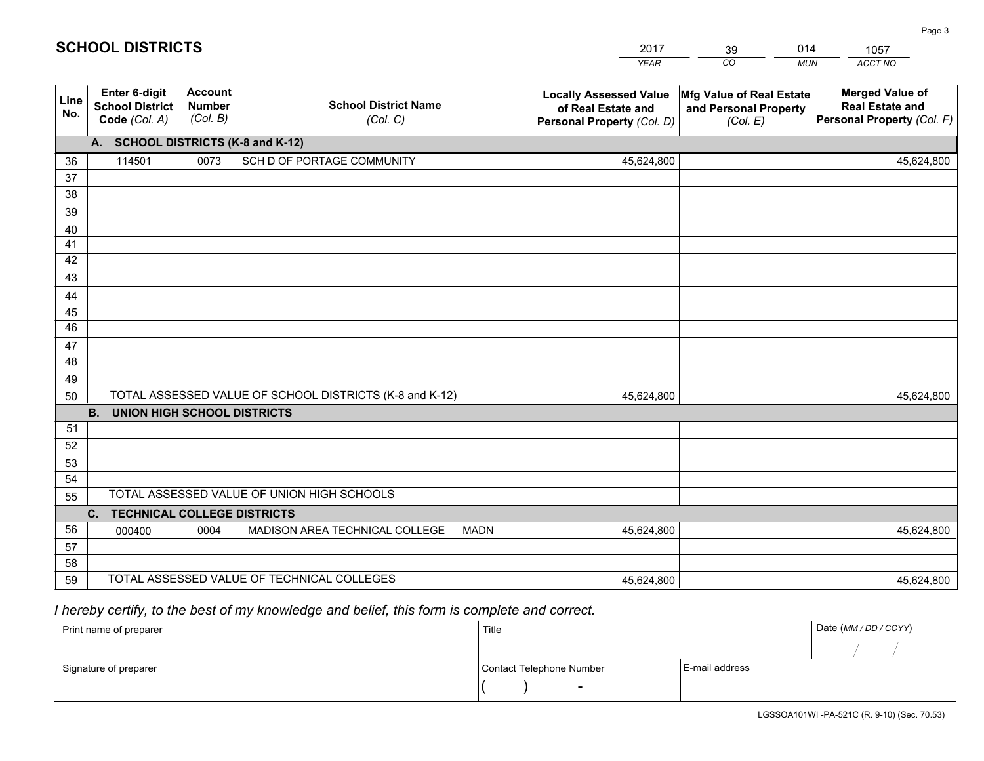|             |                                                          |                                             |                                                         | <b>YEAR</b>                                                                       | CO<br><b>MUN</b>                                              | ACCT NO                                                                        |
|-------------|----------------------------------------------------------|---------------------------------------------|---------------------------------------------------------|-----------------------------------------------------------------------------------|---------------------------------------------------------------|--------------------------------------------------------------------------------|
| Line<br>No. | Enter 6-digit<br><b>School District</b><br>Code (Col. A) | <b>Account</b><br><b>Number</b><br>(Col. B) | <b>School District Name</b><br>(Col. C)                 | <b>Locally Assessed Value</b><br>of Real Estate and<br>Personal Property (Col. D) | Mfg Value of Real Estate<br>and Personal Property<br>(Col. E) | <b>Merged Value of</b><br><b>Real Estate and</b><br>Personal Property (Col. F) |
|             | A. SCHOOL DISTRICTS (K-8 and K-12)                       |                                             |                                                         |                                                                                   |                                                               |                                                                                |
| 36          | 114501                                                   | 0073                                        | SCH D OF PORTAGE COMMUNITY                              | 45,624,800                                                                        |                                                               | 45,624,800                                                                     |
| 37          |                                                          |                                             |                                                         |                                                                                   |                                                               |                                                                                |
| 38          |                                                          |                                             |                                                         |                                                                                   |                                                               |                                                                                |
| 39          |                                                          |                                             |                                                         |                                                                                   |                                                               |                                                                                |
| 40          |                                                          |                                             |                                                         |                                                                                   |                                                               |                                                                                |
| 41<br>42    |                                                          |                                             |                                                         |                                                                                   |                                                               |                                                                                |
| 43          |                                                          |                                             |                                                         |                                                                                   |                                                               |                                                                                |
| 44          |                                                          |                                             |                                                         |                                                                                   |                                                               |                                                                                |
| 45          |                                                          |                                             |                                                         |                                                                                   |                                                               |                                                                                |
| 46          |                                                          |                                             |                                                         |                                                                                   |                                                               |                                                                                |
| 47          |                                                          |                                             |                                                         |                                                                                   |                                                               |                                                                                |
| 48          |                                                          |                                             |                                                         |                                                                                   |                                                               |                                                                                |
| 49          |                                                          |                                             |                                                         |                                                                                   |                                                               |                                                                                |
| 50          |                                                          |                                             | TOTAL ASSESSED VALUE OF SCHOOL DISTRICTS (K-8 and K-12) | 45,624,800                                                                        |                                                               | 45,624,800                                                                     |
|             | <b>B.</b><br><b>UNION HIGH SCHOOL DISTRICTS</b>          |                                             |                                                         |                                                                                   |                                                               |                                                                                |
| 51          |                                                          |                                             |                                                         |                                                                                   |                                                               |                                                                                |
| 52          |                                                          |                                             |                                                         |                                                                                   |                                                               |                                                                                |
| 53          |                                                          |                                             |                                                         |                                                                                   |                                                               |                                                                                |
| 54          |                                                          |                                             |                                                         |                                                                                   |                                                               |                                                                                |
| 55          |                                                          |                                             | TOTAL ASSESSED VALUE OF UNION HIGH SCHOOLS              |                                                                                   |                                                               |                                                                                |
|             | C. TECHNICAL COLLEGE DISTRICTS                           |                                             |                                                         |                                                                                   |                                                               |                                                                                |
| 56          | 000400                                                   | 0004                                        | MADISON AREA TECHNICAL COLLEGE<br><b>MADN</b>           | 45,624,800                                                                        |                                                               | 45,624,800                                                                     |
| 57<br>58    |                                                          |                                             |                                                         |                                                                                   |                                                               |                                                                                |
| 59          |                                                          |                                             | TOTAL ASSESSED VALUE OF TECHNICAL COLLEGES              | 45,624,800                                                                        |                                                               | 45,624,800                                                                     |
|             |                                                          |                                             |                                                         |                                                                                   |                                                               |                                                                                |

39

014

# *I hereby certify, to the best of my knowledge and belief, this form is complete and correct.*

**SCHOOL DISTRICTS**

| Print name of preparer | Title                    |                | Date (MM / DD / CCYY) |
|------------------------|--------------------------|----------------|-----------------------|
|                        |                          |                |                       |
| Signature of preparer  | Contact Telephone Number | E-mail address |                       |
|                        | $\overline{\phantom{0}}$ |                |                       |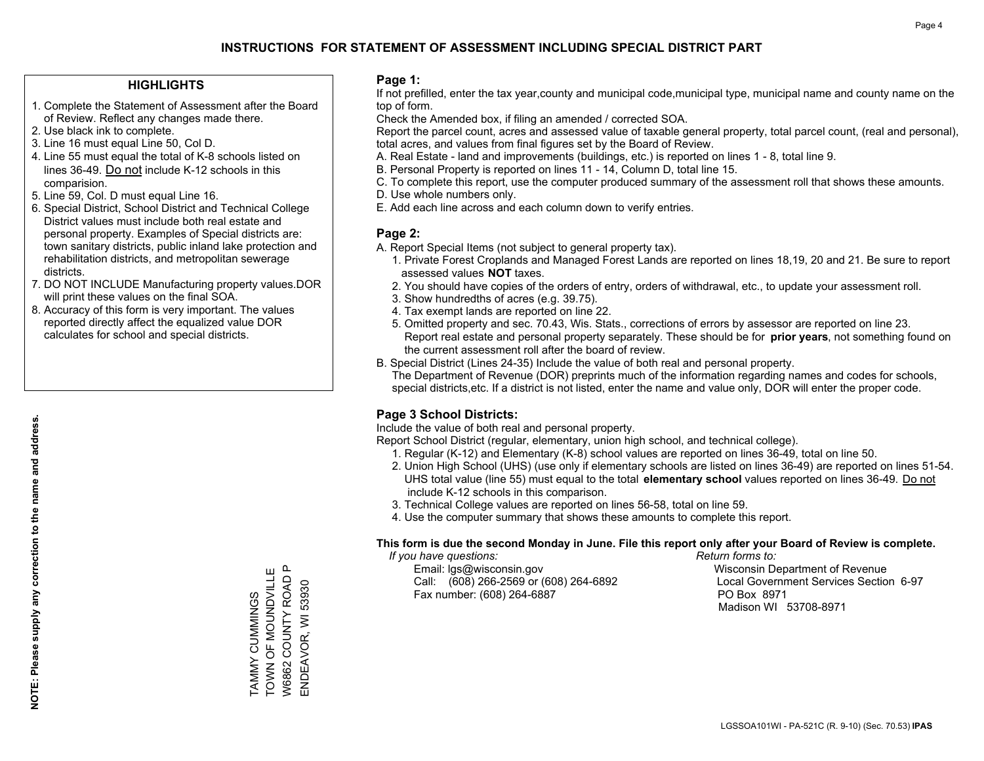### **HIGHLIGHTS**

- 1. Complete the Statement of Assessment after the Board of Review. Reflect any changes made there.
- 2. Use black ink to complete.

**NOTE: Please supply any correction to the name and address.**

NOTE: Please supply any correction to the name and address.

- 3. Line 16 must equal Line 50, Col D.
- 4. Line 55 must equal the total of K-8 schools listed on lines 36-49. Do not include K-12 schools in this comparision.
- 5. Line 59, Col. D must equal Line 16.
- 6. Special District, School District and Technical College District values must include both real estate and personal property. Examples of Special districts are: town sanitary districts, public inland lake protection and rehabilitation districts, and metropolitan sewerage districts.
- 7. DO NOT INCLUDE Manufacturing property values.DOR will print these values on the final SOA.
- 8. Accuracy of this form is very important. The values reported directly affect the equalized value DOR calculates for school and special districts.

### **Page 1:**

 If not prefilled, enter the tax year,county and municipal code,municipal type, municipal name and county name on the top of form.

Check the Amended box, if filing an amended / corrected SOA.

 Report the parcel count, acres and assessed value of taxable general property, total parcel count, (real and personal), total acres, and values from final figures set by the Board of Review.

- A. Real Estate land and improvements (buildings, etc.) is reported on lines 1 8, total line 9.
- B. Personal Property is reported on lines 11 14, Column D, total line 15.
- C. To complete this report, use the computer produced summary of the assessment roll that shows these amounts.
- D. Use whole numbers only.
- E. Add each line across and each column down to verify entries.

### **Page 2:**

- A. Report Special Items (not subject to general property tax).
- 1. Private Forest Croplands and Managed Forest Lands are reported on lines 18,19, 20 and 21. Be sure to report assessed values **NOT** taxes.
- 2. You should have copies of the orders of entry, orders of withdrawal, etc., to update your assessment roll.
	- 3. Show hundredths of acres (e.g. 39.75).
- 4. Tax exempt lands are reported on line 22.
- 5. Omitted property and sec. 70.43, Wis. Stats., corrections of errors by assessor are reported on line 23. Report real estate and personal property separately. These should be for **prior years**, not something found on the current assessment roll after the board of review.
- B. Special District (Lines 24-35) Include the value of both real and personal property.
- The Department of Revenue (DOR) preprints much of the information regarding names and codes for schools, special districts,etc. If a district is not listed, enter the name and value only, DOR will enter the proper code.

## **Page 3 School Districts:**

Include the value of both real and personal property.

Report School District (regular, elementary, union high school, and technical college).

- 1. Regular (K-12) and Elementary (K-8) school values are reported on lines 36-49, total on line 50.
- 2. Union High School (UHS) (use only if elementary schools are listed on lines 36-49) are reported on lines 51-54. UHS total value (line 55) must equal to the total **elementary school** values reported on lines 36-49. Do notinclude K-12 schools in this comparison.
- 3. Technical College values are reported on lines 56-58, total on line 59.
- 4. Use the computer summary that shows these amounts to complete this report.

#### **This form is due the second Monday in June. File this report only after your Board of Review is complete.**

 *If you have questions: Return forms to:*

 Email: lgs@wisconsin.gov Wisconsin Department of RevenueCall:  $(608)$  266-2569 or  $(608)$  264-6892 Fax number: (608) 264-6887 PO Box 8971

Local Government Services Section 6-97 Madison WI 53708-8971

TAMMY CUMMINGS TOWN OF MOUNDVILLE W6862 COUNTY ROAD P ENDEAVOR, WI 53930

TAMMY CUMMINGS<br>TOWN OF MOUNDVILLE W6862 COUNTY ROAD ENDEAVOR, WI 53930

 $\mathbf{a}$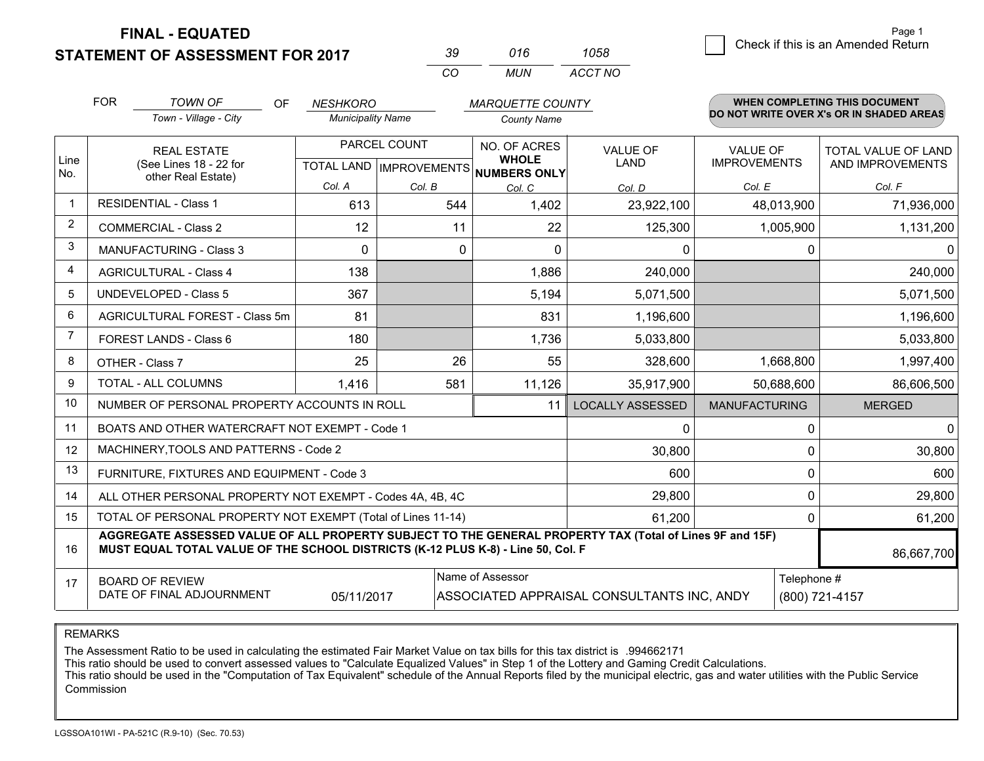**STATEMENT OF ASSESSMENT FOR 2017** 

| 70 V     | 016 | 1058    |
|----------|-----|---------|
| $\cdots$ | MUN | ACCT NO |

|                | <b>FOR</b>                                                                                                                                                                                   | <b>TOWN OF</b><br><b>OF</b>                                  | <b>NESHKORO</b>                           |          | <b>MARQUETTE COUNTY</b>                      |                         |                                        | <b>WHEN COMPLETING THIS DOCUMENT</b>     |
|----------------|----------------------------------------------------------------------------------------------------------------------------------------------------------------------------------------------|--------------------------------------------------------------|-------------------------------------------|----------|----------------------------------------------|-------------------------|----------------------------------------|------------------------------------------|
|                |                                                                                                                                                                                              | Town - Village - City                                        | <b>Municipality Name</b>                  |          | <b>County Name</b>                           |                         |                                        | DO NOT WRITE OVER X's OR IN SHADED AREAS |
| Line<br>No.    |                                                                                                                                                                                              | <b>REAL ESTATE</b><br>(See Lines 18 - 22 for                 | PARCEL COUNT<br>TOTAL LAND   IMPROVEMENTS |          | NO. OF ACRES<br><b>WHOLE</b><br>NUMBERS ONLY | VALUE OF<br><b>LAND</b> | <b>VALUE OF</b><br><b>IMPROVEMENTS</b> | TOTAL VALUE OF LAND<br>AND IMPROVEMENTS  |
|                |                                                                                                                                                                                              | other Real Estate)                                           | Col. A                                    | Col. B   | Col. C                                       | Col. D                  | Col. E                                 | Col. F                                   |
| 1              |                                                                                                                                                                                              | <b>RESIDENTIAL - Class 1</b>                                 | 613                                       | 544      | 1,402                                        | 23,922,100              | 48,013,900                             | 71,936,000                               |
| $\overline{2}$ |                                                                                                                                                                                              | <b>COMMERCIAL - Class 2</b>                                  | 12                                        | 11       | 22                                           | 125,300                 | 1,005,900                              | 1,131,200                                |
| 3              |                                                                                                                                                                                              | <b>MANUFACTURING - Class 3</b>                               | $\Omega$                                  | $\Omega$ | $\Omega$                                     | 0                       | 0                                      | 0                                        |
| 4              |                                                                                                                                                                                              | <b>AGRICULTURAL - Class 4</b>                                | 138                                       |          | 1,886                                        | 240,000                 |                                        | 240,000                                  |
| 5              |                                                                                                                                                                                              | <b>UNDEVELOPED - Class 5</b>                                 | 367                                       |          | 5,194                                        | 5,071,500               |                                        | 5,071,500                                |
| 6              | AGRICULTURAL FOREST - Class 5m                                                                                                                                                               |                                                              | 81                                        |          | 831                                          | 1,196,600               |                                        | 1,196,600                                |
| $\overline{7}$ |                                                                                                                                                                                              | FOREST LANDS - Class 6                                       | 180                                       |          | 1,736                                        | 5,033,800               |                                        | 5,033,800                                |
| 8              |                                                                                                                                                                                              | OTHER - Class 7                                              | 25                                        | 26       | 55                                           | 328,600                 | 1,668,800                              | 1,997,400                                |
| 9              |                                                                                                                                                                                              | TOTAL - ALL COLUMNS                                          | 1,416                                     | 581      | 11,126                                       | 35,917,900              | 50,688,600                             | 86,606,500                               |
| 10             |                                                                                                                                                                                              | NUMBER OF PERSONAL PROPERTY ACCOUNTS IN ROLL                 |                                           |          | 11                                           | <b>LOCALLY ASSESSED</b> | <b>MANUFACTURING</b>                   | <b>MERGED</b>                            |
| 11             |                                                                                                                                                                                              | BOATS AND OTHER WATERCRAFT NOT EXEMPT - Code 1               |                                           |          |                                              | 0                       | 0                                      | $\Omega$                                 |
| 12             |                                                                                                                                                                                              | MACHINERY, TOOLS AND PATTERNS - Code 2                       |                                           |          |                                              | 30,800                  | $\mathbf{0}$                           | 30,800                                   |
| 13             |                                                                                                                                                                                              | FURNITURE, FIXTURES AND EQUIPMENT - Code 3                   |                                           |          |                                              | 600                     | $\mathbf{0}$                           | 600                                      |
| 14             |                                                                                                                                                                                              | ALL OTHER PERSONAL PROPERTY NOT EXEMPT - Codes 4A, 4B, 4C    |                                           |          |                                              | 29,800                  | 0                                      | 29,800                                   |
| 15             |                                                                                                                                                                                              | TOTAL OF PERSONAL PROPERTY NOT EXEMPT (Total of Lines 11-14) |                                           |          |                                              | 61,200                  | 0                                      | 61,200                                   |
| 16             | AGGREGATE ASSESSED VALUE OF ALL PROPERTY SUBJECT TO THE GENERAL PROPERTY TAX (Total of Lines 9F and 15F)<br>MUST EQUAL TOTAL VALUE OF THE SCHOOL DISTRICTS (K-12 PLUS K-8) - Line 50, Col. F |                                                              |                                           |          |                                              |                         | 86,667,700                             |                                          |
| 17             | Name of Assessor<br><b>BOARD OF REVIEW</b><br>DATE OF FINAL ADJOURNMENT<br>05/11/2017<br>ASSOCIATED APPRAISAL CONSULTANTS INC, ANDY                                                          |                                                              |                                           |          |                                              |                         | Telephone #                            | (800) 721-4157                           |

REMARKS

The Assessment Ratio to be used in calculating the estimated Fair Market Value on tax bills for this tax district is .994662171

This ratio should be used to convert assessed values to "Calculate Equalized Values" in Step 1 of the Lottery and Gaming Credit Calculations.<br>This ratio should be used in the "Computation of Tax Equivalent" schedule of the Commission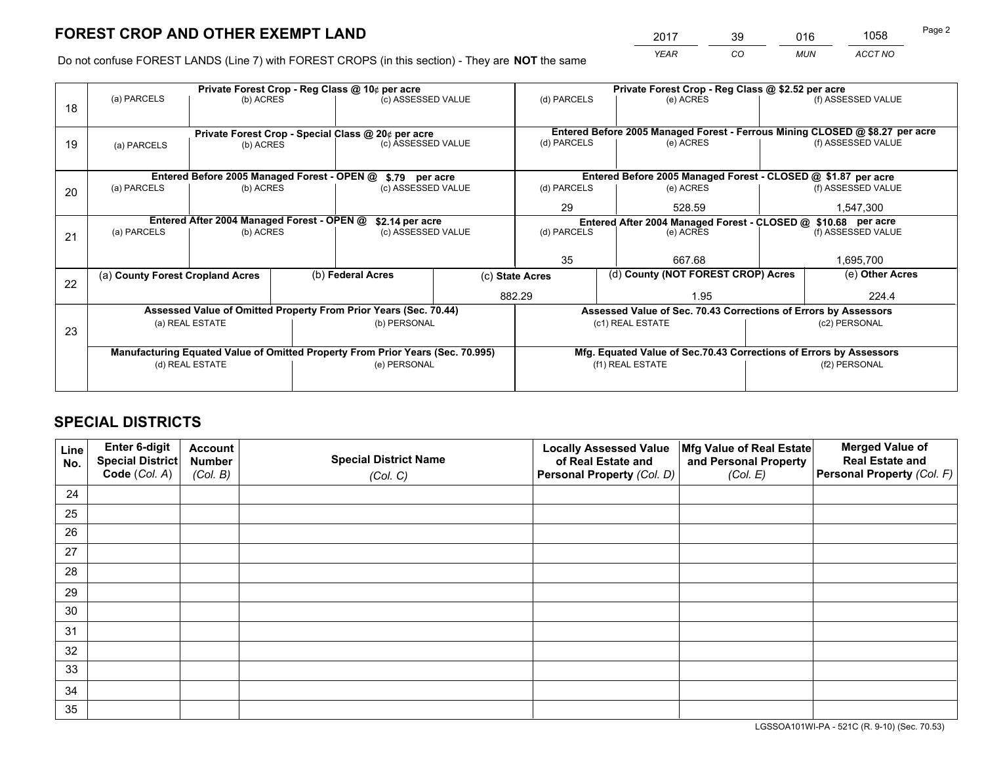*YEAR CO MUN ACCT NO* <sup>2017</sup> <sup>39</sup> <sup>016</sup> <sup>1058</sup>

Do not confuse FOREST LANDS (Line 7) with FOREST CROPS (in this section) - They are **NOT** the same

|    |                                                                                |                                             |  | Private Forest Crop - Reg Class @ 10¢ per acre                   |                    | Private Forest Crop - Reg Class @ \$2.52 per acre |                                                                              |                                                                    |                    |  |
|----|--------------------------------------------------------------------------------|---------------------------------------------|--|------------------------------------------------------------------|--------------------|---------------------------------------------------|------------------------------------------------------------------------------|--------------------------------------------------------------------|--------------------|--|
| 18 | (a) PARCELS                                                                    | (b) ACRES                                   |  | (c) ASSESSED VALUE                                               |                    | (d) PARCELS                                       | (e) ACRES                                                                    |                                                                    | (f) ASSESSED VALUE |  |
|    |                                                                                |                                             |  |                                                                  |                    |                                                   |                                                                              |                                                                    |                    |  |
|    |                                                                                |                                             |  | Private Forest Crop - Special Class @ 20¢ per acre               |                    |                                                   | Entered Before 2005 Managed Forest - Ferrous Mining CLOSED @ \$8.27 per acre |                                                                    |                    |  |
| 19 | (a) PARCELS                                                                    | (b) ACRES                                   |  | (c) ASSESSED VALUE                                               |                    | (d) PARCELS                                       | (e) ACRES                                                                    |                                                                    | (f) ASSESSED VALUE |  |
|    |                                                                                |                                             |  |                                                                  |                    |                                                   |                                                                              |                                                                    |                    |  |
|    |                                                                                | Entered Before 2005 Managed Forest - OPEN @ |  | \$.79 per acre                                                   |                    |                                                   | Entered Before 2005 Managed Forest - CLOSED @ \$1.87 per acre                |                                                                    |                    |  |
| 20 | (a) PARCELS                                                                    | (b) ACRES                                   |  | (c) ASSESSED VALUE                                               |                    | (d) PARCELS                                       | (e) ACRES                                                                    |                                                                    | (f) ASSESSED VALUE |  |
|    |                                                                                |                                             |  |                                                                  | 29                 | 528.59                                            |                                                                              | 1,547,300                                                          |                    |  |
|    | Entered After 2004 Managed Forest - OPEN @<br>\$2.14 per acre                  |                                             |  |                                                                  |                    |                                                   | Entered After 2004 Managed Forest - CLOSED @ \$10.68 per acre                |                                                                    |                    |  |
| 21 | (a) PARCELS                                                                    | (b) ACRES                                   |  |                                                                  | (c) ASSESSED VALUE |                                                   | (d) PARCELS<br>(e) ACRES                                                     |                                                                    | (f) ASSESSED VALUE |  |
|    |                                                                                |                                             |  |                                                                  |                    |                                                   |                                                                              |                                                                    |                    |  |
|    |                                                                                |                                             |  |                                                                  |                    | 35                                                | 667.68                                                                       | 1,695,700                                                          |                    |  |
| 22 | (a) County Forest Cropland Acres                                               |                                             |  | (b) Federal Acres                                                | (c) State Acres    |                                                   |                                                                              | (d) County (NOT FOREST CROP) Acres                                 |                    |  |
|    |                                                                                |                                             |  |                                                                  |                    | 882.29                                            | 1.95                                                                         |                                                                    | 224.4              |  |
|    |                                                                                |                                             |  | Assessed Value of Omitted Property From Prior Years (Sec. 70.44) |                    |                                                   | Assessed Value of Sec. 70.43 Corrections of Errors by Assessors              |                                                                    |                    |  |
| 23 |                                                                                | (a) REAL ESTATE                             |  | (b) PERSONAL                                                     |                    |                                                   | (c1) REAL ESTATE                                                             |                                                                    | (c2) PERSONAL      |  |
|    |                                                                                |                                             |  |                                                                  |                    |                                                   |                                                                              |                                                                    |                    |  |
|    | Manufacturing Equated Value of Omitted Property From Prior Years (Sec. 70.995) |                                             |  |                                                                  |                    |                                                   |                                                                              | Mfg. Equated Value of Sec.70.43 Corrections of Errors by Assessors |                    |  |
|    |                                                                                | (d) REAL ESTATE                             |  | (e) PERSONAL                                                     |                    |                                                   | (f1) REAL ESTATE                                                             |                                                                    | (f2) PERSONAL      |  |
|    |                                                                                |                                             |  |                                                                  |                    |                                                   |                                                                              |                                                                    |                    |  |

## **SPECIAL DISTRICTS**

| Line<br>No. | Enter 6-digit<br>Special District<br>Code (Col. A) | <b>Account</b><br><b>Number</b><br>(Col. B) | <b>Special District Name</b><br>(Col. C) | <b>Locally Assessed Value</b><br>of Real Estate and<br>Personal Property (Col. D) | Mfg Value of Real Estate<br>and Personal Property<br>(Col. E) | <b>Merged Value of</b><br><b>Real Estate and</b><br>Personal Property (Col. F) |
|-------------|----------------------------------------------------|---------------------------------------------|------------------------------------------|-----------------------------------------------------------------------------------|---------------------------------------------------------------|--------------------------------------------------------------------------------|
| 24          |                                                    |                                             |                                          |                                                                                   |                                                               |                                                                                |
| 25          |                                                    |                                             |                                          |                                                                                   |                                                               |                                                                                |
| 26          |                                                    |                                             |                                          |                                                                                   |                                                               |                                                                                |
| 27          |                                                    |                                             |                                          |                                                                                   |                                                               |                                                                                |
| 28          |                                                    |                                             |                                          |                                                                                   |                                                               |                                                                                |
| 29          |                                                    |                                             |                                          |                                                                                   |                                                               |                                                                                |
| 30          |                                                    |                                             |                                          |                                                                                   |                                                               |                                                                                |
| 31          |                                                    |                                             |                                          |                                                                                   |                                                               |                                                                                |
| 32          |                                                    |                                             |                                          |                                                                                   |                                                               |                                                                                |
| 33          |                                                    |                                             |                                          |                                                                                   |                                                               |                                                                                |
| 34          |                                                    |                                             |                                          |                                                                                   |                                                               |                                                                                |
| 35          |                                                    |                                             |                                          |                                                                                   |                                                               |                                                                                |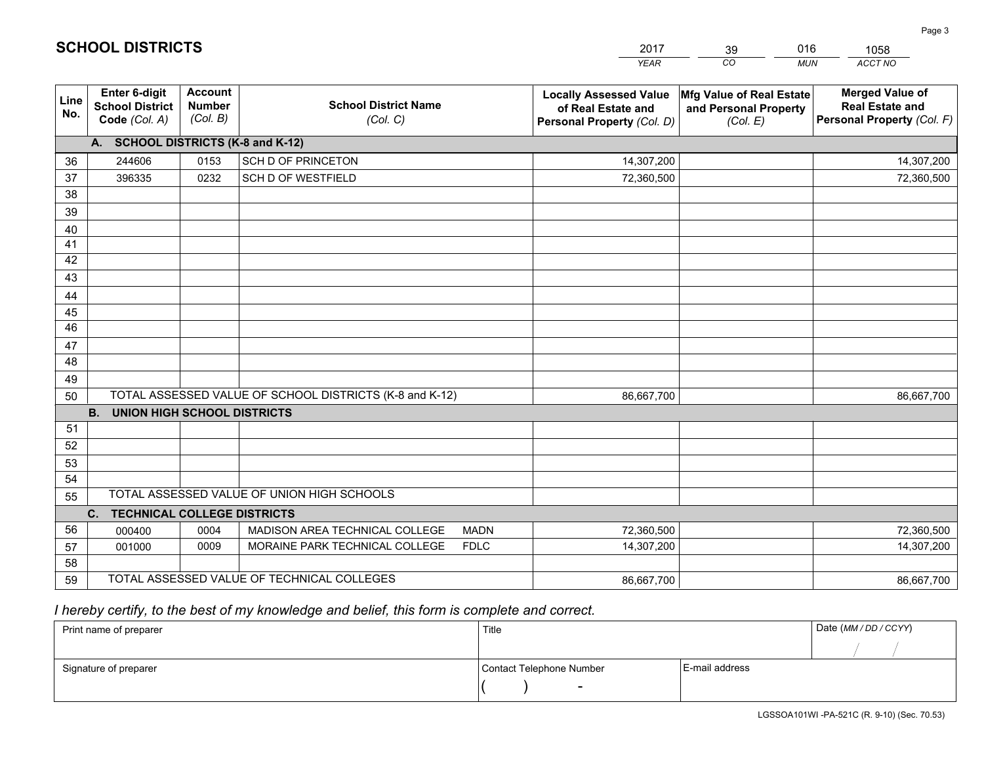|             |                                                          |                                             |                                                         | <b>YEAR</b>                                                                       | CO<br><b>MUN</b>                                              | ACCT NO                                                                        |
|-------------|----------------------------------------------------------|---------------------------------------------|---------------------------------------------------------|-----------------------------------------------------------------------------------|---------------------------------------------------------------|--------------------------------------------------------------------------------|
| Line<br>No. | Enter 6-digit<br><b>School District</b><br>Code (Col. A) | <b>Account</b><br><b>Number</b><br>(Col. B) | <b>School District Name</b><br>(Col. C)                 | <b>Locally Assessed Value</b><br>of Real Estate and<br>Personal Property (Col. D) | Mfg Value of Real Estate<br>and Personal Property<br>(Col. E) | <b>Merged Value of</b><br><b>Real Estate and</b><br>Personal Property (Col. F) |
|             | A. SCHOOL DISTRICTS (K-8 and K-12)                       |                                             |                                                         |                                                                                   |                                                               |                                                                                |
| 36          | 244606                                                   | 0153                                        | SCH D OF PRINCETON                                      | 14,307,200                                                                        |                                                               | 14,307,200                                                                     |
| 37          | 396335                                                   | 0232                                        | SCH D OF WESTFIELD                                      | 72,360,500                                                                        |                                                               | 72,360,500                                                                     |
| 38          |                                                          |                                             |                                                         |                                                                                   |                                                               |                                                                                |
| 39          |                                                          |                                             |                                                         |                                                                                   |                                                               |                                                                                |
| 40          |                                                          |                                             |                                                         |                                                                                   |                                                               |                                                                                |
| 41          |                                                          |                                             |                                                         |                                                                                   |                                                               |                                                                                |
| 42          |                                                          |                                             |                                                         |                                                                                   |                                                               |                                                                                |
| 43          |                                                          |                                             |                                                         |                                                                                   |                                                               |                                                                                |
| 44          |                                                          |                                             |                                                         |                                                                                   |                                                               |                                                                                |
| 45          |                                                          |                                             |                                                         |                                                                                   |                                                               |                                                                                |
| 46          |                                                          |                                             |                                                         |                                                                                   |                                                               |                                                                                |
| 47          |                                                          |                                             |                                                         |                                                                                   |                                                               |                                                                                |
| 48          |                                                          |                                             |                                                         |                                                                                   |                                                               |                                                                                |
| 49          |                                                          |                                             |                                                         |                                                                                   |                                                               |                                                                                |
| 50          |                                                          |                                             | TOTAL ASSESSED VALUE OF SCHOOL DISTRICTS (K-8 and K-12) | 86,667,700                                                                        |                                                               | 86,667,700                                                                     |
|             | <b>B.</b><br><b>UNION HIGH SCHOOL DISTRICTS</b>          |                                             |                                                         |                                                                                   |                                                               |                                                                                |
| 51          |                                                          |                                             |                                                         |                                                                                   |                                                               |                                                                                |
| 52          |                                                          |                                             |                                                         |                                                                                   |                                                               |                                                                                |
| 53          |                                                          |                                             |                                                         |                                                                                   |                                                               |                                                                                |
| 54          |                                                          |                                             |                                                         |                                                                                   |                                                               |                                                                                |
| 55          |                                                          |                                             | TOTAL ASSESSED VALUE OF UNION HIGH SCHOOLS              |                                                                                   |                                                               |                                                                                |
|             | C. TECHNICAL COLLEGE DISTRICTS                           |                                             |                                                         |                                                                                   |                                                               |                                                                                |
| 56          | 000400                                                   | 0004                                        | MADISON AREA TECHNICAL COLLEGE<br><b>MADN</b>           | 72,360,500                                                                        |                                                               | 72,360,500                                                                     |
| 57          | 001000                                                   | 0009                                        | MORAINE PARK TECHNICAL COLLEGE<br><b>FDLC</b>           | 14,307,200                                                                        |                                                               | 14,307,200                                                                     |
| 58          |                                                          |                                             |                                                         |                                                                                   |                                                               |                                                                                |
| 59          |                                                          |                                             | TOTAL ASSESSED VALUE OF TECHNICAL COLLEGES              | 86,667,700                                                                        |                                                               | 86,667,700                                                                     |

39

016

 *I hereby certify, to the best of my knowledge and belief, this form is complete and correct.*

**SCHOOL DISTRICTS**

| Print name of preparer | Title                    |                | Date (MM / DD / CCYY) |
|------------------------|--------------------------|----------------|-----------------------|
|                        |                          |                |                       |
| Signature of preparer  | Contact Telephone Number | E-mail address |                       |
|                        | $\overline{\phantom{0}}$ |                |                       |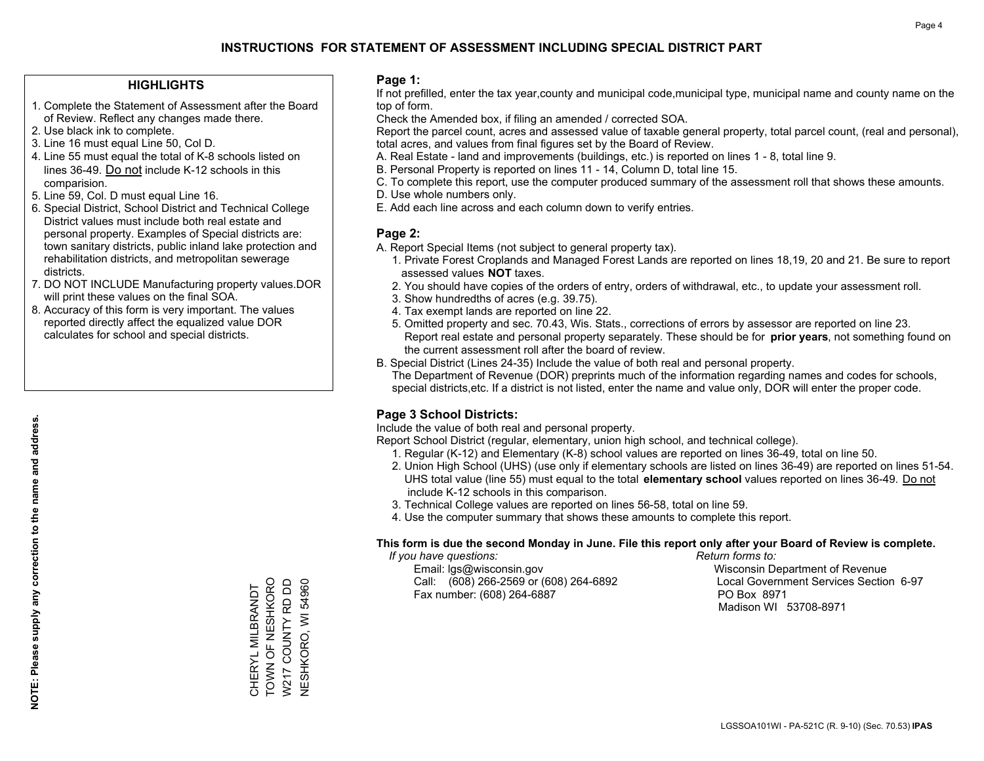### **HIGHLIGHTS**

- 1. Complete the Statement of Assessment after the Board of Review. Reflect any changes made there.
- 2. Use black ink to complete.
- 3. Line 16 must equal Line 50, Col D.
- 4. Line 55 must equal the total of K-8 schools listed on lines 36-49. Do not include K-12 schools in this comparision.
- 5. Line 59, Col. D must equal Line 16.
- 6. Special District, School District and Technical College District values must include both real estate and personal property. Examples of Special districts are: town sanitary districts, public inland lake protection and rehabilitation districts, and metropolitan sewerage districts.
- 7. DO NOT INCLUDE Manufacturing property values.DOR will print these values on the final SOA.

CHERYL MILBRANDT TOWN OF NESHKORO W217 COUNTY RD DD NESHKORO, WI 54960

CHERYL MILBRANDT<br>TOWN OF NESHKORO<br>W217 COUNTY RD DD

**NESHKORO, WI 54960** 

 8. Accuracy of this form is very important. The values reported directly affect the equalized value DOR calculates for school and special districts.

### **Page 1:**

 If not prefilled, enter the tax year,county and municipal code,municipal type, municipal name and county name on the top of form.

Check the Amended box, if filing an amended / corrected SOA.

 Report the parcel count, acres and assessed value of taxable general property, total parcel count, (real and personal), total acres, and values from final figures set by the Board of Review.

- A. Real Estate land and improvements (buildings, etc.) is reported on lines 1 8, total line 9.
- B. Personal Property is reported on lines 11 14, Column D, total line 15.
- C. To complete this report, use the computer produced summary of the assessment roll that shows these amounts.
- D. Use whole numbers only.
- E. Add each line across and each column down to verify entries.

### **Page 2:**

- A. Report Special Items (not subject to general property tax).
- 1. Private Forest Croplands and Managed Forest Lands are reported on lines 18,19, 20 and 21. Be sure to report assessed values **NOT** taxes.
- 2. You should have copies of the orders of entry, orders of withdrawal, etc., to update your assessment roll.
	- 3. Show hundredths of acres (e.g. 39.75).
- 4. Tax exempt lands are reported on line 22.
- 5. Omitted property and sec. 70.43, Wis. Stats., corrections of errors by assessor are reported on line 23. Report real estate and personal property separately. These should be for **prior years**, not something found on the current assessment roll after the board of review.
- B. Special District (Lines 24-35) Include the value of both real and personal property.

 The Department of Revenue (DOR) preprints much of the information regarding names and codes for schools, special districts,etc. If a district is not listed, enter the name and value only, DOR will enter the proper code.

## **Page 3 School Districts:**

Include the value of both real and personal property.

Report School District (regular, elementary, union high school, and technical college).

- 1. Regular (K-12) and Elementary (K-8) school values are reported on lines 36-49, total on line 50.
- 2. Union High School (UHS) (use only if elementary schools are listed on lines 36-49) are reported on lines 51-54. UHS total value (line 55) must equal to the total **elementary school** values reported on lines 36-49. Do notinclude K-12 schools in this comparison.
- 3. Technical College values are reported on lines 56-58, total on line 59.
- 4. Use the computer summary that shows these amounts to complete this report.

#### **This form is due the second Monday in June. File this report only after your Board of Review is complete.**

 *If you have questions: Return forms to:*

 Email: lgs@wisconsin.gov Wisconsin Department of RevenueCall:  $(608)$  266-2569 or  $(608)$  264-6892 Fax number: (608) 264-6887 PO Box 8971

Local Government Services Section 6-97 Madison WI 53708-8971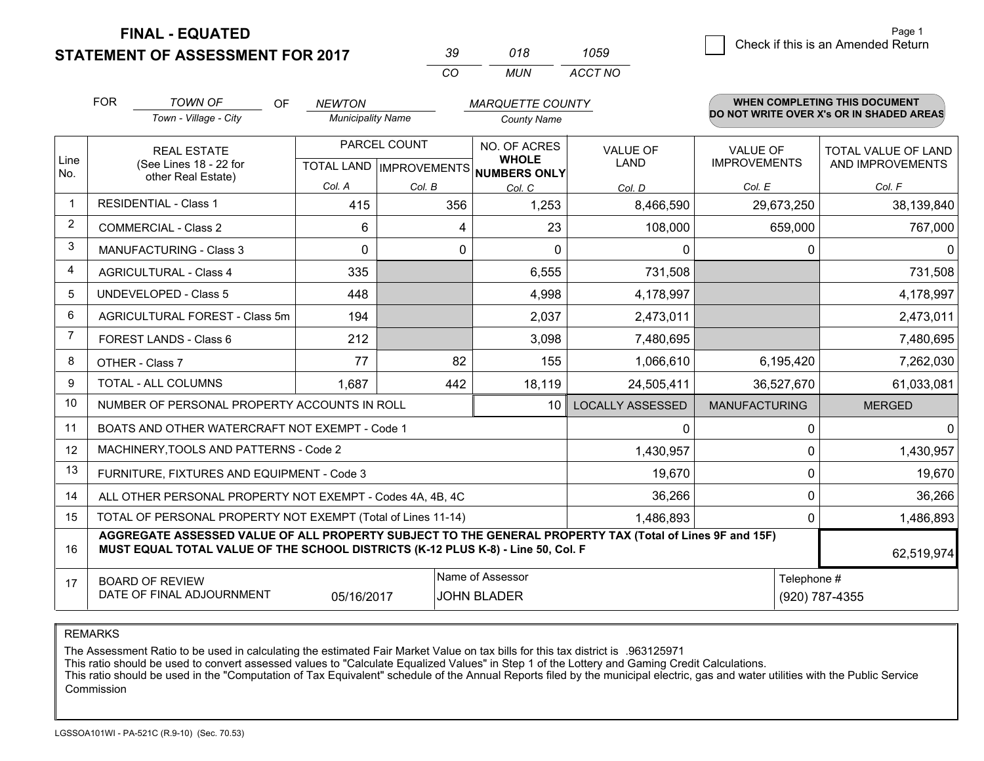**STATEMENT OF ASSESSMENT FOR 2017** 

| 30       | 018 | 1059    |
|----------|-----|---------|
| $\alpha$ | MUN | ACCT NO |

|                | <b>FOR</b>                                                                                                                                                                                                 | <b>TOWN OF</b><br>OF                         | <b>NEWTON</b>                             |        | <b>MARQUETTE COUNTY</b>      |                                |                                        | <b>WHEN COMPLETING THIS DOCUMENT</b>           |
|----------------|------------------------------------------------------------------------------------------------------------------------------------------------------------------------------------------------------------|----------------------------------------------|-------------------------------------------|--------|------------------------------|--------------------------------|----------------------------------------|------------------------------------------------|
|                |                                                                                                                                                                                                            | Town - Village - City                        | <b>Municipality Name</b>                  |        | <b>County Name</b>           |                                |                                        | DO NOT WRITE OVER X's OR IN SHADED AREAS       |
| Line           |                                                                                                                                                                                                            | <b>REAL ESTATE</b><br>(See Lines 18 - 22 for | PARCEL COUNT<br>TOTAL LAND   IMPROVEMENTS |        | NO. OF ACRES<br><b>WHOLE</b> | <b>VALUE OF</b><br><b>LAND</b> | <b>VALUE OF</b><br><b>IMPROVEMENTS</b> | <b>TOTAL VALUE OF LAND</b><br>AND IMPROVEMENTS |
| No.            |                                                                                                                                                                                                            | other Real Estate)                           |                                           |        | NUMBERS ONLY                 |                                |                                        |                                                |
| $\overline{1}$ |                                                                                                                                                                                                            | <b>RESIDENTIAL - Class 1</b>                 | Col. A                                    | Col. B | Col. C                       | Col. D                         | Col. E                                 | Col. F                                         |
|                |                                                                                                                                                                                                            |                                              | 415                                       | 356    | 1,253                        | 8,466,590                      | 29,673,250                             | 38,139,840                                     |
| 2              |                                                                                                                                                                                                            | <b>COMMERCIAL - Class 2</b>                  | 6                                         | 4      | 23                           | 108,000                        | 659,000                                | 767,000                                        |
| 3              |                                                                                                                                                                                                            | <b>MANUFACTURING - Class 3</b>               | $\Omega$                                  | 0      | $\Omega$                     | 0                              |                                        | $\Omega$<br>$\mathbf{0}$                       |
| $\overline{4}$ |                                                                                                                                                                                                            | <b>AGRICULTURAL - Class 4</b>                | 335                                       |        | 6,555                        | 731,508                        |                                        | 731,508                                        |
| 5              |                                                                                                                                                                                                            | <b>UNDEVELOPED - Class 5</b>                 | 448                                       |        | 4,998                        | 4,178,997                      |                                        | 4,178,997                                      |
| 6              |                                                                                                                                                                                                            | AGRICULTURAL FOREST - Class 5m               | 194                                       |        | 2,037                        | 2,473,011                      |                                        | 2,473,011                                      |
| 7              |                                                                                                                                                                                                            | FOREST LANDS - Class 6                       | 212                                       |        | 3,098                        | 7,480,695                      |                                        | 7,480,695                                      |
| 8              |                                                                                                                                                                                                            | OTHER - Class 7                              | 77                                        | 82     | 155                          | 1,066,610                      | 6,195,420                              | 7,262,030                                      |
| 9              |                                                                                                                                                                                                            | TOTAL - ALL COLUMNS                          | 1,687                                     | 442    | 18,119                       | 24,505,411                     | 36,527,670                             | 61,033,081                                     |
| 10             | NUMBER OF PERSONAL PROPERTY ACCOUNTS IN ROLL<br>10                                                                                                                                                         |                                              |                                           |        |                              | <b>LOCALLY ASSESSED</b>        | <b>MANUFACTURING</b>                   | <b>MERGED</b>                                  |
| 11             | BOATS AND OTHER WATERCRAFT NOT EXEMPT - Code 1<br>0                                                                                                                                                        |                                              |                                           |        |                              |                                |                                        | $\Omega$<br>$\Omega$                           |
| 12             | MACHINERY, TOOLS AND PATTERNS - Code 2<br>1,430,957                                                                                                                                                        |                                              |                                           |        |                              |                                |                                        | $\Omega$<br>1,430,957                          |
| 13             | FURNITURE, FIXTURES AND EQUIPMENT - Code 3<br>19,670                                                                                                                                                       |                                              |                                           |        |                              |                                |                                        | $\mathbf{0}$<br>19,670                         |
| 14             | 36,266<br>$\mathbf 0$<br>ALL OTHER PERSONAL PROPERTY NOT EXEMPT - Codes 4A, 4B, 4C                                                                                                                         |                                              |                                           |        |                              |                                |                                        | 36,266                                         |
| 15             | TOTAL OF PERSONAL PROPERTY NOT EXEMPT (Total of Lines 11-14)<br>1,486,893                                                                                                                                  |                                              |                                           |        |                              |                                |                                        | 1,486,893<br>$\mathbf 0$                       |
| 16             | AGGREGATE ASSESSED VALUE OF ALL PROPERTY SUBJECT TO THE GENERAL PROPERTY TAX (Total of Lines 9F and 15F)<br>MUST EQUAL TOTAL VALUE OF THE SCHOOL DISTRICTS (K-12 PLUS K-8) - Line 50, Col. F<br>62,519,974 |                                              |                                           |        |                              |                                |                                        |                                                |
| 17             |                                                                                                                                                                                                            | <b>BOARD OF REVIEW</b>                       |                                           |        | Name of Assessor             |                                |                                        | Telephone #                                    |
|                | DATE OF FINAL ADJOURNMENT<br>05/16/2017<br><b>JOHN BLADER</b><br>(920) 787-4355                                                                                                                            |                                              |                                           |        |                              |                                |                                        |                                                |

REMARKS

The Assessment Ratio to be used in calculating the estimated Fair Market Value on tax bills for this tax district is .963125971<br>This ratio should be used to convert assessed values to "Calculate Equalized Values" in Step 1 Commission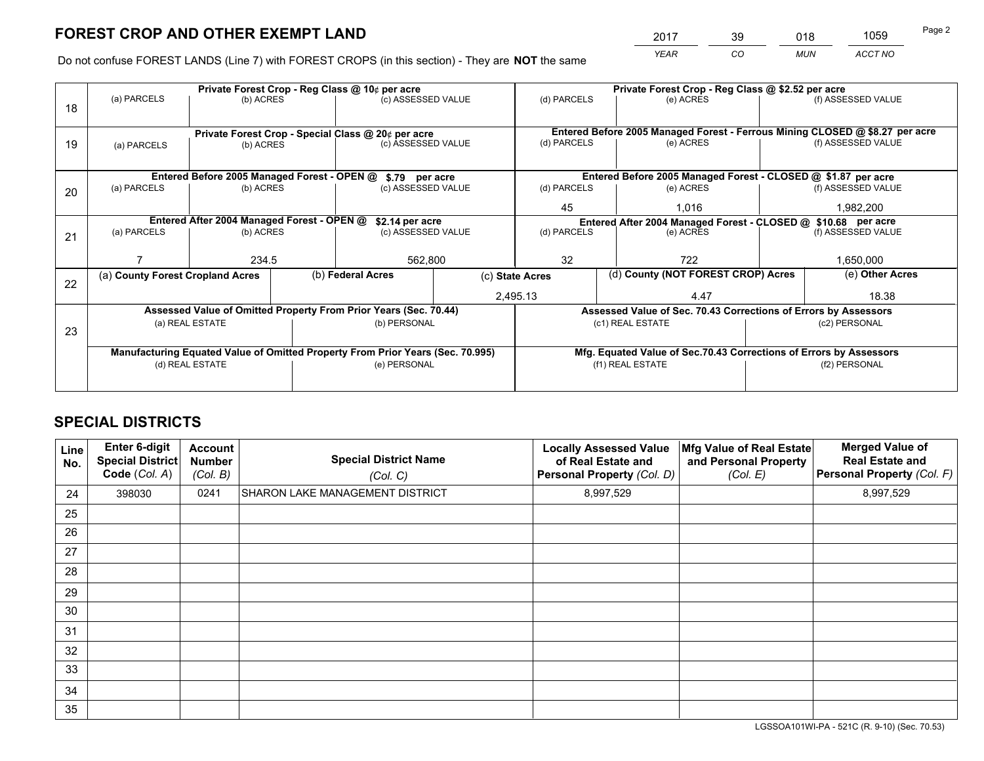*YEAR CO MUN ACCT NO* <sup>2017</sup> <sup>39</sup> <sup>018</sup> <sup>1059</sup>

Do not confuse FOREST LANDS (Line 7) with FOREST CROPS (in this section) - They are **NOT** the same

| Private Forest Crop - Reg Class @ 10¢ per acre |                                                                                |                                                |  |                                                                  |  | Private Forest Crop - Reg Class @ \$2.52 per acre                                   |                                                               |                                                                                                    |                    |  |
|------------------------------------------------|--------------------------------------------------------------------------------|------------------------------------------------|--|------------------------------------------------------------------|--|-------------------------------------------------------------------------------------|---------------------------------------------------------------|----------------------------------------------------------------------------------------------------|--------------------|--|
| 18                                             | (a) PARCELS                                                                    | (b) ACRES                                      |  | (c) ASSESSED VALUE                                               |  | (d) PARCELS                                                                         | (e) ACRES                                                     |                                                                                                    | (f) ASSESSED VALUE |  |
|                                                |                                                                                |                                                |  |                                                                  |  |                                                                                     |                                                               |                                                                                                    |                    |  |
| 19                                             | Private Forest Crop - Special Class @ 20¢ per acre<br>(b) ACRES                |                                                |  | (c) ASSESSED VALUE                                               |  | (d) PARCELS                                                                         | (e) ACRES                                                     | Entered Before 2005 Managed Forest - Ferrous Mining CLOSED @ \$8.27 per acre<br>(f) ASSESSED VALUE |                    |  |
|                                                | (a) PARCELS                                                                    |                                                |  |                                                                  |  |                                                                                     |                                                               |                                                                                                    |                    |  |
|                                                |                                                                                | Entered Before 2005 Managed Forest - OPEN @    |  |                                                                  |  |                                                                                     | Entered Before 2005 Managed Forest - CLOSED @ \$1.87 per acre |                                                                                                    |                    |  |
|                                                | (a) PARCELS                                                                    | (b) ACRES                                      |  | \$.79 per acre<br>(c) ASSESSED VALUE                             |  | (d) PARCELS<br>(e) ACRES                                                            |                                                               |                                                                                                    | (f) ASSESSED VALUE |  |
| 20                                             |                                                                                |                                                |  |                                                                  |  |                                                                                     |                                                               |                                                                                                    |                    |  |
|                                                |                                                                                |                                                |  |                                                                  |  | 45<br>1.016                                                                         |                                                               |                                                                                                    | 1,982,200          |  |
|                                                | Entered After 2004 Managed Forest - OPEN @<br>\$2.14 per acre                  |                                                |  |                                                                  |  | Entered After 2004 Managed Forest - CLOSED @ \$10.68 per acre<br>(f) ASSESSED VALUE |                                                               |                                                                                                    |                    |  |
| 21                                             |                                                                                | (a) PARCELS<br>(b) ACRES<br>(c) ASSESSED VALUE |  | (d) PARCELS                                                      |  | (e) ACRES                                                                           |                                                               |                                                                                                    |                    |  |
|                                                |                                                                                |                                                |  |                                                                  |  |                                                                                     |                                                               |                                                                                                    |                    |  |
|                                                |                                                                                | 234.5                                          |  | 562,800                                                          |  | 32                                                                                  | 722                                                           |                                                                                                    | 1,650,000          |  |
|                                                | (a) County Forest Cropland Acres                                               |                                                |  | (b) Federal Acres<br>(c) State Acres                             |  |                                                                                     | (d) County (NOT FOREST CROP) Acres                            |                                                                                                    | (e) Other Acres    |  |
| 22                                             |                                                                                |                                                |  |                                                                  |  | 2,495.13<br>4.47                                                                    |                                                               |                                                                                                    | 18.38              |  |
|                                                |                                                                                |                                                |  | Assessed Value of Omitted Property From Prior Years (Sec. 70.44) |  | Assessed Value of Sec. 70.43 Corrections of Errors by Assessors                     |                                                               |                                                                                                    |                    |  |
|                                                | (a) REAL ESTATE                                                                |                                                |  | (b) PERSONAL                                                     |  |                                                                                     | (c1) REAL ESTATE                                              |                                                                                                    | (c2) PERSONAL      |  |
| 23                                             |                                                                                |                                                |  |                                                                  |  |                                                                                     |                                                               |                                                                                                    |                    |  |
|                                                | Manufacturing Equated Value of Omitted Property From Prior Years (Sec. 70.995) |                                                |  |                                                                  |  | Mfg. Equated Value of Sec.70.43 Corrections of Errors by Assessors                  |                                                               |                                                                                                    |                    |  |
|                                                | (d) REAL ESTATE                                                                |                                                |  | (e) PERSONAL                                                     |  | (f1) REAL ESTATE                                                                    |                                                               |                                                                                                    | (f2) PERSONAL      |  |
|                                                |                                                                                |                                                |  |                                                                  |  |                                                                                     |                                                               |                                                                                                    |                    |  |
|                                                |                                                                                |                                                |  |                                                                  |  |                                                                                     |                                                               |                                                                                                    |                    |  |

## **SPECIAL DISTRICTS**

| Line<br>No. | Enter 6-digit<br><b>Special District</b><br>Code (Col. A) | <b>Account</b><br><b>Number</b><br>(Col. B) | <b>Special District Name</b><br>(Col. C) | <b>Locally Assessed Value</b><br>of Real Estate and<br>Personal Property (Col. D) | Mfg Value of Real Estate<br>and Personal Property<br>(Col. E) | <b>Merged Value of</b><br><b>Real Estate and</b><br>Personal Property (Col. F) |
|-------------|-----------------------------------------------------------|---------------------------------------------|------------------------------------------|-----------------------------------------------------------------------------------|---------------------------------------------------------------|--------------------------------------------------------------------------------|
| 24          | 398030                                                    | 0241                                        | SHARON LAKE MANAGEMENT DISTRICT          | 8,997,529                                                                         |                                                               | 8,997,529                                                                      |
| 25          |                                                           |                                             |                                          |                                                                                   |                                                               |                                                                                |
| 26          |                                                           |                                             |                                          |                                                                                   |                                                               |                                                                                |
| 27          |                                                           |                                             |                                          |                                                                                   |                                                               |                                                                                |
| 28          |                                                           |                                             |                                          |                                                                                   |                                                               |                                                                                |
| 29          |                                                           |                                             |                                          |                                                                                   |                                                               |                                                                                |
| 30          |                                                           |                                             |                                          |                                                                                   |                                                               |                                                                                |
| 31          |                                                           |                                             |                                          |                                                                                   |                                                               |                                                                                |
| 32          |                                                           |                                             |                                          |                                                                                   |                                                               |                                                                                |
| 33          |                                                           |                                             |                                          |                                                                                   |                                                               |                                                                                |
| 34          |                                                           |                                             |                                          |                                                                                   |                                                               |                                                                                |
| 35          |                                                           |                                             |                                          |                                                                                   |                                                               |                                                                                |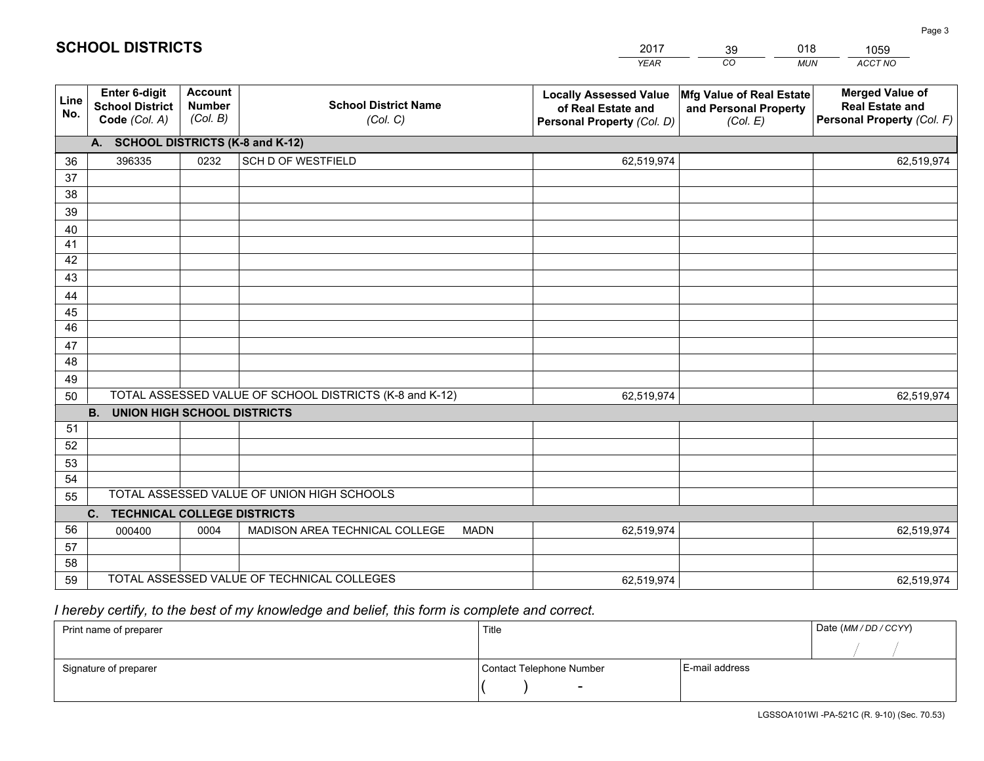|             |                                                          |                                             |                                                         | <b>YEAR</b>                                                                       | CO<br><b>MUN</b>                                              | ACCT NO                                                                        |  |  |  |  |  |
|-------------|----------------------------------------------------------|---------------------------------------------|---------------------------------------------------------|-----------------------------------------------------------------------------------|---------------------------------------------------------------|--------------------------------------------------------------------------------|--|--|--|--|--|
| Line<br>No. | Enter 6-digit<br><b>School District</b><br>Code (Col. A) | <b>Account</b><br><b>Number</b><br>(Col. B) | <b>School District Name</b><br>(Col. C)                 | <b>Locally Assessed Value</b><br>of Real Estate and<br>Personal Property (Col. D) | Mfg Value of Real Estate<br>and Personal Property<br>(Col. E) | <b>Merged Value of</b><br><b>Real Estate and</b><br>Personal Property (Col. F) |  |  |  |  |  |
|             | A. SCHOOL DISTRICTS (K-8 and K-12)                       |                                             |                                                         |                                                                                   |                                                               |                                                                                |  |  |  |  |  |
| 36          | 396335                                                   | 0232                                        | SCH D OF WESTFIELD                                      | 62,519,974                                                                        |                                                               | 62,519,974                                                                     |  |  |  |  |  |
| 37          |                                                          |                                             |                                                         |                                                                                   |                                                               |                                                                                |  |  |  |  |  |
| 38          |                                                          |                                             |                                                         |                                                                                   |                                                               |                                                                                |  |  |  |  |  |
| 39          |                                                          |                                             |                                                         |                                                                                   |                                                               |                                                                                |  |  |  |  |  |
| 40          |                                                          |                                             |                                                         |                                                                                   |                                                               |                                                                                |  |  |  |  |  |
| 41          |                                                          |                                             |                                                         |                                                                                   |                                                               |                                                                                |  |  |  |  |  |
| 42          |                                                          |                                             |                                                         |                                                                                   |                                                               |                                                                                |  |  |  |  |  |
| 43          |                                                          |                                             |                                                         |                                                                                   |                                                               |                                                                                |  |  |  |  |  |
| 44<br>45    |                                                          |                                             |                                                         |                                                                                   |                                                               |                                                                                |  |  |  |  |  |
| 46          |                                                          |                                             |                                                         |                                                                                   |                                                               |                                                                                |  |  |  |  |  |
| 47          |                                                          |                                             |                                                         |                                                                                   |                                                               |                                                                                |  |  |  |  |  |
| 48          |                                                          |                                             |                                                         |                                                                                   |                                                               |                                                                                |  |  |  |  |  |
| 49          |                                                          |                                             |                                                         |                                                                                   |                                                               |                                                                                |  |  |  |  |  |
| 50          |                                                          |                                             | TOTAL ASSESSED VALUE OF SCHOOL DISTRICTS (K-8 and K-12) | 62,519,974                                                                        |                                                               | 62,519,974                                                                     |  |  |  |  |  |
|             | <b>B.</b><br><b>UNION HIGH SCHOOL DISTRICTS</b>          |                                             |                                                         |                                                                                   |                                                               |                                                                                |  |  |  |  |  |
| 51          |                                                          |                                             |                                                         |                                                                                   |                                                               |                                                                                |  |  |  |  |  |
| 52          |                                                          |                                             |                                                         |                                                                                   |                                                               |                                                                                |  |  |  |  |  |
| 53          |                                                          |                                             |                                                         |                                                                                   |                                                               |                                                                                |  |  |  |  |  |
| 54          |                                                          |                                             |                                                         |                                                                                   |                                                               |                                                                                |  |  |  |  |  |
| 55          |                                                          |                                             | TOTAL ASSESSED VALUE OF UNION HIGH SCHOOLS              |                                                                                   |                                                               |                                                                                |  |  |  |  |  |
|             | C.<br><b>TECHNICAL COLLEGE DISTRICTS</b>                 |                                             |                                                         |                                                                                   |                                                               |                                                                                |  |  |  |  |  |
| 56          | 000400                                                   | 0004                                        | MADISON AREA TECHNICAL COLLEGE<br><b>MADN</b>           | 62,519,974                                                                        |                                                               | 62,519,974                                                                     |  |  |  |  |  |
| 57          |                                                          |                                             |                                                         |                                                                                   |                                                               |                                                                                |  |  |  |  |  |
| 58          |                                                          |                                             | TOTAL ASSESSED VALUE OF TECHNICAL COLLEGES              |                                                                                   |                                                               |                                                                                |  |  |  |  |  |
| 59          |                                                          |                                             |                                                         | 62,519,974                                                                        |                                                               | 62,519,974                                                                     |  |  |  |  |  |

39

018

 *I hereby certify, to the best of my knowledge and belief, this form is complete and correct.*

**SCHOOL DISTRICTS**

| Print name of preparer | Title                    |                | Date (MM / DD / CCYY) |
|------------------------|--------------------------|----------------|-----------------------|
|                        |                          |                |                       |
| Signature of preparer  | Contact Telephone Number | E-mail address |                       |
|                        | $\sim$                   |                |                       |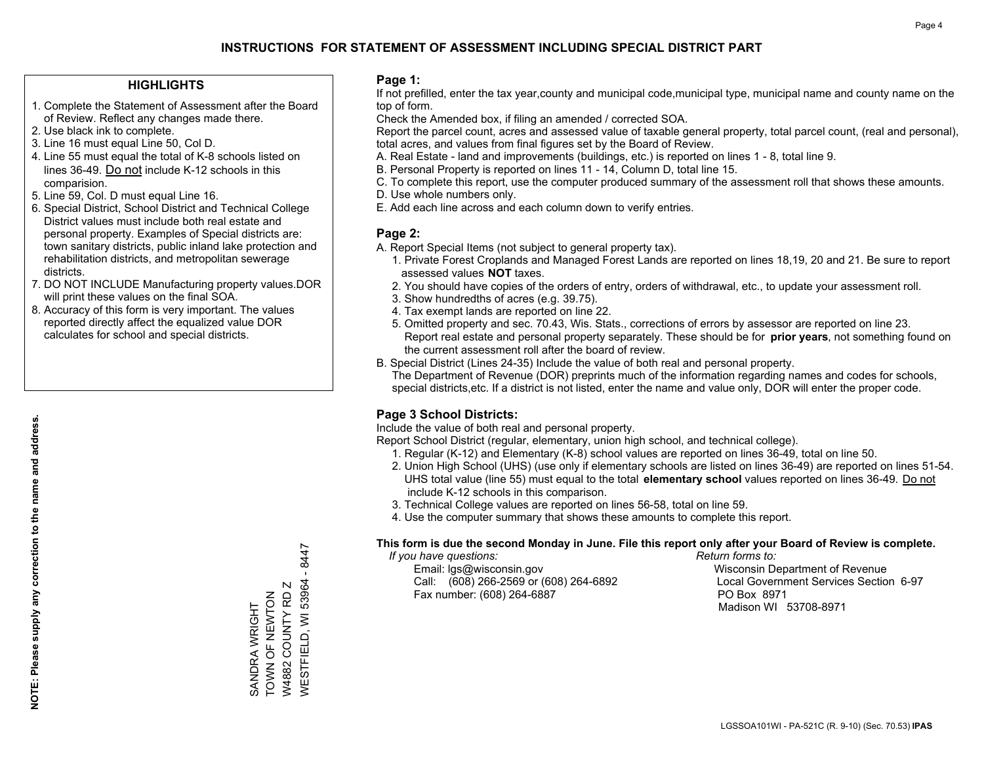### **HIGHLIGHTS**

- 1. Complete the Statement of Assessment after the Board of Review. Reflect any changes made there.
- 2. Use black ink to complete.
- 3. Line 16 must equal Line 50, Col D.
- 4. Line 55 must equal the total of K-8 schools listed on lines 36-49. Do not include K-12 schools in this comparision.
- 5. Line 59, Col. D must equal Line 16.
- 6. Special District, School District and Technical College District values must include both real estate and personal property. Examples of Special districts are: town sanitary districts, public inland lake protection and rehabilitation districts, and metropolitan sewerage districts.
- 7. DO NOT INCLUDE Manufacturing property values.DOR will print these values on the final SOA.
- 8. Accuracy of this form is very important. The values reported directly affect the equalized value DOR calculates for school and special districts.

### **Page 1:**

 If not prefilled, enter the tax year,county and municipal code,municipal type, municipal name and county name on the top of form.

Check the Amended box, if filing an amended / corrected SOA.

 Report the parcel count, acres and assessed value of taxable general property, total parcel count, (real and personal), total acres, and values from final figures set by the Board of Review.

- A. Real Estate land and improvements (buildings, etc.) is reported on lines 1 8, total line 9.
- B. Personal Property is reported on lines 11 14, Column D, total line 15.
- C. To complete this report, use the computer produced summary of the assessment roll that shows these amounts.
- D. Use whole numbers only.
- E. Add each line across and each column down to verify entries.

### **Page 2:**

- A. Report Special Items (not subject to general property tax).
- 1. Private Forest Croplands and Managed Forest Lands are reported on lines 18,19, 20 and 21. Be sure to report assessed values **NOT** taxes.
- 2. You should have copies of the orders of entry, orders of withdrawal, etc., to update your assessment roll.
	- 3. Show hundredths of acres (e.g. 39.75).
- 4. Tax exempt lands are reported on line 22.
- 5. Omitted property and sec. 70.43, Wis. Stats., corrections of errors by assessor are reported on line 23. Report real estate and personal property separately. These should be for **prior years**, not something found on the current assessment roll after the board of review.
- B. Special District (Lines 24-35) Include the value of both real and personal property.
- The Department of Revenue (DOR) preprints much of the information regarding names and codes for schools, special districts,etc. If a district is not listed, enter the name and value only, DOR will enter the proper code.

## **Page 3 School Districts:**

Include the value of both real and personal property.

Report School District (regular, elementary, union high school, and technical college).

- 1. Regular (K-12) and Elementary (K-8) school values are reported on lines 36-49, total on line 50.
- 2. Union High School (UHS) (use only if elementary schools are listed on lines 36-49) are reported on lines 51-54. UHS total value (line 55) must equal to the total **elementary school** values reported on lines 36-49. Do notinclude K-12 schools in this comparison.
- 3. Technical College values are reported on lines 56-58, total on line 59.
- 4. Use the computer summary that shows these amounts to complete this report.

#### **This form is due the second Monday in June. File this report only after your Board of Review is complete.**

 *If you have questions: Return forms to:*

 Email: lgs@wisconsin.gov Wisconsin Department of RevenueCall:  $(608)$  266-2569 or  $(608)$  264-6892 Fax number: (608) 264-6887 PO Box 8971

Local Government Services Section 6-97

Madison WI 53708-8971

 $-8447$ WESTFIELD, WI 53964 - 8447 **NESTFIELD, WI 53964** W4882 COUNTY RD Z W4882 COUNTY RD Z TOWN OF NEWTON SANDRA WRIGHT<br>TOWN OF NEWTON SANDRA WRIGHT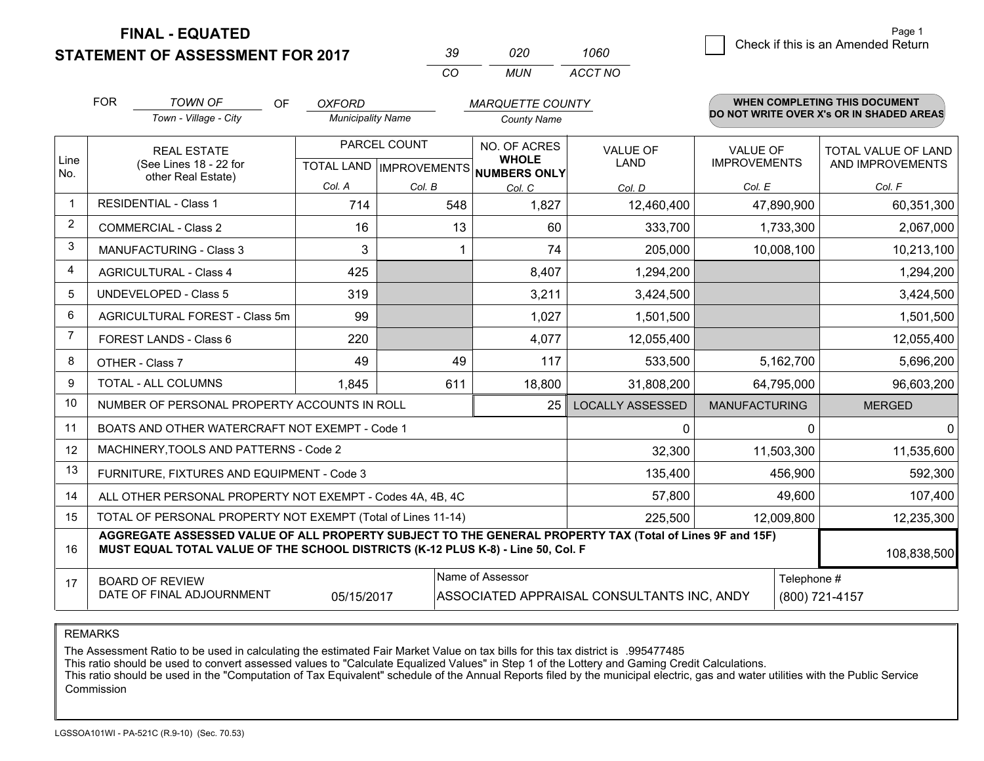**STATEMENT OF ASSESSMENT FOR 2017** 

| -39. | กวก | 1060    |
|------|-----|---------|
| CO.  | MUN | ACCT NO |

|                | <b>FOR</b>                                                                                                                                                                                   | <b>TOWN OF</b><br>OF                                         | <b>OXFORD</b>            |                                          | <b>MARQUETTE COUNTY</b>      |                                            |                      |                  | <b>WHEN COMPLETING THIS DOCUMENT</b>     |
|----------------|----------------------------------------------------------------------------------------------------------------------------------------------------------------------------------------------|--------------------------------------------------------------|--------------------------|------------------------------------------|------------------------------|--------------------------------------------|----------------------|------------------|------------------------------------------|
|                |                                                                                                                                                                                              | Town - Village - City                                        | <b>Municipality Name</b> |                                          | <b>County Name</b>           |                                            |                      |                  | DO NOT WRITE OVER X's OR IN SHADED AREAS |
| Line           |                                                                                                                                                                                              | <b>REAL ESTATE</b>                                           | PARCEL COUNT             |                                          | NO. OF ACRES<br><b>WHOLE</b> | <b>VALUE OF</b>                            | <b>VALUE OF</b>      |                  | TOTAL VALUE OF LAND                      |
| No.            | (See Lines 18 - 22 for<br>other Real Estate)                                                                                                                                                 |                                                              |                          | TOTAL LAND   IMPROVEMENTS   NUMBERS ONLY | LAND                         | <b>IMPROVEMENTS</b>                        |                      | AND IMPROVEMENTS |                                          |
|                |                                                                                                                                                                                              |                                                              | Col. A                   | Col. B                                   | Col. C                       | Col. D                                     | Col. E               |                  | Col. F                                   |
|                |                                                                                                                                                                                              | <b>RESIDENTIAL - Class 1</b>                                 | 714                      | 548                                      | 1,827                        | 12,460,400                                 |                      | 47,890,900       | 60,351,300                               |
| $\overline{2}$ |                                                                                                                                                                                              | <b>COMMERCIAL - Class 2</b>                                  | 16                       | 13                                       | 60                           | 333,700                                    |                      | 1,733,300        | 2,067,000                                |
| 3              |                                                                                                                                                                                              | <b>MANUFACTURING - Class 3</b>                               | 3                        |                                          | 74                           | 205,000                                    |                      | 10,008,100       | 10,213,100                               |
| $\overline{4}$ |                                                                                                                                                                                              | <b>AGRICULTURAL - Class 4</b>                                | 425                      |                                          | 8,407                        | 1,294,200                                  |                      |                  | 1,294,200                                |
| 5              |                                                                                                                                                                                              | <b>UNDEVELOPED - Class 5</b>                                 | 319                      |                                          | 3,211                        | 3,424,500                                  |                      |                  | 3,424,500                                |
| 6              |                                                                                                                                                                                              | AGRICULTURAL FOREST - Class 5m                               | 99                       |                                          | 1,027                        | 1,501,500                                  |                      |                  | 1,501,500                                |
| 7              |                                                                                                                                                                                              | FOREST LANDS - Class 6                                       | 220                      |                                          | 4,077                        | 12,055,400                                 |                      |                  | 12,055,400                               |
| 8              |                                                                                                                                                                                              | OTHER - Class 7                                              | 49                       | 49                                       | 117                          | 533,500                                    |                      | 5,162,700        | 5,696,200                                |
| 9              |                                                                                                                                                                                              | TOTAL - ALL COLUMNS                                          | 1,845                    | 611                                      | 18,800                       | 31,808,200                                 |                      | 64,795,000       | 96,603,200                               |
| 10             |                                                                                                                                                                                              | NUMBER OF PERSONAL PROPERTY ACCOUNTS IN ROLL                 |                          |                                          | 25                           | <b>LOCALLY ASSESSED</b>                    | <b>MANUFACTURING</b> |                  | <b>MERGED</b>                            |
| 11             |                                                                                                                                                                                              | BOATS AND OTHER WATERCRAFT NOT EXEMPT - Code 1               |                          |                                          |                              | $\mathbf{0}$                               |                      | $\Omega$         | $\Omega$                                 |
| 12             |                                                                                                                                                                                              | MACHINERY, TOOLS AND PATTERNS - Code 2                       |                          |                                          |                              | 32,300                                     |                      | 11,503,300       | 11,535,600                               |
| 13             |                                                                                                                                                                                              | FURNITURE, FIXTURES AND EQUIPMENT - Code 3                   |                          |                                          |                              | 135,400                                    |                      | 456,900          | 592,300                                  |
| 14             |                                                                                                                                                                                              | ALL OTHER PERSONAL PROPERTY NOT EXEMPT - Codes 4A, 4B, 4C    |                          |                                          |                              | 57,800                                     |                      | 49,600           | 107,400                                  |
| 15             |                                                                                                                                                                                              | TOTAL OF PERSONAL PROPERTY NOT EXEMPT (Total of Lines 11-14) |                          | 225,500                                  |                              | 12,009,800                                 | 12,235,300           |                  |                                          |
| 16             | AGGREGATE ASSESSED VALUE OF ALL PROPERTY SUBJECT TO THE GENERAL PROPERTY TAX (Total of Lines 9F and 15F)<br>MUST EQUAL TOTAL VALUE OF THE SCHOOL DISTRICTS (K-12 PLUS K-8) - Line 50, Col. F |                                                              |                          |                                          |                              |                                            | 108,838,500          |                  |                                          |
| 17             |                                                                                                                                                                                              | <b>BOARD OF REVIEW</b>                                       |                          |                                          | Name of Assessor             |                                            |                      | Telephone #      |                                          |
|                |                                                                                                                                                                                              | DATE OF FINAL ADJOURNMENT                                    | 05/15/2017               |                                          |                              | ASSOCIATED APPRAISAL CONSULTANTS INC, ANDY |                      |                  | (800) 721-4157                           |

REMARKS

The Assessment Ratio to be used in calculating the estimated Fair Market Value on tax bills for this tax district is .995477485

This ratio should be used to convert assessed values to "Calculate Equalized Values" in Step 1 of the Lottery and Gaming Credit Calculations.<br>This ratio should be used in the "Computation of Tax Equivalent" schedule of the Commission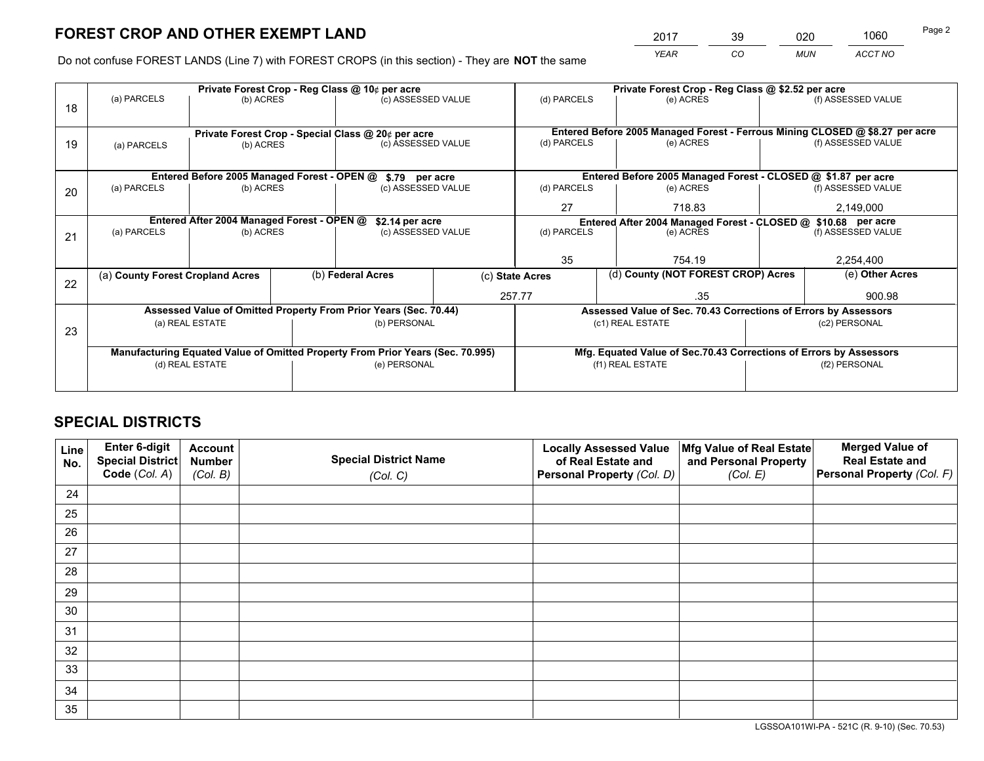*YEAR CO MUN ACCT NO* <sup>2017</sup> <sup>39</sup> <sup>020</sup> <sup>1060</sup>

Do not confuse FOREST LANDS (Line 7) with FOREST CROPS (in this section) - They are **NOT** the same

|    |                                                                                |                                             |  | Private Forest Crop - Reg Class @ 10¢ per acre                   |                    | Private Forest Crop - Reg Class @ \$2.52 per acre     |                                                                                           |  |                    |  |
|----|--------------------------------------------------------------------------------|---------------------------------------------|--|------------------------------------------------------------------|--------------------|-------------------------------------------------------|-------------------------------------------------------------------------------------------|--|--------------------|--|
| 18 | (a) PARCELS                                                                    | (b) ACRES                                   |  | (c) ASSESSED VALUE                                               |                    | (d) PARCELS                                           | (e) ACRES                                                                                 |  | (f) ASSESSED VALUE |  |
|    |                                                                                |                                             |  |                                                                  |                    |                                                       |                                                                                           |  |                    |  |
| 19 | Private Forest Crop - Special Class @ 20¢ per acre<br>(b) ACRES                |                                             |  | (c) ASSESSED VALUE                                               |                    | (d) PARCELS                                           | Entered Before 2005 Managed Forest - Ferrous Mining CLOSED @ \$8.27 per acre<br>(e) ACRES |  | (f) ASSESSED VALUE |  |
|    | (a) PARCELS                                                                    |                                             |  |                                                                  |                    |                                                       |                                                                                           |  |                    |  |
|    |                                                                                |                                             |  |                                                                  |                    |                                                       |                                                                                           |  |                    |  |
|    |                                                                                | Entered Before 2005 Managed Forest - OPEN @ |  | \$.79 per acre                                                   |                    |                                                       | Entered Before 2005 Managed Forest - CLOSED @ \$1.87 per acre                             |  |                    |  |
| 20 | (a) PARCELS                                                                    | (b) ACRES                                   |  | (c) ASSESSED VALUE                                               |                    | (d) PARCELS                                           | (e) ACRES                                                                                 |  | (f) ASSESSED VALUE |  |
|    |                                                                                |                                             |  |                                                                  |                    |                                                       |                                                                                           |  |                    |  |
|    |                                                                                |                                             |  |                                                                  |                    |                                                       | 27<br>718.83                                                                              |  | 2,149,000          |  |
|    | Entered After 2004 Managed Forest - OPEN @                                     |                                             |  | \$2.14 per acre                                                  |                    |                                                       | Entered After 2004 Managed Forest - CLOSED @ \$10.68 per acre<br>(d) PARCELS<br>(e) ACRES |  |                    |  |
| 21 | (a) PARCELS                                                                    | (b) ACRES                                   |  |                                                                  | (c) ASSESSED VALUE |                                                       |                                                                                           |  | (f) ASSESSED VALUE |  |
|    |                                                                                |                                             |  |                                                                  |                    |                                                       |                                                                                           |  |                    |  |
|    |                                                                                |                                             |  |                                                                  |                    | 35                                                    | 754.19                                                                                    |  |                    |  |
|    | (a) County Forest Cropland Acres                                               |                                             |  | (b) Federal Acres                                                |                    | (d) County (NOT FOREST CROP) Acres<br>(c) State Acres |                                                                                           |  | (e) Other Acres    |  |
| 22 |                                                                                |                                             |  |                                                                  |                    |                                                       |                                                                                           |  |                    |  |
|    |                                                                                |                                             |  |                                                                  |                    | 257.77                                                | .35                                                                                       |  | 900.98             |  |
|    |                                                                                |                                             |  | Assessed Value of Omitted Property From Prior Years (Sec. 70.44) |                    |                                                       | Assessed Value of Sec. 70.43 Corrections of Errors by Assessors                           |  |                    |  |
| 23 |                                                                                | (a) REAL ESTATE                             |  | (b) PERSONAL                                                     |                    |                                                       | (c1) REAL ESTATE                                                                          |  | (c2) PERSONAL      |  |
|    |                                                                                |                                             |  |                                                                  |                    |                                                       |                                                                                           |  |                    |  |
|    | Manufacturing Equated Value of Omitted Property From Prior Years (Sec. 70.995) |                                             |  |                                                                  |                    |                                                       | Mfg. Equated Value of Sec.70.43 Corrections of Errors by Assessors                        |  |                    |  |
|    |                                                                                | (d) REAL ESTATE                             |  | (e) PERSONAL                                                     |                    | (f1) REAL ESTATE                                      |                                                                                           |  | (f2) PERSONAL      |  |
|    |                                                                                |                                             |  |                                                                  |                    |                                                       |                                                                                           |  |                    |  |
|    |                                                                                |                                             |  |                                                                  |                    |                                                       |                                                                                           |  |                    |  |

## **SPECIAL DISTRICTS**

| Line<br>No. | Enter 6-digit<br><b>Special District</b> | <b>Account</b><br><b>Number</b> | <b>Special District Name</b> | <b>Locally Assessed Value</b><br>of Real Estate and | Mfg Value of Real Estate<br>and Personal Property | <b>Merged Value of</b><br><b>Real Estate and</b> |
|-------------|------------------------------------------|---------------------------------|------------------------------|-----------------------------------------------------|---------------------------------------------------|--------------------------------------------------|
|             | Code (Col. A)                            | (Col. B)                        | (Col. C)                     | Personal Property (Col. D)                          | (Col. E)                                          | Personal Property (Col. F)                       |
| 24          |                                          |                                 |                              |                                                     |                                                   |                                                  |
| 25          |                                          |                                 |                              |                                                     |                                                   |                                                  |
| 26          |                                          |                                 |                              |                                                     |                                                   |                                                  |
| 27          |                                          |                                 |                              |                                                     |                                                   |                                                  |
| 28          |                                          |                                 |                              |                                                     |                                                   |                                                  |
| 29          |                                          |                                 |                              |                                                     |                                                   |                                                  |
| 30          |                                          |                                 |                              |                                                     |                                                   |                                                  |
| 31          |                                          |                                 |                              |                                                     |                                                   |                                                  |
| 32          |                                          |                                 |                              |                                                     |                                                   |                                                  |
| 33          |                                          |                                 |                              |                                                     |                                                   |                                                  |
| 34          |                                          |                                 |                              |                                                     |                                                   |                                                  |
| 35          |                                          |                                 |                              |                                                     |                                                   |                                                  |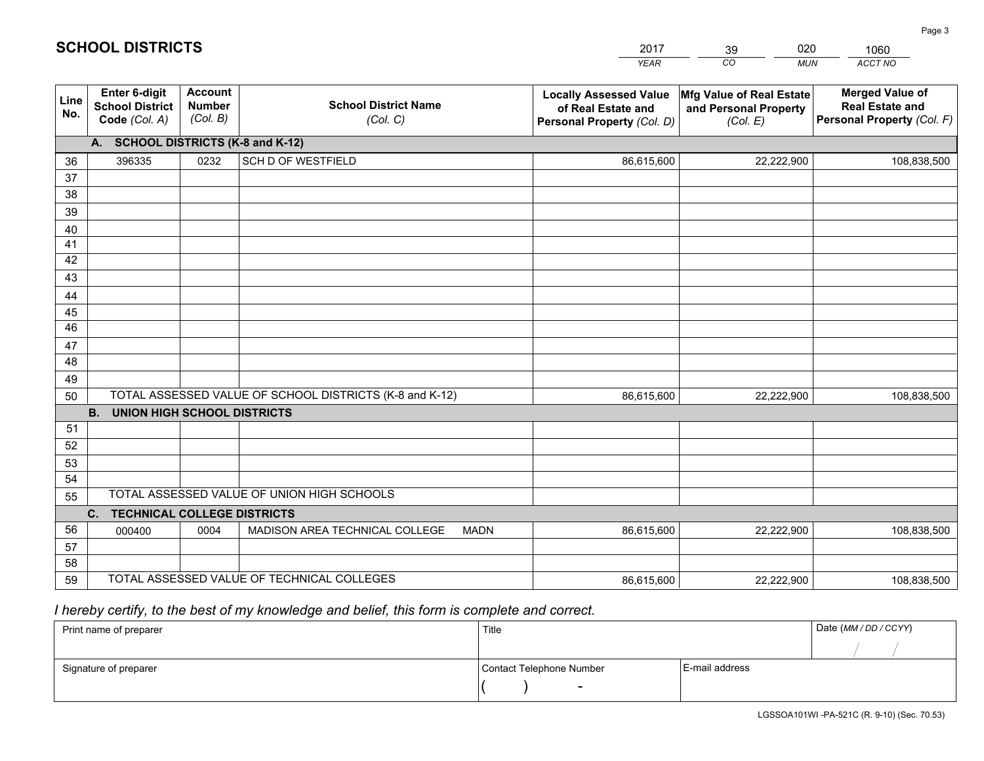|             |                                                                 |                                             |                                                         | <b>YEAR</b>                                                                       | CO<br><b>MUN</b>                                              | ACCT NO                                                                        |
|-------------|-----------------------------------------------------------------|---------------------------------------------|---------------------------------------------------------|-----------------------------------------------------------------------------------|---------------------------------------------------------------|--------------------------------------------------------------------------------|
| Line<br>No. | <b>Enter 6-digit</b><br><b>School District</b><br>Code (Col. A) | <b>Account</b><br><b>Number</b><br>(Col. B) | <b>School District Name</b><br>(Col. C)                 | <b>Locally Assessed Value</b><br>of Real Estate and<br>Personal Property (Col. D) | Mfg Value of Real Estate<br>and Personal Property<br>(Col. E) | <b>Merged Value of</b><br><b>Real Estate and</b><br>Personal Property (Col. F) |
|             | A. SCHOOL DISTRICTS (K-8 and K-12)                              |                                             |                                                         |                                                                                   |                                                               |                                                                                |
| 36          | 396335                                                          | 0232                                        | SCH D OF WESTFIELD                                      | 86,615,600                                                                        | 22,222,900                                                    | 108,838,500                                                                    |
| 37          |                                                                 |                                             |                                                         |                                                                                   |                                                               |                                                                                |
| 38          |                                                                 |                                             |                                                         |                                                                                   |                                                               |                                                                                |
| 39          |                                                                 |                                             |                                                         |                                                                                   |                                                               |                                                                                |
| 40          |                                                                 |                                             |                                                         |                                                                                   |                                                               |                                                                                |
| 41<br>42    |                                                                 |                                             |                                                         |                                                                                   |                                                               |                                                                                |
| 43          |                                                                 |                                             |                                                         |                                                                                   |                                                               |                                                                                |
| 44          |                                                                 |                                             |                                                         |                                                                                   |                                                               |                                                                                |
| 45          |                                                                 |                                             |                                                         |                                                                                   |                                                               |                                                                                |
| 46          |                                                                 |                                             |                                                         |                                                                                   |                                                               |                                                                                |
| 47          |                                                                 |                                             |                                                         |                                                                                   |                                                               |                                                                                |
| 48          |                                                                 |                                             |                                                         |                                                                                   |                                                               |                                                                                |
| 49          |                                                                 |                                             |                                                         |                                                                                   |                                                               |                                                                                |
| 50          |                                                                 |                                             | TOTAL ASSESSED VALUE OF SCHOOL DISTRICTS (K-8 and K-12) | 86,615,600                                                                        | 22,222,900                                                    | 108,838,500                                                                    |
|             | <b>B. UNION HIGH SCHOOL DISTRICTS</b>                           |                                             |                                                         |                                                                                   |                                                               |                                                                                |
| 51          |                                                                 |                                             |                                                         |                                                                                   |                                                               |                                                                                |
| 52          |                                                                 |                                             |                                                         |                                                                                   |                                                               |                                                                                |
| 53<br>54    |                                                                 |                                             |                                                         |                                                                                   |                                                               |                                                                                |
| 55          |                                                                 |                                             | TOTAL ASSESSED VALUE OF UNION HIGH SCHOOLS              |                                                                                   |                                                               |                                                                                |
|             | C.<br><b>TECHNICAL COLLEGE DISTRICTS</b>                        |                                             |                                                         |                                                                                   |                                                               |                                                                                |
| 56          | 000400                                                          | 0004                                        | MADISON AREA TECHNICAL COLLEGE<br><b>MADN</b>           | 86,615,600                                                                        | 22,222,900                                                    | 108,838,500                                                                    |
| 57          |                                                                 |                                             |                                                         |                                                                                   |                                                               |                                                                                |
| 58          |                                                                 |                                             |                                                         |                                                                                   |                                                               |                                                                                |
| 59          |                                                                 |                                             | TOTAL ASSESSED VALUE OF TECHNICAL COLLEGES              | 86,615,600                                                                        | 22,222,900                                                    | 108,838,500                                                                    |

39

020

 *I hereby certify, to the best of my knowledge and belief, this form is complete and correct.*

**SCHOOL DISTRICTS**

| Print name of preparer | Title                    |                | Date (MM / DD / CCYY) |
|------------------------|--------------------------|----------------|-----------------------|
|                        |                          |                |                       |
| Signature of preparer  | Contact Telephone Number | E-mail address |                       |
|                        | $\sim$                   |                |                       |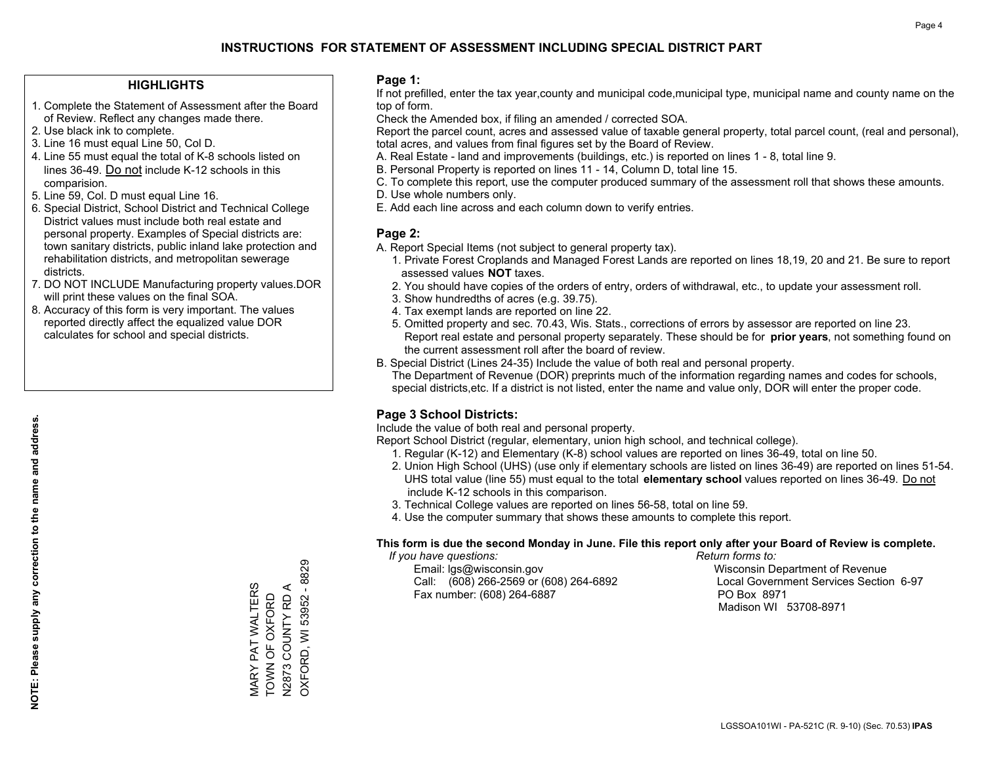## **HIGHLIGHTS**

- 1. Complete the Statement of Assessment after the Board of Review. Reflect any changes made there.
- 2. Use black ink to complete.
- 3. Line 16 must equal Line 50, Col D.
- 4. Line 55 must equal the total of K-8 schools listed on lines 36-49. Do not include K-12 schools in this comparision.
- 5. Line 59, Col. D must equal Line 16.
- 6. Special District, School District and Technical College District values must include both real estate and personal property. Examples of Special districts are: town sanitary districts, public inland lake protection and rehabilitation districts, and metropolitan sewerage districts.
- 7. DO NOT INCLUDE Manufacturing property values.DOR will print these values on the final SOA.

MARY PAT WALTERS TOWN OF OXFORD N2873 COUNTY RD A OXFORD, WI 53952 - 8829

**VIARY PAT WALTERS**<br>TOWN OF OXFORD N2873 COUNTY RD A

OXFORD, WI 53952 - 8829

 8. Accuracy of this form is very important. The values reported directly affect the equalized value DOR calculates for school and special districts.

#### **Page 1:**

 If not prefilled, enter the tax year,county and municipal code,municipal type, municipal name and county name on the top of form.

Check the Amended box, if filing an amended / corrected SOA.

 Report the parcel count, acres and assessed value of taxable general property, total parcel count, (real and personal), total acres, and values from final figures set by the Board of Review.

- A. Real Estate land and improvements (buildings, etc.) is reported on lines 1 8, total line 9.
- B. Personal Property is reported on lines 11 14, Column D, total line 15.
- C. To complete this report, use the computer produced summary of the assessment roll that shows these amounts.
- D. Use whole numbers only.
- E. Add each line across and each column down to verify entries.

## **Page 2:**

- A. Report Special Items (not subject to general property tax).
- 1. Private Forest Croplands and Managed Forest Lands are reported on lines 18,19, 20 and 21. Be sure to report assessed values **NOT** taxes.
- 2. You should have copies of the orders of entry, orders of withdrawal, etc., to update your assessment roll.
	- 3. Show hundredths of acres (e.g. 39.75).
- 4. Tax exempt lands are reported on line 22.
- 5. Omitted property and sec. 70.43, Wis. Stats., corrections of errors by assessor are reported on line 23. Report real estate and personal property separately. These should be for **prior years**, not something found on the current assessment roll after the board of review.
- B. Special District (Lines 24-35) Include the value of both real and personal property.
- The Department of Revenue (DOR) preprints much of the information regarding names and codes for schools, special districts,etc. If a district is not listed, enter the name and value only, DOR will enter the proper code.

## **Page 3 School Districts:**

Include the value of both real and personal property.

Report School District (regular, elementary, union high school, and technical college).

- 1. Regular (K-12) and Elementary (K-8) school values are reported on lines 36-49, total on line 50.
- 2. Union High School (UHS) (use only if elementary schools are listed on lines 36-49) are reported on lines 51-54. UHS total value (line 55) must equal to the total **elementary school** values reported on lines 36-49. Do notinclude K-12 schools in this comparison.
- 3. Technical College values are reported on lines 56-58, total on line 59.
- 4. Use the computer summary that shows these amounts to complete this report.

#### **This form is due the second Monday in June. File this report only after your Board of Review is complete.**

 *If you have questions: Return forms to:*

 Email: lgs@wisconsin.gov Wisconsin Department of RevenueCall:  $(608)$  266-2569 or  $(608)$  264-6892 Fax number: (608) 264-6887 PO Box 8971

Local Government Services Section 6-97 Madison WI 53708-8971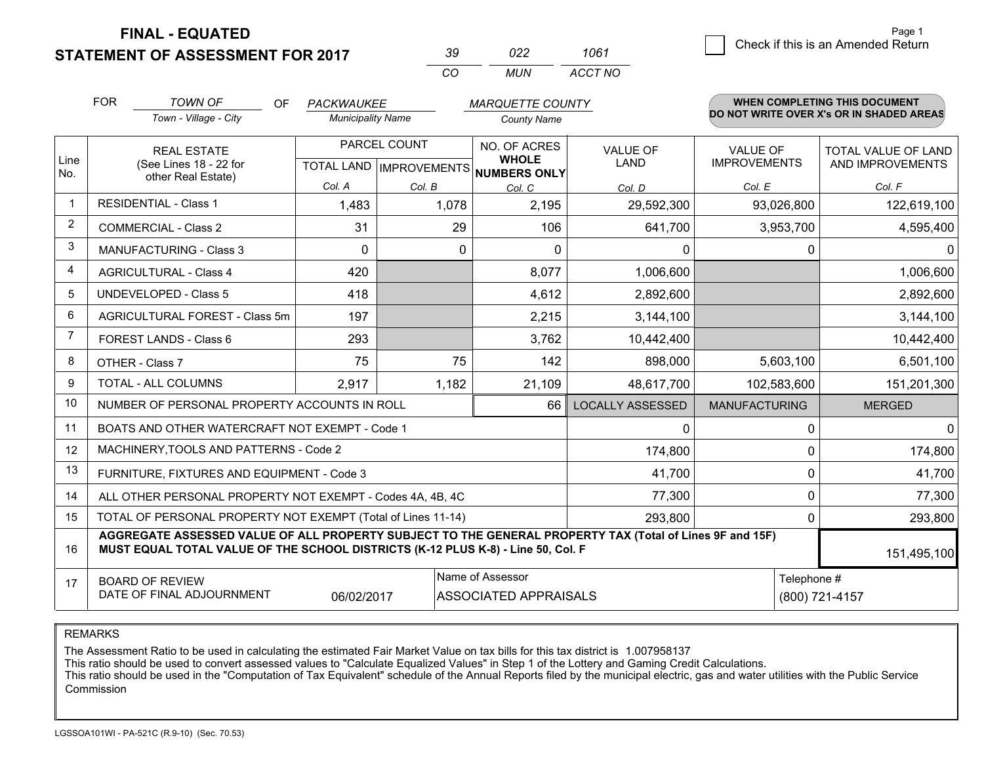**STATEMENT OF ASSESSMENT FOR 2017** 

| ∢∪       | פפח   | 1061    |
|----------|-------|---------|
| $\cdots$ | MI IN | ACCT NO |

|                | <b>FOR</b><br><b>TOWN OF</b><br>OF.<br>PACKWAUKEE<br><b>MARQUETTE COUNTY</b>                                                                                                                 |                                                              | <b>WHEN COMPLETING THIS DOCUMENT</b> |              |                                                                      |                                |                                        |                                          |
|----------------|----------------------------------------------------------------------------------------------------------------------------------------------------------------------------------------------|--------------------------------------------------------------|--------------------------------------|--------------|----------------------------------------------------------------------|--------------------------------|----------------------------------------|------------------------------------------|
|                |                                                                                                                                                                                              | Town - Village - City                                        | <b>Municipality Name</b>             |              | <b>County Name</b>                                                   |                                |                                        | DO NOT WRITE OVER X's OR IN SHADED AREAS |
| Line           | <b>REAL ESTATE</b><br>(See Lines 18 - 22 for                                                                                                                                                 |                                                              |                                      | PARCEL COUNT | NO. OF ACRES<br><b>WHOLE</b><br>TOTAL LAND IMPROVEMENTS NUMBERS ONLY | <b>VALUE OF</b><br><b>LAND</b> | <b>VALUE OF</b><br><b>IMPROVEMENTS</b> | TOTAL VALUE OF LAND<br>AND IMPROVEMENTS  |
| No.            |                                                                                                                                                                                              | other Real Estate)                                           | Col. A                               | Col. B       | Col. C                                                               | Col. D                         | Col. E                                 | Col. F                                   |
| $\mathbf{1}$   |                                                                                                                                                                                              | <b>RESIDENTIAL - Class 1</b>                                 | 1,483                                | 1,078        | 2,195                                                                | 29,592,300                     | 93,026,800                             | 122,619,100                              |
| $\overline{2}$ |                                                                                                                                                                                              | <b>COMMERCIAL - Class 2</b>                                  | 31                                   | 29           | 106                                                                  | 641,700                        | 3,953,700                              | 4,595,400                                |
| 3              |                                                                                                                                                                                              | <b>MANUFACTURING - Class 3</b>                               | $\Omega$                             | $\Omega$     | $\Omega$                                                             | 0                              | 0                                      | $\Omega$                                 |
| $\overline{4}$ |                                                                                                                                                                                              | <b>AGRICULTURAL - Class 4</b>                                | 420                                  |              | 8,077                                                                | 1,006,600                      |                                        | 1,006,600                                |
| 5              |                                                                                                                                                                                              | <b>UNDEVELOPED - Class 5</b>                                 | 418                                  |              | 4,612                                                                | 2,892,600                      |                                        | 2,892,600                                |
| 6              |                                                                                                                                                                                              | AGRICULTURAL FOREST - Class 5m                               | 197                                  |              | 2,215                                                                | 3,144,100                      |                                        | 3,144,100                                |
| $\overline{7}$ |                                                                                                                                                                                              | FOREST LANDS - Class 6                                       | 293                                  |              | 3,762                                                                | 10,442,400                     |                                        | 10,442,400                               |
| 8              |                                                                                                                                                                                              | OTHER - Class 7                                              | 75                                   | 75           | 142                                                                  | 898,000                        | 5,603,100                              | 6,501,100                                |
| 9              |                                                                                                                                                                                              | TOTAL - ALL COLUMNS                                          | 2,917                                | 1,182        | 21,109                                                               | 48,617,700                     | 102,583,600                            | 151,201,300                              |
| 10             |                                                                                                                                                                                              | NUMBER OF PERSONAL PROPERTY ACCOUNTS IN ROLL                 |                                      |              | 66                                                                   | <b>LOCALLY ASSESSED</b>        | <b>MANUFACTURING</b>                   | <b>MERGED</b>                            |
| 11             |                                                                                                                                                                                              | BOATS AND OTHER WATERCRAFT NOT EXEMPT - Code 1               |                                      |              |                                                                      | 0                              | 0                                      | $\overline{0}$                           |
| 12             |                                                                                                                                                                                              | MACHINERY, TOOLS AND PATTERNS - Code 2                       |                                      |              |                                                                      | 174,800                        | 0                                      | 174,800                                  |
| 13             |                                                                                                                                                                                              | FURNITURE, FIXTURES AND EQUIPMENT - Code 3                   |                                      |              |                                                                      | 41,700                         | 0                                      | 41,700                                   |
| 14             |                                                                                                                                                                                              | ALL OTHER PERSONAL PROPERTY NOT EXEMPT - Codes 4A, 4B, 4C    |                                      |              |                                                                      | 77,300                         | 0                                      | 77,300                                   |
| 15             |                                                                                                                                                                                              | TOTAL OF PERSONAL PROPERTY NOT EXEMPT (Total of Lines 11-14) |                                      |              |                                                                      | 293,800                        | $\Omega$                               | 293,800                                  |
| 16             | AGGREGATE ASSESSED VALUE OF ALL PROPERTY SUBJECT TO THE GENERAL PROPERTY TAX (Total of Lines 9F and 15F)<br>MUST EQUAL TOTAL VALUE OF THE SCHOOL DISTRICTS (K-12 PLUS K-8) - Line 50, Col. F |                                                              |                                      |              |                                                                      |                                |                                        | 151,495,100                              |
| 17             | Name of Assessor<br>Telephone #<br><b>BOARD OF REVIEW</b><br>DATE OF FINAL ADJOURNMENT<br>06/02/2017<br><b>ASSOCIATED APPRAISALS</b>                                                         |                                                              |                                      |              |                                                                      |                                | (800) 721-4157                         |                                          |

REMARKS

The Assessment Ratio to be used in calculating the estimated Fair Market Value on tax bills for this tax district is 1.007958137

This ratio should be used to convert assessed values to "Calculate Equalized Values" in Step 1 of the Lottery and Gaming Credit Calculations.<br>This ratio should be used in the "Computation of Tax Equivalent" schedule of the Commission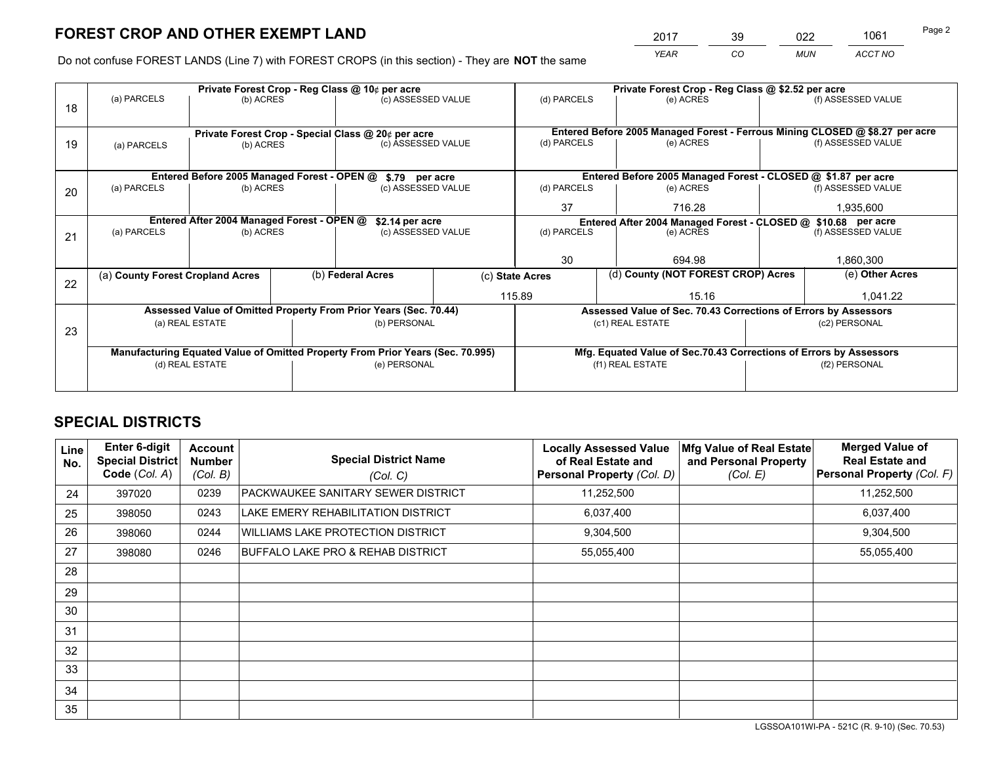*YEAR CO MUN ACCT NO* <sup>2017</sup> <sup>39</sup> <sup>022</sup> <sup>1061</sup>

Do not confuse FOREST LANDS (Line 7) with FOREST CROPS (in this section) - They are **NOT** the same

|    |                                                                                |                                                    |  | Private Forest Crop - Reg Class @ 10¢ per acre                   |        | Private Forest Crop - Reg Class @ \$2.52 per acre     |                                                                              |  |                    |  |
|----|--------------------------------------------------------------------------------|----------------------------------------------------|--|------------------------------------------------------------------|--------|-------------------------------------------------------|------------------------------------------------------------------------------|--|--------------------|--|
| 18 | (a) PARCELS                                                                    | (b) ACRES                                          |  | (c) ASSESSED VALUE                                               |        | (d) PARCELS                                           | (e) ACRES                                                                    |  | (f) ASSESSED VALUE |  |
|    |                                                                                | Private Forest Crop - Special Class @ 20¢ per acre |  |                                                                  |        |                                                       | Entered Before 2005 Managed Forest - Ferrous Mining CLOSED @ \$8.27 per acre |  |                    |  |
| 19 | (a) PARCELS                                                                    | (b) ACRES                                          |  | (c) ASSESSED VALUE                                               |        | (d) PARCELS                                           | (e) ACRES                                                                    |  | (f) ASSESSED VALUE |  |
|    |                                                                                |                                                    |  |                                                                  |        |                                                       |                                                                              |  |                    |  |
|    |                                                                                | Entered Before 2005 Managed Forest - OPEN @        |  | \$.79 per acre                                                   |        |                                                       | Entered Before 2005 Managed Forest - CLOSED @ \$1.87 per acre                |  |                    |  |
| 20 | (a) PARCELS                                                                    | (b) ACRES                                          |  | (c) ASSESSED VALUE                                               |        | (d) PARCELS                                           | (e) ACRES                                                                    |  | (f) ASSESSED VALUE |  |
|    |                                                                                |                                                    |  | 37                                                               | 716.28 |                                                       | 1,935,600                                                                    |  |                    |  |
|    | Entered After 2004 Managed Forest - OPEN @<br>\$2.14 per acre                  |                                                    |  |                                                                  |        |                                                       | Entered After 2004 Managed Forest - CLOSED @ \$10.68 per acre                |  |                    |  |
| 21 | (a) PARCELS                                                                    | (b) ACRES                                          |  | (c) ASSESSED VALUE                                               |        | (d) PARCELS                                           | (e) ACRES                                                                    |  |                    |  |
|    |                                                                                |                                                    |  |                                                                  |        |                                                       |                                                                              |  |                    |  |
|    |                                                                                |                                                    |  |                                                                  |        | 30                                                    | 694.98                                                                       |  | 1,860,300          |  |
|    | (a) County Forest Cropland Acres                                               |                                                    |  | (b) Federal Acres                                                |        | (d) County (NOT FOREST CROP) Acres<br>(c) State Acres |                                                                              |  | (e) Other Acres    |  |
| 22 |                                                                                |                                                    |  |                                                                  |        | 115.89<br>15.16                                       |                                                                              |  | 1.041.22           |  |
|    |                                                                                |                                                    |  | Assessed Value of Omitted Property From Prior Years (Sec. 70.44) |        |                                                       | Assessed Value of Sec. 70.43 Corrections of Errors by Assessors              |  |                    |  |
|    |                                                                                | (a) REAL ESTATE                                    |  | (b) PERSONAL                                                     |        |                                                       | (c1) REAL ESTATE                                                             |  | (c2) PERSONAL      |  |
| 23 |                                                                                |                                                    |  |                                                                  |        |                                                       |                                                                              |  |                    |  |
|    | Manufacturing Equated Value of Omitted Property From Prior Years (Sec. 70.995) |                                                    |  |                                                                  |        |                                                       | Mfg. Equated Value of Sec.70.43 Corrections of Errors by Assessors           |  |                    |  |
|    |                                                                                | (d) REAL ESTATE                                    |  | (e) PERSONAL                                                     |        |                                                       | (f1) REAL ESTATE                                                             |  | (f2) PERSONAL      |  |
|    |                                                                                |                                                    |  |                                                                  |        |                                                       |                                                                              |  |                    |  |

## **SPECIAL DISTRICTS**

| <b>Line</b><br>No. | <b>Enter 6-digit</b><br><b>Special District</b><br>Code (Col. A) | <b>Account</b><br><b>Number</b><br>(Col. B) | <b>Special District Name</b><br>(Col. C) | <b>Locally Assessed Value</b><br>of Real Estate and<br>Personal Property (Col. D) | Mfg Value of Real Estate<br>and Personal Property<br>(Col. E) | <b>Merged Value of</b><br><b>Real Estate and</b><br>Personal Property (Col. F) |
|--------------------|------------------------------------------------------------------|---------------------------------------------|------------------------------------------|-----------------------------------------------------------------------------------|---------------------------------------------------------------|--------------------------------------------------------------------------------|
| 24                 | 397020                                                           | 0239                                        | PACKWAUKEE SANITARY SEWER DISTRICT       | 11,252,500                                                                        |                                                               | 11,252,500                                                                     |
| 25                 | 398050                                                           | 0243                                        | LAKE EMERY REHABILITATION DISTRICT       | 6,037,400                                                                         |                                                               | 6,037,400                                                                      |
| 26                 | 398060                                                           | 0244                                        | <b>WILLIAMS LAKE PROTECTION DISTRICT</b> | 9,304,500                                                                         |                                                               | 9,304,500                                                                      |
| 27                 | 398080                                                           | 0246                                        | BUFFALO LAKE PRO & REHAB DISTRICT        | 55,055,400                                                                        |                                                               | 55,055,400                                                                     |
| 28                 |                                                                  |                                             |                                          |                                                                                   |                                                               |                                                                                |
| 29                 |                                                                  |                                             |                                          |                                                                                   |                                                               |                                                                                |
| 30                 |                                                                  |                                             |                                          |                                                                                   |                                                               |                                                                                |
| 31                 |                                                                  |                                             |                                          |                                                                                   |                                                               |                                                                                |
| 32                 |                                                                  |                                             |                                          |                                                                                   |                                                               |                                                                                |
| 33                 |                                                                  |                                             |                                          |                                                                                   |                                                               |                                                                                |
| 34                 |                                                                  |                                             |                                          |                                                                                   |                                                               |                                                                                |
| 35                 |                                                                  |                                             |                                          |                                                                                   |                                                               |                                                                                |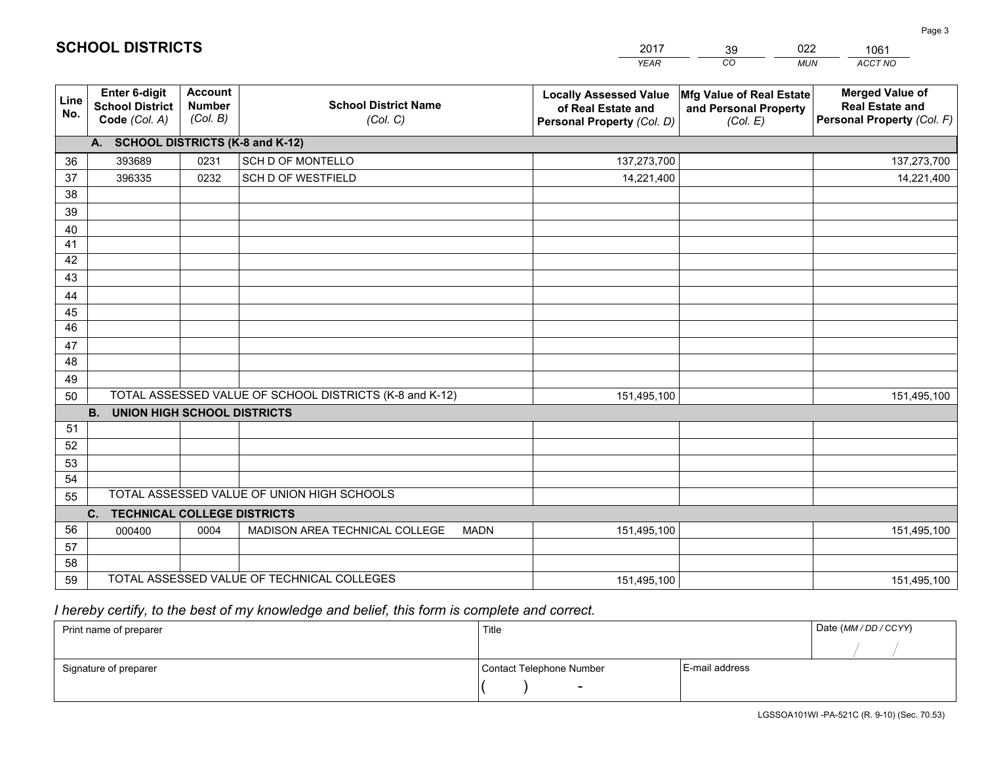|                       |                                                          |                                             |                                                         | <b>YEAR</b>                                                                       | CO.<br><b>MUN</b>                                             | ACCT NO                                                                        |
|-----------------------|----------------------------------------------------------|---------------------------------------------|---------------------------------------------------------|-----------------------------------------------------------------------------------|---------------------------------------------------------------|--------------------------------------------------------------------------------|
| Line<br>No.           | Enter 6-digit<br><b>School District</b><br>Code (Col. A) | <b>Account</b><br><b>Number</b><br>(Col. B) | <b>School District Name</b><br>(Col. C)                 | <b>Locally Assessed Value</b><br>of Real Estate and<br>Personal Property (Col. D) | Mfg Value of Real Estate<br>and Personal Property<br>(Col. E) | <b>Merged Value of</b><br><b>Real Estate and</b><br>Personal Property (Col. F) |
|                       | A. SCHOOL DISTRICTS (K-8 and K-12)                       |                                             |                                                         |                                                                                   |                                                               |                                                                                |
| 36                    | 393689                                                   | 0231                                        | <b>SCH D OF MONTELLO</b>                                | 137,273,700                                                                       |                                                               | 137,273,700                                                                    |
| 37                    | 396335                                                   | 0232                                        | SCH D OF WESTFIELD                                      | 14,221,400                                                                        |                                                               | 14,221,400                                                                     |
| 38                    |                                                          |                                             |                                                         |                                                                                   |                                                               |                                                                                |
| 39                    |                                                          |                                             |                                                         |                                                                                   |                                                               |                                                                                |
| 40                    |                                                          |                                             |                                                         |                                                                                   |                                                               |                                                                                |
| 41                    |                                                          |                                             |                                                         |                                                                                   |                                                               |                                                                                |
| 42                    |                                                          |                                             |                                                         |                                                                                   |                                                               |                                                                                |
| 43                    |                                                          |                                             |                                                         |                                                                                   |                                                               |                                                                                |
| 44                    |                                                          |                                             |                                                         |                                                                                   |                                                               |                                                                                |
| 45<br>$\overline{46}$ |                                                          |                                             |                                                         |                                                                                   |                                                               |                                                                                |
|                       |                                                          |                                             |                                                         |                                                                                   |                                                               |                                                                                |
| 47<br>48              |                                                          |                                             |                                                         |                                                                                   |                                                               |                                                                                |
| 49                    |                                                          |                                             |                                                         |                                                                                   |                                                               |                                                                                |
| 50                    |                                                          |                                             | TOTAL ASSESSED VALUE OF SCHOOL DISTRICTS (K-8 and K-12) | 151,495,100                                                                       |                                                               | 151,495,100                                                                    |
|                       | <b>B.</b><br><b>UNION HIGH SCHOOL DISTRICTS</b>          |                                             |                                                         |                                                                                   |                                                               |                                                                                |
| 51                    |                                                          |                                             |                                                         |                                                                                   |                                                               |                                                                                |
| 52                    |                                                          |                                             |                                                         |                                                                                   |                                                               |                                                                                |
| 53                    |                                                          |                                             |                                                         |                                                                                   |                                                               |                                                                                |
| 54                    |                                                          |                                             |                                                         |                                                                                   |                                                               |                                                                                |
| 55                    |                                                          |                                             | TOTAL ASSESSED VALUE OF UNION HIGH SCHOOLS              |                                                                                   |                                                               |                                                                                |
|                       | C.<br><b>TECHNICAL COLLEGE DISTRICTS</b>                 |                                             |                                                         |                                                                                   |                                                               |                                                                                |
| 56                    | 000400                                                   | 0004                                        | MADISON AREA TECHNICAL COLLEGE<br><b>MADN</b>           | 151,495,100                                                                       |                                                               | 151,495,100                                                                    |
| 57                    |                                                          |                                             |                                                         |                                                                                   |                                                               |                                                                                |
| 58                    |                                                          |                                             |                                                         |                                                                                   |                                                               |                                                                                |
| 59                    |                                                          |                                             | TOTAL ASSESSED VALUE OF TECHNICAL COLLEGES              | 151,495,100                                                                       |                                                               | 151,495,100                                                                    |

39

022

 *I hereby certify, to the best of my knowledge and belief, this form is complete and correct.*

**SCHOOL DISTRICTS**

| Print name of preparer | Title                    |                | Date (MM / DD / CCYY) |
|------------------------|--------------------------|----------------|-----------------------|
|                        |                          |                |                       |
| Signature of preparer  | Contact Telephone Number | E-mail address |                       |
|                        | $\sim$                   |                |                       |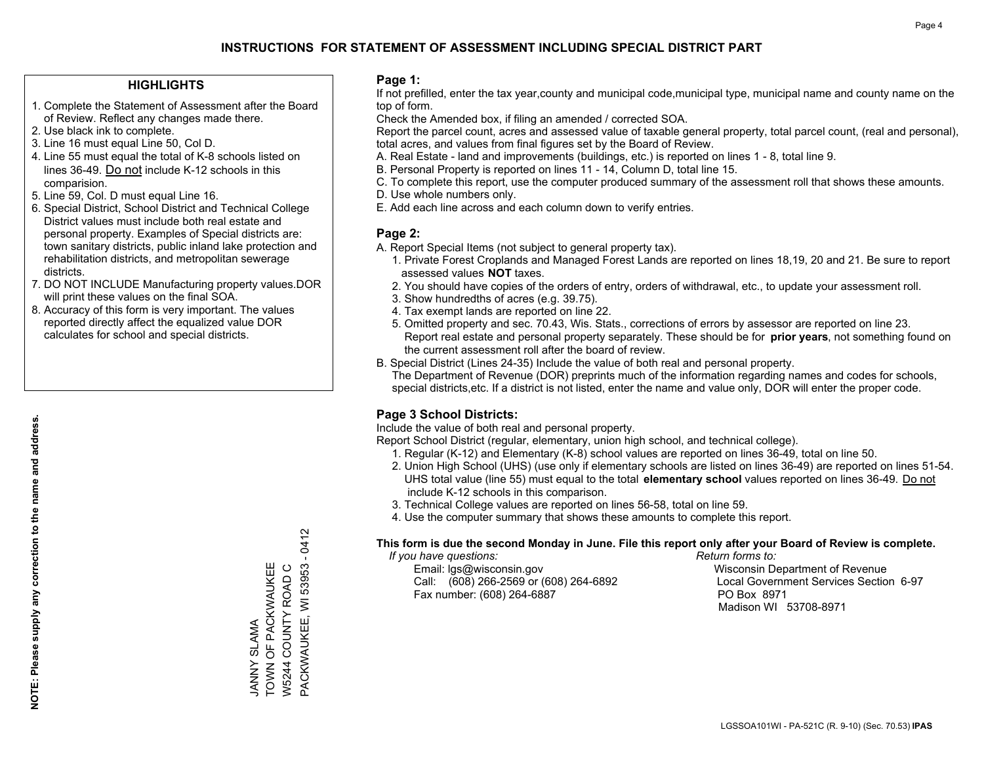## **HIGHLIGHTS**

- 1. Complete the Statement of Assessment after the Board of Review. Reflect any changes made there.
- 2. Use black ink to complete.
- 3. Line 16 must equal Line 50, Col D.
- 4. Line 55 must equal the total of K-8 schools listed on lines 36-49. Do not include K-12 schools in this comparision.
- 5. Line 59, Col. D must equal Line 16.
- 6. Special District, School District and Technical College District values must include both real estate and personal property. Examples of Special districts are: town sanitary districts, public inland lake protection and rehabilitation districts, and metropolitan sewerage districts.
- 7. DO NOT INCLUDE Manufacturing property values.DOR will print these values on the final SOA.

JANNY SLAMA

TOWN OF PACKWAUKEE W5244 COUNTY ROAD C

JANNY SLAMA<br>TOWN OF PACKWAUKEE W5244 COUNTY ROAD C PACKWAUKEE, WI 53953 - 0412

PACKWAUKEE, WI 53953 -

0412

 8. Accuracy of this form is very important. The values reported directly affect the equalized value DOR calculates for school and special districts.

#### **Page 1:**

 If not prefilled, enter the tax year,county and municipal code,municipal type, municipal name and county name on the top of form.

Check the Amended box, if filing an amended / corrected SOA.

 Report the parcel count, acres and assessed value of taxable general property, total parcel count, (real and personal), total acres, and values from final figures set by the Board of Review.

- A. Real Estate land and improvements (buildings, etc.) is reported on lines 1 8, total line 9.
- B. Personal Property is reported on lines 11 14, Column D, total line 15.
- C. To complete this report, use the computer produced summary of the assessment roll that shows these amounts.
- D. Use whole numbers only.
- E. Add each line across and each column down to verify entries.

#### **Page 2:**

- A. Report Special Items (not subject to general property tax).
- 1. Private Forest Croplands and Managed Forest Lands are reported on lines 18,19, 20 and 21. Be sure to report assessed values **NOT** taxes.
- 2. You should have copies of the orders of entry, orders of withdrawal, etc., to update your assessment roll.
	- 3. Show hundredths of acres (e.g. 39.75).
- 4. Tax exempt lands are reported on line 22.
- 5. Omitted property and sec. 70.43, Wis. Stats., corrections of errors by assessor are reported on line 23. Report real estate and personal property separately. These should be for **prior years**, not something found on the current assessment roll after the board of review.
- B. Special District (Lines 24-35) Include the value of both real and personal property.
- The Department of Revenue (DOR) preprints much of the information regarding names and codes for schools, special districts,etc. If a district is not listed, enter the name and value only, DOR will enter the proper code.

## **Page 3 School Districts:**

Include the value of both real and personal property.

Report School District (regular, elementary, union high school, and technical college).

- 1. Regular (K-12) and Elementary (K-8) school values are reported on lines 36-49, total on line 50.
- 2. Union High School (UHS) (use only if elementary schools are listed on lines 36-49) are reported on lines 51-54. UHS total value (line 55) must equal to the total **elementary school** values reported on lines 36-49. Do notinclude K-12 schools in this comparison.
- 3. Technical College values are reported on lines 56-58, total on line 59.
- 4. Use the computer summary that shows these amounts to complete this report.

#### **This form is due the second Monday in June. File this report only after your Board of Review is complete.**

 *If you have questions: Return forms to:*

 Email: lgs@wisconsin.gov Wisconsin Department of RevenueCall:  $(608)$  266-2569 or  $(608)$  264-6892 Fax number: (608) 264-6887 PO Box 8971

Local Government Services Section 6-97 Madison WI 53708-8971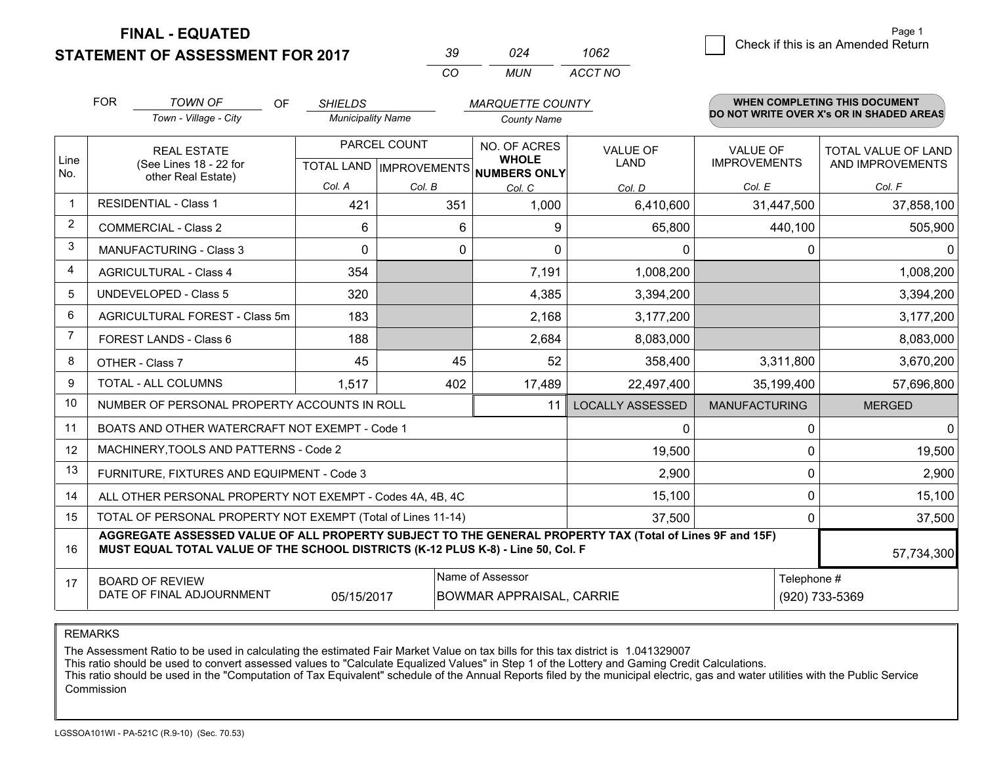**STATEMENT OF ASSESSMENT FOR 2017** 

| ิ่∢น     | በጋ <i>Δ</i> | 1062    |
|----------|-------------|---------|
| $\cdots$ | MI IN       | ACCT NO |

|                | <b>FOR</b><br><b>TOWN OF</b><br><b>OF</b><br><b>SHIELDS</b><br><b>MARQUETTE COUNTY</b>                                                                                                       |                                                           |                          | WHEN COMPLETING THIS DOCUMENT       |                              |                         |                                        |                                          |
|----------------|----------------------------------------------------------------------------------------------------------------------------------------------------------------------------------------------|-----------------------------------------------------------|--------------------------|-------------------------------------|------------------------------|-------------------------|----------------------------------------|------------------------------------------|
|                |                                                                                                                                                                                              | Town - Village - City                                     | <b>Municipality Name</b> |                                     | <b>County Name</b>           |                         |                                        | DO NOT WRITE OVER X's OR IN SHADED AREAS |
| Line           | <b>REAL ESTATE</b><br>(See Lines 18 - 22 for                                                                                                                                                 |                                                           |                          | PARCEL COUNT                        | NO. OF ACRES<br><b>WHOLE</b> | <b>VALUE OF</b><br>LAND | <b>VALUE OF</b><br><b>IMPROVEMENTS</b> | TOTAL VALUE OF LAND<br>AND IMPROVEMENTS  |
| No.            | other Real Estate)                                                                                                                                                                           | Col. A                                                    |                          | TOTAL LAND MPROVEMENTS NUMBERS ONLY |                              |                         |                                        |                                          |
| -1             | <b>RESIDENTIAL - Class 1</b>                                                                                                                                                                 |                                                           | 421                      | Col. B<br>351                       | Col. C<br>1,000              | Col. D<br>6,410,600     | Col. E<br>31,447,500                   | Col. F<br>37,858,100                     |
| 2              |                                                                                                                                                                                              | <b>COMMERCIAL - Class 2</b>                               |                          |                                     |                              |                         |                                        |                                          |
| 3              |                                                                                                                                                                                              |                                                           | 6                        | 6                                   | 9                            | 65,800                  | 440,100                                | 505,900                                  |
|                |                                                                                                                                                                                              | <b>MANUFACTURING - Class 3</b>                            | 0                        | 0                                   | $\Omega$                     | 0                       | 0                                      | 0                                        |
| 4              |                                                                                                                                                                                              | <b>AGRICULTURAL - Class 4</b>                             | 354                      |                                     | 7,191                        | 1,008,200               |                                        | 1,008,200                                |
| 5              |                                                                                                                                                                                              | <b>UNDEVELOPED - Class 5</b>                              | 320                      |                                     | 4,385                        | 3,394,200               |                                        | 3,394,200                                |
| 6              |                                                                                                                                                                                              | AGRICULTURAL FOREST - Class 5m                            | 183                      |                                     | 2,168                        | 3,177,200               |                                        | 3,177,200                                |
| $\overline{7}$ |                                                                                                                                                                                              | <b>FOREST LANDS - Class 6</b>                             | 188                      |                                     | 2,684                        | 8,083,000               |                                        | 8,083,000                                |
| 8              |                                                                                                                                                                                              | OTHER - Class 7                                           | 45                       | 45                                  | 52                           | 358,400                 | 3,311,800                              | 3,670,200                                |
| 9              |                                                                                                                                                                                              | TOTAL - ALL COLUMNS                                       | 1,517                    | 402                                 | 17,489                       | 22,497,400              | 35,199,400                             | 57,696,800                               |
| 10             |                                                                                                                                                                                              | NUMBER OF PERSONAL PROPERTY ACCOUNTS IN ROLL              |                          |                                     | 11                           | <b>LOCALLY ASSESSED</b> | <b>MANUFACTURING</b>                   | <b>MERGED</b>                            |
| 11             |                                                                                                                                                                                              | BOATS AND OTHER WATERCRAFT NOT EXEMPT - Code 1            |                          |                                     |                              | 0                       | 0                                      | 0                                        |
| 12             |                                                                                                                                                                                              | MACHINERY, TOOLS AND PATTERNS - Code 2                    |                          |                                     |                              | 19,500                  | 0                                      | 19,500                                   |
| 13             |                                                                                                                                                                                              | FURNITURE, FIXTURES AND EQUIPMENT - Code 3                |                          |                                     |                              | 2,900                   | 0                                      | 2,900                                    |
| 14             |                                                                                                                                                                                              | ALL OTHER PERSONAL PROPERTY NOT EXEMPT - Codes 4A, 4B, 4C |                          |                                     |                              | 15,100                  | 0                                      | 15,100                                   |
| 15             | TOTAL OF PERSONAL PROPERTY NOT EXEMPT (Total of Lines 11-14)<br>37,500                                                                                                                       |                                                           |                          |                                     |                              |                         |                                        | 37,500                                   |
| 16             | AGGREGATE ASSESSED VALUE OF ALL PROPERTY SUBJECT TO THE GENERAL PROPERTY TAX (Total of Lines 9F and 15F)<br>MUST EQUAL TOTAL VALUE OF THE SCHOOL DISTRICTS (K-12 PLUS K-8) - Line 50, Col. F |                                                           |                          |                                     |                              |                         | 57,734,300                             |                                          |
| 17             | Name of Assessor<br><b>BOARD OF REVIEW</b><br>DATE OF FINAL ADJOURNMENT<br>05/15/2017<br><b>BOWMAR APPRAISAL, CARRIE</b>                                                                     |                                                           |                          |                                     |                              | Telephone #             | (920) 733-5369                         |                                          |

REMARKS

The Assessment Ratio to be used in calculating the estimated Fair Market Value on tax bills for this tax district is 1.041329007

This ratio should be used to convert assessed values to "Calculate Equalized Values" in Step 1 of the Lottery and Gaming Credit Calculations.<br>This ratio should be used in the "Computation of Tax Equivalent" schedule of the Commission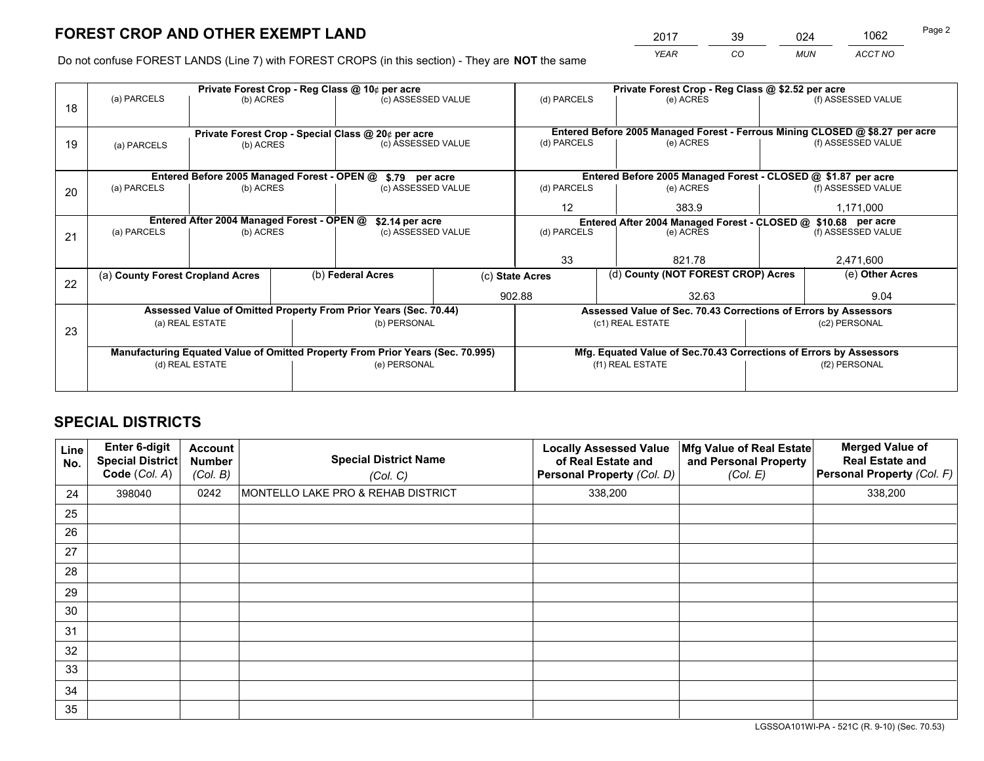*YEAR CO MUN ACCT NO* <sup>2017</sup> <sup>39</sup> <sup>024</sup> <sup>1062</sup> Page 2

Do not confuse FOREST LANDS (Line 7) with FOREST CROPS (in this section) - They are **NOT** the same

|    |                                                                                |                                             |                 | Private Forest Crop - Reg Class @ 10¢ per acre                   |                 | Private Forest Crop - Reg Class @ \$2.52 per acre |                                                                                     |      |                    |  |
|----|--------------------------------------------------------------------------------|---------------------------------------------|-----------------|------------------------------------------------------------------|-----------------|---------------------------------------------------|-------------------------------------------------------------------------------------|------|--------------------|--|
| 18 | (a) PARCELS                                                                    | (b) ACRES                                   |                 | (c) ASSESSED VALUE                                               |                 | (d) PARCELS                                       | (e) ACRES                                                                           |      | (f) ASSESSED VALUE |  |
|    |                                                                                |                                             |                 |                                                                  |                 |                                                   |                                                                                     |      |                    |  |
|    |                                                                                |                                             |                 | Private Forest Crop - Special Class @ 20¢ per acre               |                 |                                                   | Entered Before 2005 Managed Forest - Ferrous Mining CLOSED @ \$8.27 per acre        |      |                    |  |
| 19 | (a) PARCELS                                                                    | (b) ACRES                                   |                 | (c) ASSESSED VALUE                                               |                 | (d) PARCELS                                       | (e) ACRES                                                                           |      | (f) ASSESSED VALUE |  |
|    |                                                                                |                                             |                 |                                                                  |                 |                                                   |                                                                                     |      |                    |  |
|    |                                                                                | Entered Before 2005 Managed Forest - OPEN @ |                 | \$.79 per acre                                                   |                 |                                                   | Entered Before 2005 Managed Forest - CLOSED @ \$1.87 per acre                       |      |                    |  |
| 20 | (a) PARCELS                                                                    | (b) ACRES                                   |                 | (c) ASSESSED VALUE                                               |                 | (d) PARCELS                                       | (e) ACRES                                                                           |      | (f) ASSESSED VALUE |  |
|    |                                                                                |                                             |                 |                                                                  |                 | $12 \overline{ }$                                 | 383.9                                                                               |      | 1,171,000          |  |
|    | Entered After 2004 Managed Forest - OPEN @                                     |                                             | \$2.14 per acre |                                                                  |                 |                                                   | Entered After 2004 Managed Forest - CLOSED @ \$10.68 per acre<br>(f) ASSESSED VALUE |      |                    |  |
| 21 | (a) PARCELS                                                                    | (b) ACRES                                   |                 | (c) ASSESSED VALUE                                               |                 | (d) PARCELS                                       | (e) ACRES                                                                           |      |                    |  |
|    |                                                                                |                                             |                 |                                                                  |                 |                                                   |                                                                                     |      |                    |  |
|    |                                                                                |                                             |                 |                                                                  |                 | 33                                                | 821.78                                                                              |      | 2,471,600          |  |
| 22 | (a) County Forest Cropland Acres                                               |                                             |                 | (b) Federal Acres                                                |                 | (c) State Acres                                   | (d) County (NOT FOREST CROP) Acres                                                  |      | (e) Other Acres    |  |
|    |                                                                                |                                             |                 |                                                                  | 902.88<br>32.63 |                                                   |                                                                                     | 9.04 |                    |  |
|    |                                                                                |                                             |                 | Assessed Value of Omitted Property From Prior Years (Sec. 70.44) |                 |                                                   | Assessed Value of Sec. 70.43 Corrections of Errors by Assessors                     |      |                    |  |
| 23 |                                                                                | (a) REAL ESTATE                             |                 | (b) PERSONAL                                                     |                 |                                                   | (c1) REAL ESTATE                                                                    |      | (c2) PERSONAL      |  |
|    |                                                                                |                                             |                 |                                                                  |                 |                                                   |                                                                                     |      |                    |  |
|    | Manufacturing Equated Value of Omitted Property From Prior Years (Sec. 70.995) |                                             |                 |                                                                  |                 |                                                   | Mfg. Equated Value of Sec.70.43 Corrections of Errors by Assessors                  |      |                    |  |
|    | (d) REAL ESTATE                                                                |                                             |                 | (e) PERSONAL                                                     |                 | (f1) REAL ESTATE                                  |                                                                                     |      | (f2) PERSONAL      |  |
|    |                                                                                |                                             |                 |                                                                  |                 |                                                   |                                                                                     |      |                    |  |

## **SPECIAL DISTRICTS**

| Line<br>No. | Enter 6-digit<br>Special District<br>Code (Col. A) | <b>Account</b><br><b>Number</b><br>(Col. B) | <b>Special District Name</b><br>(Col. C) | <b>Locally Assessed Value</b><br>of Real Estate and<br>Personal Property (Col. D) | Mfg Value of Real Estate<br>and Personal Property<br>(Col. E) | <b>Merged Value of</b><br><b>Real Estate and</b><br>Personal Property (Col. F) |
|-------------|----------------------------------------------------|---------------------------------------------|------------------------------------------|-----------------------------------------------------------------------------------|---------------------------------------------------------------|--------------------------------------------------------------------------------|
| 24          | 398040                                             | 0242                                        | MONTELLO LAKE PRO & REHAB DISTRICT       | 338,200                                                                           |                                                               | 338,200                                                                        |
| 25          |                                                    |                                             |                                          |                                                                                   |                                                               |                                                                                |
| 26          |                                                    |                                             |                                          |                                                                                   |                                                               |                                                                                |
| 27          |                                                    |                                             |                                          |                                                                                   |                                                               |                                                                                |
| 28          |                                                    |                                             |                                          |                                                                                   |                                                               |                                                                                |
| 29          |                                                    |                                             |                                          |                                                                                   |                                                               |                                                                                |
| 30          |                                                    |                                             |                                          |                                                                                   |                                                               |                                                                                |
| 31          |                                                    |                                             |                                          |                                                                                   |                                                               |                                                                                |
| 32          |                                                    |                                             |                                          |                                                                                   |                                                               |                                                                                |
| 33          |                                                    |                                             |                                          |                                                                                   |                                                               |                                                                                |
| 34          |                                                    |                                             |                                          |                                                                                   |                                                               |                                                                                |
| 35          |                                                    |                                             |                                          |                                                                                   |                                                               |                                                                                |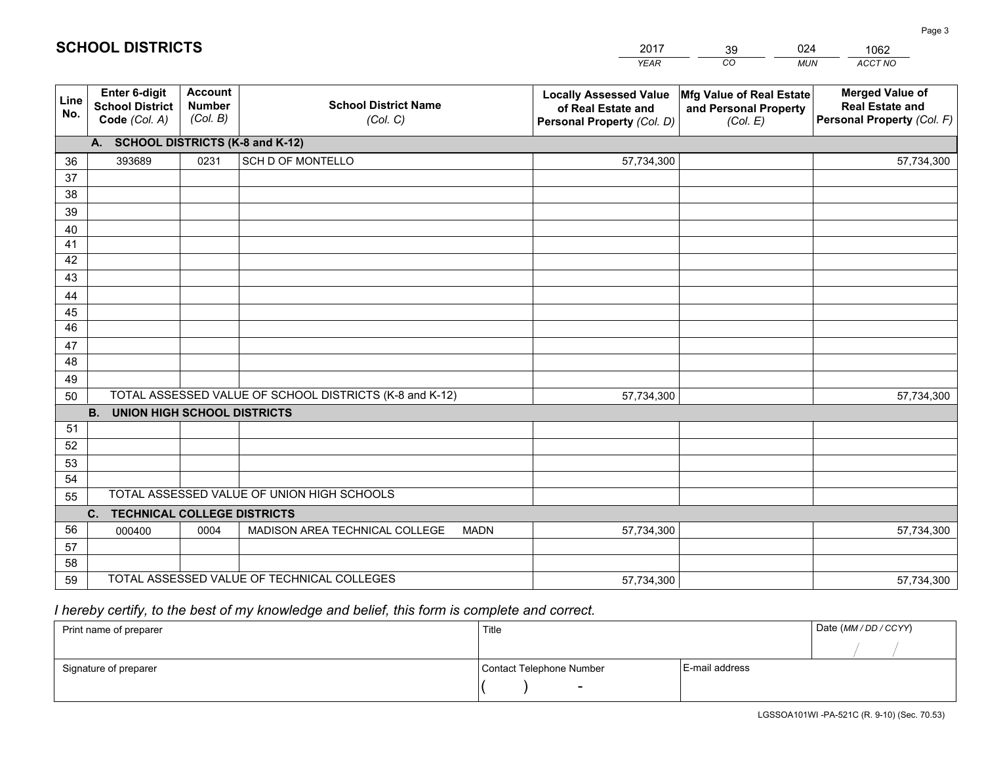|             |                                                          |                                             |                                                         | <b>YEAR</b>                                                                       | CO<br><b>MUN</b>                                              | ACCT NO                                                                        |
|-------------|----------------------------------------------------------|---------------------------------------------|---------------------------------------------------------|-----------------------------------------------------------------------------------|---------------------------------------------------------------|--------------------------------------------------------------------------------|
| Line<br>No. | Enter 6-digit<br><b>School District</b><br>Code (Col. A) | <b>Account</b><br><b>Number</b><br>(Col. B) | <b>School District Name</b><br>(Col. C)                 | <b>Locally Assessed Value</b><br>of Real Estate and<br>Personal Property (Col. D) | Mfg Value of Real Estate<br>and Personal Property<br>(Col. E) | <b>Merged Value of</b><br><b>Real Estate and</b><br>Personal Property (Col. F) |
|             | A. SCHOOL DISTRICTS (K-8 and K-12)                       |                                             |                                                         |                                                                                   |                                                               |                                                                                |
| 36          | 393689                                                   | 0231                                        | SCH D OF MONTELLO                                       | 57,734,300                                                                        |                                                               | 57,734,300                                                                     |
| 37          |                                                          |                                             |                                                         |                                                                                   |                                                               |                                                                                |
| 38          |                                                          |                                             |                                                         |                                                                                   |                                                               |                                                                                |
| 39          |                                                          |                                             |                                                         |                                                                                   |                                                               |                                                                                |
| 40          |                                                          |                                             |                                                         |                                                                                   |                                                               |                                                                                |
| 41          |                                                          |                                             |                                                         |                                                                                   |                                                               |                                                                                |
| 42          |                                                          |                                             |                                                         |                                                                                   |                                                               |                                                                                |
| 43          |                                                          |                                             |                                                         |                                                                                   |                                                               |                                                                                |
| 44<br>45    |                                                          |                                             |                                                         |                                                                                   |                                                               |                                                                                |
| 46          |                                                          |                                             |                                                         |                                                                                   |                                                               |                                                                                |
| 47          |                                                          |                                             |                                                         |                                                                                   |                                                               |                                                                                |
| 48          |                                                          |                                             |                                                         |                                                                                   |                                                               |                                                                                |
| 49          |                                                          |                                             |                                                         |                                                                                   |                                                               |                                                                                |
| 50          |                                                          |                                             | TOTAL ASSESSED VALUE OF SCHOOL DISTRICTS (K-8 and K-12) | 57,734,300                                                                        |                                                               | 57,734,300                                                                     |
|             | <b>B.</b><br><b>UNION HIGH SCHOOL DISTRICTS</b>          |                                             |                                                         |                                                                                   |                                                               |                                                                                |
| 51          |                                                          |                                             |                                                         |                                                                                   |                                                               |                                                                                |
| 52          |                                                          |                                             |                                                         |                                                                                   |                                                               |                                                                                |
| 53          |                                                          |                                             |                                                         |                                                                                   |                                                               |                                                                                |
| 54          |                                                          |                                             |                                                         |                                                                                   |                                                               |                                                                                |
| 55          |                                                          |                                             | TOTAL ASSESSED VALUE OF UNION HIGH SCHOOLS              |                                                                                   |                                                               |                                                                                |
|             | $C_{1}$<br><b>TECHNICAL COLLEGE DISTRICTS</b>            |                                             |                                                         |                                                                                   |                                                               |                                                                                |
| 56          | 000400                                                   | 0004                                        | MADISON AREA TECHNICAL COLLEGE<br><b>MADN</b>           | 57,734,300                                                                        |                                                               | 57,734,300                                                                     |
| 57          |                                                          |                                             |                                                         |                                                                                   |                                                               |                                                                                |
| 58          |                                                          |                                             |                                                         |                                                                                   |                                                               |                                                                                |
| 59          |                                                          |                                             | TOTAL ASSESSED VALUE OF TECHNICAL COLLEGES              | 57,734,300                                                                        |                                                               | 57,734,300                                                                     |

 *I hereby certify, to the best of my knowledge and belief, this form is complete and correct.*

| Print name of preparer | Title                    |                | Date (MM/DD/CCYY) |
|------------------------|--------------------------|----------------|-------------------|
|                        |                          |                |                   |
| Signature of preparer  | Contact Telephone Number | E-mail address |                   |
|                        | $\overline{\phantom{0}}$ |                |                   |

| <b>SCHOOL DISTRICTS</b> |  |
|-------------------------|--|
|                         |  |

201739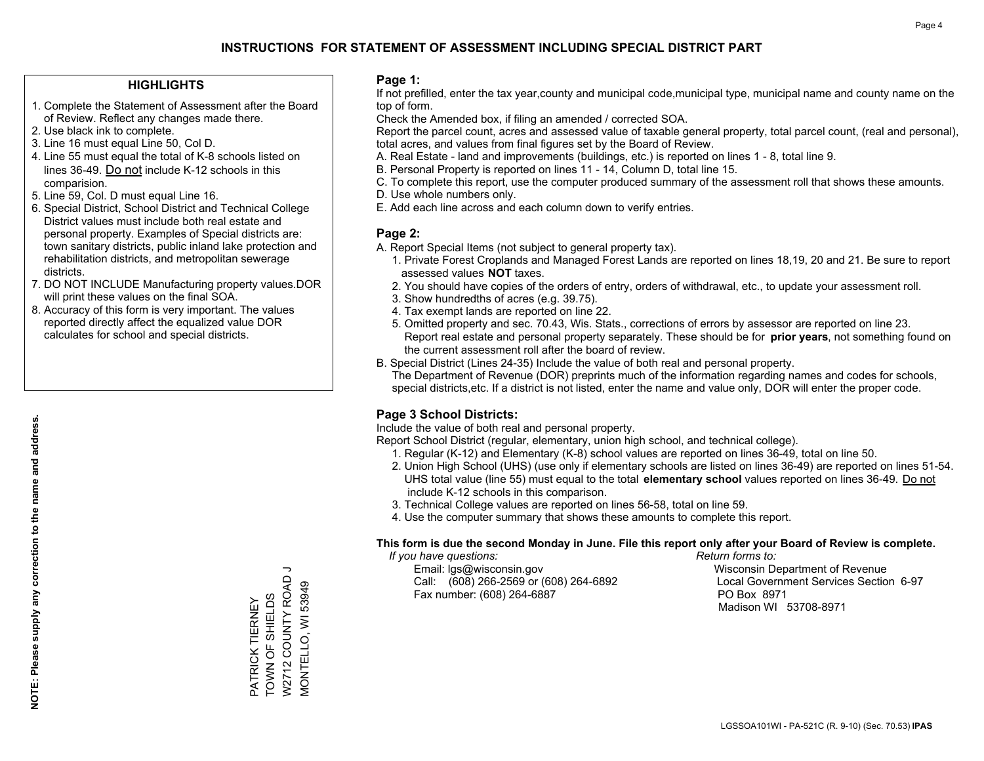## **HIGHLIGHTS**

- 1. Complete the Statement of Assessment after the Board of Review. Reflect any changes made there.
- 2. Use black ink to complete.
- 3. Line 16 must equal Line 50, Col D.
- 4. Line 55 must equal the total of K-8 schools listed on lines 36-49. Do not include K-12 schools in this comparision.
- 5. Line 59, Col. D must equal Line 16.
- 6. Special District, School District and Technical College District values must include both real estate and personal property. Examples of Special districts are: town sanitary districts, public inland lake protection and rehabilitation districts, and metropolitan sewerage districts.
- 7. DO NOT INCLUDE Manufacturing property values.DOR will print these values on the final SOA.
- 8. Accuracy of this form is very important. The values reported directly affect the equalized value DOR calculates for school and special districts.

#### **Page 1:**

 If not prefilled, enter the tax year,county and municipal code,municipal type, municipal name and county name on the top of form.

Check the Amended box, if filing an amended / corrected SOA.

 Report the parcel count, acres and assessed value of taxable general property, total parcel count, (real and personal), total acres, and values from final figures set by the Board of Review.

- A. Real Estate land and improvements (buildings, etc.) is reported on lines 1 8, total line 9.
- B. Personal Property is reported on lines 11 14, Column D, total line 15.
- C. To complete this report, use the computer produced summary of the assessment roll that shows these amounts.
- D. Use whole numbers only.
- E. Add each line across and each column down to verify entries.

#### **Page 2:**

- A. Report Special Items (not subject to general property tax).
- 1. Private Forest Croplands and Managed Forest Lands are reported on lines 18,19, 20 and 21. Be sure to report assessed values **NOT** taxes.
- 2. You should have copies of the orders of entry, orders of withdrawal, etc., to update your assessment roll.
	- 3. Show hundredths of acres (e.g. 39.75).
- 4. Tax exempt lands are reported on line 22.
- 5. Omitted property and sec. 70.43, Wis. Stats., corrections of errors by assessor are reported on line 23. Report real estate and personal property separately. These should be for **prior years**, not something found on the current assessment roll after the board of review.
- B. Special District (Lines 24-35) Include the value of both real and personal property.
- The Department of Revenue (DOR) preprints much of the information regarding names and codes for schools, special districts,etc. If a district is not listed, enter the name and value only, DOR will enter the proper code.

## **Page 3 School Districts:**

Include the value of both real and personal property.

Report School District (regular, elementary, union high school, and technical college).

- 1. Regular (K-12) and Elementary (K-8) school values are reported on lines 36-49, total on line 50.
- 2. Union High School (UHS) (use only if elementary schools are listed on lines 36-49) are reported on lines 51-54. UHS total value (line 55) must equal to the total **elementary school** values reported on lines 36-49. Do notinclude K-12 schools in this comparison.
- 3. Technical College values are reported on lines 56-58, total on line 59.
- 4. Use the computer summary that shows these amounts to complete this report.

#### **This form is due the second Monday in June. File this report only after your Board of Review is complete.**

 *If you have questions: Return forms to:*

 Email: lgs@wisconsin.gov Wisconsin Department of RevenueCall:  $(608)$  266-2569 or  $(608)$  264-6892 Fax number: (608) 264-6887 PO Box 8971

Local Government Services Section 6-97 Madison WI 53708-8971

PATRICK TIERNEY TOWN OF SHIELDS W2712 COUNTY ROAD J MONTELLO, WI 53949

PATRICK TIERNEY<br>TOWN OF SHIELDS

W2712 COUNTY ROAD VIONTELLO, WI 53949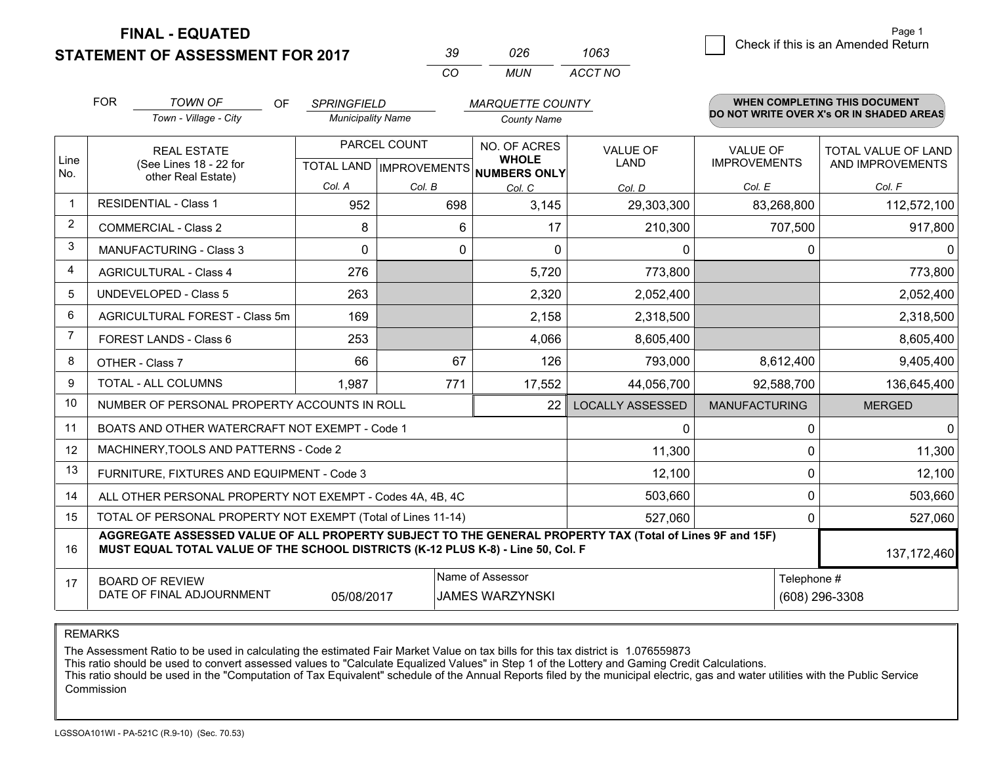**STATEMENT OF ASSESSMENT FOR 2017** 

|          | 026 | 1063    |
|----------|-----|---------|
| $\cdots$ | MUN | ACCT NO |

|                | <b>FOR</b><br><b>TOWN OF</b><br>OF<br><b>SPRINGFIELD</b><br><b>MARQUETTE COUNTY</b>                                                                                                          |                                                              |                                                     |             |                              | <b>WHEN COMPLETING THIS DOCUMENT</b> |                                        |                                          |
|----------------|----------------------------------------------------------------------------------------------------------------------------------------------------------------------------------------------|--------------------------------------------------------------|-----------------------------------------------------|-------------|------------------------------|--------------------------------------|----------------------------------------|------------------------------------------|
|                |                                                                                                                                                                                              | Town - Village - City                                        | <b>Municipality Name</b>                            |             | <b>County Name</b>           |                                      |                                        | DO NOT WRITE OVER X's OR IN SHADED AREAS |
| Line<br>No.    |                                                                                                                                                                                              | <b>REAL ESTATE</b><br>(See Lines 18 - 22 for                 | PARCEL COUNT<br>TOTAL LAND MPROVEMENTS NUMBERS ONLY |             | NO. OF ACRES<br><b>WHOLE</b> | VALUE OF<br><b>LAND</b>              | <b>VALUE OF</b><br><b>IMPROVEMENTS</b> | TOTAL VALUE OF LAND<br>AND IMPROVEMENTS  |
|                | other Real Estate)                                                                                                                                                                           |                                                              | Col. A                                              | Col. B      | Col. C                       | Col. D                               | Col. E                                 | Col. F                                   |
| 1              | <b>RESIDENTIAL - Class 1</b>                                                                                                                                                                 |                                                              | 952                                                 | 698         | 3,145                        | 29,303,300                           | 83,268,800                             | 112,572,100                              |
| $\overline{2}$ |                                                                                                                                                                                              | <b>COMMERCIAL - Class 2</b>                                  | 8                                                   | 6           | 17                           | 210,300                              | 707,500                                | 917,800                                  |
| 3              |                                                                                                                                                                                              | <b>MANUFACTURING - Class 3</b>                               | $\Omega$                                            | $\mathbf 0$ | $\Omega$                     | $\mathbf{0}$                         | 0                                      | 01                                       |
| $\overline{4}$ |                                                                                                                                                                                              | <b>AGRICULTURAL - Class 4</b>                                | 276                                                 |             | 5,720                        | 773,800                              |                                        | 773,800                                  |
| 5              |                                                                                                                                                                                              | <b>UNDEVELOPED - Class 5</b>                                 | 263                                                 |             | 2,320                        | 2,052,400                            |                                        | 2,052,400                                |
| 6              |                                                                                                                                                                                              | AGRICULTURAL FOREST - Class 5m                               | 169                                                 |             | 2,158                        | 2,318,500                            |                                        | 2,318,500                                |
| $\overline{7}$ |                                                                                                                                                                                              | FOREST LANDS - Class 6                                       | 253                                                 |             | 4,066                        | 8,605,400                            |                                        | 8,605,400                                |
| 8              |                                                                                                                                                                                              | OTHER - Class 7                                              | 66                                                  | 67          | 126                          | 793,000                              | 8,612,400                              | 9,405,400                                |
| 9              |                                                                                                                                                                                              | TOTAL - ALL COLUMNS                                          | 1,987                                               | 771         | 17,552                       | 44,056,700                           | 92,588,700                             | 136,645,400                              |
| 10             |                                                                                                                                                                                              | NUMBER OF PERSONAL PROPERTY ACCOUNTS IN ROLL                 |                                                     |             | 22                           | <b>LOCALLY ASSESSED</b>              | <b>MANUFACTURING</b>                   | <b>MERGED</b>                            |
| 11             |                                                                                                                                                                                              | BOATS AND OTHER WATERCRAFT NOT EXEMPT - Code 1               |                                                     |             |                              | 0                                    | 0                                      | $\Omega$                                 |
| 12             |                                                                                                                                                                                              | MACHINERY, TOOLS AND PATTERNS - Code 2                       |                                                     |             |                              | 11,300                               | $\Omega$                               | 11,300                                   |
| 13             |                                                                                                                                                                                              | FURNITURE, FIXTURES AND EQUIPMENT - Code 3                   |                                                     |             |                              | 12,100                               | 0                                      | 12,100                                   |
| 14             |                                                                                                                                                                                              | ALL OTHER PERSONAL PROPERTY NOT EXEMPT - Codes 4A, 4B, 4C    |                                                     |             |                              | 503,660                              | 0                                      | 503,660                                  |
| 15             |                                                                                                                                                                                              | TOTAL OF PERSONAL PROPERTY NOT EXEMPT (Total of Lines 11-14) | 527,060                                             | 0           | 527,060                      |                                      |                                        |                                          |
| 16             | AGGREGATE ASSESSED VALUE OF ALL PROPERTY SUBJECT TO THE GENERAL PROPERTY TAX (Total of Lines 9F and 15F)<br>MUST EQUAL TOTAL VALUE OF THE SCHOOL DISTRICTS (K-12 PLUS K-8) - Line 50, Col. F |                                                              |                                                     |             |                              |                                      | 137,172,460                            |                                          |
| 17             | Name of Assessor<br><b>BOARD OF REVIEW</b><br>DATE OF FINAL ADJOURNMENT<br>05/08/2017<br><b>JAMES WARZYNSKI</b>                                                                              |                                                              |                                                     |             |                              | Telephone #                          | (608) 296-3308                         |                                          |

REMARKS

The Assessment Ratio to be used in calculating the estimated Fair Market Value on tax bills for this tax district is 1.076559873<br>This ratio should be used to convert assessed values to "Calculate Equalized Values" in Step Commission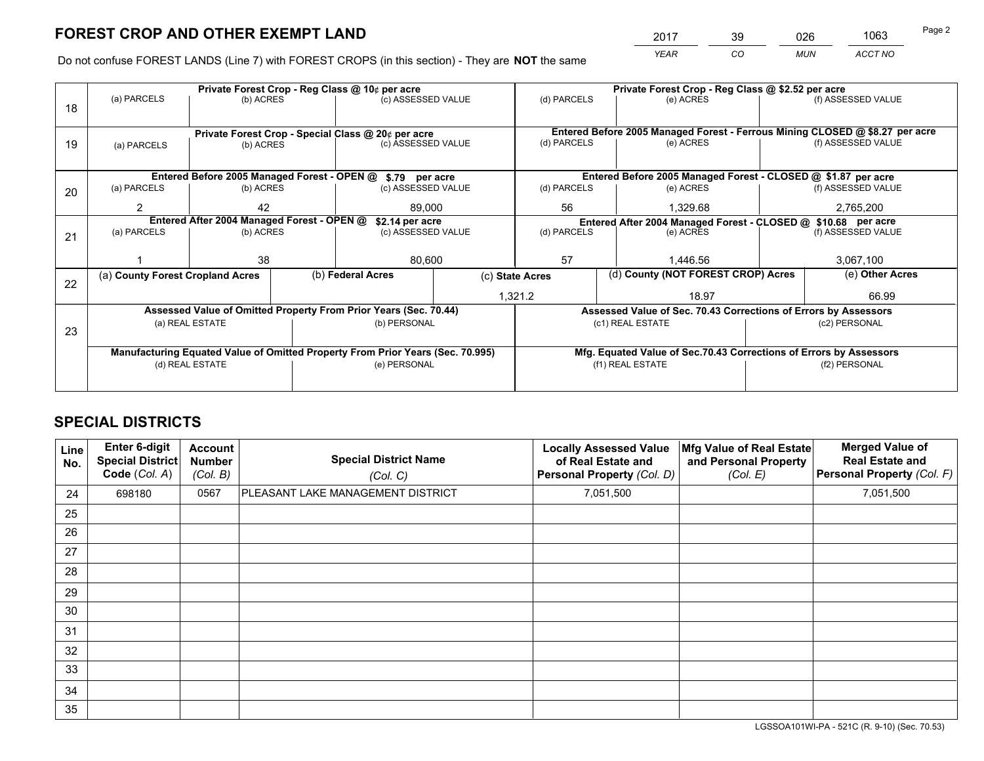*YEAR CO MUN ACCT NO* <sup>2017</sup> <sup>39</sup> <sup>026</sup> <sup>1063</sup>

Do not confuse FOREST LANDS (Line 7) with FOREST CROPS (in this section) - They are **NOT** the same

|    |                                                                                |                                            |  | Private Forest Crop - Reg Class @ 10¢ per acre                   |                  | Private Forest Crop - Reg Class @ \$2.52 per acre                            |                  |                                    |                    |                                                                    |
|----|--------------------------------------------------------------------------------|--------------------------------------------|--|------------------------------------------------------------------|------------------|------------------------------------------------------------------------------|------------------|------------------------------------|--------------------|--------------------------------------------------------------------|
| 18 | (a) PARCELS                                                                    | (b) ACRES                                  |  | (c) ASSESSED VALUE                                               |                  | (d) PARCELS                                                                  |                  | (e) ACRES                          |                    | (f) ASSESSED VALUE                                                 |
|    |                                                                                |                                            |  |                                                                  |                  |                                                                              |                  |                                    |                    |                                                                    |
|    |                                                                                |                                            |  | Private Forest Crop - Special Class @ 20¢ per acre               |                  | Entered Before 2005 Managed Forest - Ferrous Mining CLOSED @ \$8.27 per acre |                  |                                    |                    |                                                                    |
| 19 | (a) PARCELS                                                                    | (b) ACRES                                  |  | (c) ASSESSED VALUE                                               |                  | (d) PARCELS                                                                  |                  | (e) ACRES                          |                    | (f) ASSESSED VALUE                                                 |
|    |                                                                                |                                            |  |                                                                  |                  |                                                                              |                  |                                    |                    |                                                                    |
|    |                                                                                |                                            |  | Entered Before 2005 Managed Forest - OPEN @ \$.79 per acre       |                  |                                                                              |                  |                                    |                    | Entered Before 2005 Managed Forest - CLOSED @ \$1.87 per acre      |
| 20 | (a) PARCELS                                                                    | (b) ACRES                                  |  | (c) ASSESSED VALUE                                               |                  | (d) PARCELS                                                                  |                  | (e) ACRES                          |                    | (f) ASSESSED VALUE                                                 |
|    | 2                                                                              | 42                                         |  | 89,000                                                           |                  | 56                                                                           |                  | 1.329.68                           |                    | 2,765,200                                                          |
|    |                                                                                | Entered After 2004 Managed Forest - OPEN @ |  | \$2.14 per acre<br>(c) ASSESSED VALUE                            |                  | Entered After 2004 Managed Forest - CLOSED @ \$10.68 per acre                |                  |                                    |                    |                                                                    |
| 21 | (a) PARCELS                                                                    | (b) ACRES                                  |  |                                                                  |                  | (d) PARCELS<br>(e) ACRES                                                     |                  |                                    | (f) ASSESSED VALUE |                                                                    |
|    |                                                                                |                                            |  |                                                                  |                  |                                                                              |                  |                                    |                    |                                                                    |
|    |                                                                                | 38                                         |  | 80,600                                                           |                  | 57                                                                           |                  | 1.446.56                           | 3,067,100          |                                                                    |
| 22 | (a) County Forest Cropland Acres                                               |                                            |  | (b) Federal Acres                                                | (c) State Acres  |                                                                              |                  | (d) County (NOT FOREST CROP) Acres |                    | (e) Other Acres                                                    |
|    |                                                                                |                                            |  |                                                                  |                  | 1,321.2                                                                      |                  | 18.97                              |                    | 66.99                                                              |
|    |                                                                                |                                            |  | Assessed Value of Omitted Property From Prior Years (Sec. 70.44) |                  |                                                                              |                  |                                    |                    | Assessed Value of Sec. 70.43 Corrections of Errors by Assessors    |
| 23 |                                                                                | (a) REAL ESTATE                            |  | (b) PERSONAL                                                     |                  |                                                                              | (c1) REAL ESTATE |                                    |                    | (c2) PERSONAL                                                      |
|    |                                                                                |                                            |  |                                                                  |                  |                                                                              |                  |                                    |                    |                                                                    |
|    | Manufacturing Equated Value of Omitted Property From Prior Years (Sec. 70.995) |                                            |  |                                                                  |                  |                                                                              |                  |                                    |                    | Mfg. Equated Value of Sec.70.43 Corrections of Errors by Assessors |
|    | (d) REAL ESTATE                                                                |                                            |  | (e) PERSONAL                                                     | (f1) REAL ESTATE |                                                                              |                  | (f2) PERSONAL                      |                    |                                                                    |
|    |                                                                                |                                            |  |                                                                  |                  |                                                                              |                  |                                    |                    |                                                                    |

## **SPECIAL DISTRICTS**

| Line<br>No. | Enter 6-digit<br><b>Special District</b><br>Code (Col. A) | <b>Account</b><br><b>Number</b><br>(Col. B) | <b>Special District Name</b><br>(Col. C) | <b>Locally Assessed Value</b><br>of Real Estate and<br>Personal Property (Col. D) | Mfg Value of Real Estate<br>and Personal Property<br>(Col. E) | <b>Merged Value of</b><br><b>Real Estate and</b><br>Personal Property (Col. F) |
|-------------|-----------------------------------------------------------|---------------------------------------------|------------------------------------------|-----------------------------------------------------------------------------------|---------------------------------------------------------------|--------------------------------------------------------------------------------|
| 24          | 698180                                                    | 0567                                        | PLEASANT LAKE MANAGEMENT DISTRICT        | 7,051,500                                                                         |                                                               | 7,051,500                                                                      |
| 25          |                                                           |                                             |                                          |                                                                                   |                                                               |                                                                                |
| 26          |                                                           |                                             |                                          |                                                                                   |                                                               |                                                                                |
| 27          |                                                           |                                             |                                          |                                                                                   |                                                               |                                                                                |
| 28          |                                                           |                                             |                                          |                                                                                   |                                                               |                                                                                |
| 29          |                                                           |                                             |                                          |                                                                                   |                                                               |                                                                                |
| 30          |                                                           |                                             |                                          |                                                                                   |                                                               |                                                                                |
| 31          |                                                           |                                             |                                          |                                                                                   |                                                               |                                                                                |
| 32          |                                                           |                                             |                                          |                                                                                   |                                                               |                                                                                |
| 33          |                                                           |                                             |                                          |                                                                                   |                                                               |                                                                                |
| 34          |                                                           |                                             |                                          |                                                                                   |                                                               |                                                                                |
| 35          |                                                           |                                             |                                          |                                                                                   |                                                               |                                                                                |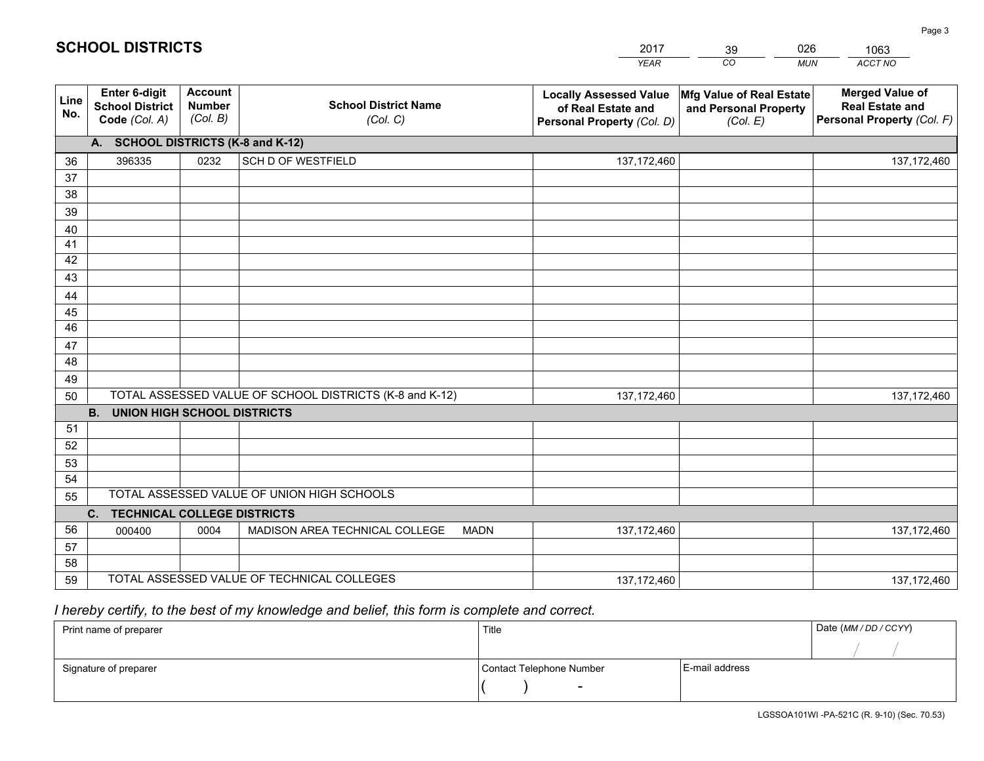| <b>Account</b><br><b>Merged Value of</b><br>Enter 6-digit<br>Mfg Value of Real Estate<br><b>Locally Assessed Value</b><br>Line<br><b>School District Name</b><br><b>Number</b><br><b>School District</b><br><b>Real Estate and</b><br>of Real Estate and<br>and Personal Property<br>No.<br>(Col. B)<br>Personal Property (Col. F)<br>Code (Col. A)<br>(Col. C)<br>Personal Property (Col. D)<br>(Col. E)<br>A. SCHOOL DISTRICTS (K-8 and K-12)<br>0232<br>SCH D OF WESTFIELD<br>396335<br>137, 172, 460<br>36<br>137, 172, 460<br>37<br>38<br>39<br>40<br>41<br>42<br>43<br>44<br>45<br>46<br>47<br>48<br>49<br>TOTAL ASSESSED VALUE OF SCHOOL DISTRICTS (K-8 and K-12)<br>50<br>137, 172, 460<br>137, 172, 460<br><b>B.</b><br><b>UNION HIGH SCHOOL DISTRICTS</b><br>51<br>52<br>53<br>54<br>TOTAL ASSESSED VALUE OF UNION HIGH SCHOOLS<br>55<br>C.<br><b>TECHNICAL COLLEGE DISTRICTS</b><br>56<br>MADISON AREA TECHNICAL COLLEGE<br>0004<br><b>MADN</b><br>137, 172, 460<br>137, 172, 460<br>000400<br>57<br>58 |    |  | <b>YEAR</b> | CO<br><b>MUN</b> | ACCT NO |
|--------------------------------------------------------------------------------------------------------------------------------------------------------------------------------------------------------------------------------------------------------------------------------------------------------------------------------------------------------------------------------------------------------------------------------------------------------------------------------------------------------------------------------------------------------------------------------------------------------------------------------------------------------------------------------------------------------------------------------------------------------------------------------------------------------------------------------------------------------------------------------------------------------------------------------------------------------------------------------------------------------------------|----|--|-------------|------------------|---------|
|                                                                                                                                                                                                                                                                                                                                                                                                                                                                                                                                                                                                                                                                                                                                                                                                                                                                                                                                                                                                                    |    |  |             |                  |         |
|                                                                                                                                                                                                                                                                                                                                                                                                                                                                                                                                                                                                                                                                                                                                                                                                                                                                                                                                                                                                                    |    |  |             |                  |         |
|                                                                                                                                                                                                                                                                                                                                                                                                                                                                                                                                                                                                                                                                                                                                                                                                                                                                                                                                                                                                                    |    |  |             |                  |         |
|                                                                                                                                                                                                                                                                                                                                                                                                                                                                                                                                                                                                                                                                                                                                                                                                                                                                                                                                                                                                                    |    |  |             |                  |         |
|                                                                                                                                                                                                                                                                                                                                                                                                                                                                                                                                                                                                                                                                                                                                                                                                                                                                                                                                                                                                                    |    |  |             |                  |         |
|                                                                                                                                                                                                                                                                                                                                                                                                                                                                                                                                                                                                                                                                                                                                                                                                                                                                                                                                                                                                                    |    |  |             |                  |         |
|                                                                                                                                                                                                                                                                                                                                                                                                                                                                                                                                                                                                                                                                                                                                                                                                                                                                                                                                                                                                                    |    |  |             |                  |         |
|                                                                                                                                                                                                                                                                                                                                                                                                                                                                                                                                                                                                                                                                                                                                                                                                                                                                                                                                                                                                                    |    |  |             |                  |         |
|                                                                                                                                                                                                                                                                                                                                                                                                                                                                                                                                                                                                                                                                                                                                                                                                                                                                                                                                                                                                                    |    |  |             |                  |         |
|                                                                                                                                                                                                                                                                                                                                                                                                                                                                                                                                                                                                                                                                                                                                                                                                                                                                                                                                                                                                                    |    |  |             |                  |         |
|                                                                                                                                                                                                                                                                                                                                                                                                                                                                                                                                                                                                                                                                                                                                                                                                                                                                                                                                                                                                                    |    |  |             |                  |         |
|                                                                                                                                                                                                                                                                                                                                                                                                                                                                                                                                                                                                                                                                                                                                                                                                                                                                                                                                                                                                                    |    |  |             |                  |         |
|                                                                                                                                                                                                                                                                                                                                                                                                                                                                                                                                                                                                                                                                                                                                                                                                                                                                                                                                                                                                                    |    |  |             |                  |         |
|                                                                                                                                                                                                                                                                                                                                                                                                                                                                                                                                                                                                                                                                                                                                                                                                                                                                                                                                                                                                                    |    |  |             |                  |         |
|                                                                                                                                                                                                                                                                                                                                                                                                                                                                                                                                                                                                                                                                                                                                                                                                                                                                                                                                                                                                                    |    |  |             |                  |         |
|                                                                                                                                                                                                                                                                                                                                                                                                                                                                                                                                                                                                                                                                                                                                                                                                                                                                                                                                                                                                                    |    |  |             |                  |         |
|                                                                                                                                                                                                                                                                                                                                                                                                                                                                                                                                                                                                                                                                                                                                                                                                                                                                                                                                                                                                                    |    |  |             |                  |         |
|                                                                                                                                                                                                                                                                                                                                                                                                                                                                                                                                                                                                                                                                                                                                                                                                                                                                                                                                                                                                                    |    |  |             |                  |         |
|                                                                                                                                                                                                                                                                                                                                                                                                                                                                                                                                                                                                                                                                                                                                                                                                                                                                                                                                                                                                                    |    |  |             |                  |         |
|                                                                                                                                                                                                                                                                                                                                                                                                                                                                                                                                                                                                                                                                                                                                                                                                                                                                                                                                                                                                                    |    |  |             |                  |         |
|                                                                                                                                                                                                                                                                                                                                                                                                                                                                                                                                                                                                                                                                                                                                                                                                                                                                                                                                                                                                                    |    |  |             |                  |         |
|                                                                                                                                                                                                                                                                                                                                                                                                                                                                                                                                                                                                                                                                                                                                                                                                                                                                                                                                                                                                                    |    |  |             |                  |         |
|                                                                                                                                                                                                                                                                                                                                                                                                                                                                                                                                                                                                                                                                                                                                                                                                                                                                                                                                                                                                                    |    |  |             |                  |         |
|                                                                                                                                                                                                                                                                                                                                                                                                                                                                                                                                                                                                                                                                                                                                                                                                                                                                                                                                                                                                                    |    |  |             |                  |         |
|                                                                                                                                                                                                                                                                                                                                                                                                                                                                                                                                                                                                                                                                                                                                                                                                                                                                                                                                                                                                                    |    |  |             |                  |         |
| TOTAL ASSESSED VALUE OF TECHNICAL COLLEGES<br>137, 172, 460<br>137, 172, 460                                                                                                                                                                                                                                                                                                                                                                                                                                                                                                                                                                                                                                                                                                                                                                                                                                                                                                                                       | 59 |  |             |                  |         |

39

026

# *I hereby certify, to the best of my knowledge and belief, this form is complete and correct.*

**SCHOOL DISTRICTS**

| Print name of preparer | Title                    |                | Date (MM / DD / CCYY) |
|------------------------|--------------------------|----------------|-----------------------|
|                        |                          |                |                       |
| Signature of preparer  | Contact Telephone Number | E-mail address |                       |
|                        | $\overline{\phantom{0}}$ |                |                       |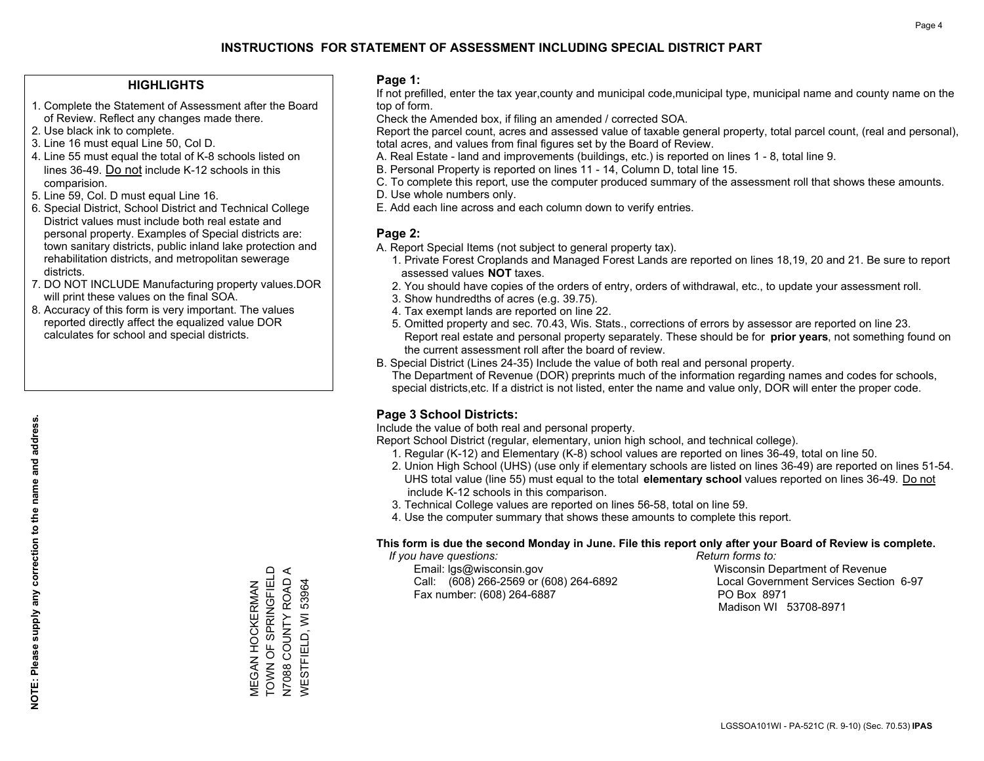## **HIGHLIGHTS**

- 1. Complete the Statement of Assessment after the Board of Review. Reflect any changes made there.
- 2. Use black ink to complete.
- 3. Line 16 must equal Line 50, Col D.
- 4. Line 55 must equal the total of K-8 schools listed on lines 36-49. Do not include K-12 schools in this comparision.
- 5. Line 59, Col. D must equal Line 16.
- 6. Special District, School District and Technical College District values must include both real estate and personal property. Examples of Special districts are: town sanitary districts, public inland lake protection and rehabilitation districts, and metropolitan sewerage districts.
- 7. DO NOT INCLUDE Manufacturing property values.DOR will print these values on the final SOA.
- 8. Accuracy of this form is very important. The values reported directly affect the equalized value DOR calculates for school and special districts.

#### **Page 1:**

 If not prefilled, enter the tax year,county and municipal code,municipal type, municipal name and county name on the top of form.

Check the Amended box, if filing an amended / corrected SOA.

 Report the parcel count, acres and assessed value of taxable general property, total parcel count, (real and personal), total acres, and values from final figures set by the Board of Review.

- A. Real Estate land and improvements (buildings, etc.) is reported on lines 1 8, total line 9.
- B. Personal Property is reported on lines 11 14, Column D, total line 15.
- C. To complete this report, use the computer produced summary of the assessment roll that shows these amounts.
- D. Use whole numbers only.
- E. Add each line across and each column down to verify entries.

## **Page 2:**

- A. Report Special Items (not subject to general property tax).
- 1. Private Forest Croplands and Managed Forest Lands are reported on lines 18,19, 20 and 21. Be sure to report assessed values **NOT** taxes.
- 2. You should have copies of the orders of entry, orders of withdrawal, etc., to update your assessment roll.
	- 3. Show hundredths of acres (e.g. 39.75).
- 4. Tax exempt lands are reported on line 22.
- 5. Omitted property and sec. 70.43, Wis. Stats., corrections of errors by assessor are reported on line 23. Report real estate and personal property separately. These should be for **prior years**, not something found on the current assessment roll after the board of review.
- B. Special District (Lines 24-35) Include the value of both real and personal property.
- The Department of Revenue (DOR) preprints much of the information regarding names and codes for schools, special districts,etc. If a district is not listed, enter the name and value only, DOR will enter the proper code.

## **Page 3 School Districts:**

Include the value of both real and personal property.

Report School District (regular, elementary, union high school, and technical college).

- 1. Regular (K-12) and Elementary (K-8) school values are reported on lines 36-49, total on line 50.
- 2. Union High School (UHS) (use only if elementary schools are listed on lines 36-49) are reported on lines 51-54. UHS total value (line 55) must equal to the total **elementary school** values reported on lines 36-49. Do notinclude K-12 schools in this comparison.
- 3. Technical College values are reported on lines 56-58, total on line 59.
- 4. Use the computer summary that shows these amounts to complete this report.

#### **This form is due the second Monday in June. File this report only after your Board of Review is complete.**

 *If you have questions: Return forms to:*

 Email: lgs@wisconsin.gov Wisconsin Department of RevenueCall:  $(608)$  266-2569 or  $(608)$  264-6892 Fax number: (608) 264-6887 PO Box 8971

Local Government Services Section 6-97 Madison WI 53708-8971

TOWN OF SPRINGFIELD MEGAN HOCKERMAN<br>TOWN OF SPRINGFIELD N7088 COUNTY ROAD A N7088 COUNTY ROAD **WESTFIELD, WI 53964** WESTFIELD, WI 53964 MEGAN HOCKERMAN

 $\prec$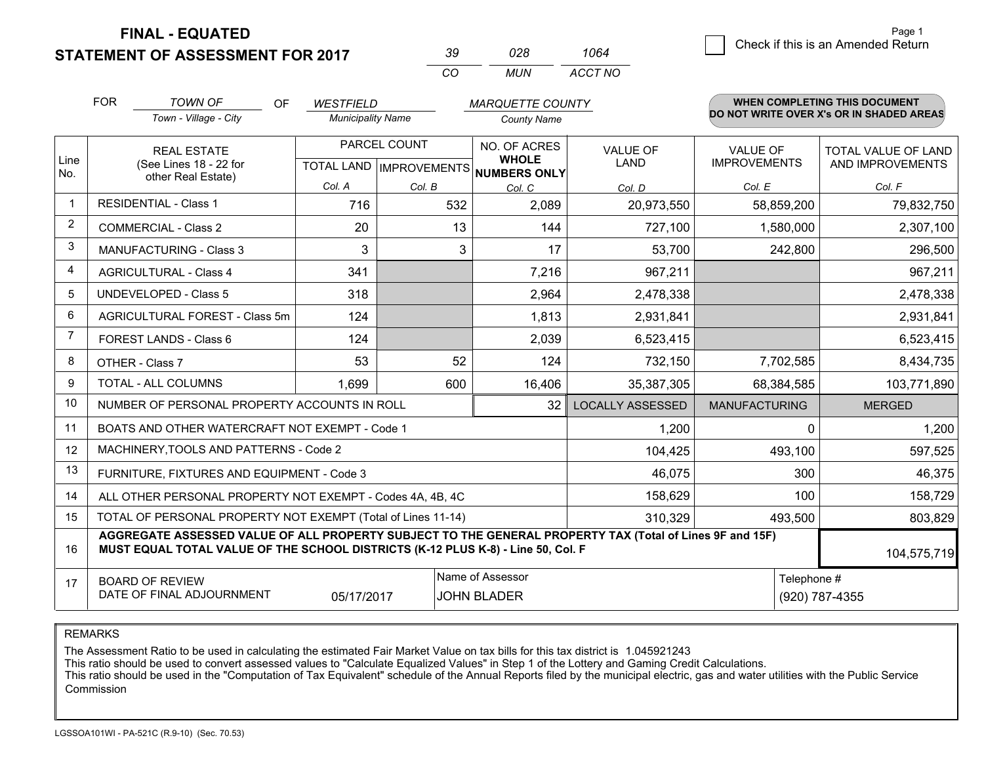**STATEMENT OF ASSESSMENT FOR 2017** 

| -30 | 028.  | 1064    |
|-----|-------|---------|
| (   | MI IN | ACCT NO |

|                | <b>FOR</b><br><b>TOWN OF</b><br><b>OF</b><br><b>WESTFIELD</b><br><b>MARQUETTE COUNTY</b>                    |                                                                                                                                                                                              |                          | WHEN COMPLETING THIS DOCUMENT |                                                                      |                                |                                        |                                                |
|----------------|-------------------------------------------------------------------------------------------------------------|----------------------------------------------------------------------------------------------------------------------------------------------------------------------------------------------|--------------------------|-------------------------------|----------------------------------------------------------------------|--------------------------------|----------------------------------------|------------------------------------------------|
|                |                                                                                                             | Town - Village - City                                                                                                                                                                        | <b>Municipality Name</b> |                               | <b>County Name</b>                                                   |                                |                                        | DO NOT WRITE OVER X's OR IN SHADED AREAS       |
| Line<br>No.    | <b>REAL ESTATE</b><br>(See Lines 18 - 22 for<br>other Real Estate)                                          |                                                                                                                                                                                              |                          | PARCEL COUNT                  | NO. OF ACRES<br><b>WHOLE</b><br>TOTAL LAND IMPROVEMENTS NUMBERS ONLY | <b>VALUE OF</b><br><b>LAND</b> | <b>VALUE OF</b><br><b>IMPROVEMENTS</b> | <b>TOTAL VALUE OF LAND</b><br>AND IMPROVEMENTS |
|                |                                                                                                             |                                                                                                                                                                                              | Col. A                   | Col. B                        | Col. C                                                               | Col. D                         | Col. E                                 | Col. F                                         |
| $\mathbf 1$    | <b>RESIDENTIAL - Class 1</b>                                                                                |                                                                                                                                                                                              | 716                      | 532                           | 2,089                                                                | 20,973,550                     | 58,859,200                             | 79,832,750                                     |
| $\overline{2}$ |                                                                                                             | <b>COMMERCIAL - Class 2</b>                                                                                                                                                                  | 20                       | 13                            | 144                                                                  | 727,100                        | 1,580,000                              | 2,307,100                                      |
| 3              |                                                                                                             | <b>MANUFACTURING - Class 3</b>                                                                                                                                                               | 3                        | 3                             | 17                                                                   | 53,700                         | 242,800                                | 296,500                                        |
| 4              |                                                                                                             | <b>AGRICULTURAL - Class 4</b>                                                                                                                                                                | 341                      |                               | 7,216                                                                | 967,211                        |                                        | 967,211                                        |
| 5              |                                                                                                             | <b>UNDEVELOPED - Class 5</b>                                                                                                                                                                 | 318                      |                               | 2,964                                                                | 2,478,338                      |                                        | 2,478,338                                      |
| 6              |                                                                                                             | AGRICULTURAL FOREST - Class 5m                                                                                                                                                               | 124                      |                               | 1,813                                                                | 2,931,841                      |                                        | 2,931,841                                      |
| $\overline{7}$ |                                                                                                             | <b>FOREST LANDS - Class 6</b>                                                                                                                                                                | 124                      |                               | 2,039                                                                | 6,523,415                      |                                        | 6,523,415                                      |
| 8              |                                                                                                             | OTHER - Class 7                                                                                                                                                                              | 53                       | 52                            | 124                                                                  | 732,150                        | 7,702,585                              | 8,434,735                                      |
| 9              |                                                                                                             | TOTAL - ALL COLUMNS                                                                                                                                                                          | 1,699                    | 600                           | 16,406                                                               | 35,387,305                     | 68,384,585                             | 103,771,890                                    |
| 10             |                                                                                                             | NUMBER OF PERSONAL PROPERTY ACCOUNTS IN ROLL                                                                                                                                                 |                          |                               | 32                                                                   | <b>LOCALLY ASSESSED</b>        | <b>MANUFACTURING</b>                   | <b>MERGED</b>                                  |
| 11             |                                                                                                             | BOATS AND OTHER WATERCRAFT NOT EXEMPT - Code 1                                                                                                                                               |                          |                               |                                                                      | 1,200                          | 0                                      | 1,200                                          |
| 12             |                                                                                                             | MACHINERY, TOOLS AND PATTERNS - Code 2                                                                                                                                                       |                          |                               |                                                                      | 104,425                        | 493,100                                | 597,525                                        |
| 13             |                                                                                                             | FURNITURE, FIXTURES AND EQUIPMENT - Code 3                                                                                                                                                   |                          |                               |                                                                      | 46,075                         | 300                                    | 46,375                                         |
| 14             |                                                                                                             | ALL OTHER PERSONAL PROPERTY NOT EXEMPT - Codes 4A, 4B, 4C                                                                                                                                    |                          |                               |                                                                      | 158,629                        | 100                                    | 158,729                                        |
| 15             |                                                                                                             | TOTAL OF PERSONAL PROPERTY NOT EXEMPT (Total of Lines 11-14)                                                                                                                                 |                          |                               |                                                                      | 310,329                        | 493,500                                | 803,829                                        |
| 16             |                                                                                                             | AGGREGATE ASSESSED VALUE OF ALL PROPERTY SUBJECT TO THE GENERAL PROPERTY TAX (Total of Lines 9F and 15F)<br>MUST EQUAL TOTAL VALUE OF THE SCHOOL DISTRICTS (K-12 PLUS K-8) - Line 50, Col. F |                          |                               |                                                                      |                                |                                        | 104,575,719                                    |
| 17             | Name of Assessor<br><b>BOARD OF REVIEW</b><br>DATE OF FINAL ADJOURNMENT<br>05/17/2017<br><b>JOHN BLADER</b> |                                                                                                                                                                                              |                          |                               |                                                                      |                                | Telephone #                            | (920) 787-4355                                 |

REMARKS

The Assessment Ratio to be used in calculating the estimated Fair Market Value on tax bills for this tax district is 1.045921243

This ratio should be used to convert assessed values to "Calculate Equalized Values" in Step 1 of the Lottery and Gaming Credit Calculations.<br>This ratio should be used in the "Computation of Tax Equivalent" schedule of the Commission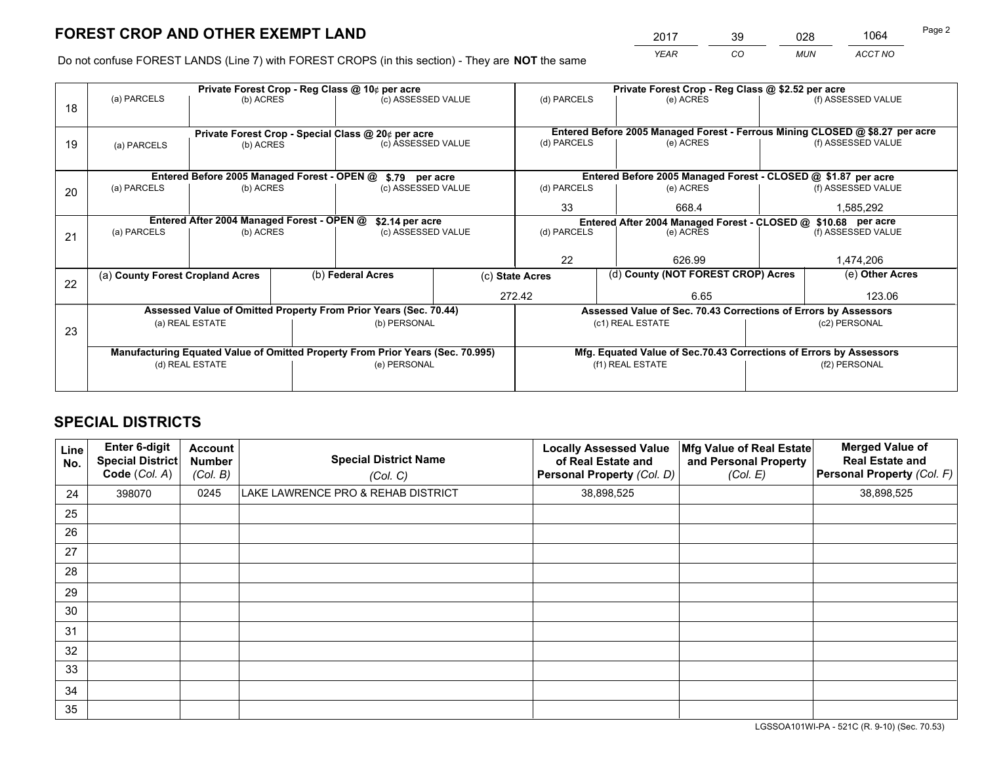*YEAR CO MUN ACCT NO* <sup>2017</sup> <sup>39</sup> <sup>028</sup> <sup>1064</sup>

Do not confuse FOREST LANDS (Line 7) with FOREST CROPS (in this section) - They are **NOT** the same

|    |                                                                                |                                             |  | Private Forest Crop - Reg Class @ 10¢ per acre                           |                 | Private Forest Crop - Reg Class @ \$2.52 per acre |                                                                              |                                    |                    |  |
|----|--------------------------------------------------------------------------------|---------------------------------------------|--|--------------------------------------------------------------------------|-----------------|---------------------------------------------------|------------------------------------------------------------------------------|------------------------------------|--------------------|--|
| 18 | (a) PARCELS                                                                    | (b) ACRES                                   |  | (c) ASSESSED VALUE                                                       |                 | (d) PARCELS                                       | (e) ACRES                                                                    |                                    | (f) ASSESSED VALUE |  |
|    |                                                                                |                                             |  |                                                                          |                 |                                                   | Entered Before 2005 Managed Forest - Ferrous Mining CLOSED @ \$8.27 per acre |                                    |                    |  |
| 19 | (a) PARCELS                                                                    | (b) ACRES                                   |  | Private Forest Crop - Special Class @ 20¢ per acre<br>(c) ASSESSED VALUE |                 | (d) PARCELS                                       | (e) ACRES                                                                    |                                    | (f) ASSESSED VALUE |  |
|    |                                                                                | Entered Before 2005 Managed Forest - OPEN @ |  | \$.79 per acre                                                           |                 |                                                   | Entered Before 2005 Managed Forest - CLOSED @ \$1.87 per acre                |                                    |                    |  |
| 20 | (a) PARCELS                                                                    | (b) ACRES                                   |  | (c) ASSESSED VALUE                                                       |                 | (d) PARCELS                                       | (e) ACRES                                                                    |                                    | (f) ASSESSED VALUE |  |
|    |                                                                                |                                             |  |                                                                          |                 | 33                                                | 668.4                                                                        |                                    | 1,585,292          |  |
|    |                                                                                | Entered After 2004 Managed Forest - OPEN @  |  | \$2.14 per acre                                                          |                 |                                                   | Entered After 2004 Managed Forest - CLOSED @ \$10.68 per acre                |                                    |                    |  |
| 21 | (a) PARCELS                                                                    | (b) ACRES                                   |  | (c) ASSESSED VALUE                                                       |                 | (d) PARCELS<br>(e) ACRES                          |                                                                              |                                    | (f) ASSESSED VALUE |  |
|    |                                                                                |                                             |  |                                                                          |                 |                                                   |                                                                              |                                    |                    |  |
|    |                                                                                |                                             |  |                                                                          |                 | 22                                                | 626.99                                                                       |                                    |                    |  |
| 22 | (a) County Forest Cropland Acres                                               |                                             |  | (b) Federal Acres                                                        | (c) State Acres |                                                   |                                                                              | (d) County (NOT FOREST CROP) Acres |                    |  |
|    |                                                                                |                                             |  |                                                                          | 272.42          |                                                   |                                                                              | 123.06<br>6.65                     |                    |  |
|    |                                                                                |                                             |  | Assessed Value of Omitted Property From Prior Years (Sec. 70.44)         |                 |                                                   | Assessed Value of Sec. 70.43 Corrections of Errors by Assessors              |                                    |                    |  |
| 23 |                                                                                | (a) REAL ESTATE                             |  | (b) PERSONAL                                                             |                 |                                                   | (c1) REAL ESTATE                                                             |                                    | (c2) PERSONAL      |  |
|    |                                                                                |                                             |  |                                                                          |                 |                                                   |                                                                              |                                    |                    |  |
|    | Manufacturing Equated Value of Omitted Property From Prior Years (Sec. 70.995) |                                             |  |                                                                          |                 |                                                   | Mfg. Equated Value of Sec.70.43 Corrections of Errors by Assessors           |                                    |                    |  |
|    |                                                                                | (d) REAL ESTATE                             |  | (e) PERSONAL                                                             |                 |                                                   | (f1) REAL ESTATE                                                             |                                    | (f2) PERSONAL      |  |
|    |                                                                                |                                             |  |                                                                          |                 |                                                   |                                                                              |                                    |                    |  |

## **SPECIAL DISTRICTS**

| Line<br>No. | Enter 6-digit<br><b>Special District</b><br>Code (Col. A) | <b>Account</b><br><b>Number</b><br>(Col. B) | <b>Special District Name</b><br>(Col. C) | <b>Locally Assessed Value</b><br>of Real Estate and<br>Personal Property (Col. D) | Mfg Value of Real Estate<br>and Personal Property<br>(Col. E) | <b>Merged Value of</b><br><b>Real Estate and</b><br>Personal Property (Col. F) |
|-------------|-----------------------------------------------------------|---------------------------------------------|------------------------------------------|-----------------------------------------------------------------------------------|---------------------------------------------------------------|--------------------------------------------------------------------------------|
| 24          | 398070                                                    | 0245                                        | LAKE LAWRENCE PRO & REHAB DISTRICT       | 38,898,525                                                                        |                                                               | 38,898,525                                                                     |
| 25          |                                                           |                                             |                                          |                                                                                   |                                                               |                                                                                |
| 26          |                                                           |                                             |                                          |                                                                                   |                                                               |                                                                                |
| 27          |                                                           |                                             |                                          |                                                                                   |                                                               |                                                                                |
| 28          |                                                           |                                             |                                          |                                                                                   |                                                               |                                                                                |
| 29          |                                                           |                                             |                                          |                                                                                   |                                                               |                                                                                |
| 30          |                                                           |                                             |                                          |                                                                                   |                                                               |                                                                                |
| 31          |                                                           |                                             |                                          |                                                                                   |                                                               |                                                                                |
| 32          |                                                           |                                             |                                          |                                                                                   |                                                               |                                                                                |
| 33          |                                                           |                                             |                                          |                                                                                   |                                                               |                                                                                |
| 34          |                                                           |                                             |                                          |                                                                                   |                                                               |                                                                                |
| 35          |                                                           |                                             |                                          |                                                                                   |                                                               |                                                                                |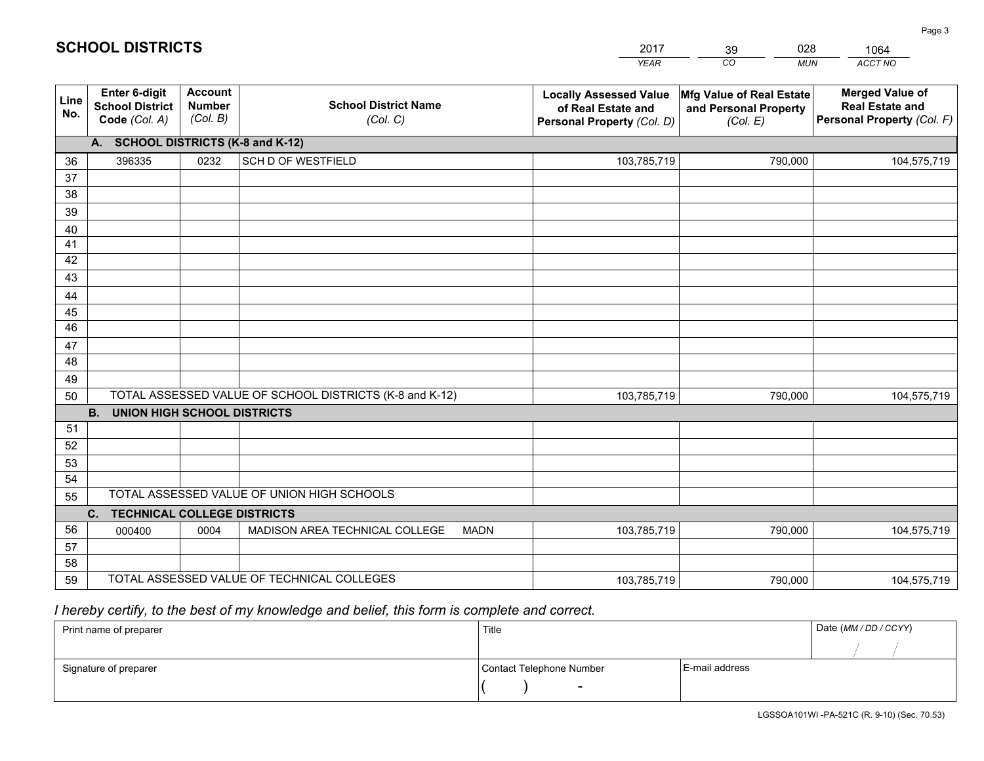|             |                                                                 |                                             |                                                         | <b>YEAR</b>                                                                       | CO<br><b>MUN</b>                                              | ACCT NO                                                                        |
|-------------|-----------------------------------------------------------------|---------------------------------------------|---------------------------------------------------------|-----------------------------------------------------------------------------------|---------------------------------------------------------------|--------------------------------------------------------------------------------|
| Line<br>No. | <b>Enter 6-digit</b><br><b>School District</b><br>Code (Col. A) | <b>Account</b><br><b>Number</b><br>(Col. B) | <b>School District Name</b><br>(Col. C)                 | <b>Locally Assessed Value</b><br>of Real Estate and<br>Personal Property (Col. D) | Mfg Value of Real Estate<br>and Personal Property<br>(Col. E) | <b>Merged Value of</b><br><b>Real Estate and</b><br>Personal Property (Col. F) |
|             | A. SCHOOL DISTRICTS (K-8 and K-12)                              |                                             |                                                         |                                                                                   |                                                               |                                                                                |
| 36          | 396335                                                          | 0232                                        | SCH D OF WESTFIELD                                      | 103,785,719                                                                       | 790,000                                                       | 104,575,719                                                                    |
| 37          |                                                                 |                                             |                                                         |                                                                                   |                                                               |                                                                                |
| 38          |                                                                 |                                             |                                                         |                                                                                   |                                                               |                                                                                |
| 39          |                                                                 |                                             |                                                         |                                                                                   |                                                               |                                                                                |
| 40          |                                                                 |                                             |                                                         |                                                                                   |                                                               |                                                                                |
| 41          |                                                                 |                                             |                                                         |                                                                                   |                                                               |                                                                                |
| 42          |                                                                 |                                             |                                                         |                                                                                   |                                                               |                                                                                |
| 43          |                                                                 |                                             |                                                         |                                                                                   |                                                               |                                                                                |
| 44<br>45    |                                                                 |                                             |                                                         |                                                                                   |                                                               |                                                                                |
| 46          |                                                                 |                                             |                                                         |                                                                                   |                                                               |                                                                                |
| 47          |                                                                 |                                             |                                                         |                                                                                   |                                                               |                                                                                |
| 48          |                                                                 |                                             |                                                         |                                                                                   |                                                               |                                                                                |
| 49          |                                                                 |                                             |                                                         |                                                                                   |                                                               |                                                                                |
| 50          |                                                                 |                                             | TOTAL ASSESSED VALUE OF SCHOOL DISTRICTS (K-8 and K-12) | 103,785,719                                                                       | 790,000                                                       | 104,575,719                                                                    |
|             | <b>B. UNION HIGH SCHOOL DISTRICTS</b>                           |                                             |                                                         |                                                                                   |                                                               |                                                                                |
| 51          |                                                                 |                                             |                                                         |                                                                                   |                                                               |                                                                                |
| 52          |                                                                 |                                             |                                                         |                                                                                   |                                                               |                                                                                |
| 53          |                                                                 |                                             |                                                         |                                                                                   |                                                               |                                                                                |
| 54          |                                                                 |                                             |                                                         |                                                                                   |                                                               |                                                                                |
| 55          |                                                                 |                                             | TOTAL ASSESSED VALUE OF UNION HIGH SCHOOLS              |                                                                                   |                                                               |                                                                                |
|             | C.<br><b>TECHNICAL COLLEGE DISTRICTS</b>                        |                                             |                                                         |                                                                                   |                                                               |                                                                                |
| 56          | 000400                                                          | 0004                                        | MADISON AREA TECHNICAL COLLEGE<br><b>MADN</b>           | 103,785,719                                                                       | 790,000                                                       | 104,575,719                                                                    |
| 57<br>58    |                                                                 |                                             |                                                         |                                                                                   |                                                               |                                                                                |
| 59          |                                                                 |                                             | TOTAL ASSESSED VALUE OF TECHNICAL COLLEGES              | 103,785,719                                                                       | 790,000                                                       | 104,575,719                                                                    |
|             |                                                                 |                                             |                                                         |                                                                                   |                                                               |                                                                                |

39

028

 *I hereby certify, to the best of my knowledge and belief, this form is complete and correct.*

**SCHOOL DISTRICTS**

| Print name of preparer | Title                    |                | Date (MM / DD / CCYY) |
|------------------------|--------------------------|----------------|-----------------------|
|                        |                          |                |                       |
| Signature of preparer  | Contact Telephone Number | E-mail address |                       |
|                        | $\sim$                   |                |                       |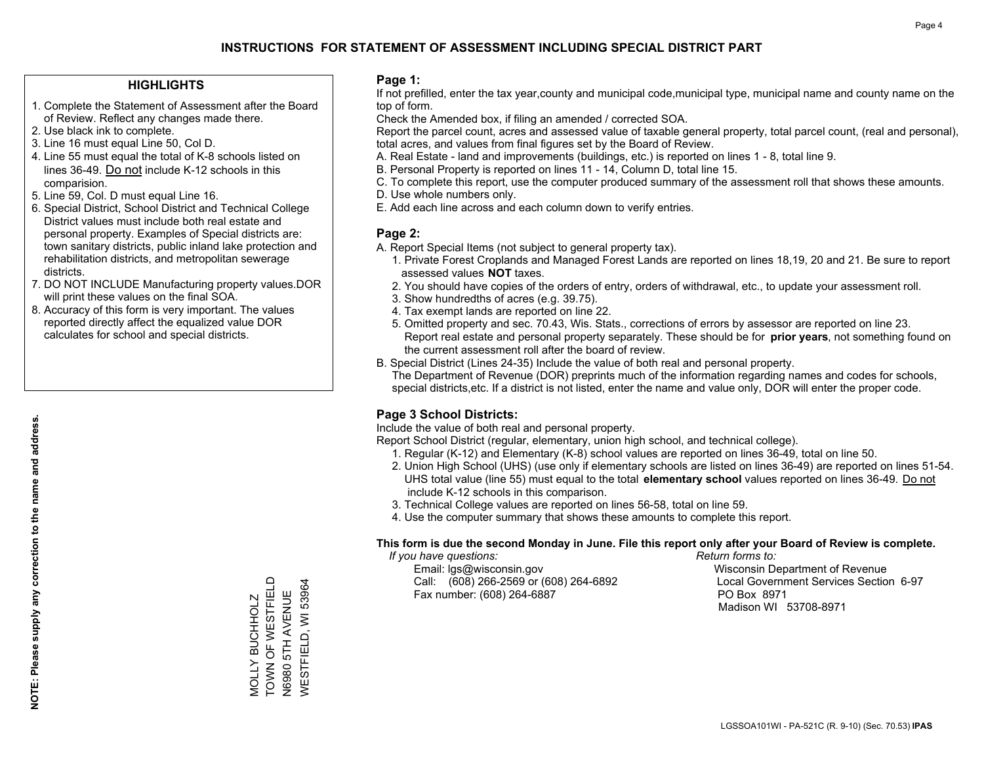## **HIGHLIGHTS**

- 1. Complete the Statement of Assessment after the Board of Review. Reflect any changes made there.
- 2. Use black ink to complete.
- 3. Line 16 must equal Line 50, Col D.
- 4. Line 55 must equal the total of K-8 schools listed on lines 36-49. Do not include K-12 schools in this comparision.
- 5. Line 59, Col. D must equal Line 16.
- 6. Special District, School District and Technical College District values must include both real estate and personal property. Examples of Special districts are: town sanitary districts, public inland lake protection and rehabilitation districts, and metropolitan sewerage districts.
- 7. DO NOT INCLUDE Manufacturing property values.DOR will print these values on the final SOA.

MOLLY BUCHHOLZ TOWN OF WESTFIELD N6980 5TH AVENUE WESTFIELD, WI 53964

MOLLY BUCHHOLZ<br>TOWN OF WESTFIELD

WESTFIELD, WI 53964 N6980 5TH AVENUE

 8. Accuracy of this form is very important. The values reported directly affect the equalized value DOR calculates for school and special districts.

#### **Page 1:**

 If not prefilled, enter the tax year,county and municipal code,municipal type, municipal name and county name on the top of form.

Check the Amended box, if filing an amended / corrected SOA.

 Report the parcel count, acres and assessed value of taxable general property, total parcel count, (real and personal), total acres, and values from final figures set by the Board of Review.

- A. Real Estate land and improvements (buildings, etc.) is reported on lines 1 8, total line 9.
- B. Personal Property is reported on lines 11 14, Column D, total line 15.
- C. To complete this report, use the computer produced summary of the assessment roll that shows these amounts.
- D. Use whole numbers only.
- E. Add each line across and each column down to verify entries.

## **Page 2:**

- A. Report Special Items (not subject to general property tax).
- 1. Private Forest Croplands and Managed Forest Lands are reported on lines 18,19, 20 and 21. Be sure to report assessed values **NOT** taxes.
- 2. You should have copies of the orders of entry, orders of withdrawal, etc., to update your assessment roll.
	- 3. Show hundredths of acres (e.g. 39.75).
- 4. Tax exempt lands are reported on line 22.
- 5. Omitted property and sec. 70.43, Wis. Stats., corrections of errors by assessor are reported on line 23. Report real estate and personal property separately. These should be for **prior years**, not something found on the current assessment roll after the board of review.
- B. Special District (Lines 24-35) Include the value of both real and personal property.
- The Department of Revenue (DOR) preprints much of the information regarding names and codes for schools, special districts,etc. If a district is not listed, enter the name and value only, DOR will enter the proper code.

## **Page 3 School Districts:**

Include the value of both real and personal property.

Report School District (regular, elementary, union high school, and technical college).

- 1. Regular (K-12) and Elementary (K-8) school values are reported on lines 36-49, total on line 50.
- 2. Union High School (UHS) (use only if elementary schools are listed on lines 36-49) are reported on lines 51-54. UHS total value (line 55) must equal to the total **elementary school** values reported on lines 36-49. Do notinclude K-12 schools in this comparison.
- 3. Technical College values are reported on lines 56-58, total on line 59.
- 4. Use the computer summary that shows these amounts to complete this report.

#### **This form is due the second Monday in June. File this report only after your Board of Review is complete.**

 *If you have questions: Return forms to:*

 Email: lgs@wisconsin.gov Wisconsin Department of RevenueCall:  $(608)$  266-2569 or  $(608)$  264-6892 Fax number: (608) 264-6887 PO Box 8971

Local Government Services Section 6-97 Madison WI 53708-8971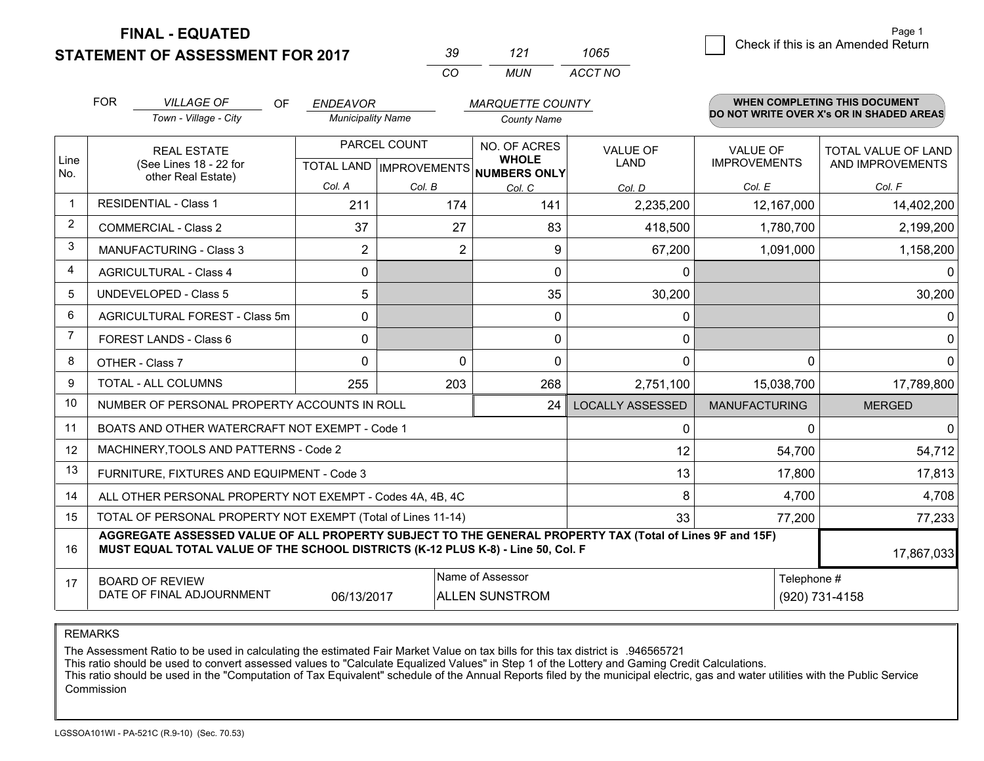**STATEMENT OF ASSESSMENT FOR 2017** 

| -30 | 121   | 1065    |
|-----|-------|---------|
| ΓO. | MI IN | ACCT NO |

|             | <b>FOR</b><br><b>VILLAGE OF</b><br>OF<br><b>ENDEAVOR</b><br><b>MARQUETTE COUNTY</b>                                                                                                          |                                                              |                                                      |          | WHEN COMPLETING THIS DOCUMENT<br>DO NOT WRITE OVER X's OR IN SHADED AREAS |                                |                                        |                                                |
|-------------|----------------------------------------------------------------------------------------------------------------------------------------------------------------------------------------------|--------------------------------------------------------------|------------------------------------------------------|----------|---------------------------------------------------------------------------|--------------------------------|----------------------------------------|------------------------------------------------|
|             |                                                                                                                                                                                              | Town - Village - City                                        | <b>Municipality Name</b>                             |          | <b>County Name</b>                                                        |                                |                                        |                                                |
| Line<br>No. | <b>REAL ESTATE</b><br>(See Lines 18 - 22 for<br>other Real Estate)                                                                                                                           |                                                              | PARCEL COUNT<br>TOTAL LAND IMPROVEMENTS NUMBERS ONLY |          | NO. OF ACRES<br><b>WHOLE</b>                                              | <b>VALUE OF</b><br><b>LAND</b> | <b>VALUE OF</b><br><b>IMPROVEMENTS</b> | <b>TOTAL VALUE OF LAND</b><br>AND IMPROVEMENTS |
|             |                                                                                                                                                                                              |                                                              | Col. A                                               | Col. B   | Col. C                                                                    | Col. D                         | Col. E                                 | Col. F                                         |
|             | <b>RESIDENTIAL - Class 1</b>                                                                                                                                                                 |                                                              | 211                                                  | 174      | 141                                                                       | 2,235,200                      | 12,167,000                             | 14,402,200                                     |
| 2           | <b>COMMERCIAL - Class 2</b>                                                                                                                                                                  |                                                              | 37                                                   | 27       | 83                                                                        | 418,500                        | 1,780,700                              | 2,199,200                                      |
| 3           |                                                                                                                                                                                              | <b>MANUFACTURING - Class 3</b>                               | $\overline{2}$                                       | 2        | 9                                                                         | 67,200                         | 1,091,000                              | 1,158,200                                      |
| 4           |                                                                                                                                                                                              | <b>AGRICULTURAL - Class 4</b>                                | 0                                                    |          | $\Omega$                                                                  | 0                              |                                        | $\Omega$                                       |
| 5           |                                                                                                                                                                                              | UNDEVELOPED - Class 5                                        | 5                                                    |          | 35                                                                        | 30,200                         |                                        | 30,200                                         |
| 6           |                                                                                                                                                                                              | AGRICULTURAL FOREST - Class 5m                               | 0                                                    |          | 0                                                                         | 0                              |                                        | $\mathbf 0$                                    |
| 7           |                                                                                                                                                                                              | FOREST LANDS - Class 6                                       | 0                                                    |          | $\mathbf{0}$                                                              | $\mathbf{0}$                   |                                        | $\mathbf 0$                                    |
| 8           |                                                                                                                                                                                              | OTHER - Class 7                                              | $\Omega$                                             | $\Omega$ | $\Omega$                                                                  | $\Omega$                       | $\Omega$                               | $\mathbf{0}$                                   |
| 9           |                                                                                                                                                                                              | TOTAL - ALL COLUMNS                                          | 255                                                  | 203      | 268                                                                       | 2,751,100                      | 15,038,700                             | 17,789,800                                     |
| 10          |                                                                                                                                                                                              | NUMBER OF PERSONAL PROPERTY ACCOUNTS IN ROLL                 |                                                      |          | 24                                                                        | <b>LOCALLY ASSESSED</b>        | <b>MANUFACTURING</b>                   | <b>MERGED</b>                                  |
| 11          |                                                                                                                                                                                              | BOATS AND OTHER WATERCRAFT NOT EXEMPT - Code 1               |                                                      |          |                                                                           | 0                              | 0                                      | $\mathbf{0}$                                   |
| 12          |                                                                                                                                                                                              | MACHINERY, TOOLS AND PATTERNS - Code 2                       |                                                      |          |                                                                           | 12                             | 54,700                                 | 54,712                                         |
| 13          |                                                                                                                                                                                              | FURNITURE, FIXTURES AND EQUIPMENT - Code 3                   |                                                      |          |                                                                           | 13                             | 17,800                                 | 17,813                                         |
| 14          |                                                                                                                                                                                              | ALL OTHER PERSONAL PROPERTY NOT EXEMPT - Codes 4A, 4B, 4C    |                                                      |          |                                                                           | 8                              | 4,700                                  | 4,708                                          |
| 15          |                                                                                                                                                                                              | TOTAL OF PERSONAL PROPERTY NOT EXEMPT (Total of Lines 11-14) |                                                      |          |                                                                           | 33                             | 77,200                                 | 77,233                                         |
| 16          | AGGREGATE ASSESSED VALUE OF ALL PROPERTY SUBJECT TO THE GENERAL PROPERTY TAX (Total of Lines 9F and 15F)<br>MUST EQUAL TOTAL VALUE OF THE SCHOOL DISTRICTS (K-12 PLUS K-8) - Line 50, Col. F |                                                              |                                                      |          |                                                                           |                                |                                        | 17,867,033                                     |
| 17          | Name of Assessor<br>Telephone #<br><b>BOARD OF REVIEW</b><br>DATE OF FINAL ADJOURNMENT<br>06/13/2017<br><b>ALLEN SUNSTROM</b>                                                                |                                                              |                                                      |          |                                                                           |                                | (920) 731-4158                         |                                                |

REMARKS

The Assessment Ratio to be used in calculating the estimated Fair Market Value on tax bills for this tax district is .946565721

This ratio should be used to convert assessed values to "Calculate Equalized Values" in Step 1 of the Lottery and Gaming Credit Calculations.<br>This ratio should be used in the "Computation of Tax Equivalent" schedule of the Commission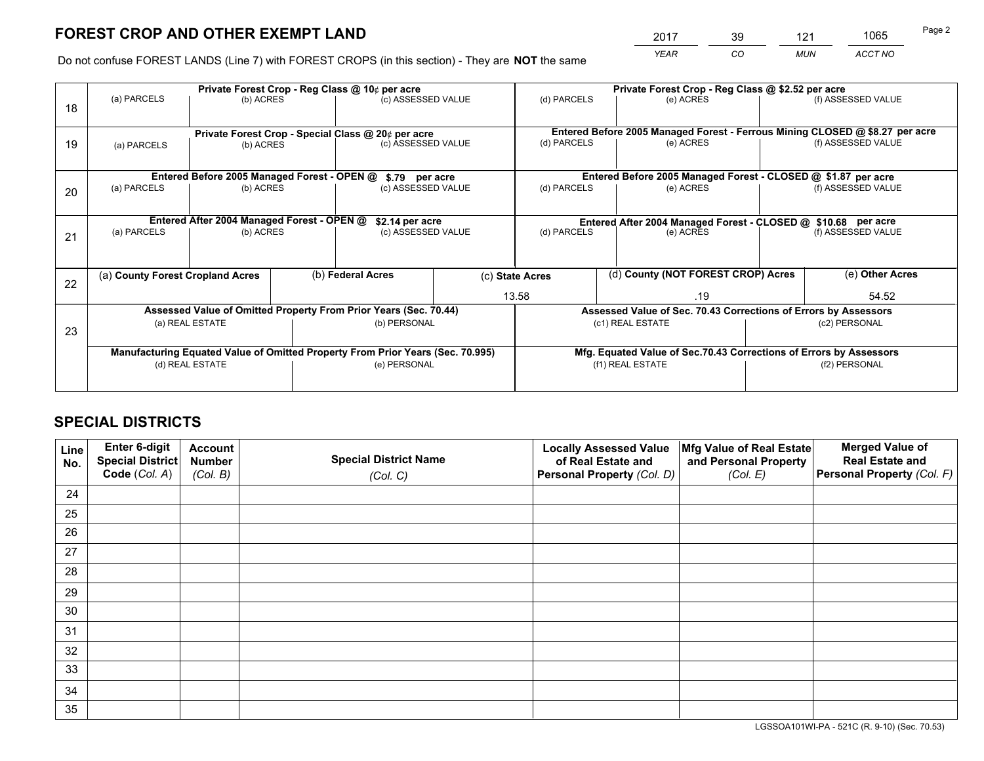*YEAR CO MUN ACCT NO* <sup>2017</sup> <sup>39</sup> <sup>121</sup> <sup>1065</sup>

Do not confuse FOREST LANDS (Line 7) with FOREST CROPS (in this section) - They are **NOT** the same

|    |                                  |                                                                                |  | Private Forest Crop - Reg Class @ 10¢ per acre                   | Private Forest Crop - Reg Class @ \$2.52 per acre                                |                                                                    |                  |                                                                 |               |                                                                              |
|----|----------------------------------|--------------------------------------------------------------------------------|--|------------------------------------------------------------------|----------------------------------------------------------------------------------|--------------------------------------------------------------------|------------------|-----------------------------------------------------------------|---------------|------------------------------------------------------------------------------|
| 18 | (a) PARCELS                      | (b) ACRES                                                                      |  | (c) ASSESSED VALUE                                               |                                                                                  | (d) PARCELS                                                        |                  | (e) ACRES                                                       |               | (f) ASSESSED VALUE                                                           |
|    |                                  |                                                                                |  | Private Forest Crop - Special Class @ 20¢ per acre               |                                                                                  |                                                                    |                  |                                                                 |               | Entered Before 2005 Managed Forest - Ferrous Mining CLOSED @ \$8.27 per acre |
| 19 | (b) ACRES<br>(a) PARCELS         |                                                                                |  | (c) ASSESSED VALUE                                               |                                                                                  | (d) PARCELS                                                        |                  | (e) ACRES                                                       |               | (f) ASSESSED VALUE                                                           |
|    |                                  | Entered Before 2005 Managed Forest - OPEN @                                    |  | \$.79 per acre                                                   |                                                                                  |                                                                    |                  | Entered Before 2005 Managed Forest - CLOSED @ \$1.87 per acre   |               |                                                                              |
|    | (a) PARCELS                      | (b) ACRES                                                                      |  | (c) ASSESSED VALUE                                               |                                                                                  | (d) PARCELS                                                        |                  | (e) ACRES                                                       |               | (f) ASSESSED VALUE                                                           |
| 20 |                                  |                                                                                |  |                                                                  |                                                                                  |                                                                    |                  |                                                                 |               |                                                                              |
|    |                                  | Entered After 2004 Managed Forest - OPEN @                                     |  |                                                                  | \$2.14 per acre<br>Entered After 2004 Managed Forest - CLOSED @ \$10.68 per acre |                                                                    |                  |                                                                 |               |                                                                              |
| 21 | (a) PARCELS                      | (b) ACRES                                                                      |  | (c) ASSESSED VALUE                                               |                                                                                  | (d) PARCELS<br>(e) ACRES                                           |                  | (f) ASSESSED VALUE                                              |               |                                                                              |
|    |                                  |                                                                                |  |                                                                  |                                                                                  |                                                                    |                  |                                                                 |               |                                                                              |
| 22 | (a) County Forest Cropland Acres |                                                                                |  | (b) Federal Acres                                                |                                                                                  | (d) County (NOT FOREST CROP) Acres<br>(c) State Acres              |                  |                                                                 |               | $\overline{(e)}$ Other Acres                                                 |
|    |                                  |                                                                                |  |                                                                  |                                                                                  | 13.58                                                              |                  | .19                                                             |               | 54.52                                                                        |
|    |                                  |                                                                                |  | Assessed Value of Omitted Property From Prior Years (Sec. 70.44) |                                                                                  |                                                                    |                  | Assessed Value of Sec. 70.43 Corrections of Errors by Assessors |               |                                                                              |
| 23 |                                  | (a) REAL ESTATE                                                                |  | (b) PERSONAL                                                     |                                                                                  |                                                                    | (c1) REAL ESTATE |                                                                 |               | (c2) PERSONAL                                                                |
|    |                                  |                                                                                |  |                                                                  |                                                                                  |                                                                    |                  |                                                                 |               |                                                                              |
|    |                                  | Manufacturing Equated Value of Omitted Property From Prior Years (Sec. 70.995) |  |                                                                  |                                                                                  | Mfg. Equated Value of Sec.70.43 Corrections of Errors by Assessors |                  |                                                                 |               |                                                                              |
|    |                                  | (d) REAL ESTATE                                                                |  | (e) PERSONAL                                                     |                                                                                  | (f1) REAL ESTATE                                                   |                  |                                                                 | (f2) PERSONAL |                                                                              |
|    |                                  |                                                                                |  |                                                                  |                                                                                  |                                                                    |                  |                                                                 |               |                                                                              |

## **SPECIAL DISTRICTS**

| Line<br>No. | Enter 6-digit<br>Special District<br>Code (Col. A) | <b>Account</b><br><b>Number</b><br>(Col. B) | <b>Special District Name</b><br>(Col. C) | <b>Locally Assessed Value</b><br>of Real Estate and<br>Personal Property (Col. D) | Mfg Value of Real Estate<br>and Personal Property<br>(Col. E) | <b>Merged Value of</b><br><b>Real Estate and</b><br>Personal Property (Col. F) |
|-------------|----------------------------------------------------|---------------------------------------------|------------------------------------------|-----------------------------------------------------------------------------------|---------------------------------------------------------------|--------------------------------------------------------------------------------|
| 24          |                                                    |                                             |                                          |                                                                                   |                                                               |                                                                                |
| 25          |                                                    |                                             |                                          |                                                                                   |                                                               |                                                                                |
| 26          |                                                    |                                             |                                          |                                                                                   |                                                               |                                                                                |
| 27          |                                                    |                                             |                                          |                                                                                   |                                                               |                                                                                |
| 28          |                                                    |                                             |                                          |                                                                                   |                                                               |                                                                                |
| 29          |                                                    |                                             |                                          |                                                                                   |                                                               |                                                                                |
| 30          |                                                    |                                             |                                          |                                                                                   |                                                               |                                                                                |
| 31          |                                                    |                                             |                                          |                                                                                   |                                                               |                                                                                |
| 32          |                                                    |                                             |                                          |                                                                                   |                                                               |                                                                                |
| 33          |                                                    |                                             |                                          |                                                                                   |                                                               |                                                                                |
| 34          |                                                    |                                             |                                          |                                                                                   |                                                               |                                                                                |
| 35          |                                                    |                                             |                                          |                                                                                   |                                                               |                                                                                |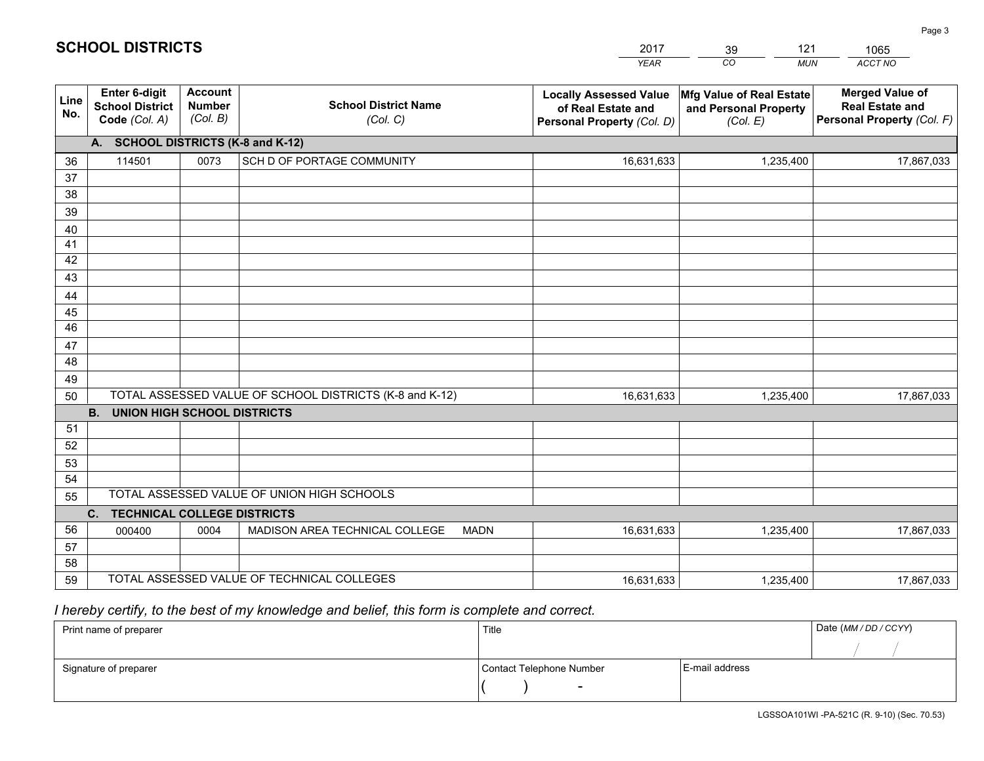|             |                                                                 |                                             |                                                         | <b>YEAR</b>                                                                       | CO<br><b>MUN</b>                                              | <b>ACCT NO</b>                                                                 |
|-------------|-----------------------------------------------------------------|---------------------------------------------|---------------------------------------------------------|-----------------------------------------------------------------------------------|---------------------------------------------------------------|--------------------------------------------------------------------------------|
| Line<br>No. | <b>Enter 6-digit</b><br><b>School District</b><br>Code (Col. A) | <b>Account</b><br><b>Number</b><br>(Col. B) | <b>School District Name</b><br>(Col. C)                 | <b>Locally Assessed Value</b><br>of Real Estate and<br>Personal Property (Col. D) | Mfg Value of Real Estate<br>and Personal Property<br>(Col. E) | <b>Merged Value of</b><br><b>Real Estate and</b><br>Personal Property (Col. F) |
|             | A. SCHOOL DISTRICTS (K-8 and K-12)                              |                                             |                                                         |                                                                                   |                                                               |                                                                                |
| 36          | 114501                                                          | 0073                                        | SCH D OF PORTAGE COMMUNITY                              | 16,631,633                                                                        | 1,235,400                                                     | 17,867,033                                                                     |
| 37          |                                                                 |                                             |                                                         |                                                                                   |                                                               |                                                                                |
| 38          |                                                                 |                                             |                                                         |                                                                                   |                                                               |                                                                                |
| 39          |                                                                 |                                             |                                                         |                                                                                   |                                                               |                                                                                |
| 40          |                                                                 |                                             |                                                         |                                                                                   |                                                               |                                                                                |
| 41          |                                                                 |                                             |                                                         |                                                                                   |                                                               |                                                                                |
| 42          |                                                                 |                                             |                                                         |                                                                                   |                                                               |                                                                                |
| 43          |                                                                 |                                             |                                                         |                                                                                   |                                                               |                                                                                |
| 44<br>45    |                                                                 |                                             |                                                         |                                                                                   |                                                               |                                                                                |
| 46          |                                                                 |                                             |                                                         |                                                                                   |                                                               |                                                                                |
| 47          |                                                                 |                                             |                                                         |                                                                                   |                                                               |                                                                                |
| 48          |                                                                 |                                             |                                                         |                                                                                   |                                                               |                                                                                |
| 49          |                                                                 |                                             |                                                         |                                                                                   |                                                               |                                                                                |
| 50          |                                                                 |                                             | TOTAL ASSESSED VALUE OF SCHOOL DISTRICTS (K-8 and K-12) | 16,631,633                                                                        | 1,235,400                                                     | 17,867,033                                                                     |
|             | <b>B.</b><br><b>UNION HIGH SCHOOL DISTRICTS</b>                 |                                             |                                                         |                                                                                   |                                                               |                                                                                |
| 51          |                                                                 |                                             |                                                         |                                                                                   |                                                               |                                                                                |
| 52          |                                                                 |                                             |                                                         |                                                                                   |                                                               |                                                                                |
| 53          |                                                                 |                                             |                                                         |                                                                                   |                                                               |                                                                                |
| 54          |                                                                 |                                             |                                                         |                                                                                   |                                                               |                                                                                |
| 55          |                                                                 |                                             | TOTAL ASSESSED VALUE OF UNION HIGH SCHOOLS              |                                                                                   |                                                               |                                                                                |
|             | C.<br><b>TECHNICAL COLLEGE DISTRICTS</b>                        |                                             |                                                         |                                                                                   |                                                               |                                                                                |
| 56          | 000400                                                          | 0004                                        | MADISON AREA TECHNICAL COLLEGE<br><b>MADN</b>           | 16,631,633                                                                        | 1,235,400                                                     | 17,867,033                                                                     |
| 57          |                                                                 |                                             |                                                         |                                                                                   |                                                               |                                                                                |
| 58          |                                                                 |                                             | TOTAL ASSESSED VALUE OF TECHNICAL COLLEGES              |                                                                                   |                                                               |                                                                                |
| 59          |                                                                 |                                             |                                                         | 16,631,633                                                                        | 1,235,400                                                     | 17,867,033                                                                     |

39

121

# *I hereby certify, to the best of my knowledge and belief, this form is complete and correct.*

**SCHOOL DISTRICTS**

| Print name of preparer | Title                    |                | Date (MM / DD / CCYY) |
|------------------------|--------------------------|----------------|-----------------------|
|                        |                          |                |                       |
| Signature of preparer  | Contact Telephone Number | E-mail address |                       |
|                        | $\overline{\phantom{0}}$ |                |                       |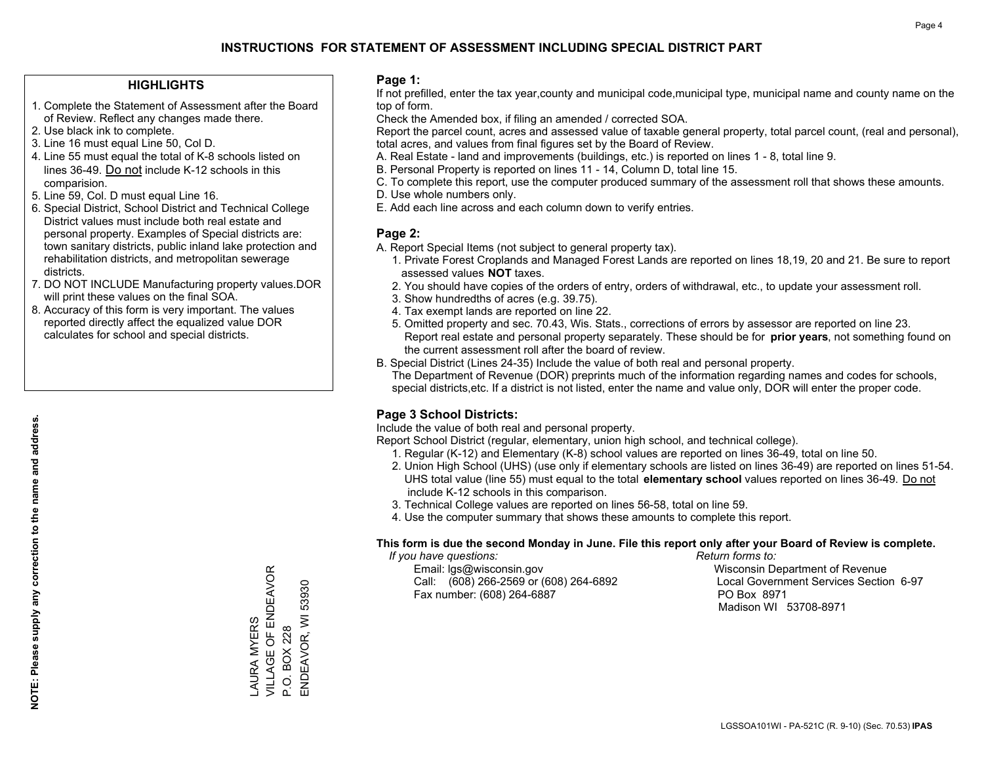## **HIGHLIGHTS**

- 1. Complete the Statement of Assessment after the Board of Review. Reflect any changes made there.
- 2. Use black ink to complete.
- 3. Line 16 must equal Line 50, Col D.
- 4. Line 55 must equal the total of K-8 schools listed on lines 36-49. Do not include K-12 schools in this comparision.
- 5. Line 59, Col. D must equal Line 16.
- 6. Special District, School District and Technical College District values must include both real estate and personal property. Examples of Special districts are: town sanitary districts, public inland lake protection and rehabilitation districts, and metropolitan sewerage districts.
- 7. DO NOT INCLUDE Manufacturing property values.DOR will print these values on the final SOA.

LAURA MYERS

VILLAGE OF ENDEAVOR

LAURA MYERS<br>VILLAGE OF ENDEAVOR

P.O. BOX 228

P.O. BOX 228

ENDEAVOR, WI 53930

ENDEAVOR, WI 53930

 8. Accuracy of this form is very important. The values reported directly affect the equalized value DOR calculates for school and special districts.

#### **Page 1:**

 If not prefilled, enter the tax year,county and municipal code,municipal type, municipal name and county name on the top of form.

Check the Amended box, if filing an amended / corrected SOA.

 Report the parcel count, acres and assessed value of taxable general property, total parcel count, (real and personal), total acres, and values from final figures set by the Board of Review.

- A. Real Estate land and improvements (buildings, etc.) is reported on lines 1 8, total line 9.
- B. Personal Property is reported on lines 11 14, Column D, total line 15.
- C. To complete this report, use the computer produced summary of the assessment roll that shows these amounts.
- D. Use whole numbers only.
- E. Add each line across and each column down to verify entries.

## **Page 2:**

- A. Report Special Items (not subject to general property tax).
- 1. Private Forest Croplands and Managed Forest Lands are reported on lines 18,19, 20 and 21. Be sure to report assessed values **NOT** taxes.
- 2. You should have copies of the orders of entry, orders of withdrawal, etc., to update your assessment roll.
	- 3. Show hundredths of acres (e.g. 39.75).
- 4. Tax exempt lands are reported on line 22.
- 5. Omitted property and sec. 70.43, Wis. Stats., corrections of errors by assessor are reported on line 23. Report real estate and personal property separately. These should be for **prior years**, not something found on the current assessment roll after the board of review.
- B. Special District (Lines 24-35) Include the value of both real and personal property.

 The Department of Revenue (DOR) preprints much of the information regarding names and codes for schools, special districts,etc. If a district is not listed, enter the name and value only, DOR will enter the proper code.

## **Page 3 School Districts:**

Include the value of both real and personal property.

Report School District (regular, elementary, union high school, and technical college).

- 1. Regular (K-12) and Elementary (K-8) school values are reported on lines 36-49, total on line 50.
- 2. Union High School (UHS) (use only if elementary schools are listed on lines 36-49) are reported on lines 51-54. UHS total value (line 55) must equal to the total **elementary school** values reported on lines 36-49. Do notinclude K-12 schools in this comparison.
- 3. Technical College values are reported on lines 56-58, total on line 59.
- 4. Use the computer summary that shows these amounts to complete this report.

#### **This form is due the second Monday in June. File this report only after your Board of Review is complete.**

 *If you have questions: Return forms to:*

 Email: lgs@wisconsin.gov Wisconsin Department of RevenueCall:  $(608)$  266-2569 or  $(608)$  264-6892 Fax number: (608) 264-6887 PO Box 8971

Local Government Services Section 6-97 Madison WI 53708-8971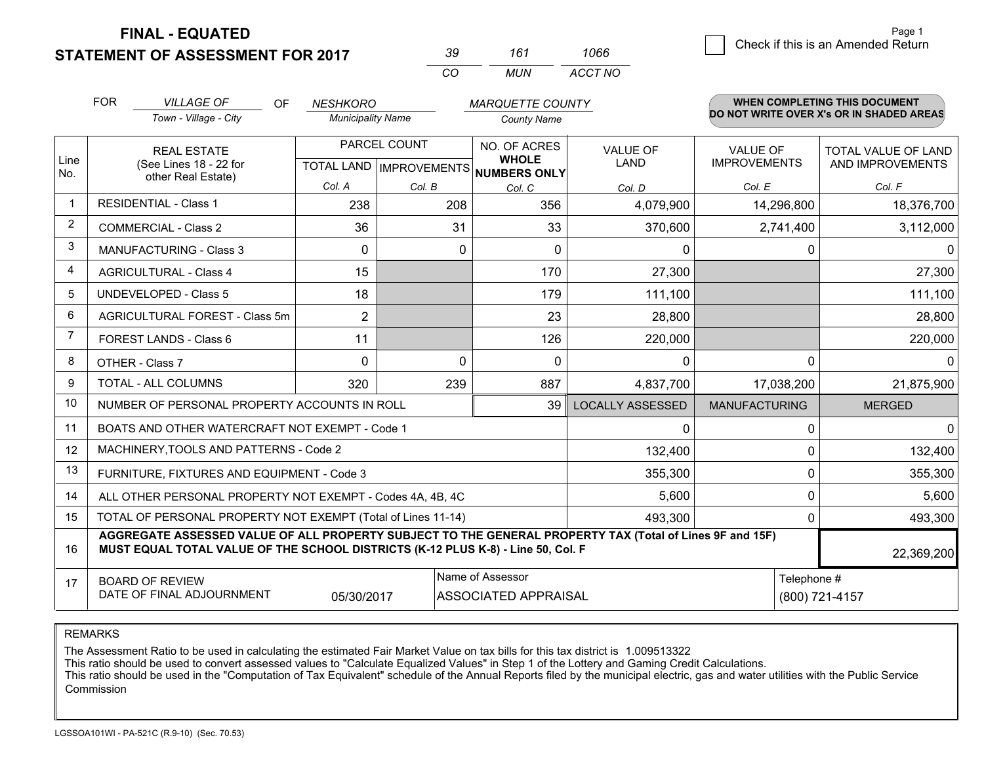**STATEMENT OF ASSESSMENT FOR 2017** 

| 30       | 161 | 1066    |
|----------|-----|---------|
| $\alpha$ | MUN | ACCT NO |

|                | <b>FOR</b><br><b>VILLAGE OF</b><br><b>OF</b><br><b>NESHKORO</b><br><b>MARQUETTE COUNTY</b>                                                                                                                 |                                                              |                                                      | WHEN COMPLETING THIS DOCUMENT |                              |                                |                                        |                                          |
|----------------|------------------------------------------------------------------------------------------------------------------------------------------------------------------------------------------------------------|--------------------------------------------------------------|------------------------------------------------------|-------------------------------|------------------------------|--------------------------------|----------------------------------------|------------------------------------------|
|                |                                                                                                                                                                                                            | Town - Village - City                                        | <b>Municipality Name</b>                             |                               | <b>County Name</b>           |                                |                                        | DO NOT WRITE OVER X's OR IN SHADED AREAS |
| Line           |                                                                                                                                                                                                            | <b>REAL ESTATE</b><br>(See Lines 18 - 22 for                 | PARCEL COUNT<br>TOTAL LAND IMPROVEMENTS NUMBERS ONLY |                               | NO. OF ACRES<br><b>WHOLE</b> | <b>VALUE OF</b><br><b>LAND</b> | <b>VALUE OF</b><br><b>IMPROVEMENTS</b> | TOTAL VALUE OF LAND<br>AND IMPROVEMENTS  |
| No.            | other Real Estate)                                                                                                                                                                                         |                                                              | Col. A                                               | Col. B                        | Col. C                       | Col. D                         | Col. E                                 | Col. F                                   |
| $\mathbf 1$    | <b>RESIDENTIAL - Class 1</b>                                                                                                                                                                               |                                                              | 238                                                  | 208                           | 356                          | 4,079,900                      | 14,296,800                             | 18,376,700                               |
| $\overline{2}$ |                                                                                                                                                                                                            | <b>COMMERCIAL - Class 2</b>                                  | 36                                                   | 31                            | 33                           | 370,600                        | 2,741,400                              | 3,112,000                                |
| 3              |                                                                                                                                                                                                            | <b>MANUFACTURING - Class 3</b>                               | $\Omega$                                             | $\Omega$                      | $\Omega$                     | 0                              | 0                                      | $\mathbf{0}$                             |
| $\overline{4}$ |                                                                                                                                                                                                            | <b>AGRICULTURAL - Class 4</b>                                | 15                                                   |                               | 170                          | 27,300                         |                                        | 27,300                                   |
| 5              |                                                                                                                                                                                                            | <b>UNDEVELOPED - Class 5</b>                                 | 18                                                   |                               | 179                          | 111,100                        |                                        | 111,100                                  |
| 6              | AGRICULTURAL FOREST - Class 5m                                                                                                                                                                             |                                                              | $\overline{2}$                                       |                               | 23                           | 28,800                         |                                        | 28,800                                   |
| $\overline{7}$ | FOREST LANDS - Class 6                                                                                                                                                                                     |                                                              | 11                                                   |                               | 126                          | 220,000                        |                                        | 220,000                                  |
| 8              |                                                                                                                                                                                                            | OTHER - Class 7                                              | $\Omega$                                             | $\Omega$                      | $\mathbf{0}$                 | 0                              | 0                                      | $\mathbf 0$                              |
| 9              |                                                                                                                                                                                                            | TOTAL - ALL COLUMNS                                          | 320                                                  | 239                           | 887                          | 4,837,700                      | 17,038,200                             | 21,875,900                               |
| 10             |                                                                                                                                                                                                            | NUMBER OF PERSONAL PROPERTY ACCOUNTS IN ROLL                 |                                                      |                               | 39                           | <b>LOCALLY ASSESSED</b>        | <b>MANUFACTURING</b>                   | <b>MERGED</b>                            |
| 11             |                                                                                                                                                                                                            | BOATS AND OTHER WATERCRAFT NOT EXEMPT - Code 1               |                                                      |                               |                              | 0                              | $\mathbf 0$                            | $\mathbf 0$                              |
| 12             |                                                                                                                                                                                                            | MACHINERY, TOOLS AND PATTERNS - Code 2                       |                                                      |                               |                              | 132,400                        | 0                                      | 132,400                                  |
| 13             |                                                                                                                                                                                                            | FURNITURE, FIXTURES AND EQUIPMENT - Code 3                   |                                                      |                               |                              | 355,300                        | $\mathbf 0$                            | 355,300                                  |
| 14             |                                                                                                                                                                                                            | ALL OTHER PERSONAL PROPERTY NOT EXEMPT - Codes 4A, 4B, 4C    |                                                      |                               |                              | 5,600                          | 0                                      | 5,600                                    |
| 15             |                                                                                                                                                                                                            | TOTAL OF PERSONAL PROPERTY NOT EXEMPT (Total of Lines 11-14) |                                                      |                               | 493,300                      | $\mathbf 0$                    | 493,300                                |                                          |
| 16             | AGGREGATE ASSESSED VALUE OF ALL PROPERTY SUBJECT TO THE GENERAL PROPERTY TAX (Total of Lines 9F and 15F)<br>MUST EQUAL TOTAL VALUE OF THE SCHOOL DISTRICTS (K-12 PLUS K-8) - Line 50, Col. F<br>22,369,200 |                                                              |                                                      |                               |                              |                                |                                        |                                          |
| 17             | Name of Assessor<br><b>BOARD OF REVIEW</b><br>DATE OF FINAL ADJOURNMENT<br><b>ASSOCIATED APPRAISAL</b><br>05/30/2017                                                                                       |                                                              |                                                      |                               |                              |                                | Telephone #                            | (800) 721-4157                           |

REMARKS

The Assessment Ratio to be used in calculating the estimated Fair Market Value on tax bills for this tax district is 1.009513322

This ratio should be used to convert assessed values to "Calculate Equalized Values" in Step 1 of the Lottery and Gaming Credit Calculations.<br>This ratio should be used in the "Computation of Tax Equivalent" schedule of the Commission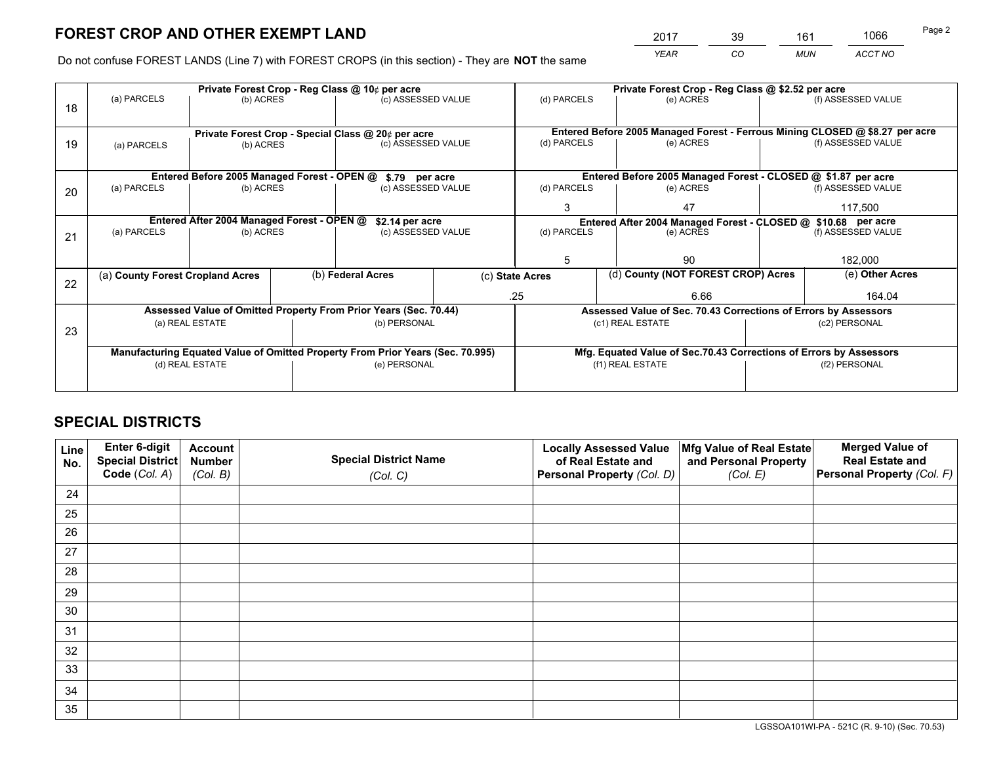*YEAR CO MUN ACCT NO* <sup>2017</sup> <sup>39</sup> <sup>161</sup> <sup>1066</sup>

Do not confuse FOREST LANDS (Line 7) with FOREST CROPS (in this section) - They are **NOT** the same

|    |                                                    |                                             |  | Private Forest Crop - Reg Class @ 10¢ per acre                                 |             | Private Forest Crop - Reg Class @ \$2.52 per acre |                                                                              |         |                    |  |
|----|----------------------------------------------------|---------------------------------------------|--|--------------------------------------------------------------------------------|-------------|---------------------------------------------------|------------------------------------------------------------------------------|---------|--------------------|--|
| 18 | (a) PARCELS                                        | (b) ACRES                                   |  | (c) ASSESSED VALUE                                                             |             | (d) PARCELS                                       | (e) ACRES                                                                    |         | (f) ASSESSED VALUE |  |
|    |                                                    |                                             |  |                                                                                |             |                                                   |                                                                              |         |                    |  |
|    | Private Forest Crop - Special Class @ 20¢ per acre |                                             |  |                                                                                |             |                                                   | Entered Before 2005 Managed Forest - Ferrous Mining CLOSED @ \$8.27 per acre |         |                    |  |
| 19 | (a) PARCELS                                        | (b) ACRES                                   |  | (c) ASSESSED VALUE                                                             |             | (d) PARCELS                                       | (e) ACRES                                                                    |         | (f) ASSESSED VALUE |  |
|    |                                                    |                                             |  |                                                                                |             |                                                   |                                                                              |         |                    |  |
|    |                                                    | Entered Before 2005 Managed Forest - OPEN @ |  | \$.79 per acre                                                                 |             |                                                   | Entered Before 2005 Managed Forest - CLOSED @ \$1.87 per acre                |         |                    |  |
| 20 | (a) PARCELS                                        | (b) ACRES                                   |  | (c) ASSESSED VALUE                                                             |             | (d) PARCELS                                       | (e) ACRES                                                                    |         | (f) ASSESSED VALUE |  |
|    |                                                    |                                             |  |                                                                                | 3           | 47                                                |                                                                              | 117.500 |                    |  |
|    |                                                    | Entered After 2004 Managed Forest - OPEN @  |  | \$2.14 per acre                                                                |             |                                                   | Entered After 2004 Managed Forest - CLOSED @ \$10.68 per acre                |         |                    |  |
| 21 | (a) PARCELS                                        | (b) ACRES                                   |  | (c) ASSESSED VALUE                                                             |             | (d) PARCELS<br>(e) ACRES                          |                                                                              |         | (f) ASSESSED VALUE |  |
|    |                                                    |                                             |  |                                                                                |             |                                                   |                                                                              |         |                    |  |
|    |                                                    |                                             |  |                                                                                |             | 5                                                 | 90                                                                           |         | 182,000            |  |
| 22 | (a) County Forest Cropland Acres                   |                                             |  | (b) Federal Acres                                                              |             | (c) State Acres                                   | (d) County (NOT FOREST CROP) Acres                                           |         | (e) Other Acres    |  |
|    |                                                    |                                             |  |                                                                                | .25<br>6.66 |                                                   |                                                                              |         | 164.04             |  |
|    |                                                    |                                             |  | Assessed Value of Omitted Property From Prior Years (Sec. 70.44)               |             |                                                   | Assessed Value of Sec. 70.43 Corrections of Errors by Assessors              |         |                    |  |
| 23 |                                                    | (a) REAL ESTATE                             |  | (b) PERSONAL                                                                   |             |                                                   | (c1) REAL ESTATE                                                             |         | (c2) PERSONAL      |  |
|    |                                                    |                                             |  |                                                                                |             |                                                   |                                                                              |         |                    |  |
|    |                                                    |                                             |  | Manufacturing Equated Value of Omitted Property From Prior Years (Sec. 70.995) |             |                                                   | Mfg. Equated Value of Sec.70.43 Corrections of Errors by Assessors           |         |                    |  |
|    |                                                    | (d) REAL ESTATE                             |  | (e) PERSONAL                                                                   |             | (f1) REAL ESTATE                                  |                                                                              |         | (f2) PERSONAL      |  |
|    |                                                    |                                             |  |                                                                                |             |                                                   |                                                                              |         |                    |  |

## **SPECIAL DISTRICTS**

| Line<br>No. | Enter 6-digit<br>Special District<br>Code (Col. A) | <b>Account</b><br><b>Number</b><br>(Col. B) | <b>Special District Name</b><br>(Col. C) | <b>Locally Assessed Value</b><br>of Real Estate and<br>Personal Property (Col. D) | Mfg Value of Real Estate<br>and Personal Property<br>(Col. E) | <b>Merged Value of</b><br><b>Real Estate and</b><br>Personal Property (Col. F) |
|-------------|----------------------------------------------------|---------------------------------------------|------------------------------------------|-----------------------------------------------------------------------------------|---------------------------------------------------------------|--------------------------------------------------------------------------------|
| 24          |                                                    |                                             |                                          |                                                                                   |                                                               |                                                                                |
| 25          |                                                    |                                             |                                          |                                                                                   |                                                               |                                                                                |
| 26          |                                                    |                                             |                                          |                                                                                   |                                                               |                                                                                |
| 27          |                                                    |                                             |                                          |                                                                                   |                                                               |                                                                                |
| 28          |                                                    |                                             |                                          |                                                                                   |                                                               |                                                                                |
| 29          |                                                    |                                             |                                          |                                                                                   |                                                               |                                                                                |
| 30          |                                                    |                                             |                                          |                                                                                   |                                                               |                                                                                |
| 31          |                                                    |                                             |                                          |                                                                                   |                                                               |                                                                                |
| 32          |                                                    |                                             |                                          |                                                                                   |                                                               |                                                                                |
| 33          |                                                    |                                             |                                          |                                                                                   |                                                               |                                                                                |
| 34          |                                                    |                                             |                                          |                                                                                   |                                                               |                                                                                |
| 35          |                                                    |                                             |                                          |                                                                                   |                                                               |                                                                                |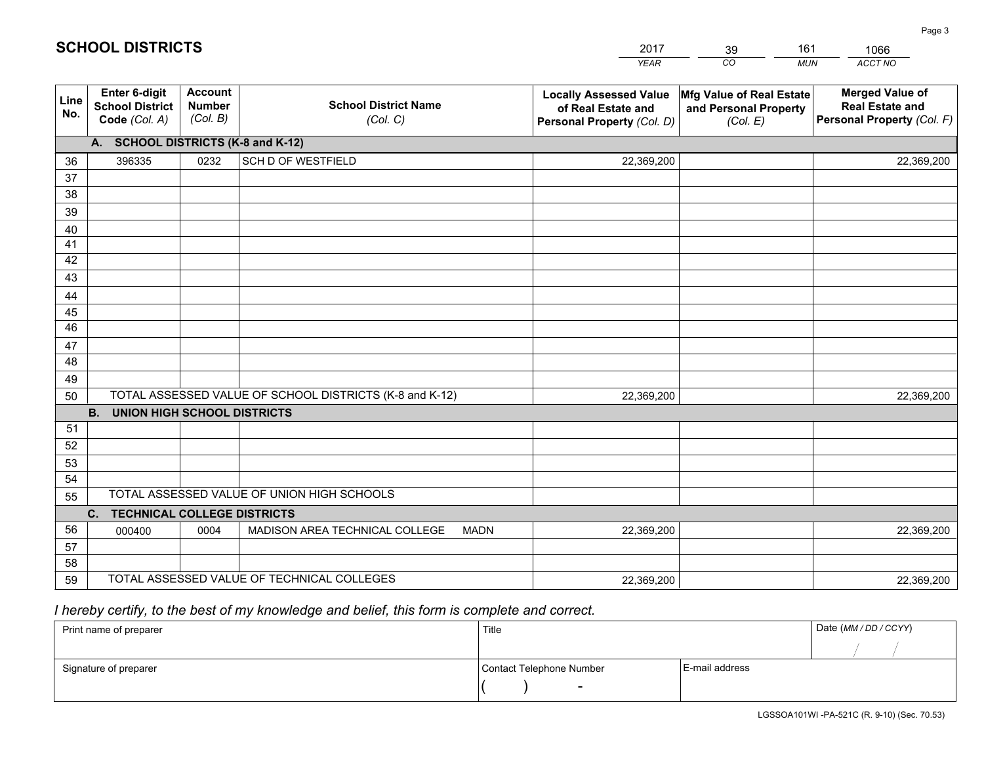| <b>Account</b><br><b>Merged Value of</b><br>Enter 6-digit<br><b>Locally Assessed Value</b><br>Mfg Value of Real Estate<br>Line<br><b>School District Name</b><br><b>Number</b><br><b>School District</b><br><b>Real Estate and</b><br>of Real Estate and<br>and Personal Property<br>No.<br>(Col. B)<br>Personal Property (Col. F)<br>Code (Col. A)<br>(Col. C)<br>Personal Property (Col. D)<br>(Col. E)<br>A. SCHOOL DISTRICTS (K-8 and K-12)<br><b>SCH D OF WESTFIELD</b><br>396335<br>0232<br>36<br>22,369,200<br>22,369,200<br>37<br>38<br>39<br>40<br>41<br>42<br>43<br>44<br>45<br>46<br>47<br>48<br>49<br>TOTAL ASSESSED VALUE OF SCHOOL DISTRICTS (K-8 and K-12)<br>50<br>22,369,200<br>22,369,200<br><b>UNION HIGH SCHOOL DISTRICTS</b><br><b>B.</b><br>51<br>52<br>53<br>54<br>TOTAL ASSESSED VALUE OF UNION HIGH SCHOOLS<br>55<br>C.<br><b>TECHNICAL COLLEGE DISTRICTS</b><br>56<br>MADISON AREA TECHNICAL COLLEGE<br><b>MADN</b><br>0004<br>22,369,200<br>22,369,200<br>000400 |    |  | YEAR | CO.<br><b>MUN</b> | ACCT NO |
|---------------------------------------------------------------------------------------------------------------------------------------------------------------------------------------------------------------------------------------------------------------------------------------------------------------------------------------------------------------------------------------------------------------------------------------------------------------------------------------------------------------------------------------------------------------------------------------------------------------------------------------------------------------------------------------------------------------------------------------------------------------------------------------------------------------------------------------------------------------------------------------------------------------------------------------------------------------------------------------------|----|--|------|-------------------|---------|
|                                                                                                                                                                                                                                                                                                                                                                                                                                                                                                                                                                                                                                                                                                                                                                                                                                                                                                                                                                                             |    |  |      |                   |         |
|                                                                                                                                                                                                                                                                                                                                                                                                                                                                                                                                                                                                                                                                                                                                                                                                                                                                                                                                                                                             |    |  |      |                   |         |
|                                                                                                                                                                                                                                                                                                                                                                                                                                                                                                                                                                                                                                                                                                                                                                                                                                                                                                                                                                                             |    |  |      |                   |         |
|                                                                                                                                                                                                                                                                                                                                                                                                                                                                                                                                                                                                                                                                                                                                                                                                                                                                                                                                                                                             |    |  |      |                   |         |
|                                                                                                                                                                                                                                                                                                                                                                                                                                                                                                                                                                                                                                                                                                                                                                                                                                                                                                                                                                                             |    |  |      |                   |         |
|                                                                                                                                                                                                                                                                                                                                                                                                                                                                                                                                                                                                                                                                                                                                                                                                                                                                                                                                                                                             |    |  |      |                   |         |
|                                                                                                                                                                                                                                                                                                                                                                                                                                                                                                                                                                                                                                                                                                                                                                                                                                                                                                                                                                                             |    |  |      |                   |         |
|                                                                                                                                                                                                                                                                                                                                                                                                                                                                                                                                                                                                                                                                                                                                                                                                                                                                                                                                                                                             |    |  |      |                   |         |
|                                                                                                                                                                                                                                                                                                                                                                                                                                                                                                                                                                                                                                                                                                                                                                                                                                                                                                                                                                                             |    |  |      |                   |         |
|                                                                                                                                                                                                                                                                                                                                                                                                                                                                                                                                                                                                                                                                                                                                                                                                                                                                                                                                                                                             |    |  |      |                   |         |
|                                                                                                                                                                                                                                                                                                                                                                                                                                                                                                                                                                                                                                                                                                                                                                                                                                                                                                                                                                                             |    |  |      |                   |         |
|                                                                                                                                                                                                                                                                                                                                                                                                                                                                                                                                                                                                                                                                                                                                                                                                                                                                                                                                                                                             |    |  |      |                   |         |
|                                                                                                                                                                                                                                                                                                                                                                                                                                                                                                                                                                                                                                                                                                                                                                                                                                                                                                                                                                                             |    |  |      |                   |         |
|                                                                                                                                                                                                                                                                                                                                                                                                                                                                                                                                                                                                                                                                                                                                                                                                                                                                                                                                                                                             |    |  |      |                   |         |
|                                                                                                                                                                                                                                                                                                                                                                                                                                                                                                                                                                                                                                                                                                                                                                                                                                                                                                                                                                                             |    |  |      |                   |         |
|                                                                                                                                                                                                                                                                                                                                                                                                                                                                                                                                                                                                                                                                                                                                                                                                                                                                                                                                                                                             |    |  |      |                   |         |
|                                                                                                                                                                                                                                                                                                                                                                                                                                                                                                                                                                                                                                                                                                                                                                                                                                                                                                                                                                                             |    |  |      |                   |         |
|                                                                                                                                                                                                                                                                                                                                                                                                                                                                                                                                                                                                                                                                                                                                                                                                                                                                                                                                                                                             |    |  |      |                   |         |
|                                                                                                                                                                                                                                                                                                                                                                                                                                                                                                                                                                                                                                                                                                                                                                                                                                                                                                                                                                                             |    |  |      |                   |         |
|                                                                                                                                                                                                                                                                                                                                                                                                                                                                                                                                                                                                                                                                                                                                                                                                                                                                                                                                                                                             |    |  |      |                   |         |
|                                                                                                                                                                                                                                                                                                                                                                                                                                                                                                                                                                                                                                                                                                                                                                                                                                                                                                                                                                                             |    |  |      |                   |         |
|                                                                                                                                                                                                                                                                                                                                                                                                                                                                                                                                                                                                                                                                                                                                                                                                                                                                                                                                                                                             |    |  |      |                   |         |
|                                                                                                                                                                                                                                                                                                                                                                                                                                                                                                                                                                                                                                                                                                                                                                                                                                                                                                                                                                                             |    |  |      |                   |         |
|                                                                                                                                                                                                                                                                                                                                                                                                                                                                                                                                                                                                                                                                                                                                                                                                                                                                                                                                                                                             | 57 |  |      |                   |         |
| 58                                                                                                                                                                                                                                                                                                                                                                                                                                                                                                                                                                                                                                                                                                                                                                                                                                                                                                                                                                                          |    |  |      |                   |         |
| TOTAL ASSESSED VALUE OF TECHNICAL COLLEGES<br>59<br>22,369,200<br>22,369,200                                                                                                                                                                                                                                                                                                                                                                                                                                                                                                                                                                                                                                                                                                                                                                                                                                                                                                                |    |  |      |                   |         |

39

161

 *I hereby certify, to the best of my knowledge and belief, this form is complete and correct.*

**SCHOOL DISTRICTS**

| Print name of preparer | Title                    |                | Date (MM / DD / CCYY) |
|------------------------|--------------------------|----------------|-----------------------|
|                        |                          |                |                       |
| Signature of preparer  | Contact Telephone Number | E-mail address |                       |
|                        | $\overline{\phantom{0}}$ |                |                       |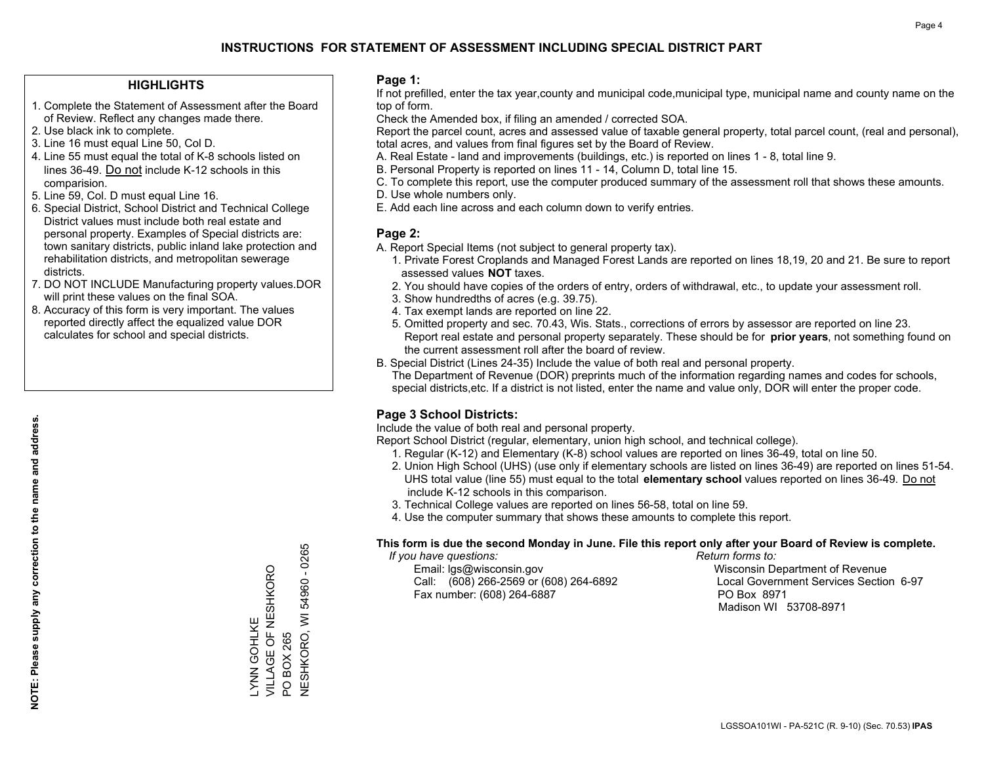## **HIGHLIGHTS**

- 1. Complete the Statement of Assessment after the Board of Review. Reflect any changes made there.
- 2. Use black ink to complete.
- 3. Line 16 must equal Line 50, Col D.
- 4. Line 55 must equal the total of K-8 schools listed on lines 36-49. Do not include K-12 schools in this comparision.
- 5. Line 59, Col. D must equal Line 16.
- 6. Special District, School District and Technical College District values must include both real estate and personal property. Examples of Special districts are: town sanitary districts, public inland lake protection and rehabilitation districts, and metropolitan sewerage districts.
- 7. DO NOT INCLUDE Manufacturing property values.DOR will print these values on the final SOA.
- 8. Accuracy of this form is very important. The values reported directly affect the equalized value DOR calculates for school and special districts.

#### **Page 1:**

 If not prefilled, enter the tax year,county and municipal code,municipal type, municipal name and county name on the top of form.

Check the Amended box, if filing an amended / corrected SOA.

 Report the parcel count, acres and assessed value of taxable general property, total parcel count, (real and personal), total acres, and values from final figures set by the Board of Review.

- A. Real Estate land and improvements (buildings, etc.) is reported on lines 1 8, total line 9.
- B. Personal Property is reported on lines 11 14, Column D, total line 15.
- C. To complete this report, use the computer produced summary of the assessment roll that shows these amounts.
- D. Use whole numbers only.
- E. Add each line across and each column down to verify entries.

## **Page 2:**

- A. Report Special Items (not subject to general property tax).
- 1. Private Forest Croplands and Managed Forest Lands are reported on lines 18,19, 20 and 21. Be sure to report assessed values **NOT** taxes.
- 2. You should have copies of the orders of entry, orders of withdrawal, etc., to update your assessment roll.
	- 3. Show hundredths of acres (e.g. 39.75).
- 4. Tax exempt lands are reported on line 22.
- 5. Omitted property and sec. 70.43, Wis. Stats., corrections of errors by assessor are reported on line 23. Report real estate and personal property separately. These should be for **prior years**, not something found on the current assessment roll after the board of review.
- B. Special District (Lines 24-35) Include the value of both real and personal property.

 The Department of Revenue (DOR) preprints much of the information regarding names and codes for schools, special districts,etc. If a district is not listed, enter the name and value only, DOR will enter the proper code.

## **Page 3 School Districts:**

Include the value of both real and personal property.

Report School District (regular, elementary, union high school, and technical college).

- 1. Regular (K-12) and Elementary (K-8) school values are reported on lines 36-49, total on line 50.
- 2. Union High School (UHS) (use only if elementary schools are listed on lines 36-49) are reported on lines 51-54. UHS total value (line 55) must equal to the total **elementary school** values reported on lines 36-49. Do notinclude K-12 schools in this comparison.
- 3. Technical College values are reported on lines 56-58, total on line 59.
- 4. Use the computer summary that shows these amounts to complete this report.

#### **This form is due the second Monday in June. File this report only after your Board of Review is complete.**

 *If you have questions: Return forms to:*

 Email: lgs@wisconsin.gov Wisconsin Department of RevenueCall:  $(608)$  266-2569 or  $(608)$  264-6892 Fax number: (608) 264-6887 PO Box 8971

Local Government Services Section 6-97 Madison WI 53708-8971

**NESHKORO, WI 54960 - 0265** NESHKORO, WI 54960 - 0265 VILLAGE OF NESHKORO LYNN GOHLKE<br>VILLAGE OF NESHKORO LYNN GOHLKE BOX 265 PO BOX 265  $\overline{S}$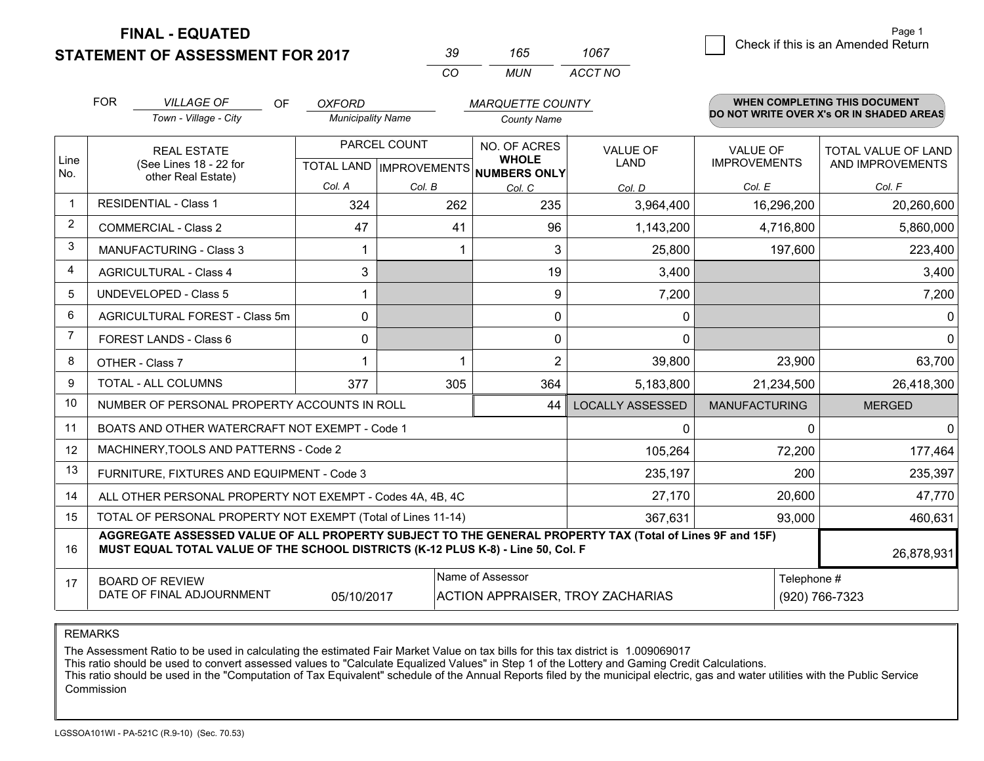**STATEMENT OF ASSESSMENT FOR 2017** 

| ิ่∢น     | n.  | 1067    |
|----------|-----|---------|
| $\cdots$ | MUN | ACCT NO |

|      | <b>FOR</b><br><b>VILLAGE OF</b><br><b>OF</b><br><b>OXFORD</b><br><b>MARQUETTE COUNTY</b>                                                                                                     |                                                              |                          |                                           |                              | <b>WHEN COMPLETING THIS DOCUMENT</b> |                                        |                                                |
|------|----------------------------------------------------------------------------------------------------------------------------------------------------------------------------------------------|--------------------------------------------------------------|--------------------------|-------------------------------------------|------------------------------|--------------------------------------|----------------------------------------|------------------------------------------------|
|      |                                                                                                                                                                                              | Town - Village - City                                        | <b>Municipality Name</b> |                                           | <b>County Name</b>           |                                      |                                        | DO NOT WRITE OVER X's OR IN SHADED AREAS       |
| Line |                                                                                                                                                                                              | <b>REAL ESTATE</b><br>(See Lines 18 - 22 for                 |                          | PARCEL COUNT<br>TOTAL LAND   IMPROVEMENTS | NO. OF ACRES<br><b>WHOLE</b> | <b>VALUE OF</b><br><b>LAND</b>       | <b>VALUE OF</b><br><b>IMPROVEMENTS</b> | <b>TOTAL VALUE OF LAND</b><br>AND IMPROVEMENTS |
| No.  |                                                                                                                                                                                              | other Real Estate)                                           | Col. A                   | Col. B                                    | NUMBERS ONLY<br>Col. C       | Col. D                               | Col. E                                 | Col. F                                         |
|      | <b>RESIDENTIAL - Class 1</b>                                                                                                                                                                 |                                                              | 324                      | 262                                       | 235                          | 3,964,400                            | 16,296,200                             | 20,260,600                                     |
| 2    |                                                                                                                                                                                              | <b>COMMERCIAL - Class 2</b>                                  | 47                       | 41                                        | 96                           | 1,143,200                            | 4,716,800                              | 5,860,000                                      |
| 3    |                                                                                                                                                                                              | <b>MANUFACTURING - Class 3</b>                               | 1                        |                                           | 3                            | 25,800                               | 197,600                                | 223,400                                        |
| 4    |                                                                                                                                                                                              | <b>AGRICULTURAL - Class 4</b>                                | 3                        |                                           | 19                           | 3,400                                |                                        | 3,400                                          |
| 5    |                                                                                                                                                                                              | <b>UNDEVELOPED - Class 5</b>                                 |                          |                                           | 9                            | 7,200                                |                                        | 7,200                                          |
| 6    |                                                                                                                                                                                              | AGRICULTURAL FOREST - Class 5m                               | $\Omega$                 |                                           | 0                            | 0                                    |                                        | $\mathbf{0}$                                   |
| 7    |                                                                                                                                                                                              | FOREST LANDS - Class 6                                       | 0                        |                                           | 0                            | $\Omega$                             |                                        | $\mathbf{0}$                                   |
| 8    |                                                                                                                                                                                              | OTHER - Class 7                                              | 1                        | 1                                         | $\overline{2}$               | 39,800                               | 23,900                                 | 63,700                                         |
| 9    |                                                                                                                                                                                              | TOTAL - ALL COLUMNS                                          | 377                      | 305                                       | 364                          | 5,183,800                            | 21,234,500                             | 26,418,300                                     |
| 10   |                                                                                                                                                                                              | NUMBER OF PERSONAL PROPERTY ACCOUNTS IN ROLL                 |                          |                                           | 44                           | <b>LOCALLY ASSESSED</b>              | <b>MANUFACTURING</b>                   | <b>MERGED</b>                                  |
| 11   |                                                                                                                                                                                              | BOATS AND OTHER WATERCRAFT NOT EXEMPT - Code 1               |                          |                                           |                              | 0                                    | 0                                      | $\mathbf{0}$                                   |
| 12   |                                                                                                                                                                                              | MACHINERY, TOOLS AND PATTERNS - Code 2                       |                          |                                           |                              | 105,264                              | 72,200                                 | 177,464                                        |
| 13   |                                                                                                                                                                                              | FURNITURE, FIXTURES AND EQUIPMENT - Code 3                   |                          |                                           |                              | 235,197                              | 200                                    | 235,397                                        |
| 14   |                                                                                                                                                                                              | ALL OTHER PERSONAL PROPERTY NOT EXEMPT - Codes 4A, 4B, 4C    |                          |                                           | 27,170                       | 20,600                               | 47,770                                 |                                                |
| 15   |                                                                                                                                                                                              | TOTAL OF PERSONAL PROPERTY NOT EXEMPT (Total of Lines 11-14) |                          |                                           |                              | 367,631                              | 93,000                                 | 460,631                                        |
| 16   | AGGREGATE ASSESSED VALUE OF ALL PROPERTY SUBJECT TO THE GENERAL PROPERTY TAX (Total of Lines 9F and 15F)<br>MUST EQUAL TOTAL VALUE OF THE SCHOOL DISTRICTS (K-12 PLUS K-8) - Line 50, Col. F |                                                              |                          |                                           |                              |                                      |                                        | 26,878,931                                     |
| 17   | Name of Assessor<br>Telephone #<br><b>BOARD OF REVIEW</b><br>DATE OF FINAL ADJOURNMENT<br>(920) 766-7323<br>05/10/2017<br><b>ACTION APPRAISER, TROY ZACHARIAS</b>                            |                                                              |                          |                                           |                              |                                      |                                        |                                                |

REMARKS

The Assessment Ratio to be used in calculating the estimated Fair Market Value on tax bills for this tax district is 1.009069017<br>This ratio should be used to convert assessed values to "Calculate Equalized Values" in Step Commission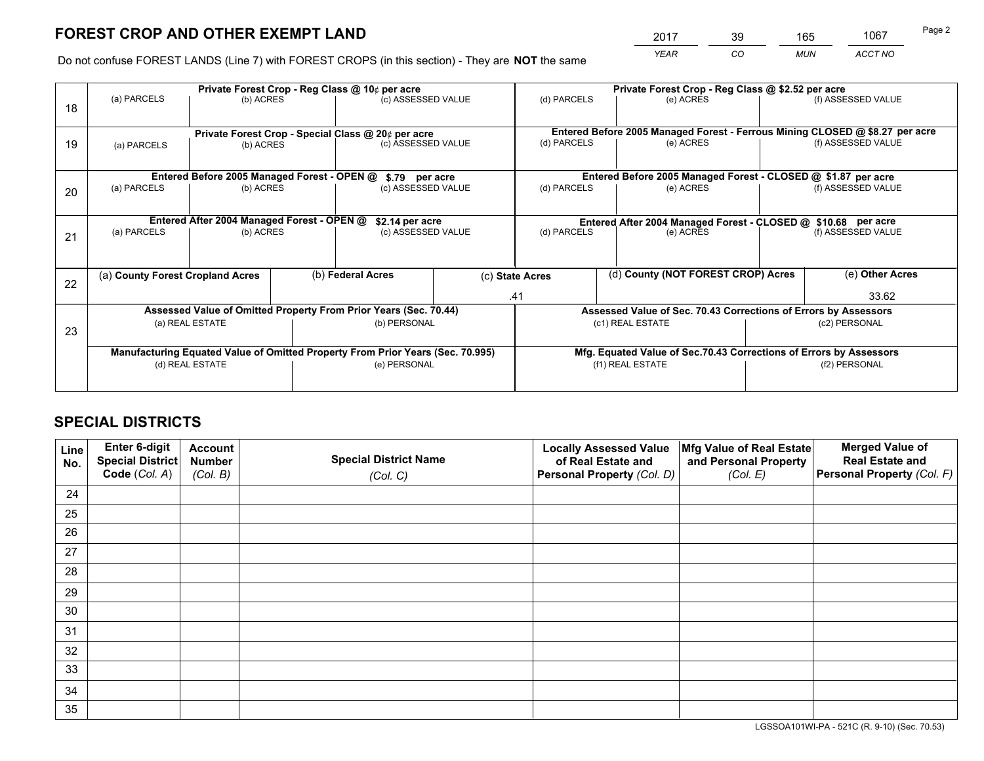*YEAR CO MUN ACCT NO* <sup>2017</sup> <sup>39</sup> <sup>165</sup> <sup>1067</sup>

Do not confuse FOREST LANDS (Line 7) with FOREST CROPS (in this section) - They are **NOT** the same

|    |                                                    |                                             |  | Private Forest Crop - Reg Class @ 10¢ per acre                                   |  | Private Forest Crop - Reg Class @ \$2.52 per acre |                                                                              |               |                    |  |
|----|----------------------------------------------------|---------------------------------------------|--|----------------------------------------------------------------------------------|--|---------------------------------------------------|------------------------------------------------------------------------------|---------------|--------------------|--|
| 18 | (a) PARCELS                                        | (b) ACRES                                   |  | (c) ASSESSED VALUE                                                               |  | (d) PARCELS                                       | (e) ACRES                                                                    |               | (f) ASSESSED VALUE |  |
|    | Private Forest Crop - Special Class @ 20¢ per acre |                                             |  |                                                                                  |  |                                                   | Entered Before 2005 Managed Forest - Ferrous Mining CLOSED @ \$8.27 per acre |               |                    |  |
| 19 | (a) PARCELS                                        | (b) ACRES                                   |  | (c) ASSESSED VALUE                                                               |  | (d) PARCELS                                       | (e) ACRES                                                                    |               | (f) ASSESSED VALUE |  |
|    |                                                    | Entered Before 2005 Managed Forest - OPEN @ |  | \$.79 per acre                                                                   |  |                                                   | Entered Before 2005 Managed Forest - CLOSED @ \$1.87 per acre                |               |                    |  |
|    | (a) PARCELS                                        | (b) ACRES                                   |  | (c) ASSESSED VALUE                                                               |  | (d) PARCELS                                       | (e) ACRES                                                                    |               | (f) ASSESSED VALUE |  |
| 20 |                                                    |                                             |  |                                                                                  |  |                                                   |                                                                              |               |                    |  |
|    |                                                    | Entered After 2004 Managed Forest - OPEN @  |  | \$2.14 per acre<br>Entered After 2004 Managed Forest - CLOSED @ \$10.68 per acre |  |                                                   |                                                                              |               |                    |  |
| 21 | (a) PARCELS                                        | (b) ACRES                                   |  | (c) ASSESSED VALUE                                                               |  | (d) PARCELS<br>(e) ACRES                          |                                                                              |               | (f) ASSESSED VALUE |  |
|    |                                                    |                                             |  |                                                                                  |  |                                                   |                                                                              |               |                    |  |
| 22 | (a) County Forest Cropland Acres                   |                                             |  | (b) Federal Acres                                                                |  | (c) State Acres                                   | (d) County (NOT FOREST CROP) Acres                                           |               | (e) Other Acres    |  |
|    |                                                    |                                             |  |                                                                                  |  | .41                                               |                                                                              |               | 33.62              |  |
|    |                                                    |                                             |  | Assessed Value of Omitted Property From Prior Years (Sec. 70.44)                 |  |                                                   | Assessed Value of Sec. 70.43 Corrections of Errors by Assessors              |               |                    |  |
| 23 |                                                    | (a) REAL ESTATE                             |  | (b) PERSONAL                                                                     |  |                                                   | (c1) REAL ESTATE                                                             |               | (c2) PERSONAL      |  |
|    |                                                    |                                             |  |                                                                                  |  |                                                   |                                                                              |               |                    |  |
|    |                                                    |                                             |  | Manufacturing Equated Value of Omitted Property From Prior Years (Sec. 70.995)   |  |                                                   | Mfg. Equated Value of Sec.70.43 Corrections of Errors by Assessors           |               |                    |  |
|    |                                                    | (d) REAL ESTATE                             |  | (e) PERSONAL                                                                     |  | (f1) REAL ESTATE                                  |                                                                              | (f2) PERSONAL |                    |  |
|    |                                                    |                                             |  |                                                                                  |  |                                                   |                                                                              |               |                    |  |

## **SPECIAL DISTRICTS**

| Line<br>No. | Enter 6-digit<br>Special District<br>Code (Col. A) | <b>Account</b><br><b>Number</b> | <b>Special District Name</b> | <b>Locally Assessed Value</b><br>of Real Estate and | Mfg Value of Real Estate<br>and Personal Property | <b>Merged Value of</b><br><b>Real Estate and</b><br>Personal Property (Col. F) |
|-------------|----------------------------------------------------|---------------------------------|------------------------------|-----------------------------------------------------|---------------------------------------------------|--------------------------------------------------------------------------------|
|             |                                                    | (Col. B)                        | (Col. C)                     | Personal Property (Col. D)                          | (Col. E)                                          |                                                                                |
| 24          |                                                    |                                 |                              |                                                     |                                                   |                                                                                |
| 25          |                                                    |                                 |                              |                                                     |                                                   |                                                                                |
| 26          |                                                    |                                 |                              |                                                     |                                                   |                                                                                |
| 27          |                                                    |                                 |                              |                                                     |                                                   |                                                                                |
| 28          |                                                    |                                 |                              |                                                     |                                                   |                                                                                |
| 29          |                                                    |                                 |                              |                                                     |                                                   |                                                                                |
| 30          |                                                    |                                 |                              |                                                     |                                                   |                                                                                |
| 31          |                                                    |                                 |                              |                                                     |                                                   |                                                                                |
| 32          |                                                    |                                 |                              |                                                     |                                                   |                                                                                |
| 33          |                                                    |                                 |                              |                                                     |                                                   |                                                                                |
| 34          |                                                    |                                 |                              |                                                     |                                                   |                                                                                |
| 35          |                                                    |                                 |                              |                                                     |                                                   |                                                                                |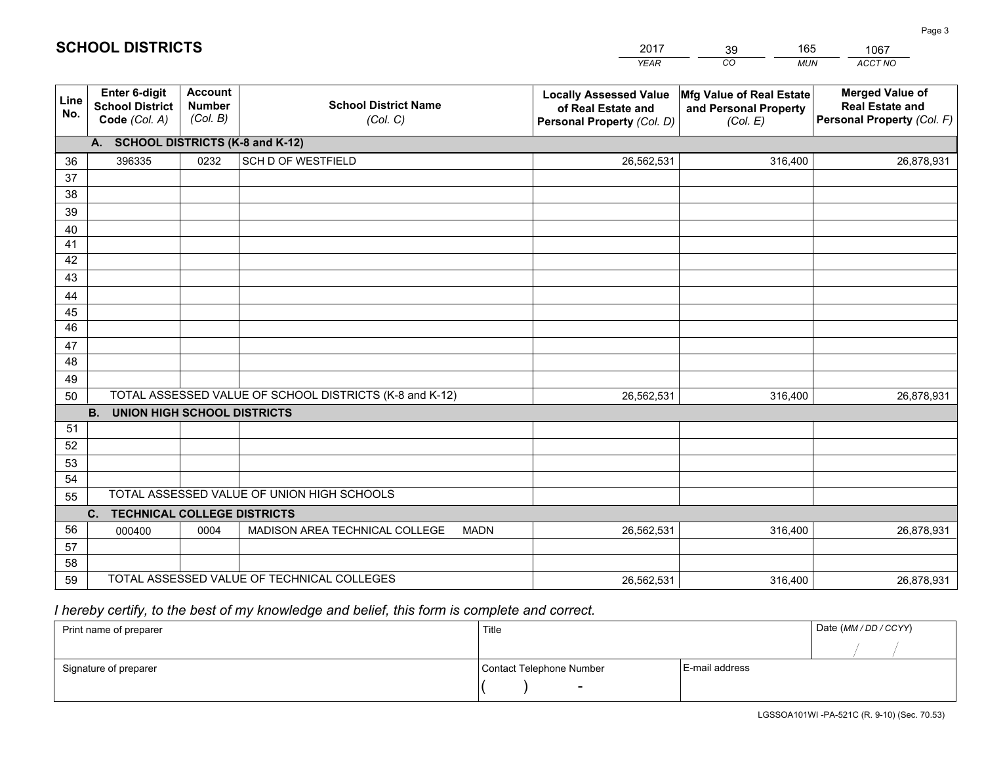|             |                                                                 |                                             |                                                         | YEAR                                                                              | CO<br><b>MUN</b>                                              | ACCT NO                                                                        |
|-------------|-----------------------------------------------------------------|---------------------------------------------|---------------------------------------------------------|-----------------------------------------------------------------------------------|---------------------------------------------------------------|--------------------------------------------------------------------------------|
| Line<br>No. | <b>Enter 6-digit</b><br><b>School District</b><br>Code (Col. A) | <b>Account</b><br><b>Number</b><br>(Col. B) | <b>School District Name</b><br>(Col. C)                 | <b>Locally Assessed Value</b><br>of Real Estate and<br>Personal Property (Col. D) | Mfg Value of Real Estate<br>and Personal Property<br>(Col. E) | <b>Merged Value of</b><br><b>Real Estate and</b><br>Personal Property (Col. F) |
|             | A. SCHOOL DISTRICTS (K-8 and K-12)                              |                                             |                                                         |                                                                                   |                                                               |                                                                                |
| 36          | 396335                                                          | 0232                                        | <b>SCH D OF WESTFIELD</b>                               | 26,562,531                                                                        | 316,400                                                       | 26,878,931                                                                     |
| 37          |                                                                 |                                             |                                                         |                                                                                   |                                                               |                                                                                |
| 38          |                                                                 |                                             |                                                         |                                                                                   |                                                               |                                                                                |
| 39          |                                                                 |                                             |                                                         |                                                                                   |                                                               |                                                                                |
| 40          |                                                                 |                                             |                                                         |                                                                                   |                                                               |                                                                                |
| 41<br>42    |                                                                 |                                             |                                                         |                                                                                   |                                                               |                                                                                |
| 43          |                                                                 |                                             |                                                         |                                                                                   |                                                               |                                                                                |
| 44          |                                                                 |                                             |                                                         |                                                                                   |                                                               |                                                                                |
| 45          |                                                                 |                                             |                                                         |                                                                                   |                                                               |                                                                                |
| 46          |                                                                 |                                             |                                                         |                                                                                   |                                                               |                                                                                |
| 47          |                                                                 |                                             |                                                         |                                                                                   |                                                               |                                                                                |
| 48          |                                                                 |                                             |                                                         |                                                                                   |                                                               |                                                                                |
| 49          |                                                                 |                                             |                                                         |                                                                                   |                                                               |                                                                                |
| 50          |                                                                 |                                             | TOTAL ASSESSED VALUE OF SCHOOL DISTRICTS (K-8 and K-12) | 26,562,531                                                                        | 316,400                                                       | 26,878,931                                                                     |
|             | <b>B.</b><br><b>UNION HIGH SCHOOL DISTRICTS</b>                 |                                             |                                                         |                                                                                   |                                                               |                                                                                |
| 51<br>52    |                                                                 |                                             |                                                         |                                                                                   |                                                               |                                                                                |
| 53          |                                                                 |                                             |                                                         |                                                                                   |                                                               |                                                                                |
| 54          |                                                                 |                                             |                                                         |                                                                                   |                                                               |                                                                                |
| 55          |                                                                 |                                             | TOTAL ASSESSED VALUE OF UNION HIGH SCHOOLS              |                                                                                   |                                                               |                                                                                |
|             | C.<br><b>TECHNICAL COLLEGE DISTRICTS</b>                        |                                             |                                                         |                                                                                   |                                                               |                                                                                |
| 56          | 000400                                                          | 0004                                        | MADISON AREA TECHNICAL COLLEGE<br><b>MADN</b>           | 26,562,531                                                                        | 316,400                                                       | 26,878,931                                                                     |
| 57          |                                                                 |                                             |                                                         |                                                                                   |                                                               |                                                                                |
| 58          |                                                                 |                                             |                                                         |                                                                                   |                                                               |                                                                                |
| 59          |                                                                 |                                             | TOTAL ASSESSED VALUE OF TECHNICAL COLLEGES              | 26,562,531                                                                        | 316,400                                                       | 26,878,931                                                                     |

39

165

 *I hereby certify, to the best of my knowledge and belief, this form is complete and correct.*

**SCHOOL DISTRICTS**

| Print name of preparer | Title                    |                | Date (MM / DD / CCYY) |
|------------------------|--------------------------|----------------|-----------------------|
|                        |                          |                |                       |
| Signature of preparer  | Contact Telephone Number | E-mail address |                       |
|                        | $\sim$                   |                |                       |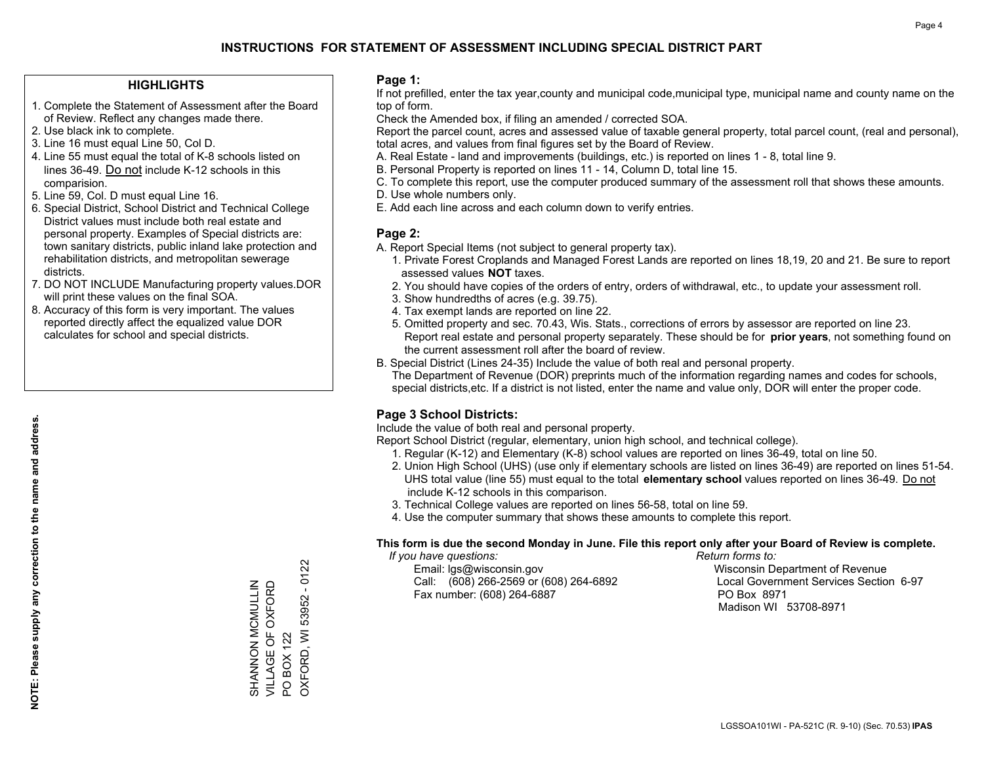#### **HIGHLIGHTS**

- 1. Complete the Statement of Assessment after the Board of Review. Reflect any changes made there.
- 2. Use black ink to complete.
- 3. Line 16 must equal Line 50, Col D.
- 4. Line 55 must equal the total of K-8 schools listed on lines 36-49. Do not include K-12 schools in this comparision.
- 5. Line 59, Col. D must equal Line 16.
- 6. Special District, School District and Technical College District values must include both real estate and personal property. Examples of Special districts are: town sanitary districts, public inland lake protection and rehabilitation districts, and metropolitan sewerage districts.
- 7. DO NOT INCLUDE Manufacturing property values.DOR will print these values on the final SOA.

SHANNON MCMULLIN VILLAGE OF OXFORD

SHANNON MCMULLIN<br>VILLAGE OF OXFORD

PO BOX 122

 $\overline{S}$ 

**BOX 122 OXFORD, WI** 

OXFORD, WI 53952 - 0122

53952 - 0122

 8. Accuracy of this form is very important. The values reported directly affect the equalized value DOR calculates for school and special districts.

#### **Page 1:**

 If not prefilled, enter the tax year,county and municipal code,municipal type, municipal name and county name on the top of form.

Check the Amended box, if filing an amended / corrected SOA.

 Report the parcel count, acres and assessed value of taxable general property, total parcel count, (real and personal), total acres, and values from final figures set by the Board of Review.

- A. Real Estate land and improvements (buildings, etc.) is reported on lines 1 8, total line 9.
- B. Personal Property is reported on lines 11 14, Column D, total line 15.
- C. To complete this report, use the computer produced summary of the assessment roll that shows these amounts.
- D. Use whole numbers only.
- E. Add each line across and each column down to verify entries.

#### **Page 2:**

- A. Report Special Items (not subject to general property tax).
- 1. Private Forest Croplands and Managed Forest Lands are reported on lines 18,19, 20 and 21. Be sure to report assessed values **NOT** taxes.
- 2. You should have copies of the orders of entry, orders of withdrawal, etc., to update your assessment roll.
	- 3. Show hundredths of acres (e.g. 39.75).
- 4. Tax exempt lands are reported on line 22.
- 5. Omitted property and sec. 70.43, Wis. Stats., corrections of errors by assessor are reported on line 23. Report real estate and personal property separately. These should be for **prior years**, not something found on the current assessment roll after the board of review.
- B. Special District (Lines 24-35) Include the value of both real and personal property.
- The Department of Revenue (DOR) preprints much of the information regarding names and codes for schools, special districts,etc. If a district is not listed, enter the name and value only, DOR will enter the proper code.

## **Page 3 School Districts:**

Include the value of both real and personal property.

Report School District (regular, elementary, union high school, and technical college).

- 1. Regular (K-12) and Elementary (K-8) school values are reported on lines 36-49, total on line 50.
- 2. Union High School (UHS) (use only if elementary schools are listed on lines 36-49) are reported on lines 51-54. UHS total value (line 55) must equal to the total **elementary school** values reported on lines 36-49. Do notinclude K-12 schools in this comparison.
- 3. Technical College values are reported on lines 56-58, total on line 59.
- 4. Use the computer summary that shows these amounts to complete this report.

#### **This form is due the second Monday in June. File this report only after your Board of Review is complete.**

 *If you have questions: Return forms to:*

 Email: lgs@wisconsin.gov Wisconsin Department of RevenueCall:  $(608)$  266-2569 or  $(608)$  264-6892 Fax number: (608) 264-6887 PO Box 8971

Local Government Services Section 6-97 Madison WI 53708-8971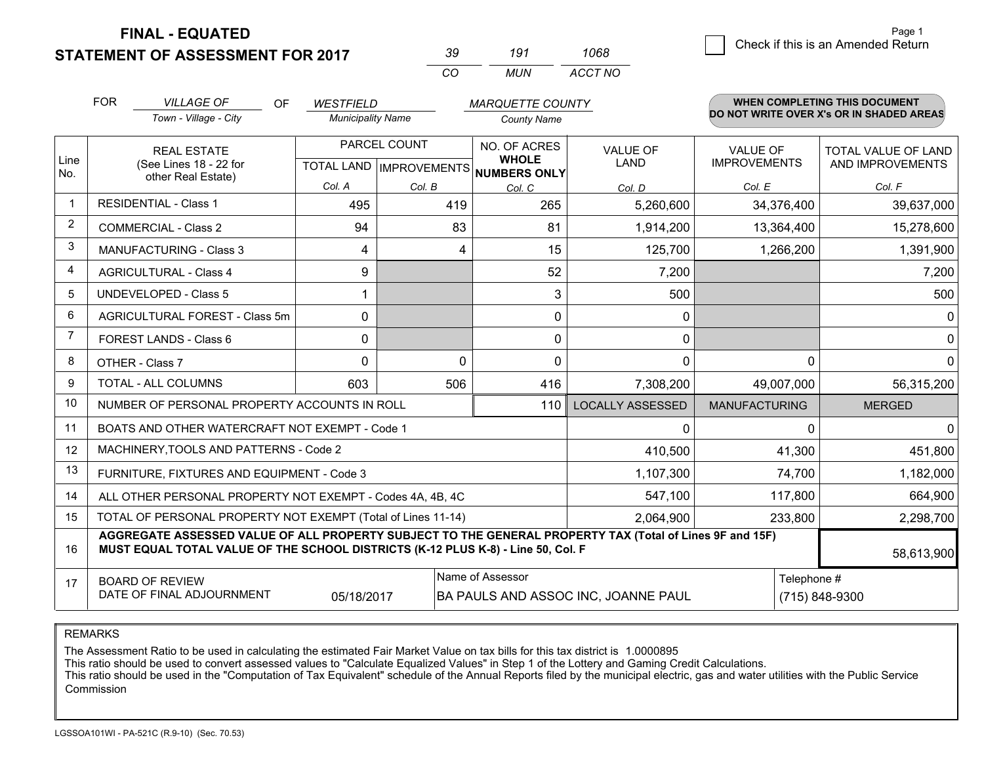**STATEMENT OF ASSESSMENT FOR 2017** 

| 39. | 191 | 1068    |  |  |
|-----|-----|---------|--|--|
| (   | MUN | ACCT NO |  |  |

|                | <b>FOR</b>                                                                                                                                                                                   | <b>VILLAGE OF</b><br>OF                                   | <b>WESTFIELD</b>         |              | <b>MARQUETTE COUNTY</b>                                              |                                |                                        | <b>WHEN COMPLETING THIS DOCUMENT</b>           |
|----------------|----------------------------------------------------------------------------------------------------------------------------------------------------------------------------------------------|-----------------------------------------------------------|--------------------------|--------------|----------------------------------------------------------------------|--------------------------------|----------------------------------------|------------------------------------------------|
|                |                                                                                                                                                                                              | Town - Village - City                                     | <b>Municipality Name</b> |              | <b>County Name</b>                                                   |                                |                                        | DO NOT WRITE OVER X's OR IN SHADED AREAS       |
| Line<br>No.    | <b>REAL ESTATE</b><br>(See Lines 18 - 22 for<br>other Real Estate)                                                                                                                           |                                                           |                          | PARCEL COUNT | NO. OF ACRES<br><b>WHOLE</b><br>TOTAL LAND IMPROVEMENTS NUMBERS ONLY | <b>VALUE OF</b><br><b>LAND</b> | <b>VALUE OF</b><br><b>IMPROVEMENTS</b> | <b>TOTAL VALUE OF LAND</b><br>AND IMPROVEMENTS |
|                |                                                                                                                                                                                              |                                                           | Col. A                   | Col. B       | Col. C                                                               | Col. D                         | Col. E                                 | Col. F                                         |
|                |                                                                                                                                                                                              | <b>RESIDENTIAL - Class 1</b>                              | 495                      | 419          | 265                                                                  | 5,260,600                      | 34,376,400                             | 39,637,000                                     |
| 2              |                                                                                                                                                                                              | <b>COMMERCIAL - Class 2</b>                               | 94                       | 83           | 81                                                                   | 1,914,200                      | 13,364,400                             | 15,278,600                                     |
| 3              |                                                                                                                                                                                              | <b>MANUFACTURING - Class 3</b>                            | 4                        | 4            | 15                                                                   | 125,700                        | 1,266,200                              | 1,391,900                                      |
| 4              |                                                                                                                                                                                              | <b>AGRICULTURAL - Class 4</b>                             | 9                        |              | 52                                                                   | 7,200                          |                                        | 7,200                                          |
| 5              |                                                                                                                                                                                              | UNDEVELOPED - Class 5                                     |                          |              | 3                                                                    | 500                            |                                        | 500                                            |
| 6              |                                                                                                                                                                                              | AGRICULTURAL FOREST - Class 5m                            | $\Omega$                 |              | $\mathbf 0$                                                          | 0                              |                                        | $\mathbf{0}$                                   |
| $\overline{7}$ | FOREST LANDS - Class 6                                                                                                                                                                       |                                                           | 0                        |              | $\Omega$                                                             | $\mathbf{0}$                   |                                        | $\mathbf 0$                                    |
| 8              | OTHER - Class 7                                                                                                                                                                              |                                                           | $\Omega$                 | $\Omega$     | $\Omega$                                                             | 0                              | $\Omega$                               | $\mathbf 0$                                    |
| 9              | TOTAL - ALL COLUMNS                                                                                                                                                                          |                                                           | 603                      | 506          | 416                                                                  | 7,308,200                      | 49,007,000                             | 56,315,200                                     |
| 10             | NUMBER OF PERSONAL PROPERTY ACCOUNTS IN ROLL                                                                                                                                                 |                                                           |                          |              | 110                                                                  | <b>LOCALLY ASSESSED</b>        | <b>MANUFACTURING</b>                   | <b>MERGED</b>                                  |
| 11             |                                                                                                                                                                                              | BOATS AND OTHER WATERCRAFT NOT EXEMPT - Code 1            |                          |              |                                                                      | $\Omega$                       | $\Omega$                               | $\Omega$                                       |
| 12             |                                                                                                                                                                                              | MACHINERY, TOOLS AND PATTERNS - Code 2                    |                          |              |                                                                      | 410,500                        | 41,300                                 | 451,800                                        |
| 13             |                                                                                                                                                                                              | FURNITURE, FIXTURES AND EQUIPMENT - Code 3                |                          |              |                                                                      | 1,107,300                      | 74,700                                 | 1,182,000                                      |
| 14             |                                                                                                                                                                                              | ALL OTHER PERSONAL PROPERTY NOT EXEMPT - Codes 4A, 4B, 4C |                          | 547,100      | 117,800                                                              | 664,900                        |                                        |                                                |
| 15             | TOTAL OF PERSONAL PROPERTY NOT EXEMPT (Total of Lines 11-14)                                                                                                                                 |                                                           |                          |              |                                                                      | 2,064,900                      | 233,800                                | 2,298,700                                      |
| 16             | AGGREGATE ASSESSED VALUE OF ALL PROPERTY SUBJECT TO THE GENERAL PROPERTY TAX (Total of Lines 9F and 15F)<br>MUST EQUAL TOTAL VALUE OF THE SCHOOL DISTRICTS (K-12 PLUS K-8) - Line 50, Col. F |                                                           |                          |              |                                                                      |                                | 58,613,900                             |                                                |
| 17             | Name of Assessor<br>Telephone #<br><b>BOARD OF REVIEW</b><br>DATE OF FINAL ADJOURNMENT<br>BA PAULS AND ASSOC INC, JOANNE PAUL<br>(715) 848-9300<br>05/18/2017                                |                                                           |                          |              |                                                                      |                                |                                        |                                                |

REMARKS

The Assessment Ratio to be used in calculating the estimated Fair Market Value on tax bills for this tax district is 1.0000895

This ratio should be used to convert assessed values to "Calculate Equalized Values" in Step 1 of the Lottery and Gaming Credit Calculations.<br>This ratio should be used in the "Computation of Tax Equivalent" schedule of the Commission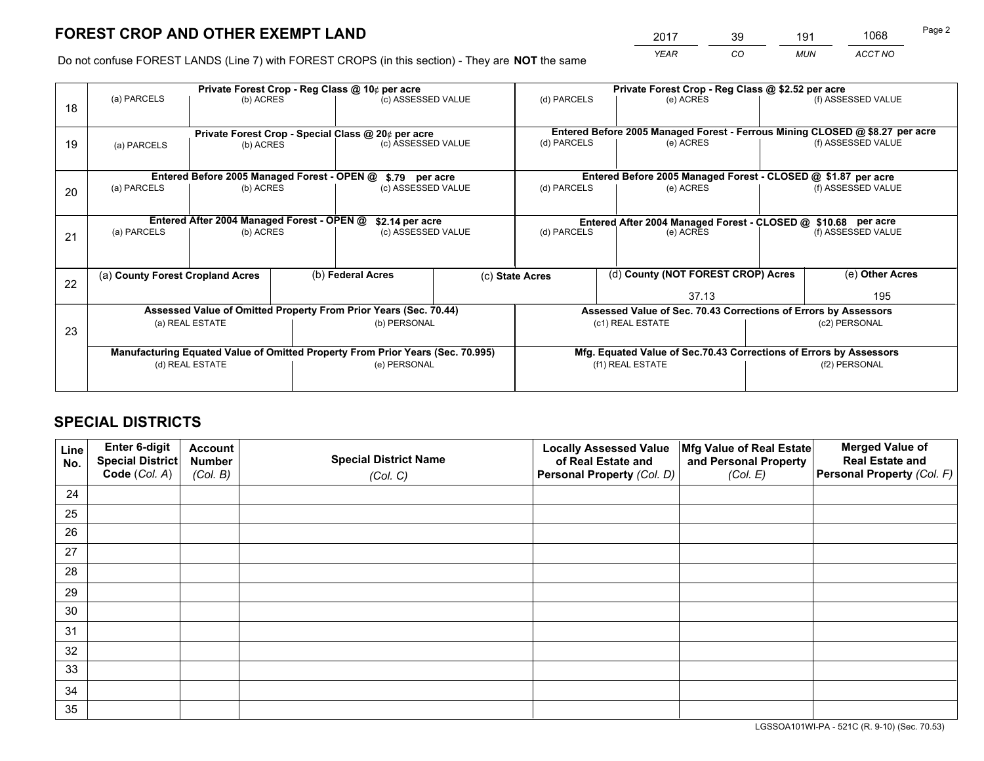*YEAR CO MUN ACCT NO* <sup>2017</sup> <sup>39</sup> <sup>191</sup> <sup>1068</sup>

Do not confuse FOREST LANDS (Line 7) with FOREST CROPS (in this section) - They are **NOT** the same

|    | Private Forest Crop - Reg Class @ 10¢ per acre                                 |                                             |                   |                                                    |                                      |                                                                    | Private Forest Crop - Reg Class @ \$2.52 per acre                            |                    |                    |  |
|----|--------------------------------------------------------------------------------|---------------------------------------------|-------------------|----------------------------------------------------|--------------------------------------|--------------------------------------------------------------------|------------------------------------------------------------------------------|--------------------|--------------------|--|
| 18 | (a) PARCELS                                                                    | (b) ACRES                                   |                   | (c) ASSESSED VALUE                                 |                                      | (d) PARCELS                                                        | (e) ACRES                                                                    |                    | (f) ASSESSED VALUE |  |
|    |                                                                                |                                             |                   | Private Forest Crop - Special Class @ 20¢ per acre |                                      |                                                                    | Entered Before 2005 Managed Forest - Ferrous Mining CLOSED @ \$8.27 per acre |                    |                    |  |
| 19 | (b) ACRES<br>(a) PARCELS                                                       |                                             |                   |                                                    | (d) PARCELS<br>(c) ASSESSED VALUE    |                                                                    | (e) ACRES                                                                    |                    | (f) ASSESSED VALUE |  |
|    |                                                                                | Entered Before 2005 Managed Forest - OPEN @ |                   |                                                    |                                      |                                                                    | Entered Before 2005 Managed Forest - CLOSED @ \$1.87 per acre                |                    |                    |  |
| 20 | (a) PARCELS<br>(b) ACRES                                                       |                                             |                   |                                                    | \$.79 per acre<br>(c) ASSESSED VALUE |                                                                    | (d) PARCELS<br>(e) ACRES                                                     |                    | (f) ASSESSED VALUE |  |
|    |                                                                                | Entered After 2004 Managed Forest - OPEN @  |                   | \$2.14 per acre                                    |                                      | Entered After 2004 Managed Forest - CLOSED @ \$10.68 per acre      |                                                                              |                    |                    |  |
| 21 | (a) PARCELS<br>(b) ACRES                                                       |                                             |                   | (c) ASSESSED VALUE                                 |                                      | (d) PARCELS<br>(e) ACRES                                           |                                                                              | (f) ASSESSED VALUE |                    |  |
| 22 | (a) County Forest Cropland Acres                                               |                                             | (b) Federal Acres |                                                    | (c) State Acres                      | (d) County (NOT FOREST CROP) Acres                                 |                                                                              | (e) Other Acres    |                    |  |
|    |                                                                                |                                             |                   |                                                    |                                      |                                                                    | 37.13                                                                        |                    | 195                |  |
|    | Assessed Value of Omitted Property From Prior Years (Sec. 70.44)               |                                             |                   |                                                    |                                      |                                                                    | Assessed Value of Sec. 70.43 Corrections of Errors by Assessors              |                    |                    |  |
| 23 |                                                                                | (a) REAL ESTATE                             |                   | (b) PERSONAL                                       |                                      | (c1) REAL ESTATE                                                   |                                                                              |                    | (c2) PERSONAL      |  |
|    | Manufacturing Equated Value of Omitted Property From Prior Years (Sec. 70.995) |                                             |                   |                                                    |                                      | Mfg. Equated Value of Sec.70.43 Corrections of Errors by Assessors |                                                                              |                    |                    |  |
|    | (e) PERSONAL<br>(d) REAL ESTATE                                                |                                             |                   | (f1) REAL ESTATE                                   |                                      |                                                                    | (f2) PERSONAL                                                                |                    |                    |  |
|    |                                                                                |                                             |                   |                                                    |                                      |                                                                    |                                                                              |                    |                    |  |

## **SPECIAL DISTRICTS**

| Line<br>No. | Enter 6-digit<br>Special District<br>Code (Col. A) | <b>Account</b><br><b>Number</b> | <b>Special District Name</b> | <b>Locally Assessed Value</b><br>of Real Estate and | Mfg Value of Real Estate<br>and Personal Property | <b>Merged Value of</b><br><b>Real Estate and</b><br>Personal Property (Col. F) |
|-------------|----------------------------------------------------|---------------------------------|------------------------------|-----------------------------------------------------|---------------------------------------------------|--------------------------------------------------------------------------------|
|             |                                                    | (Col. B)                        | (Col. C)                     | Personal Property (Col. D)                          | (Col. E)                                          |                                                                                |
| 24          |                                                    |                                 |                              |                                                     |                                                   |                                                                                |
| 25          |                                                    |                                 |                              |                                                     |                                                   |                                                                                |
| 26          |                                                    |                                 |                              |                                                     |                                                   |                                                                                |
| 27          |                                                    |                                 |                              |                                                     |                                                   |                                                                                |
| 28          |                                                    |                                 |                              |                                                     |                                                   |                                                                                |
| 29          |                                                    |                                 |                              |                                                     |                                                   |                                                                                |
| 30          |                                                    |                                 |                              |                                                     |                                                   |                                                                                |
| 31          |                                                    |                                 |                              |                                                     |                                                   |                                                                                |
| 32          |                                                    |                                 |                              |                                                     |                                                   |                                                                                |
| 33          |                                                    |                                 |                              |                                                     |                                                   |                                                                                |
| 34          |                                                    |                                 |                              |                                                     |                                                   |                                                                                |
| 35          |                                                    |                                 |                              |                                                     |                                                   |                                                                                |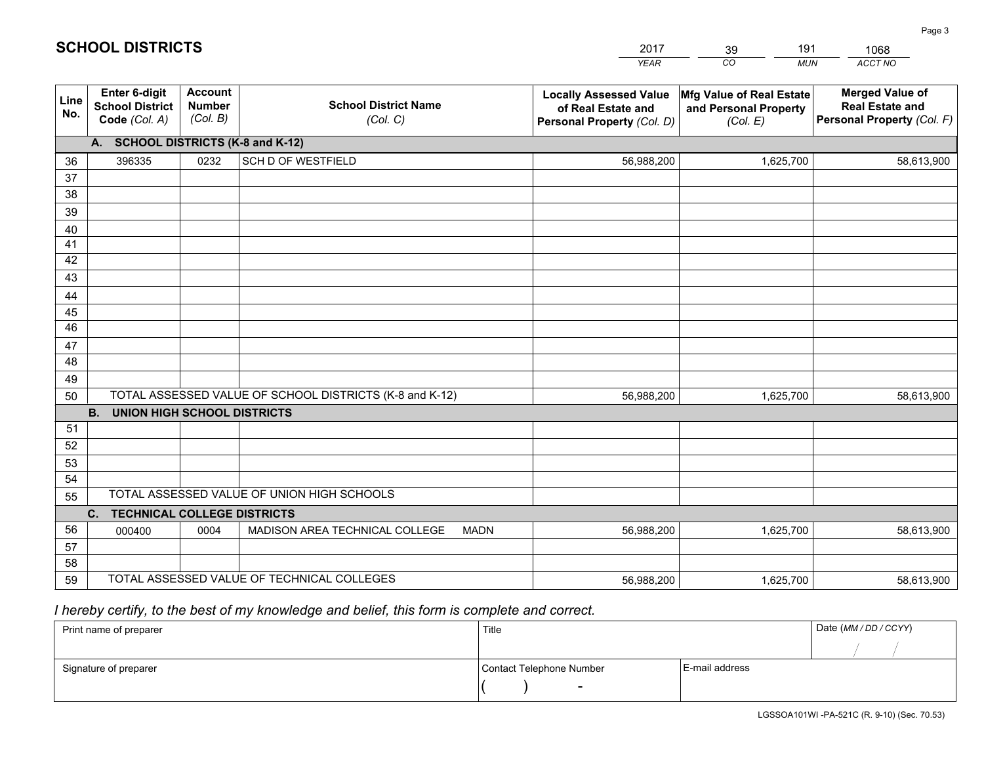|             |                                                          |                                             |                                                         | YEAR                                                                              | CO.<br><b>MUN</b>                                             | ACCT NO                                                                        |  |
|-------------|----------------------------------------------------------|---------------------------------------------|---------------------------------------------------------|-----------------------------------------------------------------------------------|---------------------------------------------------------------|--------------------------------------------------------------------------------|--|
| Line<br>No. | Enter 6-digit<br><b>School District</b><br>Code (Col. A) | <b>Account</b><br><b>Number</b><br>(Col. B) | <b>School District Name</b><br>(Col. C)                 | <b>Locally Assessed Value</b><br>of Real Estate and<br>Personal Property (Col. D) | Mfg Value of Real Estate<br>and Personal Property<br>(Col. E) | <b>Merged Value of</b><br><b>Real Estate and</b><br>Personal Property (Col. F) |  |
|             | A. SCHOOL DISTRICTS (K-8 and K-12)                       |                                             |                                                         |                                                                                   |                                                               |                                                                                |  |
| 36          | 396335                                                   | 0232                                        | SCH D OF WESTFIELD                                      | 56,988,200                                                                        | 1,625,700                                                     | 58,613,900                                                                     |  |
| 37          |                                                          |                                             |                                                         |                                                                                   |                                                               |                                                                                |  |
| 38          |                                                          |                                             |                                                         |                                                                                   |                                                               |                                                                                |  |
| 39          |                                                          |                                             |                                                         |                                                                                   |                                                               |                                                                                |  |
| 40<br>41    |                                                          |                                             |                                                         |                                                                                   |                                                               |                                                                                |  |
| 42          |                                                          |                                             |                                                         |                                                                                   |                                                               |                                                                                |  |
| 43          |                                                          |                                             |                                                         |                                                                                   |                                                               |                                                                                |  |
| 44          |                                                          |                                             |                                                         |                                                                                   |                                                               |                                                                                |  |
| 45          |                                                          |                                             |                                                         |                                                                                   |                                                               |                                                                                |  |
| 46          |                                                          |                                             |                                                         |                                                                                   |                                                               |                                                                                |  |
| 47          |                                                          |                                             |                                                         |                                                                                   |                                                               |                                                                                |  |
| 48          |                                                          |                                             |                                                         |                                                                                   |                                                               |                                                                                |  |
| 49          |                                                          |                                             |                                                         |                                                                                   |                                                               |                                                                                |  |
| 50          |                                                          |                                             | TOTAL ASSESSED VALUE OF SCHOOL DISTRICTS (K-8 and K-12) | 56,988,200                                                                        | 1,625,700                                                     | 58,613,900                                                                     |  |
|             | <b>B.</b><br><b>UNION HIGH SCHOOL DISTRICTS</b>          |                                             |                                                         |                                                                                   |                                                               |                                                                                |  |
| 51<br>52    |                                                          |                                             |                                                         |                                                                                   |                                                               |                                                                                |  |
| 53          |                                                          |                                             |                                                         |                                                                                   |                                                               |                                                                                |  |
| 54          |                                                          |                                             |                                                         |                                                                                   |                                                               |                                                                                |  |
| 55          |                                                          |                                             | TOTAL ASSESSED VALUE OF UNION HIGH SCHOOLS              |                                                                                   |                                                               |                                                                                |  |
|             | C.<br><b>TECHNICAL COLLEGE DISTRICTS</b>                 |                                             |                                                         |                                                                                   |                                                               |                                                                                |  |
| 56          | 000400                                                   | 0004                                        | MADISON AREA TECHNICAL COLLEGE<br><b>MADN</b>           | 56,988,200                                                                        | 1,625,700                                                     | 58,613,900                                                                     |  |
| 57          |                                                          |                                             |                                                         |                                                                                   |                                                               |                                                                                |  |
| 58          |                                                          |                                             |                                                         |                                                                                   |                                                               |                                                                                |  |
| 59          |                                                          |                                             | TOTAL ASSESSED VALUE OF TECHNICAL COLLEGES              | 56,988,200                                                                        | 1,625,700                                                     | 58,613,900                                                                     |  |

39

191

1068

 *I hereby certify, to the best of my knowledge and belief, this form is complete and correct.*

**SCHOOL DISTRICTS**

| Print name of preparer | Title                    |                | Date (MM / DD / CCYY) |
|------------------------|--------------------------|----------------|-----------------------|
|                        |                          |                |                       |
| Signature of preparer  | Contact Telephone Number | E-mail address |                       |
|                        | $\sim$                   |                |                       |

Page 3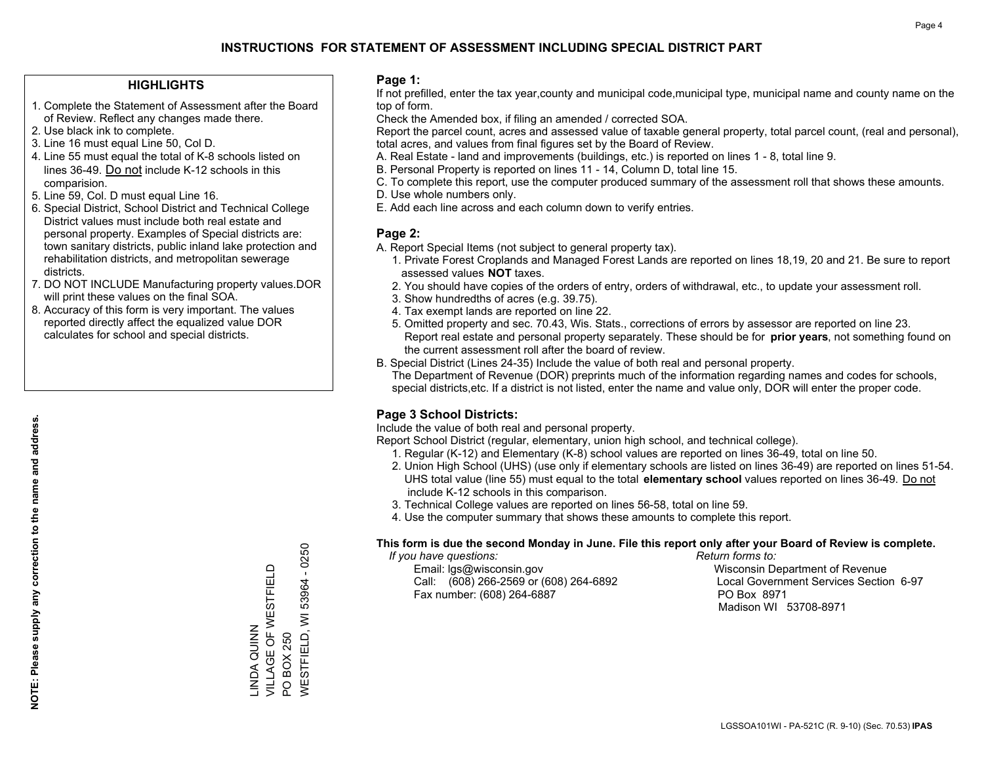## **HIGHLIGHTS**

- 1. Complete the Statement of Assessment after the Board of Review. Reflect any changes made there.
- 2. Use black ink to complete.
- 3. Line 16 must equal Line 50, Col D.
- 4. Line 55 must equal the total of K-8 schools listed on lines 36-49. Do not include K-12 schools in this comparision.
- 5. Line 59, Col. D must equal Line 16.
- 6. Special District, School District and Technical College District values must include both real estate and personal property. Examples of Special districts are: town sanitary districts, public inland lake protection and rehabilitation districts, and metropolitan sewerage districts.
- 7. DO NOT INCLUDE Manufacturing property values.DOR will print these values on the final SOA.
- 8. Accuracy of this form is very important. The values reported directly affect the equalized value DOR calculates for school and special districts.

#### **Page 1:**

 If not prefilled, enter the tax year,county and municipal code,municipal type, municipal name and county name on the top of form.

Check the Amended box, if filing an amended / corrected SOA.

 Report the parcel count, acres and assessed value of taxable general property, total parcel count, (real and personal), total acres, and values from final figures set by the Board of Review.

- A. Real Estate land and improvements (buildings, etc.) is reported on lines 1 8, total line 9.
- B. Personal Property is reported on lines 11 14, Column D, total line 15.
- C. To complete this report, use the computer produced summary of the assessment roll that shows these amounts.
- D. Use whole numbers only.
- E. Add each line across and each column down to verify entries.

## **Page 2:**

- A. Report Special Items (not subject to general property tax).
- 1. Private Forest Croplands and Managed Forest Lands are reported on lines 18,19, 20 and 21. Be sure to report assessed values **NOT** taxes.
- 2. You should have copies of the orders of entry, orders of withdrawal, etc., to update your assessment roll.
	- 3. Show hundredths of acres (e.g. 39.75).
- 4. Tax exempt lands are reported on line 22.
- 5. Omitted property and sec. 70.43, Wis. Stats., corrections of errors by assessor are reported on line 23. Report real estate and personal property separately. These should be for **prior years**, not something found on the current assessment roll after the board of review.
- B. Special District (Lines 24-35) Include the value of both real and personal property.
- The Department of Revenue (DOR) preprints much of the information regarding names and codes for schools, special districts,etc. If a district is not listed, enter the name and value only, DOR will enter the proper code.

## **Page 3 School Districts:**

Include the value of both real and personal property.

Report School District (regular, elementary, union high school, and technical college).

- 1. Regular (K-12) and Elementary (K-8) school values are reported on lines 36-49, total on line 50.
- 2. Union High School (UHS) (use only if elementary schools are listed on lines 36-49) are reported on lines 51-54. UHS total value (line 55) must equal to the total **elementary school** values reported on lines 36-49. Do notinclude K-12 schools in this comparison.
- 3. Technical College values are reported on lines 56-58, total on line 59.
- 4. Use the computer summary that shows these amounts to complete this report.

#### **This form is due the second Monday in June. File this report only after your Board of Review is complete.**

 *If you have questions: Return forms to:*

 Email: lgs@wisconsin.gov Wisconsin Department of RevenueCall:  $(608)$  266-2569 or  $(608)$  264-6892 Fax number: (608) 264-6887 PO Box 8971

Local Government Services Section 6-97 Madison WI 53708-8971

 $-0250$ WESTFIELD, WI 53964 - 0250 VILLAGE OF WESTFIELD VILLAGE OF WESTFIELD 53964 **WESTFIELD, WI** INDA QUINN LINDA QUINN PO BOX 250 PO BOX 250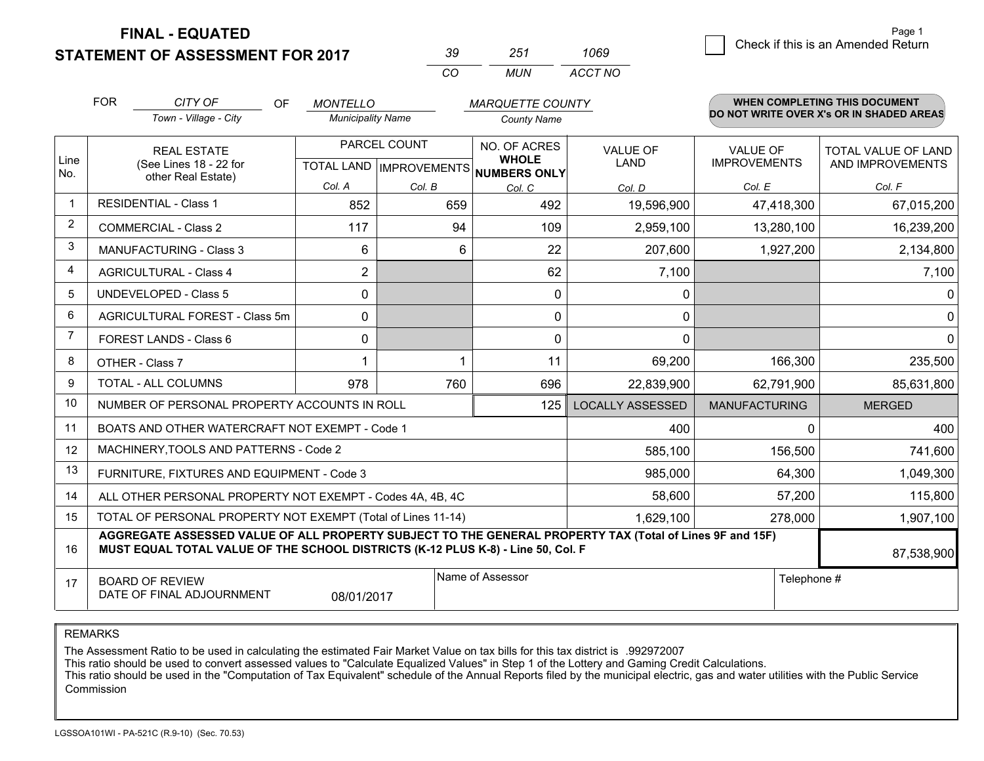**FINAL - EQUATED**

**STATEMENT OF ASSESSMENT FOR 2017** 

| -39 | 251 | 1069    |  |
|-----|-----|---------|--|
| cо  | MUN | ACCT NO |  |

|                | <b>FOR</b>                                                                                                                                                                                                 | CITY OF<br><b>OF</b>                                                    | <b>MONTELLO</b>                                      |                                          | <b>MARQUETTE COUNTY</b>      |                                |                                        | WHEN COMPLETING THIS DOCUMENT           |
|----------------|------------------------------------------------------------------------------------------------------------------------------------------------------------------------------------------------------------|-------------------------------------------------------------------------|------------------------------------------------------|------------------------------------------|------------------------------|--------------------------------|----------------------------------------|-----------------------------------------|
|                |                                                                                                                                                                                                            | Town - Village - City<br><b>Municipality Name</b><br><b>County Name</b> |                                                      | DO NOT WRITE OVER X's OR IN SHADED AREAS |                              |                                |                                        |                                         |
| Line<br>No.    | <b>REAL ESTATE</b><br>(See Lines 18 - 22 for<br>other Real Estate)                                                                                                                                         |                                                                         | PARCEL COUNT<br>TOTAL LAND IMPROVEMENTS NUMBERS ONLY |                                          | NO. OF ACRES<br><b>WHOLE</b> | <b>VALUE OF</b><br><b>LAND</b> | <b>VALUE OF</b><br><b>IMPROVEMENTS</b> | TOTAL VALUE OF LAND<br>AND IMPROVEMENTS |
|                |                                                                                                                                                                                                            |                                                                         | Col. A                                               | Col. B                                   | Col. C                       | Col. D                         | Col. E                                 | Col. F                                  |
| $\mathbf 1$    |                                                                                                                                                                                                            | <b>RESIDENTIAL - Class 1</b>                                            | 852                                                  | 659                                      | 492                          | 19,596,900                     | 47,418,300                             | 67,015,200                              |
| $\overline{2}$ |                                                                                                                                                                                                            | <b>COMMERCIAL - Class 2</b>                                             | 117                                                  | 94                                       | 109                          | 2,959,100                      | 13,280,100                             | 16,239,200                              |
| 3              |                                                                                                                                                                                                            | MANUFACTURING - Class 3                                                 | 6                                                    | 6                                        | 22                           | 207,600                        | 1,927,200                              | 2,134,800                               |
| $\overline{4}$ |                                                                                                                                                                                                            | <b>AGRICULTURAL - Class 4</b>                                           | $\overline{2}$                                       |                                          | 62                           | 7,100                          |                                        | 7,100                                   |
| 5              |                                                                                                                                                                                                            | <b>UNDEVELOPED - Class 5</b>                                            | 0                                                    |                                          | $\mathbf{0}$                 | 0                              |                                        | $\mathbf 0$                             |
| 6              |                                                                                                                                                                                                            | AGRICULTURAL FOREST - Class 5m                                          | $\mathbf 0$                                          |                                          | $\mathbf 0$                  | 0                              |                                        | $\mathbf 0$                             |
| $\overline{7}$ | <b>FOREST LANDS - Class 6</b>                                                                                                                                                                              |                                                                         | 0                                                    |                                          | $\Omega$                     | $\mathbf{0}$                   |                                        | $\mathbf 0$                             |
| 8              | OTHER - Class 7                                                                                                                                                                                            |                                                                         | 1                                                    |                                          | 11                           | 69,200                         | 166,300                                | 235,500                                 |
| 9              | TOTAL - ALL COLUMNS                                                                                                                                                                                        |                                                                         | 978                                                  | 760                                      | 696                          | 22,839,900                     | 62,791,900                             | 85,631,800                              |
| 10             | NUMBER OF PERSONAL PROPERTY ACCOUNTS IN ROLL<br>125                                                                                                                                                        |                                                                         |                                                      |                                          |                              | <b>LOCALLY ASSESSED</b>        | <b>MANUFACTURING</b>                   | <b>MERGED</b>                           |
| 11             |                                                                                                                                                                                                            | BOATS AND OTHER WATERCRAFT NOT EXEMPT - Code 1                          |                                                      | 400                                      | 0                            | 400                            |                                        |                                         |
| 12             |                                                                                                                                                                                                            | MACHINERY, TOOLS AND PATTERNS - Code 2                                  |                                                      |                                          |                              | 585,100                        | 156,500                                | 741,600                                 |
| 13             |                                                                                                                                                                                                            | FURNITURE, FIXTURES AND EQUIPMENT - Code 3                              |                                                      |                                          |                              | 985,000                        | 64,300                                 | 1,049,300                               |
| 14             | 58,600<br>ALL OTHER PERSONAL PROPERTY NOT EXEMPT - Codes 4A, 4B, 4C                                                                                                                                        |                                                                         |                                                      |                                          |                              |                                |                                        | 115,800                                 |
| 15             | TOTAL OF PERSONAL PROPERTY NOT EXEMPT (Total of Lines 11-14)<br>1,629,100                                                                                                                                  |                                                                         |                                                      |                                          |                              |                                | 278,000                                | 1,907,100                               |
| 16             | AGGREGATE ASSESSED VALUE OF ALL PROPERTY SUBJECT TO THE GENERAL PROPERTY TAX (Total of Lines 9F and 15F)<br>MUST EQUAL TOTAL VALUE OF THE SCHOOL DISTRICTS (K-12 PLUS K-8) - Line 50, Col. F<br>87,538,900 |                                                                         |                                                      |                                          |                              |                                |                                        |                                         |
| 17             |                                                                                                                                                                                                            | <b>BOARD OF REVIEW</b><br>DATE OF FINAL ADJOURNMENT                     | 08/01/2017                                           |                                          | Name of Assessor             |                                | Telephone #                            |                                         |

REMARKS

The Assessment Ratio to be used in calculating the estimated Fair Market Value on tax bills for this tax district is .992972007

This ratio should be used to convert assessed values to "Calculate Equalized Values" in Step 1 of the Lottery and Gaming Credit Calculations.<br>This ratio should be used in the "Computation of Tax Equivalent" schedule of the Commission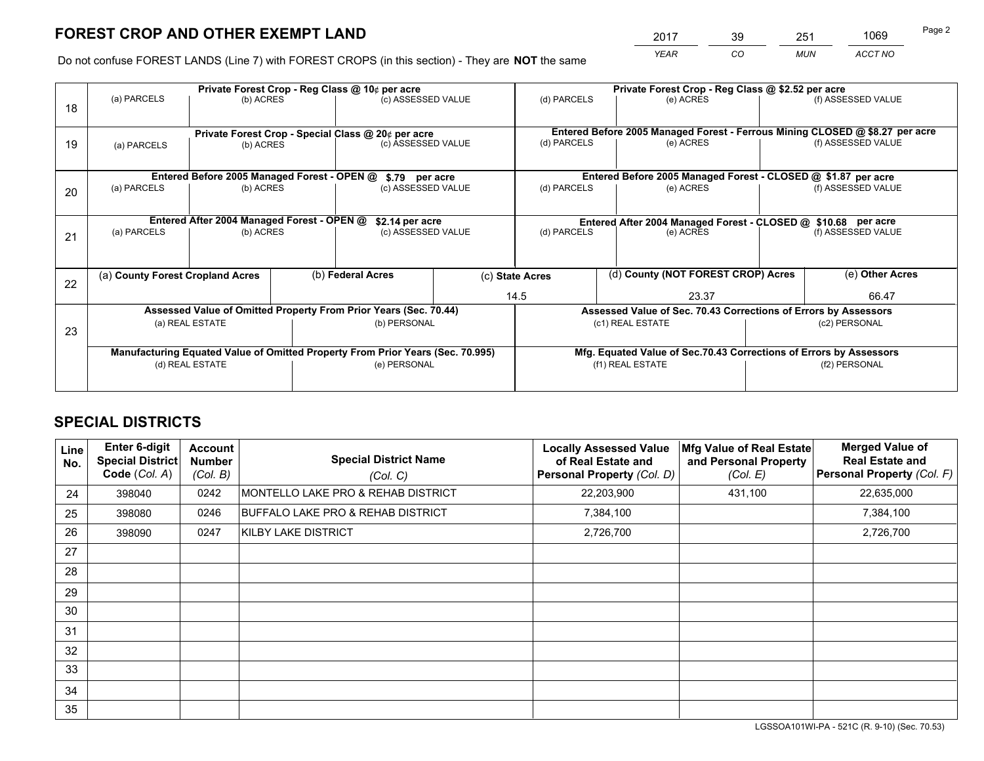# **FOREST CROP AND OTHER EXEMPT LAND**

 *YEAR CO MUN ACCT NO* <sup>2017</sup> <sup>39</sup> <sup>251</sup> <sup>1069</sup>

Do not confuse FOREST LANDS (Line 7) with FOREST CROPS (in this section) - They are **NOT** the same

|    | Private Forest Crop - Reg Class @ 10¢ per acre                                 |                                             |  |                    |                    | Private Forest Crop - Reg Class @ \$2.52 per acre                  |                          |                                                               |                                                                              |                    |  |
|----|--------------------------------------------------------------------------------|---------------------------------------------|--|--------------------|--------------------|--------------------------------------------------------------------|--------------------------|---------------------------------------------------------------|------------------------------------------------------------------------------|--------------------|--|
| 18 | (a) PARCELS                                                                    | (b) ACRES                                   |  | (c) ASSESSED VALUE |                    | (d) PARCELS                                                        |                          | (e) ACRES                                                     |                                                                              | (f) ASSESSED VALUE |  |
|    |                                                                                |                                             |  |                    |                    |                                                                    |                          |                                                               | Entered Before 2005 Managed Forest - Ferrous Mining CLOSED @ \$8.27 per acre |                    |  |
| 19 | Private Forest Crop - Special Class @ 20¢ per acre<br>(b) ACRES<br>(a) PARCELS |                                             |  | (c) ASSESSED VALUE |                    | (d) PARCELS                                                        |                          | (e) ACRES                                                     |                                                                              | (f) ASSESSED VALUE |  |
|    |                                                                                | Entered Before 2005 Managed Forest - OPEN @ |  |                    |                    |                                                                    |                          | Entered Before 2005 Managed Forest - CLOSED @ \$1.87 per acre |                                                                              |                    |  |
|    | (a) PARCELS                                                                    |                                             |  | \$.79 per acre     |                    | (d) PARCELS                                                        |                          | (e) ACRES                                                     |                                                                              | (f) ASSESSED VALUE |  |
| 20 | (b) ACRES                                                                      |                                             |  | (c) ASSESSED VALUE |                    |                                                                    |                          |                                                               |                                                                              |                    |  |
|    |                                                                                | Entered After 2004 Managed Forest - OPEN @  |  | \$2.14 per acre    |                    | Entered After 2004 Managed Forest - CLOSED @ \$10.68 per acre      |                          |                                                               |                                                                              |                    |  |
| 21 | (a) PARCELS                                                                    | (b) ACRES                                   |  |                    | (c) ASSESSED VALUE |                                                                    | (d) PARCELS<br>(e) ACRES |                                                               | (f) ASSESSED VALUE                                                           |                    |  |
|    |                                                                                |                                             |  |                    |                    |                                                                    |                          |                                                               |                                                                              |                    |  |
|    | (a) County Forest Cropland Acres                                               |                                             |  | (b) Federal Acres  |                    | (c) State Acres                                                    |                          | (d) County (NOT FOREST CROP) Acres                            |                                                                              | (e) Other Acres    |  |
| 22 |                                                                                |                                             |  |                    |                    | 14.5<br>23.37                                                      |                          |                                                               | 66.47                                                                        |                    |  |
|    | Assessed Value of Omitted Property From Prior Years (Sec. 70.44)               |                                             |  |                    |                    | Assessed Value of Sec. 70.43 Corrections of Errors by Assessors    |                          |                                                               |                                                                              |                    |  |
|    | (a) REAL ESTATE                                                                |                                             |  | (b) PERSONAL       |                    | (c1) REAL ESTATE                                                   |                          |                                                               | (c2) PERSONAL                                                                |                    |  |
| 23 |                                                                                |                                             |  |                    |                    |                                                                    |                          |                                                               |                                                                              |                    |  |
|    | Manufacturing Equated Value of Omitted Property From Prior Years (Sec. 70.995) |                                             |  |                    |                    | Mfg. Equated Value of Sec.70.43 Corrections of Errors by Assessors |                          |                                                               |                                                                              |                    |  |
|    | (d) REAL ESTATE                                                                |                                             |  | (e) PERSONAL       |                    | (f1) REAL ESTATE                                                   |                          |                                                               | (f2) PERSONAL                                                                |                    |  |
|    |                                                                                |                                             |  |                    |                    |                                                                    |                          |                                                               |                                                                              |                    |  |

## **SPECIAL DISTRICTS**

| Line<br>No.     | <b>Enter 6-digit</b><br><b>Special District</b><br>Code (Col. A) | <b>Account</b><br><b>Number</b><br>(Col. B) | <b>Special District Name</b><br>(Col. C) | <b>Locally Assessed Value</b><br>of Real Estate and<br>Personal Property (Col. D) | Mfg Value of Real Estate<br>and Personal Property<br>(Col. E) | <b>Merged Value of</b><br><b>Real Estate and</b><br>Personal Property (Col. F) |
|-----------------|------------------------------------------------------------------|---------------------------------------------|------------------------------------------|-----------------------------------------------------------------------------------|---------------------------------------------------------------|--------------------------------------------------------------------------------|
| 24              | 398040                                                           | 0242                                        | MONTELLO LAKE PRO & REHAB DISTRICT       | 22,203,900                                                                        | 431,100                                                       | 22,635,000                                                                     |
| 25              | 398080                                                           | 0246                                        | BUFFALO LAKE PRO & REHAB DISTRICT        | 7,384,100                                                                         |                                                               | 7,384,100                                                                      |
| 26              | 398090                                                           | 0247                                        | KILBY LAKE DISTRICT                      | 2,726,700                                                                         |                                                               | 2,726,700                                                                      |
| 27              |                                                                  |                                             |                                          |                                                                                   |                                                               |                                                                                |
| 28              |                                                                  |                                             |                                          |                                                                                   |                                                               |                                                                                |
| 29              |                                                                  |                                             |                                          |                                                                                   |                                                               |                                                                                |
| 30              |                                                                  |                                             |                                          |                                                                                   |                                                               |                                                                                |
| 31              |                                                                  |                                             |                                          |                                                                                   |                                                               |                                                                                |
| 32 <sup>2</sup> |                                                                  |                                             |                                          |                                                                                   |                                                               |                                                                                |
| 33              |                                                                  |                                             |                                          |                                                                                   |                                                               |                                                                                |
| 34              |                                                                  |                                             |                                          |                                                                                   |                                                               |                                                                                |
| 35              |                                                                  |                                             |                                          |                                                                                   |                                                               |                                                                                |

LGSSOA101WI-PA - 521C (R. 9-10) (Sec. 70.53)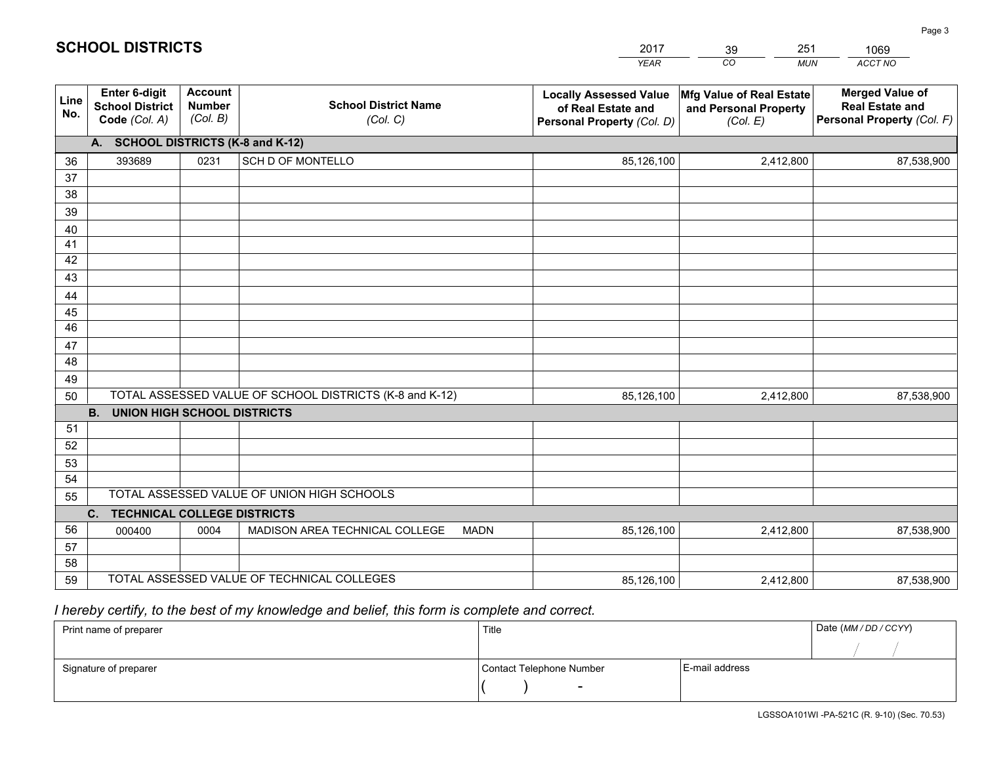|             |                                                                 |                                             |                                                         | <b>YEAR</b>                                                                       | CO<br><b>MUN</b>                                              | ACCT NO                                                                        |  |  |  |  |
|-------------|-----------------------------------------------------------------|---------------------------------------------|---------------------------------------------------------|-----------------------------------------------------------------------------------|---------------------------------------------------------------|--------------------------------------------------------------------------------|--|--|--|--|
| Line<br>No. | <b>Enter 6-digit</b><br><b>School District</b><br>Code (Col. A) | <b>Account</b><br><b>Number</b><br>(Col. B) | <b>School District Name</b><br>(Col. C)                 | <b>Locally Assessed Value</b><br>of Real Estate and<br>Personal Property (Col. D) | Mfg Value of Real Estate<br>and Personal Property<br>(Col. E) | <b>Merged Value of</b><br><b>Real Estate and</b><br>Personal Property (Col. F) |  |  |  |  |
|             | A. SCHOOL DISTRICTS (K-8 and K-12)                              |                                             |                                                         |                                                                                   |                                                               |                                                                                |  |  |  |  |
| 36          | 393689                                                          | 0231                                        | SCH D OF MONTELLO                                       | 85,126,100                                                                        | 2,412,800                                                     | 87,538,900                                                                     |  |  |  |  |
| 37          |                                                                 |                                             |                                                         |                                                                                   |                                                               |                                                                                |  |  |  |  |
| 38          |                                                                 |                                             |                                                         |                                                                                   |                                                               |                                                                                |  |  |  |  |
| 39          |                                                                 |                                             |                                                         |                                                                                   |                                                               |                                                                                |  |  |  |  |
| 40          |                                                                 |                                             |                                                         |                                                                                   |                                                               |                                                                                |  |  |  |  |
| 41<br>42    |                                                                 |                                             |                                                         |                                                                                   |                                                               |                                                                                |  |  |  |  |
| 43          |                                                                 |                                             |                                                         |                                                                                   |                                                               |                                                                                |  |  |  |  |
| 44          |                                                                 |                                             |                                                         |                                                                                   |                                                               |                                                                                |  |  |  |  |
| 45          |                                                                 |                                             |                                                         |                                                                                   |                                                               |                                                                                |  |  |  |  |
| 46          |                                                                 |                                             |                                                         |                                                                                   |                                                               |                                                                                |  |  |  |  |
| 47          |                                                                 |                                             |                                                         |                                                                                   |                                                               |                                                                                |  |  |  |  |
| 48          |                                                                 |                                             |                                                         |                                                                                   |                                                               |                                                                                |  |  |  |  |
| 49          |                                                                 |                                             |                                                         |                                                                                   |                                                               |                                                                                |  |  |  |  |
| 50          |                                                                 |                                             | TOTAL ASSESSED VALUE OF SCHOOL DISTRICTS (K-8 and K-12) | 85,126,100                                                                        | 2,412,800                                                     | 87,538,900                                                                     |  |  |  |  |
|             | <b>B. UNION HIGH SCHOOL DISTRICTS</b>                           |                                             |                                                         |                                                                                   |                                                               |                                                                                |  |  |  |  |
| 51          |                                                                 |                                             |                                                         |                                                                                   |                                                               |                                                                                |  |  |  |  |
| 52          |                                                                 |                                             |                                                         |                                                                                   |                                                               |                                                                                |  |  |  |  |
| 53<br>54    |                                                                 |                                             |                                                         |                                                                                   |                                                               |                                                                                |  |  |  |  |
| 55          |                                                                 |                                             | TOTAL ASSESSED VALUE OF UNION HIGH SCHOOLS              |                                                                                   |                                                               |                                                                                |  |  |  |  |
|             | C.<br><b>TECHNICAL COLLEGE DISTRICTS</b>                        |                                             |                                                         |                                                                                   |                                                               |                                                                                |  |  |  |  |
| 56          | 000400                                                          | 0004                                        | MADISON AREA TECHNICAL COLLEGE<br><b>MADN</b>           | 85,126,100                                                                        | 2,412,800                                                     | 87,538,900                                                                     |  |  |  |  |
| 57          |                                                                 |                                             |                                                         |                                                                                   |                                                               |                                                                                |  |  |  |  |
| 58          |                                                                 |                                             |                                                         |                                                                                   |                                                               |                                                                                |  |  |  |  |
| 59          |                                                                 |                                             | TOTAL ASSESSED VALUE OF TECHNICAL COLLEGES              | 85,126,100                                                                        | 2,412,800                                                     | 87,538,900                                                                     |  |  |  |  |

2017

39

251

 *I hereby certify, to the best of my knowledge and belief, this form is complete and correct.*

**SCHOOL DISTRICTS**

| Print name of preparer | Title                    | Date (MM / DD / CCYY) |  |
|------------------------|--------------------------|-----------------------|--|
|                        |                          |                       |  |
| Signature of preparer  | Contact Telephone Number | E-mail address        |  |
|                        | $\sim$                   |                       |  |

1069